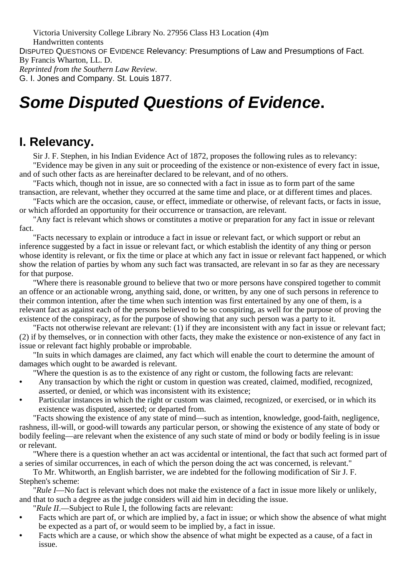Victoria University College Library No. 27956 Class H3 Location (4)m Handwritten contents DISPUTED QUESTIONS OF EVIDENCE Relevancy: Presumptions of Law and Presumptions of Fact. By Francis Wharton, LL. D. *Reprinted from the Southern Law Review*. G. I. Jones and Company. St. Louis 1877.

## **Some Disputed Questions of Evidence.**

### **I. Relevancy.**

Sir J. F. Stephen, in his Indian Evidence Act of 1872, proposes the following rules as to relevancy: "Evidence may be given in any suit or proceeding of the existence or non-existence of every fact in issue, and of such other facts as are hereinafter declared to be relevant, and of no others.

"Facts which, though not in issue, are so connected with a fact in issue as to form part of the same transaction, are relevant, whether they occurred at the same time and place, or at different times and places.

"Facts which are the occasion, cause, or effect, immediate or otherwise, of relevant facts, or facts in issue, or which afforded an opportunity for their occurrence or transaction, are relevant.

"Any fact is relevant which shows or constitutes a motive or preparation for any fact in issue or relevant fact.

"Facts necessary to explain or introduce a fact in issue or relevant fact, or which support or rebut an inference suggested by a fact in issue or relevant fact, or which establish the identity of any thing or person whose identity is relevant, or fix the time or place at which any fact in issue or relevant fact happened, or which show the relation of parties by whom any such fact was transacted, are relevant in so far as they are necessary for that purpose.

"Where there is reasonable ground to believe that two or more persons have conspired together to commit an offence or an actionable wrong, anything said, done, or written, by any one of such persons in reference to their common intention, after the time when such intention was first entertained by any one of them, is a relevant fact as against each of the persons believed to be so conspiring, as well for the purpose of proving the existence of the conspiracy, as for the purpose of showing that any such person was a party to it.

"Facts not otherwise relevant are relevant: (1) if they are inconsistent with any fact in issue or relevant fact; (2) if by themselves, or in connection with other facts, they make the existence or non-existence of any fact in issue or relevant fact highly probable or improbable.

"In suits in which damages are claimed, any fact which will enable the court to determine the amount of damages which ought to be awarded is relevant.

"Where the question is as to the existence of any right or custom, the following facts are relevant:

- **•** Any transaction by which the right or custom in question was created, claimed, modified, recognized, asserted, or denied, or which was inconsistent with its existence;
- **•** Particular instances in which the right or custom was claimed, recognized, or exercised, or in which its existence was disputed, asserted; or departed from.

"Facts showing the existence of any state of mind—such as intention, knowledge, good-faith, negligence, rashness, ill-will, or good-will towards any particular person, or showing the existence of any state of body or bodily feeling—are relevant when the existence of any such state of mind or body or bodily feeling is in issue or relevant.

"Where there is a question whether an act was accidental or intentional, the fact that such act formed part of a series of similar occurrences, in each of which the person doing the act was concerned, is relevant."

To Mr. Whitworth, an English barrister, we are indebted for the following modification of Sir J. F. Stephen's scheme:

"*Rule I*—No fact is relevant which does not make the existence of a fact in issue more likely or unlikely, and that to such a degree as the judge considers will aid him in deciding the issue.

"*Rule II*.—Subject to Rule I, the following facts are relevant:

- **•** Facts which are part of, or which are implied by, a fact in issue; or which show the absence of what might be expected as a part of, or would seem to be implied by, a fact in issue.
- **•** Facts which are a cause, or which show the absence of what might be expected as a cause, of a fact in issue.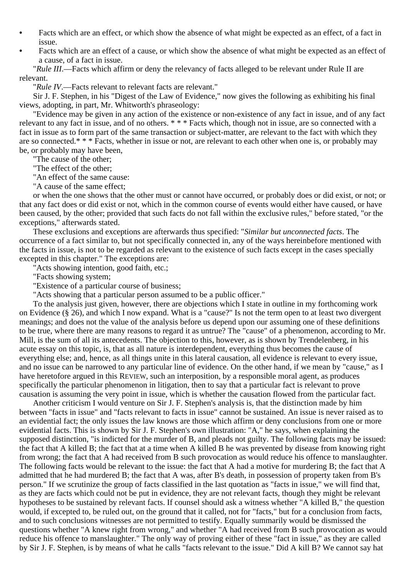- **•** Facts which are an effect, or which show the absence of what might be expected as an effect, of a fact in issue.
- **•** Facts which are an effect of a cause, or which show the absence of what might be expected as an effect of a cause, of a fact in issue.

"*Rule III*.—Facts which affirm or deny the relevancy of facts alleged to be relevant under Rule II are relevant.

"*Rule IV*.—Facts relevant to relevant facts are relevant."

Sir J. F. Stephen, in his "Digest of the Law of Evidence," now gives the following as exhibiting his final views, adopting, in part, Mr. Whitworth's phraseology:

"Evidence may be given in any action of the existence or non-existence of any fact in issue, and of any fact relevant to any fact in issue, and of no others. \* \* \* Facts which, though not in issue, are so connected with a fact in issue as to form part of the same transaction or subject-matter, are relevant to the fact with which they are so connected.\* \* \* Facts, whether in issue or not, are relevant to each other when one is, or probably may be, or probably may have been,

"The cause of the other;

"The effect of the other;

"An effect of the same cause:

"A cause of the same effect;

or when the one shows that the other must or cannot have occurred, or probably does or did exist, or not; or that any fact does or did exist or not, which in the common course of events would either have caused, or have been caused, by the other; provided that such facts do not fall within the exclusive rules," before stated, "or the exceptions," afterwards stated.

These exclusions and exceptions are afterwards thus specified: "*Similar but unconnected facts*. The occurrence of a fact similar to, but not specifically connected in, any of the ways hereinbefore mentioned with the facts in issue, is not to be regarded as relevant to the existence of such facts except in the cases specially excepted in this chapter." The exceptions are:

"Acts showing intention, good faith, etc.;

"Facts showing system;

"Existence of a particular course of business;

"Acts showing that a particular person assumed to be a public officer."

To the analysis just given, however, there are objections which I state in outline in my forthcoming work on Evidence (§ 26), and which I now expand. What is a "cause?" Is not the term open to at least two divergent meanings; and does not the value of the analysis before us depend upon our assuming one of these definitions to be true, where there are many reasons to regard it as untrue? The "cause" of a phenomenon, according to Mr. Mill, is the sum of all its antecedents. The objection to this, however, as is shown by Trendelenberg, in his acute essay on this topic, is, that as all nature is interdependent, everything thus becomes the cause of everything else; and, hence, as all things unite in this lateral causation, all evidence is relevant to every issue, and no issue can be narrowed to any particular line of evidence. On the other hand, if we mean by "cause," as I have heretofore argued in this REVIEW, such an interposition, by a responsible moral agent, as produces specifically the particular phenomenon in litigation, then to say that a particular fact is relevant to prove causation is assuming the very point in issue, which is whether the causation flowed from the particular fact.

Another criticism I would venture on Sir J. F. Stephen's analysis is, that the distinction made by him between "facts in issue" and "facts relevant to facts in issue" cannot be sustained. An issue is never raised as to an evidential fact; the only issues the law knows are those which affirm or deny conclusions from one or more evidential facts. This is shown by Sir J. F. Stephen's own illustration: "A," he says, when explaining the supposed distinction, "is indicted for the murder of B, and pleads not guilty. The following facts may be issued: the fact that A killed B; the fact that at a time when A killed B he was prevented by disease from knowing right from wrong; the fact that A had received from B such provocation as would reduce his offence to manslaughter. The following facts would be relevant to the issue: the fact that A had a motive for murdering B; the fact that A admitted that he had murdered B; the fact that A was, after B's death, in possession of property taken from B's person." If we scrutinize the group of facts classified in the last quotation as "facts in issue," we will find that, as they are facts which could not be put in evidence, they are not relevant facts, though they might be relevant hypotheses to be sustained by relevant facts. If counsel should ask a witness whether "A killed B," the question would, if excepted to, be ruled out, on the ground that it called, not for "facts," but for a conclusion from facts, and to such conclusions witnesses are not permitted to testify. Equally summarily would be dismissed the questions whether "A knew right from wrong," and whether "A had received from B such provocation as would reduce his offence to manslaughter." The only way of proving either of these "fact in issue," as they are called by Sir J. F. Stephen, is by means of what he calls "facts relevant to the issue." Did A kill B? We cannot say hat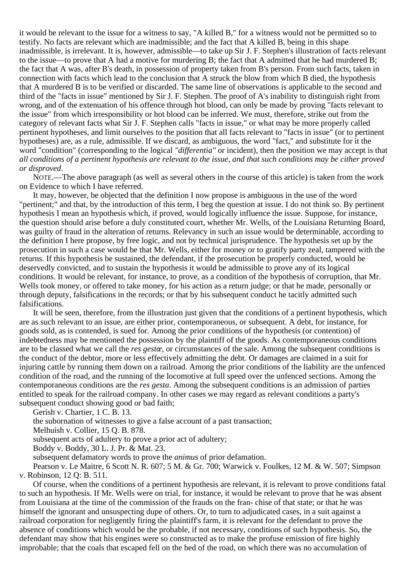it would be relevant to the issue for a witness to say, "A killed B," for a witness would not be permitted so to testify. No facts are relevant which are inadmissible; and the fact that A killed B, being in this shape inadmissible, is irrelevant. It is, however, admissible—to take up Sir J. F. Stephen's illustration of facts relevant to the issue—to prove that A had a motive for murdering B; the fact that A admitted that he had murdered B; the fact that A was, after B's death, in possession of property taken from B's person. From such facts, taken in connection with facts which lead to the conclusion that A struck the blow from which B died, the hypothesis that A murdered B is to be verified or discarded. The same line of observations is applicable to the second and third of the "facts in issue" mentioned by Sir J. F. Stephen. The proof of A's inability to distinguish right from wrong, and of the extenuation of his offence through hot blood, can only be made by proving "facts relevant to the issue" from which irresponsibility or hot blood can be inferred. We must, therefore, strike out from the category of relevant facts what Sir J. F. Stephen calls "facts in issue," or what may be more properly called pertinent hypotheses, and limit ourselves to the position that all facts relevant to "facts in issue" (or to pertinent hypotheses) are, as a rule, admissible. If we discard, as ambiguous, the word "fact," and substitute for it the word "condition" (corresponding to the logical *"differentia"* or incident), then the position we may accept is that *all conditions of a pertinent hypothesis are relevant to the issue, and that such conditions may be cither proved or disproved*.

NOTE.—The above paragraph (as well as several others in the course of this article) is taken from the work on Evidence to which I have referred.

It may, however, be objected that the definition I now propose is ambiguous in the use of the word "pertinent;" and that, by the introduction of this term, I beg the question at issue. I do not think so. By pertinent hypothesis I mean an hypothesis which, if proved, would logically influence the issue. Suppose, for instance, the question should arise before a duly constituted court, whether Mr. Wells, of the Louisiana Returning Board, was guilty of fraud in the alteration of returns. Relevancy in such an issue would be determinable, according to the definition I here propose, by free logic, and not by technical jurisprudence. The hypothesis set up by the prosecution in such a case would be that Mr. Wells, either for money or to gratify party zeal, tampered with the returns. If this hypothesis be sustained, the defendant, if the prosecution be properly conducted, would be deservedly convicted, and to sustain the hypothesis it would be admissible to prove any of its logical conditions. It would be relevant, for instance, to prove, as a condition of the hypothesis of corruption, that Mr. Wells took money, or offered to take money, for his action as a return judge; or that he made, personally or through deputy, falsifications in the records; or that by his subsequent conduct he tacitly admitted such falsifications.

It will be seen, therefore, from the illustration just given that the conditions of a pertinent hypothesis, which are as such relevant to an issue, are either prior, contemporaneous, or subsequent. A debt, for instance, for goods sold, as is contended, is sued for. Among the prior conditions of the hypothesis (or contention) of indebtedness may be mentioned the possession by the plaintiff of the goods. As contemporaneous conditions are to be classed what we call the *res gestœ*, or circumstances of the sale. Among the subsequent conditions is the conduct of the debtor, more or less effectively admitting the debt. Or damages are claimed in a suit for injuring cattle by running them down on a railroad. Among the prior conditions of the liability are the unfenced condition of the road, and the running of the locomotive at full speed over the unfenced sections. Among the contemporaneous conditions are the *res gesta*. Among the subsequent conditions is an admission of parties entitled to speak for the railroad company. In other cases we may regard as relevant conditions a party's subsequent conduct showing good or bad faith;

Gerish v. Chartier, 1 C. B. 13.

the subornation of witnesses to give a false account of a past transaction;

Melhuish v. Collier, 15 Q. B. 878.

subsequent acts of adultery to prove a prior act of adultery;

Boddy v. Boddy, 30 L. J. Pr. & Mat. 23.

subsequent defamatory words to prove the *animus* of prior defamation.

Pearson v. Le Maitre, 6 Scott N. R. 607; 5 M. & Gr. 700; Warwick v. Foulkes, 12 M. & W. 507; Simpson v. Robinson, 12 Q: B. 511.

Of course, when the conditions of a pertinent hypothesis are relevant, it is relevant to prove conditions fatal to such an hypothesis. If Mr. Wells were on trial, for instance, it would be relevant to prove that he was absent from Louisiana at the time of the commission of the frauds on the fran- chise of that state; or that he was himself the ignorant and unsuspecting dupe of others. Or, to turn to adjudicated cases, in a suit against a railroad corporation for negligently firing the plaintiff's farm, it is relevant for the defendant to prove the absence of conditions which would be the probable, if not necessary, conditions of such hypothesis. So, the defendant may show that his engines were so constructed as to make the profuse emission of fire highly improbable; that the coals that escaped fell on the bed of the road, on which there was no accumulation of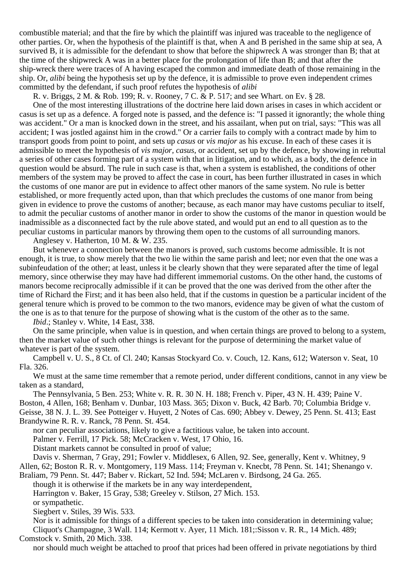combustible material; and that the fire by which the plaintiff was injured was traceable to the negligence of other parties. Or, when the hypothesis of the plaintiff is that, when A and B perished in the same ship at sea, A survived B, it is admissible for the defendant to show that before the shipwreck A was stronger than B; that at the time of the shipwreck A was in a better place for the prolongation of life than B; and that after the ship-wreck there were traces of A having escaped the common and immediate death of those remaining in the ship. Or, *alibi* being the hypothesis set up by the defence, it is admissible to prove even independent crimes committed by the defendant, if such proof refutes the hypothesis of *alibi*

R. v. Briggs, 2 M. & Rob. 199; R. v. Rooney, 7 C. & P. 517; and see Whart. on Ev. § 28.

One of the most interesting illustrations of the doctrine here laid down arises in cases in which accident or casus is set up as a defence. A forged note is passed, and the defence is: "I passed it ignorantly; the whole thing was accident." Or a man is knocked down in the street, and his assailant, when put on trial, says: "This was all accident; I was jostled against him in the crowd." Or a carrier fails to comply with a contract made by him to transport goods from point to point, and sets up *casus* or *vis major* as his excuse. In each of these cases it is admissible to meet the hypothesis of *vis major, casus*, or accident, set up by the defence, by showing in rebuttal a series of other cases forming part of a system with that in litigation, and to which, as a body, the defence in question would be absurd. The rule in such case is that, when a system is established, the conditions of other members of the system may be proved to affect the case in court, has been further illustrated in cases in which the customs of one manor are put in evidence to affect other manors of the same system. No rule is better established, or more frequently acted upon, than that which precludes the customs of one manor from being given in evidence to prove the customs of another; because, as each manor may have customs peculiar to itself, to admit the peculiar customs of another manor in order to show the customs of the manor in question would be inadmissible as a disconnected fact by the rule above stated, and would put an end to all question as to the peculiar customs in particular manors by throwing them open to the customs of all surrounding manors.

Anglesey v. Hatherton, 10 M. & W. 235.

But whenever a connection between the manors is proved, such customs become admissible. It is not enough, it is true, to show merely that the two lie within the same parish and leet; nor even that the one was a subinfeudation of the other; at least, unless it be clearly shown that they were separated after the time of legal memory, since otherwise they may have had different immemorial customs. On the other hand, the customs of manors become reciprocally admissible if it can be proved that the one was derived from the other after the time of Richard the First; and it has been also held, that if the customs in question be a particular incident of the general tenure which is proved to be common to the two manors, evidence may be given of what the custom of the one is as to that tenure for the purpose of showing what is the custom of the other as to the same.

*Ibid*.; Stanley v. White, 14 East, 338.

On the same principle, when value is in question, and when certain things are proved to belong to a system, then the market value of such other things is relevant for the purpose of determining the market value of whatever is part of the system.

Campbell v. U. S., 8 Ct. of Cl. 240; Kansas Stockyard Co. v. Couch, 12. Kans, 612; Waterson v. Seat, 10 Fla. 326.

We must at the same time remember that a remote period, under different conditions, cannot in any view be taken as a standard,

The Pennsylvania, 5 Ben. 253; White v. R. R. 30 N. H. 188; French v. Piper, 43 N. H. 439; Paine V. Boston, 4 Allen, 168; Benham v. Dunbar, 103 Mass. 365; Dixon v. Buck, 42 Barb. 70; Columbia Bridge v. Geisse, 38 N. J. L. 39. See Potteiger v. Huyett, 2 Notes of Cas. 690; Abbey v. Dewey, 25 Penn. St. 413; East Brandywine R. R. v. Ranck, 78 Penn. St. 454.

nor can peculiar associations, likely to give a factitious value, be taken into account.

Palmer v. Ferrill, 17 Pick. 58; McCracken v. West, 17 Ohio, 16.

Distant markets cannot be consulted in proof of value;

Davis v. Sherman, 7 Gray, 291; Fowler v. Middlesex, 6 Allen, 92. See, generally, Kent v. Whitney, 9 Allen, 62; Boston R. R. v. Montgomery, 119 Mass. 114; Freyman v. Knecbt, 78 Penn. St. 141; Shenango v.

Braliam, 79 Penn. St. 447; Baber v. Rickart, 52 Ind. 594; McLaren v. Birdsong, 24 Ga. 265.

though it is otherwise if the markets be in any way interdependent, Harrington v. Baker, 15 Gray, 538; Greeley v. Stilson, 27 Mich. 153.

or sympathetic.

Siegbert v. Stiles, 39 Wis. 533.

Nor is it admissible for things of a different species to be taken into consideration in determining value; Cliquot's Champagne, 3 Wall. 114; Kermott v. Ayer, 11 Mich. 181;:Sisson v. R. R., 14 Mich. 489; Comstock v. Smith, 20 Mich. 338.

nor should much weight be attached to proof that prices had been offered in private negotiations by third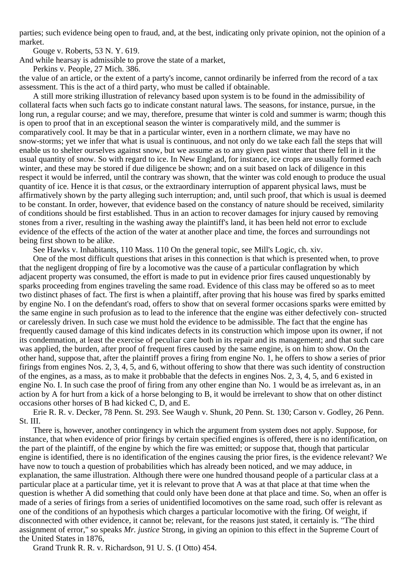parties; such evidence being open to fraud, and, at the best, indicating only private opinion, not the opinion of a market.

Gouge v. Roberts, 53 N. Y. 619.

And while hearsay is admissible to prove the state of a market,

Perkins v. People, 27 Mich. 386.

the value of an article, or the extent of a party's income, cannot ordinarily be inferred from the record of a tax assessment. This is the act of a third party, who must be called if obtainable.

A still more striking illustration of relevancy based upon system is to be found in the admissibility of collateral facts when such facts go to indicate constant natural laws. The seasons, for instance, pursue, in the long run, a regular course; and we may, therefore, presume that winter is cold and summer is warm; though this is open to proof that in an exceptional season the winter is comparatively mild, and the summer is comparatively cool. It may be that in a particular winter, even in a northern climate, we may have no snow-storms; yet we infer that what is usual is continuous, and not only do we take each fall the steps that will enable us to shelter ourselves against snow, but we assume as to any given past winter that there fell in it the usual quantity of snow. So with regard to ice. In New England, for instance, ice crops are usually formed each winter, and these may be stored if due diligence be shown; and on a suit based on lack of diligence in this respect it would be inferred, until the contrary was shown, that the winter was cold enough to produce the usual quantity of ice. Hence it is that *casus*, or the extraordinary interruption of apparent physical laws, must be affirmatively shown by the party alleging such interruption; and, until such proof, that which is usual is deemed to be constant. In order, however, that evidence based on the constancy of nature should be received, similarity of conditions should be first established. Thus in an action to recover damages for injury caused by removing stones from a river, resulting in the washing away the plaintiff's land, it has been held not error to exclude evidence of the effects of the action of the water at another place and time, the forces and surroundings not being first shown to be alike.

See Hawks v. Inhabitants, 110 Mass. 110 On the general topic, see Mill's Logic, ch. xiv.

One of the most difficult questions that arises in this connection is that which is presented when, to prove that the negligent dropping of fire by a locomotive was the cause of a particular conflagration by which adjacent property was consumed, the effort is made to put in evidence prior fires caused unquestionably by sparks proceeding from engines traveling the same road. Evidence of this class may be offered so as to meet two distinct phases of fact. The first is when a plaintiff, after proving that his house was fired by sparks emitted by engine No. I on the defendant's road, offers to show that on several former occasions sparks were emitted by the same engine in such profusion as to lead to the inference that the engine was either defectively con- structed or carelessly driven. In such case we must hold the evidence to be admissible. The fact that the engine has frequently caused damage of this kind indicates defects in its construction which impose upon its owner, if not its condemnation, at least the exercise of peculiar care both in its repair and its management; and that such care was applied, the burden, after proof of frequent fires caused by the same engine, is on him to show. On the other hand, suppose that, after the plaintiff proves a firing from engine No. 1, he offers to show a series of prior firings from engines Nos. 2, 3, 4, 5, and 6, without offering to show that there was such identity of construction of the engines, as a mass, as to make it probbable that the defects in engines Nos. 2, 3, 4, 5, and 6 existed in engine No. I. In such case the proof of firing from any other engine than No. 1 would be as irrelevant as, in an action by A for hurt from a kick of a horse belonging to B, it would be irrelevant to show that on other distinct occasions other horses of B had kicked C, D, and E.

Erie R. R. v. Decker, 78 Penn. St. 293. See Waugh v. Shunk, 20 Penn. St. 130; Carson v. Godley, 26 Penn. St. III.

There is, however, another contingency in which the argument from system does not apply. Suppose, for instance, that when evidence of prior firings by certain specified engines is offered, there is no identification, on the part of the plaintiff, of the engine by which the fire was emitted; or suppose that, though that particular engine is identified, there is no identification of the engines causing the prior fires, is the evidence relevant? We have now to touch a question of probabilities which has already been noticed, and we may adduce, in explanation, the same illustration. Although there were one hundred thousand people of a particular class at a particular place at a particular time, yet it is relevant to prove that A was at that place at that time when the question is whether A did something that could only have been done at that place and time. So, when an offer is made of a series of firings from a series of unidentified locomotives on the same road, such offer is relevant as one of the conditions of an hypothesis which charges a particular locomotive with the firing. Of weight, if disconnected with other evidence, it cannot be; relevant, for the reasons just stated, it certainly is. "The third assignment of error," so speaks *Mr. justice* Strong, in giving an opinion to this effect in the Supreme Court of the United States in 1876,

Grand Trunk R. R. v. Richardson, 91 U. S. (I Otto) 454.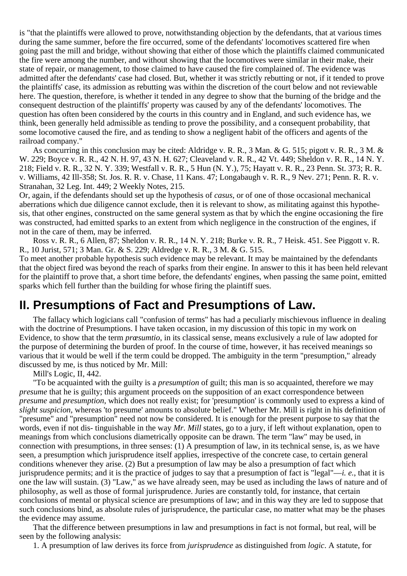is "that the plaintiffs were allowed to prove, notwithstanding objection by the defendants, that at various times during the same summer, before the fire occurred, some of the defendants' locomotives scattered fire when going past the mill and bridge, without showing that either of those which the plaintiffs claimed communicated the fire were among the number, and without showing that the locomotives were similar in their make, their state of repair, or management, to those claimed to have caused the fire complained of. The evidence was admitted after the defendants' case had closed. But, whether it was strictly rebutting or not, if it tended to prove the plaintiffs' case, its admission as rebutting was within the discretion of the court below and not reviewable here. The question, therefore, is whether it tended in any degree to show that the burning of the bridge and the consequent destruction of the plaintiffs' property was caused by any of the defendants' locomotives. The question has often been considered by the courts in this country and in England, and such evidence has, we think, been generally held admissible as tending to prove the possibility, and a consequent probability, that some locomotive caused the fire, and as tending to show a negligent habit of the officers and agents of the railroad company."

As concurring in this conclusion may be cited: Aldridge v. R. R., 3 Man. & G. 515; pigott v. R. R., 3 M. & W. 229; Boyce v. R. R., 42 N. H. 97, 43 N. H. 627; Cleaveland v. R. R., 42 Vt. 449; Sheldon v. R. R., 14 N. Y. 218; Field v. R. R., 32 N. Y. 339; Westfall v. R. R., 5 Hun (N. Y.), 75; Hayatt v. R. R., 23 Penn. St. 373; R. R. v. Williams, 42 Ill-358; St. Jos. R. R. v. Chase, 11 Kans. 47; Longabaugh v. R. R., 9 Nev. 271; Penn. R. R. v. Stranahan, 32 Leg. Int. 449; 2 Weekly Notes, 215.

Or, again, if the defendants should set up the hypothesis of *casus*, or of one of those occasional mechanical aberrations which due diligence cannot exclude, then it is relevant to show, as militating against this hypothesis, that other engines, constructed on the same general system as that by which the engine occasioning the fire was constructed, had emitted sparks to an extent from which negligence in the construction of the engines, if not in the care of them, may be inferred.

Ross v. R. R., 6 Allen, 87; Sheldon v. R. R., 14 N. Y. 218; Burke v. R. R., 7 Heisk. 451. See Piggott v. R. R., 10 Jurist, 571; 3 Man. Gr. & S. 229; Aldredge v. R. R., 3 M. & G. 515.

To meet another probable hypothesis such evidence may be relevant. It may be maintained by the defendants that the object fired was beyond the reach of sparks from their engine. In answer to this it has been held relevant for the plaintiff to prove that, a short time before, the defendants' engines, when passing the same point, emitted sparks which fell further than the building for whose firing the plaintiff sues.

### **II. Presumptions of Fact and Presumptions of Law.**

The fallacy which logicians call "confusion of terms" has had a peculiarly mischievous influence in dealing with the doctrine of Presumptions. I have taken occasion, in my discussion of this topic in my work on Evidence, to show that the term *prœsumtio*, in its classical sense, means exclusively a rule of law adopted for the purpose of determining the burden of proof. In the course of time, however, it has received meanings so various that it would be well if the term could be dropped. The ambiguity in the term "presumption," already discussed by me, is thus noticed by Mr. Mill:

Mill's Logic, II, 442.

"To be acquainted with the guilty is a *presumption* of guilt; this man is so acquainted, therefore we may *presume* that he is guilty; this argument proceeds on the supposition of an exact correspondence between *presume* and *presumption*, which does not really exist; for 'presumption' is commonly used to express a kind of *slight suspicion*, whereas 'to presume' amounts to absolute belief." Whether Mr. Mill is right in his definition of "presume" and "presumption" need not now be considered. It is enough for the present purpose to say that the words, even if not dis- tinguishable in the way *Mr. Mill* states, go to a jury, if left without explanation, open to meanings from which conclusions diametrically opposite can be drawn. The term "law" may be used, in connection with presumptions, in three senses: (1) A presumption of law, in its technical sense, is, as we have seen, a presumption which jurisprudence itself applies, irrespective of the concrete case, to certain general conditions whenever they arise. (2) But a presumption of law may be also a presumption of fact which jurisprudence permits; and it is the practice of judges to say that a presumption of fact is "legal"—*i. e.*, that it is one the law will sustain. (3) "Law," as we have already seen, may be used as including the laws of nature and of philosophy, as well as those of formal jurisprudence. Juries are constantly told, for instance, that certain conclusions of mental or physical science are presumptions of law; and in this way they are led to suppose that such conclusions bind, as absolute rules of jurisprudence, the particular case, no matter what may be the phases the evidence may assume.

That the difference between presumptions in law and presumptions in fact is not formal, but real, will be seen by the following analysis:

1. A presumption of law derives its force from *jurisprudence* as distinguished from *logic*. A statute, for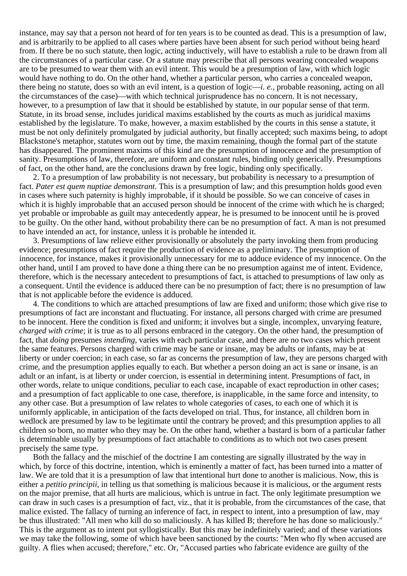instance, may say that a person not heard of for ten years is to be counted as dead. This is a presumption of law, and is arbitrarily to be applied to all cases where parties have been absent for such period without being heard from. If there be no such statute, then logic, acting inductively, will have to establish a rule to be drawn from all the circumstances of a particular case. Or a statute may prescribe that all persons wearing concealed weapons are to be presumed to wear them with an evil intent. This would be a presumption of law, with which logic would have nothing to do. On the other hand, whether a particular person, who carries a concealed weapon, there being no statute, does so with an evil intent, is a question of logic—*i. e.*, probable reasoning, acting on all the circumstances of the case)—with which technical jurisprudence has no concern. It is not necessary, however, to a presumption of law that it should be established by statute, in our popular sense of that term. Statute, in its broad sense, includes juridical maxims established by the courts as much as juridical maxims established by the legislature. To make, however, a maxim established by the courts in this sense a statute, it must be not only definitely promulgated by judicial authority, but finally accepted; such maxims being, to adopt Blackstone's metaphor, statutes worn out by time, the maxim remaining, though the formal part of the statute has disappeared. The prominent maxims of this kind are the presumption of innocence and the presumption of sanity. Presumptions of law, therefore, are uniform and constant rules, binding only generically. Presumptions of fact, on the other hand, are the conclusions drawn by free logic, binding only specifically.

2. To a presumption of law probability is not necessary, but probability is necessary to a presumption of fact. *Pater est quem nuptiae demonstrant*. This is a presumption of law; and this presumption holds good even in cases where such paternity is highly improbable, if it should be possible. So we can conceive of cases in which it is highly improbable that an accused person should be innocent of the crime with which he is charged; yet probable or improbable as guilt may antecedently appear, he is presumed to be innocent until he is proved to be guilty. On the other hand, without probability there can be no presumption of fact. A man is not presumed to have intended an act, for instance, unless it is probable he intended it.

3. Presumptions of law relieve either provisionally or absolutely the party invoking them from producing evidence; presumptions of fact require the production of evidence as a preliminary. The presumption of innocence, for instance, makes it provisionally unnecessary for me to adduce evidence of my innocence. On the other hand, until I am proved to have done a thing there can be no presumption against me of intent. Evidence, therefore, which is the necessary antecedent to presumptions of fact, is attached to presumptions of law only as a consequent. Until the evidence is adduced there can be no presumption of fact; there is no presumption of law that is not applicable before the evidence is adduced.

4. The conditions to which are attached presumptions of law are fixed and uniform; those which give rise to presumptions of fact are inconstant and fluctuating. For instance, all persons charged with crime are presumed to be innocent. Here the condition is fixed and uniform; it involves but a single, incomplex, unvarying feature, *charged with crime*; it is true as to all persons embraced in the category. On the other hand, the presumption of fact, that *doing* presumes *intending*, varies with each particular case, and there are no two cases which present the same features. Persons charged with crime may be sane or insane, may be adults or infants, may be at liberty or under coercion; in each case, so far as concerns the presumption of law, they are persons charged with crime, and the presumption applies equally to each. But whether a person doing an act is sane or insane, is an adult or an infant, is at liberty or under coercion, is essential in determining intent. Presumptions of fact, in other words, relate to unique conditions, peculiar to each case, incapable of exact reproduction in other cases; and a presumption of fact applicable to one case, therefore, is inapplicable, in the same force and intensity, to any other case. But a presumption of law relates to whole categories of cases, to each one of which it is uniformly applicable, in anticipation of the facts developed on trial. Thus, for instance, all children born in wedlock are presumed by law to be legitimate until the contrary be proved; and this presumption applies to all children so born, no matter who they may be. On the other hand, whether a bastard is born of a particular father is determinable usually by presumptions of fact attachable to conditions as to which not two cases present precisely the same type.

Both the fallacy and the mischief of the doctrine I am contesting are signally illustrated by the way in which, by force of this doctrine, intention, which is eminently a matter of fact, has been turned into a matter of law. We are told that it is a presumption of law that intentional hurt done to another is malicious. Now, this is either a *petitio principii*, in telling us that something is malicious because it is malicious, or the argument rests on the major premise, that all hurts are malicious, which is untrue in fact. The only legitimate presumption we can draw in such cases is a presumption of fact, viz., that it is probable, from the circumstances of the case, that malice existed. The fallacy of turning an inference of fact, in respect to intent, into a presumption of law, may be thus illustrated: "All men who kill do so maliciously. A has killed B; therefore he has done so maliciously." This is the argument as to intent put syllogistically. But this may be indefinitely varied; and of these variations we may take the following, some of which have been sanctioned by the courts: "Men who fly when accused are guilty. A flies when accused; therefore," etc. Or, "Accused parties who fabricate evidence are guilty of the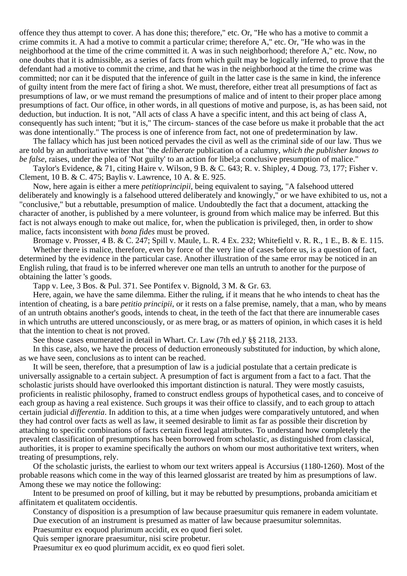offence they thus attempt to cover. A has done this; therefore," etc. Or, "He who has a motive to commit a crime commits it. A had a motive to commit a particular crime; therefore A," etc. Or, "He who was in the neighborhood at the time of the crime committed it. A was in such neighborhood; therefore A," etc. Now, no one doubts that it is admissible, as a series of facts from which guilt may be logically inferred, to prove that the defendant had a motive to commit the crime, and that he was in the neighborhood at the time the crime was committed; nor can it be disputed that the inference of guilt in the latter case is the same in kind, the inference of guilty intent from the mere fact of firing a shot. We must, therefore, either treat all presumptions of fact as presumptions of law, or we must remand the presumptions of malice and of intent to their proper place among presumptions of fact. Our office, in other words, in all questions of motive and purpose, is, as has been said, not deduction, but induction. It is not, "All acts of class A have a specific intent, and this act being of class A, consequently has such intent; "but it is," The circum- stances of the case before us make it probable that the act was done intentionally." The process is one of inference from fact, not one of predetermination by law.

The fallacy which has just been noticed pervades the civil as well as the criminal side of our law. Thus we are told by an authoritative writer that "the *deliberate* publication of a calumny, *which the publisher knows to be false*, raises, under the plea of 'Not guilty' to an action for libel;a conclusive presumption of malice."

Taylor's Evidence, & 71, citing Haire v. Wilson, 9 B. & C. 643; R. v. Shipley, 4 Doug. 73, 177; Fisher v. Clement, 10 B. & C. 475; Baylis v. Lawrence, 10 A. & E. 925.

Now, here again is either a mere *petitioprincipii*, being equivalent to saying, "A falsehood uttered deliberately and knowingly is a falsehood uttered deliberately and knowingly," or we have exhibited to us, not a "conclusive," but a rebuttable, presumption of malice. Undoubtedly the fact that a document, attacking the character of another, is published by a mere volunteer, is ground from which malice may be inferred. But this fact is not always enough to make out malice, for, when the publication is privileged, then, in order to show malice, facts inconsistent with *bona fides* must be proved.

Bromage v. Prosser, 4 B. & C. 247; Spill v. Maule, L. R. 4 Ex. 232; Whitefieltl v. R. R., 1 E., B. & E. 115. Whether there is malice, therefore, even by force of the very line of cases before us, is a question of fact,

determined by the evidence in the particular case. Another illustration of the same error may be noticed in an English ruling, that fraud is to be inferred wherever one man tells an untruth to another for the purpose of obtaining the latter 's goods.

Tapp v. Lee, 3 Bos. & Pul. 371. See Pontifex v. Bignold, 3 M. & Gr. 63.

Here, again, we have the same dilemma. Either the ruling, if it means that he who intends to cheat has the intention of cheating, is a bare *petitio principii*, or it rests on a false premise, namely, that a man, who by means of an untruth obtains another's goods, intends to cheat, in the teeth of the fact that there are innumerable cases in which untruths are uttered unconsciously, or as mere brag, or as matters of opinion, in which cases it is held that the intention to cheat is not proved.

See those cases enumerated in detail in Whart. Cr. Law (7th ed.)' §§ 2118, 2133.

In this case, also, we have the process of deduction erroneously substituted for induction, by which alone, as we have seen, conclusions as to intent can be reached.

It will be seen, therefore, that a presumption of law is a judicial postulate that a certain predicate is universally assignable to a certain subject. A presumption of fact is argument from a fact to a fact. That the scholastic jurists should have overlooked this important distinction is natural. They were mostly casuists, proficients in realistic philosophy, framed to construct endless groups of hypothetical cases, and to conceive of each group as having a real existence. Such groups it was their office to classify, and to each group to attach certain judicial *differentia*. In addition to this, at a time when judges were comparatively untutored, and when they had control over facts as well as law, it seemed desirable to limit as far as possible their discretion by attaching to specific combinations of facts certain fixed legal attributes. To understand how completely the prevalent classification of presumptions has been borrowed from scholastic, as distinguished from classical, authorities, it is proper to examine specifically the authors on whom our most authoritative text writers, when treating of presumptions, rely.

Of the scholastic jurists, the earliest to whom our text writers appeal is Accursius (1180-1260). Most of the probable reasons which come in the way of this learned glossarist are treated by him as presumptions of law. Among these we may notice the following:

Intent to be presumed on proof of killing, but it may be rebutted by presumptions, probanda amicitiam et affinitatem et qualitatem occidentis.

Constancy of disposition is a presumption of law because praesumitur quis remanere in eadem voluntate. Due execution of an instrument is presumed as matter of law because praesumitur solemnitas.

Praesumitur ex eoquod plurimum accidit, ex eo quod fieri solet.

Quis semper ignorare praesumitur, nisi scire probetur.

Praesumitur ex eo quod plurimum accidit, ex eo quod fieri solet.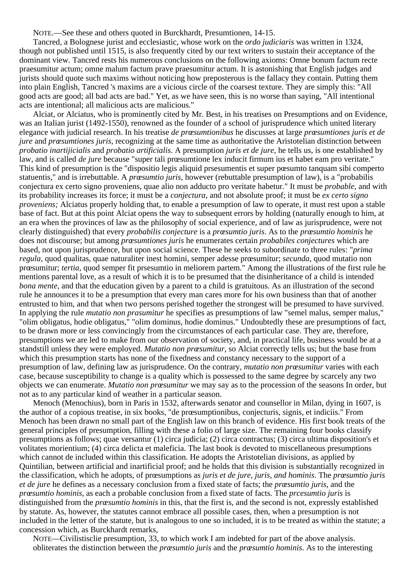NOTE.—See these and others quoted in Burckhardt, Presumtionen, 14-15.

Tancred, a Bolognese jurist and ecclesiastic, whose work on the *ordo judiciaris* was written in 1324, though not published until 1515, is also frequently cited by our text writers to sustain their acceptance of the dominant view. Tancred rests his numerous conclusions on the following axioms: Omne bonum factum recte praesumitur actum; omne malum factum prave praesumitur actum. It is astonishing that English judges and jurists should quote such maxims without noticing how preposterous is the fallacy they contain. Putting them into plain English, Tancred 's maxims are a vicious circle of the coarsest texture. They are simply this: "All good acts are good; all bad acts are bad." Yet, as we have seen, this is no worse than saying, "All intentional acts are intentional; all malicious acts are malicious."

Alciat, or Alciatus, who is prominently cited by Mr. Best, in his treatises on Presumptions and on Evidence, was an Italian jurist (1492-1550), renowned as the founder of a school of jurisprudence which united literary elegance with judicial research. In his treatise *de prœsumtionibus* he discusses at large *prœsumtiones juris et de jure* and *prœsumtiones juris*, recognizing at the same time as authoritative the Aristotelian distinction between *probatio inartijicialis* and *probatio artificialis*. A presumption *juris et de jure*, he tells us, is one established by law, and is called *de jure* because "super tali prœsumtione lex inducit firmum ius et habet eam pro veritate." This kind of presumption is the "dispositio legis aliquid prsesumentis et super pœsumto tanquam sibi comperto statuentis," and is irrebuttable. A *prœsumtio juris*, however (rebuttable presumption of law), is a "probabilis conjectura ex certo signo proveniens, quae alio non adducto pro veritate habetur." It must be *probable*, and with its probability increases its force; it must be a *conjectura*, and not absolute proof; it must be *ex certo signo proveniens;* Alciatus properly holding that, to enable a presumption of law to operate, it must rest upon a stable base of fact. But at this point Alciat opens the way to subsequent errors by holding (naturally enough to him, at an era when the provinces of law as the philosophy of social experience, and of law as jurisprudence, were not clearly distinguished) that every *probabilis conjecture* is a *prœsumtio juris*. As to the *prœsumtio hominis* he does not discourse; but among *prœsumtiones juris* he enumerates certain *probabiles conjectures* which are based, not upon jurisprudence, but upon social science. These he seeks to subordinate to three rules: "*prima regula*, quod qualitas, quae naturaliter inest homini, semper adesse prœsumitur; *secunda*, quod mutatio non prœsumitur; *tertia*, quod semper fit prsesumtio in meliorem partem." Among the illustrations of the first rule he mentions parental love, as a result of which it is to be presumed that the disinheritance of a child is intended *bona mente*, and that the education given by a parent to a child is gratuitous. As an illustration of the second rule he announces it to be a presumption that every man cares more for his own business than that of another entrusted to him, and that when two persons perished together the strongest will be presumed to have survived. In applying the rule *mutatio non prasumitur* he specifies as presumptions of law "semel malus, semper malus," "olim obligatus, hodie obligatus," "olim dominus, hodie dominus." Undoubtedly these are presumptions of fact, to be drawn more or less convincingly from the circumstances of each particular case. They are, therefore, presumptions we are led to make from our observation of society, and, in practical life, business would be at a standstill unless they were employed. *Mutatio non prœsumitur*, so Alciat correctly tells us; but the base from which this presumption starts has none of the fixedness and constancy necessary to the support of a presumption of law, defining law as jurisprudence. On the contrary, *mutatio non prœsumitur* varies with each case, because susceptibility to change is a quality which is possessed to the same degree by scarcely any two objects we can enumerate. *Mutatio non prœsumitur* we may say as to the procession of the seasons In order, but not as to any particular kind of weather in a particular season.

Menoch (Menochius), born in Paris in 1532, afterwards senator and counsellor in Milan, dying in 1607, is the author of a copious treatise, in six books, "de prœsumptionibus, conjecturis, signis, et indiciis." From Menoch has been drawn no small part of the English law on this branch of evidence. His first book treats of the general principles of presumption, filling with these a folio of large size. The remaining four books classify presumptions as follows; quae versantur (1) circa judicia; (2) circa contractus; (3) circa ultima disposition's et volitates morientium; (4) circa delicta et maleficia. The last book is devoted to miscellaneous presumptions which cannot de included within this classification. He adopts the Aristotelian divisions, as applied by Quintilian, between artificial and inartificial proof; and he holds that this division is substantially recognized in the classification, which he adopts, of prœsumptions as *juris et de jure, juris, and hominis*. The *prœsumtio juris et de jure* he defines as a necessary conclusion from a fixed state of facts; the *prœsumtio juris*, and the *prœsumtio hominis*, as each a probable conclusion from a fixed state of facts. The *prcesumtio juris* is distinguished from the *prœsumtio hominis* in this, that the first is, and the second is not, expressly established by statute. As, however, the statutes cannot embrace all possible cases, then, when a presumption is not included in the letter of the statute, but is analogous to one so included, it is to be treated as within the statute; a concession which, as Burckhardt remarks,

NOTE—Civilistisclie presumption, 33, to which work I am indebted for part of the above analysis. obliterates the distinction between the *prœsumtio juris* and the *prœsumtio hominis*. As to the interesting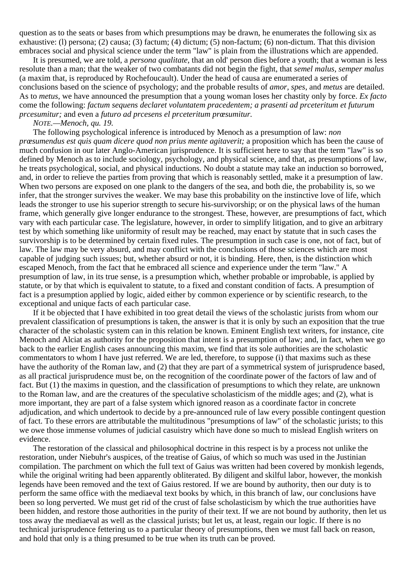question as to the seats or bases from which presumptions may be drawn, he enumerates the following six as exhaustive: (l) persona; (2) causa; (3) factum; (4) dictum; (5) non-factum; (6) non-dictum. That this division embraces social and physical science under the term "law" is plain from the illustrations which are appended.

It is presumed, we are told, a *persona qualitate*, that an old' person dies before a youth; that a woman is less resolute than a man; that the weaker of two combatants did not begin the fight, that *semel malus, semper malus* (a maxim that, is reproduced by Rochefoucault). Under the head of causa are enumerated a series of conclusions based on the science of psychology; and the probable results of *amor, spes*, and *metus* are detailed. As to *metus*, we have announced the presumption that a young woman loses her chastity only by force. *Ex facto* come the following: *factum sequens declaret voluntatem pracedentem; a prasenti ad prceteritum et futurum prcesumitur;* and even a *futuro ad prcesens el prceteritum prœsumitur.*

#### *NOTE.—Menoch, qu. 19.*

The following psychological inference is introduced by Menoch as a presumption of law: *non prœsumendus est quis quam dicere quod non prius mente agitaverit;* a proposition which has been the cause of much confusion in our later Anglo-American jurisprudence. It is sufficient here to say that the term "law" is so defined by Menoch as to include sociology, psychology, and physical science, and that, as presumptions of law, he treats psychological, social, and physical inductions. No doubt a statute may take an induction so borrowed, and, in order to relieve the parties from proving that which is reasonably settled, make it a presumption of law. When two persons are exposed on one plank to the dangers of the sea, and both die, the probability is, so we infer, that the stronger survives the weaker. We may base this probability on the instinctive love of life, which leads the stronger to use his superior strength to secure his-survivorship; or on the physical laws of the human frame, which generally give longer endurance to the strongest. These, however, are presumptions of fact, which vary with each particular case. The legislature, however, in order to simplify litigation, and to give an arbitrary test by which something like uniformity of result may be reached, may enact by statute that in such cases the survivorship is to be determined by certain fixed rules. The presumption in such case is one, not of fact, but of law. The law may be very absurd, and may conflict with the conclusions of those sciences which are most capable of judging such issues; but, whether absurd or not, it is binding. Here, then, is the distinction which escaped Menoch, from the fact that he embraced all science and experience under the term "law." A presumption of law, in its true sense, is a presumption which, whether probable or improbable, is applied by statute, or by that which is equivalent to statute, to a fixed and constant condition of facts. A presumption of fact is a presumption applied by logic, aided either by common experience or by scientific research, to the exceptional and unique facts of each particular case.

If it be objected that I have exhibited in too great detail the views of the scholastic jurists from whom our prevalent classification of presumptions is taken, the answer is that it is only by such an exposition that the true character of the scholastic system can in this relation be known. Eminent English text writers, for instance, cite Menoch and Alciat as authority for the proposition that intent is a presumption of law; and, in fact, when we go back to the earlier English cases announcing this maxim, we find that its sole authorities are the scholastic commentators to whom I have just referred. We are led, therefore, to suppose (i) that maxims such as these have the authority of the Roman law, and (2) that they are part of a symmetrical system of jurisprudence based, as all practical jurisprudence must be, on the recognition of the coordinate power of the factors of law and of fact. But (1) the maxims in question, and the classification of presumptions to which they relate, are unknown to the Roman law, and are the creatures of the speculative scholasticism of the middle ages; and (2), what is more important, they are part of a false system which ignored reason as a coordinate factor in concrete adjudication, and which undertook to decide by a pre-announced rule of law every possible contingent question of fact. To these errors are attributable the multitudinous "presumptions of law" of the scholastic jurists; to this we owe those immense volumes of judicial casuistry which have done so much to mislead English writers on evidence.

The restoration of the classical and philosophical doctrine in this respect is by a process not unlike the restoration, under Niebuhr's auspices, of the treatise of Gaius, of which so much was used in the Justinian compilation. The parchment on which the full text of Gaius was written had been covered by monkish legends, while the original writing had been apparently obliterated. By diligent and skilful labor, however, the monkish legends have been removed and the text of Gaius restored. If we are bound by authority, then our duty is to perform the same office with the mediaeval text books by which, in this branch of law, our conclusions have been so long perverted. We must get rid of the crust of false scholasticism by which the true authorities have been hidden, and restore those authorities in the purity of their text. If we are not bound by authority, then let us toss away the mediaeval as well as the classical jurists; but let us, at least, regain our logic. If there is no technical jurisprudence fettering us to a particular theory of presumptions, then we must fall back on reason, and hold that only is a thing presumed to be true when its truth can be proved.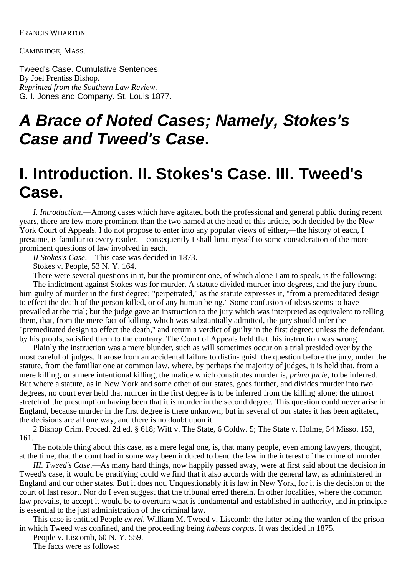FRANCIS WHARTON.

CAMBRIDGE, MASS.

Tweed's Case. Cumulative Sentences. By Joel Prentiss Bishop. *Reprinted from the Southern Law Review*. G. I. Jones and Company. St. Louis 1877.

### **A Brace of Noted Cases; Namely, Stokes's Case and Tweed's Case.**

### **I. Introduction. II. Stokes's Case. III. Tweed's Case.**

*I. Introduction*.—Among cases which have agitated both the professional and general public during recent years, there are few more prominent than the two named at the head of this article, both decided by the New York Court of Appeals. I do not propose to enter into any popular views of either,—the history of each, I presume, is familiar to every reader,—consequently I shall limit myself to some consideration of the more prominent questions of law involved in each.

*II Stokes's Case*.—This case was decided in 1873.

Stokes v. People, 53 N. Y. 164.

There were several questions in it, but the prominent one, of which alone I am to speak, is the following: The indictment against Stokes was for murder. A statute divided murder into degrees, and the jury found him guilty of murder in the first degree; "perpetrated," as the statute expresses it, "from a premeditated design to effect the death of the person killed, or of any human being." Some confusion of ideas seems to have prevailed at the trial; but the judge gave an instruction to the jury which was interpreted as equivalent to telling them, that, from the mere fact of killing, which was substantially admitted, the jury should infer the "premeditated design to effect the death," and return a verdict of guilty in the first degree; unless the defendant, by his proofs, satisfied them to the contrary. The Court of Appeals held that this instruction was wrong.

Plainly the instruction was a mere blunder, such as will sometimes occur on a trial presided over by the most careful of judges. It arose from an accidental failure to distin- guish the question before the jury, under the statute, from the familiar one at common law, where, by perhaps the majority of judges, it is held that, from a mere killing, or a mere intentional killing, the malice which constitutes murder is, *prima facie*, to be inferred. But where a statute, as in New York and some other of our states, goes further, and divides murder into two degrees, no court ever held that murder in the first degree is to be inferred from the killing alone; the utmost stretch of the presumption having been that it is murder in the second degree. This question could never arise in England, because murder in the first degree is there unknown; but in several of our states it has been agitated, the decisions are all one way, and there is no doubt upon it.

2 Bishop Crim. Proced. 2d ed. § 618; Witt v. The State, 6 Coldw. 5; The State v. Holme, 54 Misso. 153, 161.

The notable thing about this case, as a mere legal one, is, that many people, even among lawyers, thought, at the time, that the court had in some way been induced to bend the law in the interest of the crime of murder.

*III. Tweed's Case*.—As many hard things, now happily passed away, were at first said about the decision in Tweed's case, it would be gratifying could we find that it also accords with the general law, as administered in England and our other states. But it does not. Unquestionably it is law in New York, for it is the decision of the court of last resort. Nor do I even suggest that the tribunal erred therein. In other localities, where the common law prevails, to accept it would be to overturn what is fundamental and established in authority, and in principle is essential to the just administration of the criminal law.

This case is entitled People *ex rel.* William M. Tweed v. Liscomb; the latter being the warden of the prison in which Tweed was confined, and the proceeding being *habeas corpus*. It was decided in 1875.

People v. Liscomb, 60 N. Y. 559.

The facts were as follows: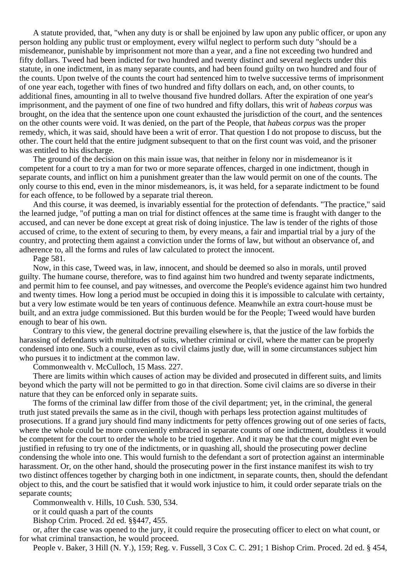A statute provided, that, "when any duty is or shall be enjoined by law upon any public officer, or upon any person holding any public trust or employment, every wilful neglect to perform such duty "should be a misdemeanor, punishable by imprisonment not more than a year, and a fine not exceeding two hundred and fifty dollars. Tweed had been indicted for two hundred and twenty distinct and several neglects under this statute, in one indictment, in as many separate counts, and had been found guilty on two hundred and four of the counts. Upon twelve of the counts the court had sentenced him to twelve successive terms of imprisonment of one year each, together with fines of two hundred and fifty dollars on each, and, on other counts, to additional fines, amounting in all to twelve thousand five hundred dollars. After the expiration of one year's imprisonment, and the payment of one fine of two hundred and fifty dollars, this writ of *habeas corpus* was brought, on the idea that the sentence upon one count exhausted the jurisdiction of the court, and the sentences on the other counts were void. It was denied, on the part of the People, that *habeas corpus* was the proper remedy, which, it was said, should have been a writ of error. That question I do not propose to discuss, but the other. The court held that the entire judgment subsequent to that on the first count was void, and the prisoner was entitled to his discharge.

The ground of the decision on this main issue was, that neither in felony nor in misdemeanor is it competent for a court to try a man for two or more separate offences, charged in one indictment, though in separate counts, and inflict on him a punishment greater than the law would permit on one of the counts. The only course to this end, even in the minor misdemeanors, is, it was held, for a separate indictment to be found for each offence, to be followed by a separate trial thereon.

And this course, it was deemed, is invariably essential for the protection of defendants. "The practice," said the learned judge, "of putting a man on trial for distinct offences at the same time is fraught with danger to the accused, and can never be done except at great risk of doing injustice. The law is tender of the rights of those accused of crime, to the extent of securing to them, by every means, a fair and impartial trial by a jury of the country, and protecting them against a conviction under the forms of law, but without an observance of, and adherence to, all the forms and rules of law calculated to protect the innocent.

Page 581.

Now, in this case, Tweed was, in law, innocent, and should be deemed so also in morals, until proved guilty. The humane course, therefore, was to find against him two hundred and twenty separate indictments, and permit him to fee counsel, and pay witnesses, and overcome the People's evidence against him two hundred and twenty times. How long a period must be occupied in doing this it is impossible to calculate with certainty, but a very low estimate would be ten years of continuous defence. Meanwhile an extra court-house must be built, and an extra judge commissioned. But this burden would be for the People; Tweed would have burden enough to bear of his own.

Contrary to this view, the general doctrine prevailing elsewhere is, that the justice of the law forbids the harassing of defendants with multitudes of suits, whether criminal or civil, where the matter can be properly condensed into one. Such a course, even as to civil claims justly due, will in some circumstances subject him who pursues it to indictment at the common law.

Commonwealth v. McCulloch, 15 Mass. 227.

There are limits within which causes of action may be divided and prosecuted in different suits, and limits beyond which the party will not be permitted to go in that direction. Some civil claims are so diverse in their nature that they can be enforced only in separate suits.

The forms of the criminal law differ from those of the civil department; yet, in the criminal, the general truth just stated prevails the same as in the civil, though with perhaps less protection against multitudes of prosecutions. If a grand jury should find many indictments for petty offences growing out of one series of facts, where the whole could be more conveniently embraced in separate counts of one indictment, doubtless it would be competent for the court to order the whole to be tried together. And it may be that the court might even be justified in refusing to try one of the indictments, or in quashing all, should the prosecuting power decline condensing the whole into one. This would furnish to the defendant a sort of protection against an interminable harassment. Or, on the other hand, should the prosecuting power in the first instance manifest its wish to try two distinct offences together by charging both in one indictment, in separate counts, then, should the defendant object to this, and the court be satisfied that it would work injustice to him, it could order separate trials on the separate counts;

Commonwealth v. Hills, 10 Cush. 530, 534.

or it could quash a part of the counts

Bishop Crim. Proced. 2d ed. §§447, 455.

or, after the case was opened to the jury, it could require the prosecuting officer to elect on what count, or for what criminal transaction, he would proceed.

People v. Baker, 3 Hill (N. Y.), 159; Reg. v. Fussell, 3 Cox C. C. 291; 1 Bishop Crim. Proced. 2d ed. § 454,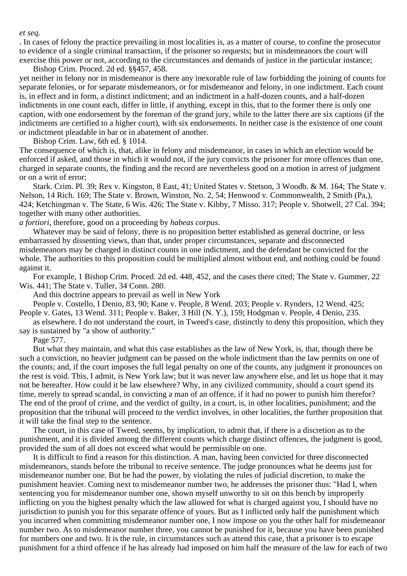#### *et seq.*

. In cases of felony the practice prevailing in most localities is, as a matter of course, to confine the prosecutor to evidence of a single criminal transaction, if the prisoner so requests; but in misdemeanors the court will exercise this power or not, according to the circumstances and demands of justice in the particular instance;

Bishop Crim. Proced. 2d ed. §§457, 458.

yet neither in felony nor in misdemeanor is there any inexorable rule of law forbidding the joining of counts for separate felonies, or for separate misdemeanors, or for misdemeanor and felony, in one indictment. Each count is, in effect and in form, a distinct indictment; and an indictment in a half-dozen counts, and a half-dozen indictments in one count each, differ in little, if anything, except in this, that to the former there is only one caption, with one endorsement by the foreman of the grand jury, while to the latter there are six captions (if the indictments are certified to a higher court), with six endorsements. In neither case is the existence of one count or indictment pleadable in bar or in abatement of another.

Bishop Crim. Law, 6th ed. § 1014.

The consequence of which is, that, alike in felony and misdemeanor, in cases in which an election would be enforced if asked, and those in which it would not, if the jury convicts the prisoner for more offences than one, charged in separate counts, the finding and the record are nevertheless good on a motion in arrest of judgment or on a writ of error;

Stark. Crim. Pl. 39; Rex v. Kingston, 8 East, 41; United States v. Stetson, 3 Woodb. & M. 164; The State v. Nelson, 14 Rich. 169; The State v. Brown, Winston, No. 2, 54; Henwood v. Commonwealth, 2 Smith (Pa,), 424; Ketchingman v. The State, 6 Wis. 426; The State v. Kibby, 7 Misso. 317; People v. Shotwell, 27 Cal. 394; together with many other authorities.

*a fortiori*, therefore, good on a proceeding by *habeas corpus*.

Whatever may be said of felony, there is no proposition better established as general doctrine, or less embarrassed by dissenting views, than that, under proper circumstances, separate and disconnected misdemeanors may be charged in distinct counts in one indictment, and the defendant be convicted for the whole. The authorities to this proposition could be multiplied almost without end, and nothing could be found against it.

For example, 1 Bishop Crim. Proced. 2d ed. 448, 452, and the cases there cited; The State v. Gummer, 22 Wis. 441; The State v. Tuller, 34 Conn. 280.

And this doctrine appears to prevail as well in New York

People v. Costello, I Denio, 83, 90; Kane v. People, 8 Wend. 203; People v. Rynders, 12 Wend. 425; People v. Gates, 13 Wend. 311; People v. Baker, 3 Hill (N. Y.), 159; Hodgman v. People, 4 Denio, 235.

as elsewhere. I do not understand the court, in Tweed's case, distinctly to deny this proposition, which they say is sustained by "a show of authority."

Page 577.

But what they maintain, and what this case establishes as the law of New York, is, that, though there be such a conviction, no heavier judgment can be passed on the whole indictment than the law permits on one of the counts; and, if the court imposes the full legal penalty on one of the counts, any judgment it pronounces on the rest is void. This, I admit, is New York law; but it was never law anywhere else, and let us hope that it may not be hereafter. How could it be law elsewhere? Why, in any civilized community, should a court spend its time, merely to spread scandal, in convicting a man of an offence, if it had no power to punish him therefor? The end of the proof of crime, and the verdict of guilty, in a court, is, in other localities, punishment; and the proposition that the tribunal will proceed to the verdict involves, in other localities, the further proposition that it will take the final step to the sentence.

The court, in this case of Tweed, seems, by implication, to admit that, if there is a discretion as to the punishment, and it is divided among the different counts which charge distinct offences, the judgment is good, provided the sum of all does not exceed what would be permissible on one.

It is difficult to find a reason for this distinction. A man, having been convicted for three disconnected misdemeanors, stands before the tribunal to receive sentence. The judge pronounces what he deems just for misdemeanor number one. But he had the power, by violating the rules of judicial discretion, to make the punishment heavier. Coming next to misdemeanor number two, he addresses the prisoner thus: "Had I, when sentencing you for misdemeanor number one, shown myself unworthy to sit on this bench by improperly inflicting on you the highest penalty which the law allowed for what is charged against you, I should have no jurisdiction to punish you for this separate offence of yours. But as I inflicted only half the punishment which you incurred when committing misdemeanor number one, I now impose on you the other half for misdemeanor number two. As to misdemeanor number three, you cannot be punished for it, because you have been punished for numbers one and two. It is the rule, in circumstances such as attend this case, that a prisoner is to escape punishment for a third offence if he has already had imposed on him half the measure of the law for each of two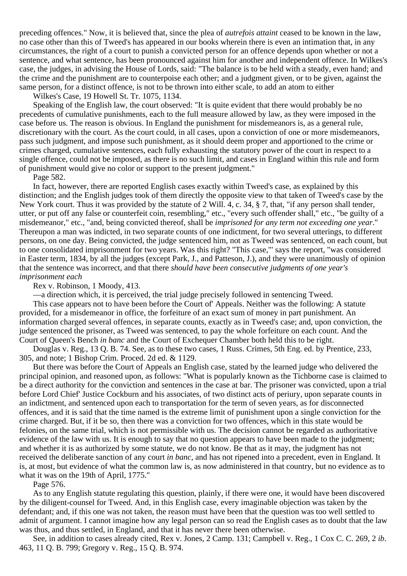preceding offences." Now, it is believed that, since the plea of *autrefois attaint* ceased to be known in the law, no case other than this of Tweed's has appeared in our books wherein there is even an intimation that, in any circumstances, the right of a court to punish a convicted person for an offence depends upon whether or not a sentence, and what sentence, has been pronounced against him for another and independent offence. In Wilkes's case, the judges, in advising the House of Lords, said: "The balance is to be held with a steady, even hand; and the crime and the punishment are to counterpoise each other; and a judgment given, or to be given, against the same person, for a distinct offence, is not to be thrown into either scale, to add an atom to either

Wilkes's Case, 19 Howell St. Tr. 1075, 1134.

Speaking of the English law, the court observed: "It is quite evident that there would probably be no precedents of cumulative punishments, each to the full measure allowed by law, as they were imposed in the case before us. The reason is obvious. In England the punishment for misdemeanors is, as a general rule, discretionary with the court. As the court could, in all cases, upon a conviction of one or more misdemeanors, pass such judgment, and impose such punishment, as it should deem proper and apportioned to the crime or crimes charged, cumulative sentences, each fully exhausting the statutory power of the court in respect to a single offence, could not be imposed, as there is no such limit, and cases in England within this rule and form of punishment would give no color or support to the present judgment."

Page 582.

In fact, however, there are reported English cases exactly within Tweed's case, as explained by this distinction; and the English judges took of them directly the opposite view to that taken of Tweed's case by the New York court. Thus it was provided by the statute of 2 Will. 4, c. 34, § 7, that, "if any person shall tender, utter, or put off any false or counterfeit coin, resembling," etc., "every such offender shall," etc., "be guilty of a misdemeanor," etc., "and, being convicted thereof, shall be *imprisoned for any term not exceeding one year*." Thereupon a man was indicted, in two separate counts of one indictment, for two several utterings, to different persons, on one day. Being convicted, the judge sentenced him, not as Tweed was sentenced, on each count, but to one consolidated imprisonment for two years. Was this right? "This case,"' says the report, "was considered in Easter term, 1834, by all the judges (except Park, J., and Patteson, J.), and they were unanimously of opinion that the sentence was incorrect, and that there *should have been consecutive judgments of one year's imprisonment each*

Rex v. Robinson, 1 Moody, 413.

—a direction which, it is perceived, the trial judge precisely followed in sentencing Tweed.

This case appears not to have been before the Court of' Appeals. Neither was the following: A statute provided, for a misdemeanor in office, the forfeiture of an exact sum of money in part punishment. An information charged several offences, in separate counts, exactly as in Tweed's case; and, upon conviction, the judge sentenced the prisoner, as Tweed was sentenced, to pay the whole forfeiture on each count. And the Court of Queen's Bench *in banc* and the Court of Exchequer Chamber both held this to be right.

Douglas v. Reg., 13 Q. B. 74. See, as to these two cases, 1 Russ. Crimes, 5th Eng. ed. by Prentice, 233, 305, and note; 1 Bishop Crim. Proced. 2d ed. & 1129.

But there was before the Court of Appeals an English case, stated by the learned judge who delivered the principal opinion, and reasoned upon, as follows: "What is popularly known as the Tichborne case is claimed to be a direct authority for the conviction and sentences in the case at bar. The prisoner was convicted, upon a trial before Lord Chief' Justice Cockburn and his associates, of two distinct acts of periury, upon separate counts in an indictment, and sentenced upon each to transportation for the term of seven years, as for disconnected offences, and it is said that the time named is the extreme limit of punishment upon a single conviction for the crime charged. But, if it be so, then there was a conviction for two offences, which in this state would be felonies, on the same trial, which is not permissible with us. The decision cannot be regarded as authoritative evidence of the law with us. It is enough to say that no question appears to have been made to the judgment; and whether it is as authorized by some statute, we do not know. Be that as it may, the judgment has not received the deliberate sanction of any court *in banc*, and has not ripened into a precedent, even in England. It is, at most, but evidence of what the common law is, as now administered in that country, but no evidence as to what it was on the 19th of April, 1775."

Page 576.

As to any English statute regulating this question, plainly, if there were one, it would have been discovered by the diligent-counsel for Tweed. And, in this English case, every imaginable objection was taken by the defendant; and, if this one was not taken, the reason must have been that the question was too well settled to admit of argument. I cannot imagine how any legal person can so read the English cases as to doubt that the law was thus, and thus settled, in England, and that it has never there been otherwise.

See, in addition to cases already cited, Rex v. Jones, 2 Camp. 131; Campbell v. Reg., 1 Cox C. C. 269, 2 *ib*. 463, 11 Q. B. 799; Gregory v. Reg., 15 Q. B. 974.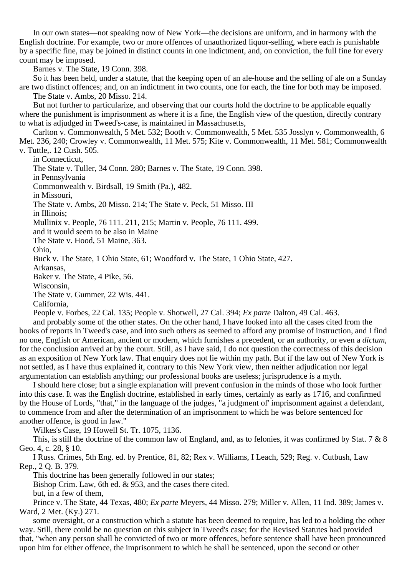In our own states—not speaking now of New York—the decisions are uniform, and in harmony with the English doctrine. For example, two or more offences of unauthorized liquor-selling, where each is punishable by a specific fine, may be joined in distinct counts in one indictment, and, on conviction, the full fine for every count may be imposed.

Barnes v. The State, 19 Conn. 398.

So it has been held, under a statute, that the keeping open of an ale-house and the selling of ale on a Sunday are two distinct offences; and, on an indictment in two counts, one for each, the fine for both may be imposed.

The State v. Ambs, 20 Misso. 214.

But not further to particularize, and observing that our courts hold the doctrine to be applicable equally where the punishment is imprisonment as where it is a fine, the English view of the question, directly contrary to what is adjudged in Tweed's-case, is maintained in Massachusetts,

Carlton v. Commonwealth, 5 Met. 532; Booth v. Commonwealth, 5 Met. 535 Josslyn v. Commonwealth, 6 Met. 236, 240; Crowley v. Commonwealth, 11 Met. 575; Kite v. Commonwealth, 11 Met. 581; Commonwealth v. Tuttle,. 12 Cush. 505.

in Connecticut,

The State v. Tuller, 34 Conn. 280; Barnes v. The State, 19 Conn. 398.

in Pennsylvania

Commonwealth v. Birdsall, 19 Smith (Pa.), 482.

in Missouri,

The State v. Ambs, 20 Misso. 214; The State v. Peck, 51 Misso. III

in Illinois;

Mullinix v. People, 76 111. 211, 215; Martin v. People, 76 111. 499.

and it would seem to be also in Maine

The State v. Hood, 51 Maine, 363.

Ohio,

Buck v. The State, 1 Ohio State, 61; Woodford v. The State, 1 Ohio State, 427.

Arkansas,

Baker v. The State, 4 Pike, 56.

Wisconsin,

The State v. Gummer, 22 Wis. 441.

California,

People v. Forbes, 22 Cal. 135; People v. Shotwell, 27 Cal. 394; *Ex parte* Dalton, 49 Cal. 463.

and probably some of the other states. On the other hand, I have looked into all the cases cited from the books of reports in Tweed's case, and into such others as seemed to afford any promise of instruction, and I find no one, English or American, ancient or modern, which furnishes a precedent, or an authority, or even a *dictum*, for the conclusion arrived at by the court. Still, as I have said, I do not question the correctness of this decision as an exposition of New York law. That enquiry does not lie within my path. But if the law out of New York is not settled, as I have thus explained it, contrary to this New York view, then neither adjudication nor legal argumentation can establish anything; our professional books are useless; jurisprudence is a myth.

I should here close; but a single explanation will prevent confusion in the minds of those who look further into this case. It was the English doctrine, established in early times, certainly as early as 1716, and confirmed by the House of Lords, "that," in the language of the judges, "a judgment of' imprisonment against a defendant, to commence from and after the determination of an imprisonment to which he was before sentenced for another offence, is good in law."

Wilkes's Case, 19 Howell St. Tr. 1075, 1136.

This, is still the doctrine of the common law of England, and, as to felonies, it was confirmed by Stat. 7 & 8 Geo. 4, c. 28, § 10.

I Russ. Crimes, 5th Eng. ed. by Prentice, 81, 82; Rex v. Williams, I Leach, 529; Reg. v. Cutbush, Law Rep., 2 Q. B. 379.

This doctrine has been generally followed in our states;

Bishop Crim. Law, 6th ed. & 953, and the cases there cited.

but, in a few of them,

Prince v. The State, 44 Texas, 480; *Ex parte* Meyers, 44 Misso. 279; Miller v. Allen, 11 Ind. 389; James v. Ward, 2 Met. (Ky.) 271.

some oversight, or a construction which a statute has been deemed to require, has led to a holding the other way. Still, there could be no question on this subject in Tweed's case; for the Revised Statutes had provided that, "when any person shall be convicted of two or more offences, before sentence shall have been pronounced upon him for either offence, the imprisonment to which he shall be sentenced, upon the second or other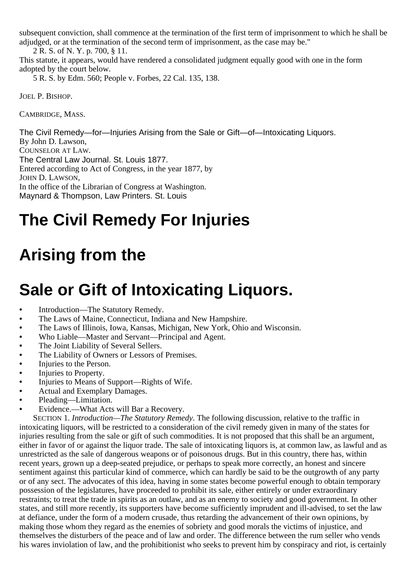subsequent conviction, shall commence at the termination of the first term of imprisonment to which he shall be adjudged, or at the termination of the second term of imprisonment, as the case may be."

2 R. S. of N. Y. p. 700, § 11.

This statute, it appears, would have rendered a consolidated judgment equally good with one in the form adopted by the court below.

5 R. S. by Edm. 560; People v. Forbes, 22 Cal. 135, 138.

JOEL P. BISHOP.

CAMBRIDGE, MASS.

The Civil Remedy—for—Injuries Arising from the Sale or Gift—of—Intoxicating Liquors. By John D. Lawson, COUNSELOR AT LAW. The Central Law Journal. St. Louis 1877. Entered according to Act of Congress, in the year 1877, by JOHN D. LAWSON, In the office of the Librarian of Congress at Washington. Maynard & Thompson, Law Printers. St. Louis

# **The Civil Remedy For Injuries**

## **Arising from the**

# **Sale or Gift of Intoxicating Liquors.**

- **•** Introduction—The Statutory Remedy.
- The Laws of Maine, Connecticut, Indiana and New Hampshire.<br>• The Laws of Illinois, Jowa, Kansas, Michigan, New York, Ohio
- The Laws of Illinois, Iowa, Kansas, Michigan, New York, Ohio and Wisconsin.<br>• Who Liable—Master and Servant—Principal and Agent.
- Who Liable—Master and Servant—Principal and Agent.<br>• The Joint Liability of Several Sellers.
- The Joint Liability of Several Sellers.<br>• The Liability of Owners or Lessors of
- The Liability of Owners or Lessors of Premises.<br>• Iniuries to the Person.
- Injuries to the Person.<br>• Injuries to Property
- Injuries to Property.<br>• Injuries to Means of
- **•** Injuries to Means of Support—Rights of Wife.
- **•** Actual and Exemplary Damages.
- **•** Pleading—Limitation.
- **•** Evidence.—What Acts will Bar a Recovery.

SECTION 1. *Introduction—The Statutory Remedy*. The following discussion, relative to the traffic in intoxicating liquors, will be restricted to a consideration of the civil remedy given in many of the states for injuries resulting from the sale or gift of such commodities. It is not proposed that this shall be an argument, either in favor of or against the liquor trade. The sale of intoxicating liquors is, at common law, as lawful and as unrestricted as the sale of dangerous weapons or of poisonous drugs. But in this country, there has, within recent years, grown up a deep-seated prejudice, or perhaps to speak more correctly, an honest and sincere sentiment against this particular kind of commerce, which can hardly be said to be the outgrowth of any party or of any sect. The advocates of this idea, having in some states become powerful enough to obtain temporary possession of the legislatures, have proceeded to prohibit its sale, either entirely or under extraordinary restraints; to treat the trade in spirits as an outlaw, and as an enemy to society and good government. In other states, and still more recently, its supporters have become sufficiently imprudent and ill-advised, to set the law at defiance, under the form of a modern crusade, thus retarding the advancement of their own opinions, by making those whom they regard as the enemies of sobriety and good morals the victims of injustice, and themselves the disturbers of the peace and of law and order. The difference between the rum seller who vends his wares inviolation of law, and the prohibitionist who seeks to prevent him by conspiracy and riot, is certainly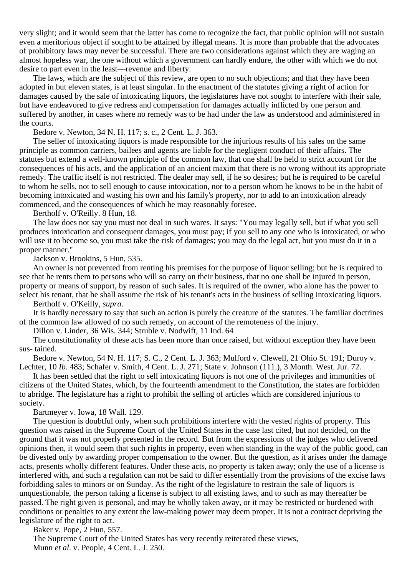very slight; and it would seem that the latter has come to recognize the fact, that public opinion will not sustain even a meritorious object if sought to be attained by illegal means. It is more than probable that the advocates of prohibitory laws may never be successful. There are two considerations against which they are waging an almost hopeless war, the one without which a government can hardly endure, the other with which we do not desire to part even in the least—revenue and liberty.

The laws, which are the subject of this review, are open to no such objections; and that they have been adopted in but eleven states, is at least singular. In the enactment of the statutes giving a right of action for damages caused by the sale of intoxicating liquors, the legislatures have not sought to interfere with their sale, but have endeavored to give redress and compensation for damages actually inflicted by one person and suffered by another, in cases where no remedy was to be had under the law as understood and administered in the courts.

Bedore v. Newton, 34 N. H. 117; s. c., 2 Cent. L. J. 363.

The seller of intoxicating liquors is made responsible for the injurious results of his sales on the same principle as common carriers, bailees and agents are liable for the negligent conduct of their affairs. The statutes but extend a well-known principle of the common law, that one shall be held to strict account for the consequences of his acts, and the application of an ancient maxim that there is no wrong without its appropriate remedy. The traffic itself is not restricted. The dealer may sell, if he so desires; but he is required to be careful to whom he sells, not to sell enough to cause intoxication, nor to a person whom he knows to be in the habit of becoming intoxicated and wasting his own and his family's property, nor to add to an intoxication already commenced, and the consequences of which he may reasonably foresee.

Bertholf v. O'Reilly. 8 Hun, 18.

The law does not say you must not deal in such wares. It says: "You may legally sell, but if what you sell produces intoxication and consequent damages, you must pay; if you sell to any one who is intoxicated, or who will use it to become so, you must take the risk of damages; you may do the legal act, but you must do it in a proper manner."

Jackson v. Brookins, 5 Hun, 535.

An owner is not prevented from renting his premises for the purpose of liquor selling; but he is required to see that he rents them to persons who will so carry on their business, that no one shall be injured in person, property or means of support, by reason of such sales. It is required of the owner, who alone has the power to select his tenant, that he shall assume the risk of his tenant's acts in the business of selling intoxicating liquors.

Bertholf v. O'Keilly, *supra*.

It is hardly necessary to say that such an action is purely the creature of the statutes. The familiar doctrines of the common law allowed of no such remedy, on account of the remoteness of the injury.

Dillon v. Linder, 36 Wis. 344; Struble v. Nodwift, 11 Ind. 64

The constitutionality of these acts has been more than once raised, but without exception they have been sus- tained.

Bedore v. Newton, 54 N. H. 117; S. C., 2 Cent. L. J. 363; Mulford v. Clewell, 21 Ohio St. 191; Duroy v. Lechter, 10 *Ib*. 483; Schafer v. Smith, 4 Cent. L. J. 271; State v. Johnson (111.), 3 Month. West. Jur. 72.

It has been settled that the right to sell intoxicating liquors is not one of the privileges and immunities of citizens of the United States, which, by the fourteenth amendment to the Constitution, the states are forbidden to abridge. The legislature has a right to prohibit the selling of articles which are considered injurious to society.

Bartmeyer v. Iowa, 18 Wall. 129.

The question is doubtful only, when such prohibitions interfere with the vested rights of property. This question was raised in the Supreme Court of the United States in the case last cited, but not decided, on the ground that it was not properly presented in the record. But from the expressions of the judges who delivered opinions then, it would seem that such rights in property, even when standing in the way of the public good, can be divested only by awarding proper compensation to the owner. But the question, as it arises under the damage acts, presents wholly different features. Under these acts, no property is taken away; only the use of a license is interfered with, and such a regulation can not be said to differ essentially from the provisions of the excise laws forbidding sales to minors or on Sunday. As the right of the legislature to restrain the sale of liquors is unquestionable, the person taking a license is subject to all existing laws, and to such as may thereafter be passed. The right given is personal, and may be wholly taken away, or it may be restricted or burdened with conditions or penalties to any extent the law-making power may deem proper. It is not a contract depriving the legislature of the right to act.

Baker v. Pope, 2 Hun, 557.

The Supreme Court of the United States has very recently reiterated these views, Munn *et al*. v. People, 4 Cent. L. J. 250.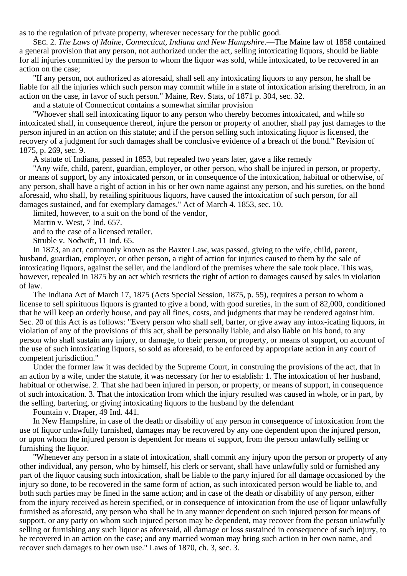as to the regulation of private property, wherever necessary for the public good.

SEC. 2. *The Laws of Maine, Connecticut, Indiana and New Hampshire*.—The Maine law of 1858 contained a general provision that any person, not authorized under the act, selling intoxicating liquors, should be liable for all injuries committed by the person to whom the liquor was sold, while intoxicated, to be recovered in an action on the case;

"If any person, not authorized as aforesaid, shall sell any intoxicating liquors to any person, he shall be liable for all the injuries which such person may commit while in a state of intoxication arising therefrom, in an action on the case, in favor of such person." Maine, Rev. Stats, of 1871 p. 304, sec. 32.

and a statute of Connecticut contains a somewhat similar provision

"Whoever shall sell intoxicating liquor to any person who thereby becomes intoxicated, and while so intoxicated shall, in consequence thereof, injure the person or property of another, shall pay just damages to the person injured in an action on this statute; and if the person selling such intoxicating liquor is licensed, the recovery of a judgment for such damages shall be conclusive evidence of a breach of the bond." Revision of 1875, p. 269, sec. 9.

A statute of Indiana, passed in 1853, but repealed two years later, gave a like remedy

"Any wife, child, parent, guardian, employer, or other person, who shall be injured in person, or property, or means of support, by any intoxicated person, or in consequence of the intoxication, habitual or otherwise, of any person, shall have a right of action in his or her own name against any person, and his sureties, on the bond aforesaid, who shall, by retailing spirituous liquors, have caused the intoxication of such person, for all damages sustained, and for exemplary damages." Act of March 4. 1853, sec. 10.

limited, however, to a suit on the bond of the vendor,

Martin v. West, 7 Ind. 657.

and to the case of a licensed retailer.

Struble v. Nodwift, 11 Ind. 65.

In 1873, an act, commonly known as the Baxter Law, was passed, giving to the wife, child, parent, husband, guardian, employer, or other person, a right of action for injuries caused to them by the sale of intoxicating liquors, against the seller, and the landlord of the premises where the sale took place. This was, however, repealed in 1875 by an act which restricts the right of action to damages caused by sales in violation of law.

The Indiana Act of March 17, 1875 (Acts Special Session, 1875, p. 55), requires a person to whom a license to sell spirituous liquors is granted to give a bond, with good sureties, in the sum of 82,000, conditioned that he will keep an orderly house, and pay all fines, costs, and judgments that may be rendered against him. Sec. 20 of this Act is as follows: "Every person who shall sell, barter, or give away any intox-icating liquors, in violation of any of the provisions of this act, shall be personally liable, and also liable on his bond, to any person who shall sustain any injury, or damage, to their person, or property, or means of support, on account of the use of such intoxicating liquors, so sold as aforesaid, to be enforced by appropriate action in any court of competent jurisdiction."

Under the former law it was decided by the Supreme Court, in construing the provisions of the act, that in an action by a wife, under the statute, it was necessary for her to establish: 1. The intoxication of her husband, habitual or otherwise. 2. That she had been injured in person, or property, or means of support, in consequence of such intoxication. 3. That the intoxication from which the injury resulted was caused in whole, or in part, by the selling, bartering, or giving intoxicating liquors to the husband by the defendant

Fountain v. Draper, 49 Ind. 441.

In New Hampshire, in case of the death or disability of any person in consequence of intoxication from the use of liquor unlawfully furnished, damages may be recovered by any one dependent upon the injured person, or upon whom the injured person is dependent for means of support, from the person unlawfully selling or furnishing the liquor.

"Whenever any person in a state of intoxication, shall commit any injury upon the person or property of any other individual, any person, who by himself, his clerk or servant, shall have unlawfully sold or furnished any part of the liquor causing such intoxication, shall be liable to the party injured for all damage occasioned by the injury so done, to be recovered in the same form of action, as such intoxicated person would be liable to, and both such parties may be fined in the same action; and in case of the death or disability of any person, either from the injury received as herein specified, or in consequence of intoxication from the use of liquor unlawfully furnished as aforesaid, any person who shall be in any manner dependent on such injured person for means of support, or any party on whom such injured person may be dependent, may recover from the person unlawfully selling or furnishing any such liquor as aforesaid, all damage or loss sustained in consequence of such injury, to be recovered in an action on the case; and any married woman may bring such action in her own name, and recover such damages to her own use." Laws of 1870, ch. 3, sec. 3.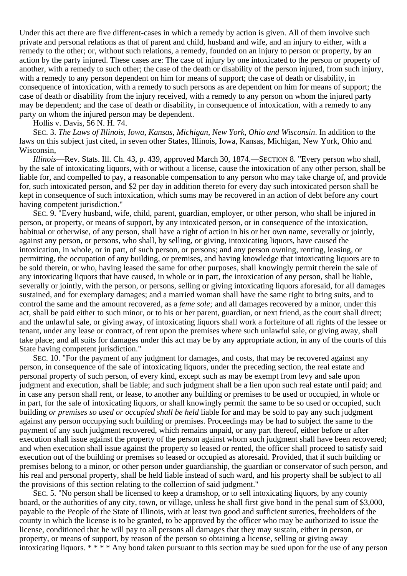Under this act there are five different-cases in which a remedy by action is given. All of them involve such private and personal relations as that of parent and child, husband and wife, and an injury to either, with a remedy to the other; or, without such relations, a remedy, founded on an injury to person or property, by an action by the party injured. These cases are: The case of injury by one intoxicated to the person or property of another, with a remedy to such other; the case of the death or disability of the person injured, from such injury, with a remedy to any person dependent on him for means of support; the case of death or disability, in consequence of intoxication, with a remedy to such persons as are dependent on him for means of support; the case of death or disability from the injury received, with a remedy to any person on whom the injured party may be dependent; and the case of death or disability, in consequence of intoxication, with a remedy to any party on whom the injured person may be dependent.

Hollis v. Davis, 56 N. H. 74.

SEC. 3. *The Laws of Illinois, Iowa, Kansas, Michigan, New York, Ohio and Wisconsin*. In addition to the laws on this subject just cited, in seven other States, Illinois, Iowa, Kansas, Michigan, New York, Ohio and Wisconsin,

*Illinois*—Rev. Stats. Ill. Ch. 43, p. 439, approved March 30, 1874.—SECTION 8. "Every person who shall, by the sale of intoxicating liquors, with or without a license, cause the intoxication of any other person, shall be liable for, and compelled to pay, a reasonable compensation to any person who may take charge of, and provide for, such intoxicated person, and \$2 per day in addition thereto for every day such intoxicated person shall be kept in consequence of such intoxication, which sums may be recovered in an action of debt before any court having competent jurisdiction."

SEC. 9. "Every husband, wife, child, parent, guardian, employer, or other person, who shall be injured in person, or property, or means of support, by any intoxicated person, or in consequence of the intoxication, habitual or otherwise, of any person, shall have a right of action in his or her own name, severally or jointly, against any person, or persons, who shall, by selling, or giving, intoxicating liquors, have caused the intoxication, in whole, or in part, of such person, or persons; and any person owning, renting, leasing, or permitting, the occupation of any building, or premises, and having knowledge that intoxicating liquors are to be sold therein, or who, having leased the same for other purposes, shall knowingly permit therein the sale of any intoxicating liquors that have caused, in whole or in part, the intoxication of any person, shall be liable, severally or jointly, with the person, or persons, selling or giving intoxicating liquors aforesaid, for all damages sustained, and for exemplary damages; and a married woman shall have the same right to bring suits, and to control the same and the amount recovered, as a *feme sole;* and all damages recovered by a minor, under this act, shall be paid either to such minor, or to his or her parent, guardian, or next friend, as the court shall direct; and the unlawful sale, or giving away, of intoxicating liquors shall work a forfeiture of all rights of the lessee or tenant, under any lease or contract, of rent upon the premises where such unlawful sale, or giving away, shall take place; and all suits for damages under this act may be by any appropriate action, in any of the courts of this State having competent jurisdiction."

SEC. 10. "For the payment of any judgment for damages, and costs, that may be recovered against any person, in consequence of the sale of intoxicating liquors, under the preceding section, the real estate and personal property of such person, of every kind, except such as may be exempt from levy and sale upon judgment and execution, shall be liable; and such judgment shall be a lien upon such real estate until paid; and in case any person shall rent, or lease, to another any building or premises to be used or occupied, in whole or in part, for the sale of intoxicating liquors, or shall knowingly permit the same to be so used or occupied, such building *or premises so used or occupied shall be held* liable for and may be sold to pay any such judgment against any person occupying such building or premises. Proceedings may be had to subject the same to the payment of any such judgment recovered, which remains unpaid, or any part thereof, either before or after execution shall issue against the property of the person against whom such judgment shall have been recovered; and when execution shall issue against the property so leased or rented, the officer shall proceed to satisfy said execution out of the building or premises so leased or occupied as aforesaid. Provided, that if such building or premises belong to a minor, or other person under guardianship, the guardian or conservator of such person, and his real and personal property, shall be held liable instead of such ward, and his property shall be subject to all the provisions of this section relating to the collection of said judgment."

SEC. 5. "No person shall be licensed to keep a dramshop, or to sell intoxicating liquors, by any county board, or the authorities of any city, town, or village, unless he shall first give bond in the penal sum of \$3,000, payable to the People of the State of Illinois, with at least two good and sufficient sureties, freeholders of the county in which the license is to be granted, to be approved by the officer who may be authorized to issue the license, conditioned that he will pay to all persons all damages that they may sustain, either in person, or property, or means of support, by reason of the person so obtaining a license, selling or giving away intoxicating liquors. \* \* \* \* Any bond taken pursuant to this section may be sued upon for the use of any person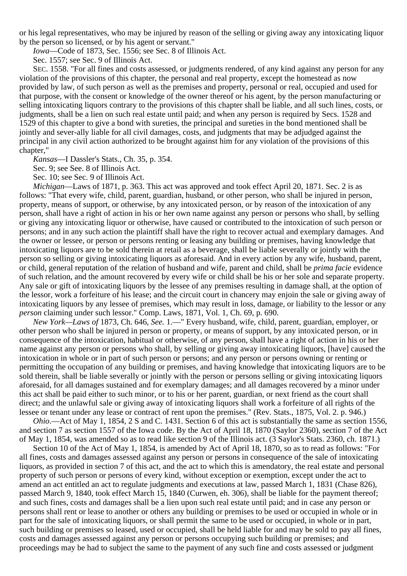or his legal representatives, who may be injured by reason of the selling or giving away any intoxicating liquor by the person so licensed, or by his agent or servant."

*Iowa*—Code of 1873, Sec. 1556; see Sec. 8 of Illinois Act.

Sec. 1557; see Sec. 9 of Illinois Act.

SEC. 1558. "For all fines and costs assessed, or judgments rendered, of any kind against any person for any violation of the provisions of this chapter, the personal and real property, except the homestead as now provided by law, of such person as well as the premises and property, personal or real, occupied and used for that purpose, with the consent or knowledge of the owner thereof or his agent, by the person manufacturing or selling intoxicating liquors contrary to the provisions of this chapter shall be liable, and all such lines, costs, or judgments, shall be a lien on such real estate until paid; and when any person is required by Secs. 1528 and 1529 of this chapter to give a bond with sureties, the principal and sureties in the bond mentioned shall be jointly and sever-ally liable for all civil damages, costs, and judgments that may be adjudged against the principal in any civil action authorized to be brought against him for any violation of the provisions of this chapter,"

*Kansas*—I Dassler's Stats., Ch. 35, p. 354.

Sec. 9; see See. 8 of Illinois Act.

Sec. 10; see Sec. 9 of Illinois Act.

*Michigan*—Laws of 1871, p. 363. This act was approved and took effect April 20, 1871. Sec. 2 is as follows: "That every wife, child, parent, guardian, husband, or other person, who shall be injured in person, property, means of support, or otherwise, by any intoxicated person, or by reason of the intoxication of any person, shall have a right of action in his or her own name against any person or persons who shall, by selling or giving any intoxicating liquor or otherwise, have caused or contributed to the intoxication of such person or persons; and in any such action the plaintiff shall have the right to recover actual and exemplary damages. And the owner or lessee, or person or persons renting or leasing any building or premises, having knowledge that intoxicating liquors are to be sold therein at retail as a beverage, shall be liable severally or jointly with the person so selling or giving intoxicating liquors as aforesaid. And in every action by any wife, husband, parent, or child, general reputation of the relation of husband and wife, parent and child, shall be *prima facie* evidence of such relation, and the amount recovered by every wife or child shall be his or her sole and separate property. Any sale or gift of intoxicating liquors by the lessee of any premises resulting in damage shall, at the option of the lessor, work a forfeiture of his lease; and the circuit court in chancery may enjoin the sale or giving away of intoxicating liquors by any lessee of premises, which may result in loss, damage, or liability to the lessor or any *person* claiming under such lessor." Comp. Laws, 1871, Vol. 1, Ch. 69, p. 690.

*New York—Laws of* 1873, Ch. 646, *See.* 1.—" Every husband, wife, child, parent, guardian, employer, or other person who shall be injured in person or property, or means of support, by any intoxicated person, or in consequence of the intoxication, habitual or otherwise, of any person, shall have a right of action in his or her name against any person or persons who shall, by selling or giving away intoxicating liquors, [have] caused the intoxication in whole or in part of such person or persons; and any person or persons owning or renting or permitting the occupation of any building or premises, and having knowledge that intoxicating liquors are to be sold therein, shall be liable severally or jointly with the person or persons selling or giving intoxicating liquors aforesaid, for all damages sustained and for exemplary damages; and all damages recovered by a minor under this act shall be paid either to such minor, or to his or her parent, guardian, or next friend as the court shall direct; and the unlawful sale or giving away of intoxicating liquors shall work a forfeiture of all rights of the lessee or tenant under any lease or contract of rent upon the premises." (Rev. Stats., 1875, Vol. 2. p. 946.)

*Ohio*.—Act of May 1, 1854, 2 S and C. 1431. Section 6 of this act is substantially the same as section 1556, and section 7 as section 1557 of the Iowa code. By the Act of April 18, 1870 (Saylor 2360), section 7 of the Act of May 1, 1854, was amended so as to read like section 9 of the Illinois act. (3 Saylor's Stats. 2360, ch. 1871.)

Section 10 of the Act of May 1, 1854, is amended by Act of April 18, 1870, so as to read as follows: "For all fines, costs and damages assessed against any person or persons in consequence of the sale of intoxicating liquors, as provided in section 7 of this act, and the act to which this is amendatory, the real estate and personal property of such person or persons of every kind, without exception or exemption, except under the act to amend an act entitled an act to regulate judgments and executions at law, passed March 1, 1831 (Chase 826), passed March 9, 1840, took effect March 15, 1840 (Curwen, eh. 306), shall be liable for the payment thereof; and such fines, costs and damages shall be a lien upon such real estate until paid; and in case any person or persons shall rent or lease to another or others any building or premises to be used or occupied in whole or in part for the sale of intoxicating liquors, or shall permit the same to be used or occupied, in whole or in part, such building or premises so leased, used or occupied, shall be held liable for and may be sold to pay all fines, costs and damages assessed against any person or persons occupying such building or premises; and proceedings may be had to subject the same to the payment of any such fine and costs assessed or judgment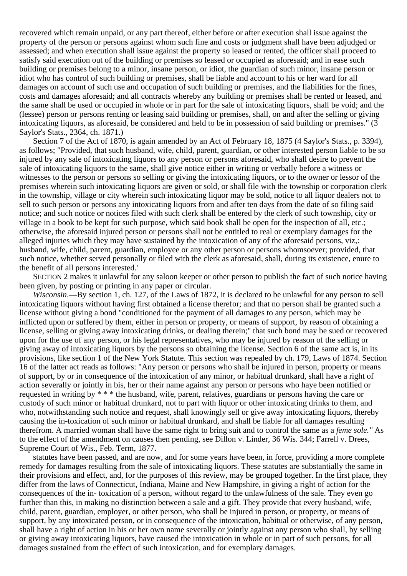recovered which remain unpaid, or any part thereof, either before or after execution shall issue against the property of the person or persons against whom such fine and costs or judgment shall have been adjudged or assessed; and when execution shall issue against the property so leased or rented, the officer shall proceed to satisfy said execution out of the building or premises so leased or occupied as aforesaid; and in ease such building or premises belong to a minor, insane person, or idiot, the guardian of such minor, insane person or idiot who has control of such building or premises, shall be liable and account to his or her ward for all damages on account of such use and occupation of such building or premises, and the liabilities for the fines, costs and damages aforesaid; and all contracts whereby any building or premises shall be rented or leased, and the same shall be used or occupied in whole or in part for the sale of intoxicating liquors, shall be void; and the (lessee) person or persons renting or leasing said building or premises, shall, on and after the selling or giving intoxicating liquors, as aforesaid, be considered and held to be in possession of said building or premises." (3 Saylor's Stats., 2364, ch. 1871.)

Section 7 of the Act of 1870, is again amended by an Act of February 18, 1875 (4 Saylor's Stats., p. 3394), as follows; "Provided, that such husband, wife, child, parent, guardian, or other interested person liable to be so injured by any sale of intoxicating liquors to any person or persons aforesaid, who shall desire to prevent the sale of intoxicating liquors to the same, shall give notice either in writing or verbally before a witness or witnesses to the person or persons so selling or giving the intoxicating liquors, or to the owner or lessor of the premises wherein such intoxicating liquors are given or sold, or shall file with the township or corporation clerk in the township, village or city wherein such intoxicating liquor may be sold, notice to all liquor dealers not to sell to such person or persons any intoxicating liquors from and after ten days from the date of so filing said notice; and such notice or notices filed with such clerk shall be entered by the clerk of such township, city or village in a book to be kept for such purpose, which said book shall be open for the inspection of all, etc.; otherwise, the aforesaid injured person or persons shall not be entitled to real or exemplary damages for the alleged injuries which they may have sustained by the intoxication of any of the aforesaid persons, viz,: husband, wife, child, parent, guardian, employee or any other person or persons whomsoever; provided, that such notice, whether served personally or filed with the clerk as aforesaid, shall, during its existence, enure to the benefit of all persons interested.'

SECTION 2 makes it unlawful for any saloon keeper or other person to publish the fact of such notice having been given, by posting or printing in any paper or circular.

*Wisconsin*.—By section 1, ch. 127, of the Laws of 1872, it is declared to be unlawful for any person to sell intoxicating liquors without having first obtained a license therefor; and that no person shall be granted such a license without giving a bond "conditioned for the payment of all damages to any person, which may be inflicted upon or suffered by them, either in person or property, or means of support, by reason of obtaining a license, selling or giving away intoxicating drinks, or dealing therein;" that such bond may be sued or recovered upon for the use of any person, or his legal representatives, who may be injured by reason of the selling or giving away of intoxicating liquors by the persons so obtaining the license. Section 6 of the same act is, in its provisions, like section 1 of the New York Statute. This section was repealed by ch. 179, Laws of 1874. Section 16 of the latter act reads as follows: "Any person or persons who shall be injured in person, property or means of support, by or in consequence of the intoxication of any minor, or habitual drunkard, shall have a right of action severally or jointly in bis, her or their name against any person or persons who haye been notified or requested in writing by \* \* \* the husband, wife, parent, relatives, guardians or persons having the care or custody of such minor or habitual drunkard, not to part with liquor or other intoxicating drinks to them, and who, notwithstanding such notice and request, shall knowingly sell or give away intoxicating liquors, thereby causing the in-toxication of such minor or habitual drunkard, and shall be liable for all damages resulting therefrom. A married woman shall have the same right to bring suit and to control the same as a *feme sole."* As to the effect of the amendment on causes then pending, see Dillon v. Linder, 36 Wis. 344; Farrell v. Drees, Supreme Court of Wis., Feb. Term, 1877.

statutes have been passed, and are now, and for some years have been, in force, providing a more complete remedy for damages resulting from the sale of intoxicating liquors. These statutes are substantially the same in their provisions and effect, and, for the purposes of this review, may be grouped together. In the first place, they differ from the laws of Connecticut, Indiana, Maine and New Hampshire, in giving a right of action for the consequences of the in- toxication of a person, without regard to the unlawfulness of the sale. They even go further than this, in making no distinction between a sale and a gift. They provide that every husband, wife, child, parent, guardian, employer, or other person, who shall be injured in person, or property, or means of support, by any intoxicated person, or in consequence of the intoxication, habitual or otherwise, of any person, shall have a right of action in his or her own name severally or jointly against any person who shall, by selling or giving away intoxicating liquors, have caused the intoxication in whole or in part of such persons, for all damages sustained from the effect of such intoxication, and for exemplary damages.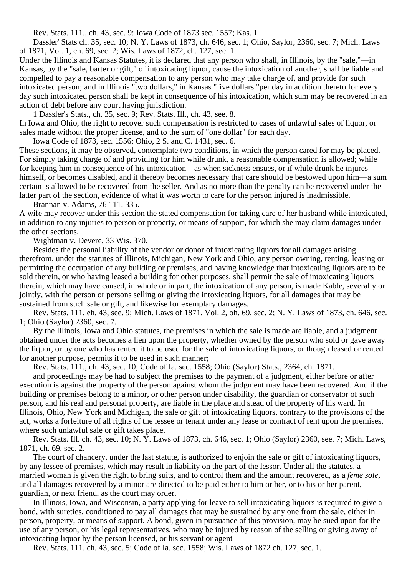Rev. Stats. 111., ch. 43, sec. 9: Iowa Code of 1873 sec. 1557; Kas. 1

Dassler' Stats ch. 35, sec. 10; N. Y. Laws of 1873, ch. 646, sec. 1; Ohio, Saylor, 2360, sec. 7; Mich. Laws of 1871, Vol. 1, ch. 69, sec. 2; Wis. Laws of 1872, ch. 127, sec. 1.

Under the Illinois and Kansas Statutes, it is declared that any person who shall, in Illinois, by the "sale,"—in Kansas, by the "sale, barter or gift," of intoxicating liquor, cause the intoxication of another, shall be liable and compelled to pay a reasonable compensation to any person who may take charge of, and provide for such intoxicated person; and in Illinois "two dollars," in Kansas "five dollars "per day in addition thereto for every day such intoxicated person shall be kept in consequence of his intoxication, which sum may be recovered in an action of debt before any court having jurisdiction.

1 Dassler's Stats., ch. 35, sec. 9; Rev. Stats. Ill., ch. 43, see. 8.

In Iowa and Ohio, the right to recover such compensation is restricted to cases of unlawful sales of liquor, or sales made without the proper license, and to the sum of "one dollar" for each day.

Iowa Code of 1873, sec. 1556; Ohio, 2 S. and C. 1431, sec. 6.

These sections, it may be observed, contemplate two conditions, in which the person cared for may be placed. For simply taking charge of and providing for him while drunk, a reasonable compensation is allowed; while for keeping him in consequence of his intoxication—as when sickness ensues, or if while drunk he injures himself, or becomes disabled, and it thereby becomes necessary that care should be bestowed upon him—a sum certain is allowed to be recovered from the seller. And as no more than the penalty can be recovered under the latter part of the section, evidence of what it was worth to care for the person injured is inadmissible.

Brannan v. Adams, 76 111. 335.

A wife may recover under this section the stated compensation for taking care of her husband while intoxicated, in addition to any injuries to person or property, or means of support, for which she may claim damages under the other sections.

Wightman v. Devere, 33 Wis. 370.

Besides the personal liability of the vendor or donor of intoxicating liquors for all damages arising therefrom, under the statutes of Illinois, Michigan, New York and Ohio, any person owning, renting, leasing or permitting the occupation of any building or premises, and having knowledge that intoxicating liquors are to be sold therein, or who having leased a building for other purposes, shall permit the sale of intoxicating liquors therein, which may have caused, in whole or in part, the intoxication of any person, is made Kable, severally or jointly, with the person or persons selling or giving the intoxicating liquors, for all damages that may be sustained from such sale or gift, and likewise for exemplary damages.

Rev. Stats. 111, eh. 43, see. 9; Mich. Laws of 1871, Vol. 2, oh. 69, sec. 2; N. Y. Laws of 1873, ch. 646, sec. 1; Ohio (Saylor) 2360, sec. 7.

By the Illinois, Iowa and Ohio statutes, the premises in which the sale is made are liable, and a judgment obtained under the acts becomes a lien upon the property, whether owned by the person who sold or gave away the liquor, or by one who has rented it to be used for the sale of intoxicating liquors, or though leased or rented for another purpose, permits it to be used in such manner;

Rev. Stats. 111., ch. 43, sec. 10; Code of Ia. sec. 1558; Ohio (Saylor) Stats., 2364, ch. 1871.

and proceedings may be had to subject the premises to the payment of a judgment, either before or after execution is against the property of the person against whom the judgment may have been recovered. And if the building or premises belong to a minor, or other person under disability, the guardian or conservator of such person, and his real and personal property, are liable in the place and stead of the property of his ward. In Illinois, Ohio, New York and Michigan, the sale or gift of intoxicating liquors, contrary to the provisions of the act, works a forfeiture of all rights of the lessee or tenant under any lease or contract of rent upon the premises, where such unlawful sale or gift takes place.

Rev. Stats. Ill. ch. 43, sec. 10; N. Y. Laws of 1873, ch. 646, sec. 1; Ohio (Saylor) 2360, see. 7; Mich. Laws, 1871, ch. 69, sec. 2.

The court of chancery, under the last statute, is authorized to enjoin the sale or gift of intoxicating liquors, by any lessee of premises, which may result in liability on the part of the lessor. Under all the statutes, a married woman is given the right to bring suits, and to control them and the amount recovered, as a *feme sole*, and all damages recovered by a minor are directed to be paid either to him or her, or to his or her parent, guardian, or next friend, as the court may order.

In Illinois, Iowa, and Wisconsin, a party applying for leave to sell intoxicating liquors is required to give a bond, with sureties, conditioned to pay all damages that may be sustained by any one from the sale, either in person, property, or means of support. A bond, given in pursuance of this provision, may be sued upon for the use of any person, or his legal representatives, who may be injured by reason of the selling or giving away of intoxicating liquor by the person licensed, or his servant or agent

Rev. Stats. 111. ch. 43, sec. 5; Code of Ia. sec. 1558; Wis. Laws of 1872 ch. 127, sec. 1.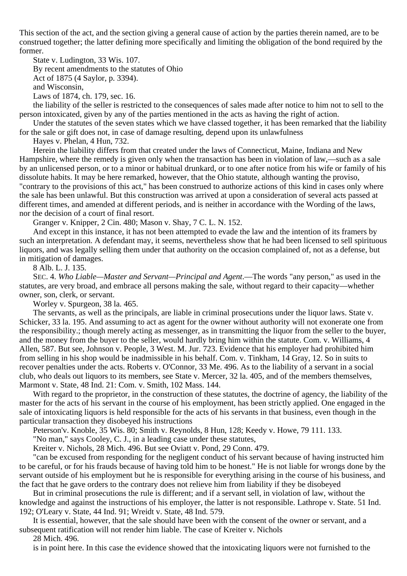This section of the act, and the section giving a general cause of action by the parties therein named, are to be construed together; the latter defining more specifically and limiting the obligation of the bond required by the former.

State v. Ludington, 33 Wis. 107.

By recent amendments to the statutes of Ohio

Act of 1875 (4 Saylor, p. 3394).

and Wisconsin,

Laws of 1874, ch. 179, sec. 16.

the liability of the seller is restricted to the consequences of sales made after notice to him not to sell to the person intoxicated, given by any of the parties mentioned in the acts as having the right of action.

Under the statutes of the seven states which we have classed together, it has been remarked that the liability for the sale or gift does not, in case of damage resulting, depend upon its unlawfulness

Hayes v. Phelan, 4 Hun, 732.

Herein the liability differs from that created under the laws of Connecticut, Maine, Indiana and New Hampshire, where the remedy is given only when the transaction has been in violation of law,—such as a sale by an unlicensed person, or to a minor or habitual drunkard, or to one after notice from his wife or family of his dissolute habits. It may be here remarked, however, that the Ohio statute, although wanting the proviso, "contrary to the provisions of this act," has been construed to authorize actions of this kind in cases only where the sale has been unlawful. But this construction was arrived at upon a consideration of several acts passed at different times, and amended at different periods, and is neither in accordance with the Wording of the laws, nor the decision of a court of final resort.

Granger v. Knipper, 2 Cin. 480; Mason v. Shay, 7 C. L. N. 152.

And except in this instance, it has not been attempted to evade the law and the intention of its framers by such an interpretation. A defendant may, it seems, nevertheless show that he had been licensed to sell spirituous liquors, and was legally selling them under that authority on the occasion complained of, not as a defense, but in mitigation of damages.

8 Alb. L. J. 135.

SEC. 4. *Who Liable—Master and Servant—Principal and Agent*.—The words "any person," as used in the statutes, are very broad, and embrace all persons making the sale, without regard to their capacity—whether owner, son, clerk, or servant.

Worley v. Spurgeon, 38 la. 465.

The servants, as well as the principals, are liable in criminal prosecutions under the liquor laws. State v. Schicker, 33 la. 195. And assuming to act as agent for the owner without authority will not exonerate one from the responsibility.; though merely acting as messenger, as in transmitting the liquor from the seller to the buyer, and the money from the buyer to the seller, would hardly bring him within the statute. Com. v. Williams, 4 Allen, 587. But see, Johnson v. People, 3 West. M. Jur. 723. Evidence that his employer had prohibited him from selling in his shop would be inadmissible in his behalf. Com. v. Tinkham, 14 Gray, 12. So in suits to recover penalties under the acts. Roberts v. O'Connor, 33 Me. 496. As to the liability of a servant in a social club, who deals out liquors to its members, see State v. Mercer, 32 la. 405, and of the members themselves, Marmont v. State, 48 Ind. 21: Com. v. Smith, 102 Mass. 144.

With regard to the proprietor, in the construction of these statutes, the doctrine of agency, the liability of the master for the acts of his servant in the course of his employment, has been strictly applied. One engaged in the sale of intoxicating liquors is held responsible for the acts of his servants in that business, even though in the particular transaction they disobeyed his instructions

Peterson'v. Knoble, 35 Wis. 80; Smith v. Reynolds, 8 Hun, 128; Keedy v. Howe, 79 111. 133.

"No man," says Cooley, C. J., in a leading case under these statutes,

Kreiter v. Nichols, 28 Mich. 496. But see Oviatt v. Pond, 29 Conn. 479.

"can be excused from responding for the negligent conduct of his servant because of having instructed him to be careful, or for his frauds because of having told him to be honest." He is not liable for wrongs done by the servant outside of his employment but he is responsible for everything arising in the course of his business, and the fact that he gave orders to the contrary does not relieve him from liability if they be disobeyed

But in criminal prosecutions the rule is different; and if a servant sell, in violation of law, without the knowledge and against the instructions of his employer, the latter is not responsible. Lathrope v. State. 51 Ind. 192; O'Leary v. State, 44 Ind. 91; Wreidt v. State, 48 Ind. 579.

It is essential, however, that the sale should have been with the consent of the owner or servant, and a subsequent ratification will not render him liable. The case of Kreiter v. Nichols

28 Mich. 496.

is in point here. In this case the evidence showed that the intoxicating liquors were not furnished to the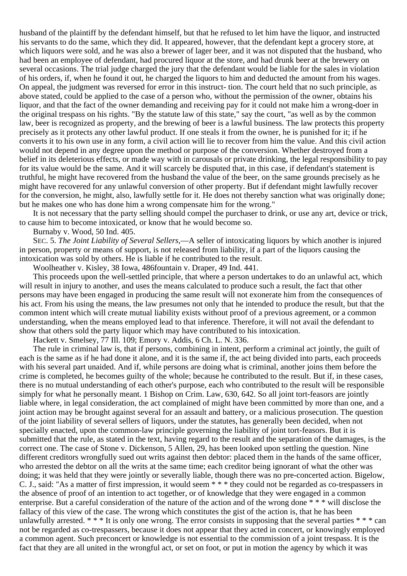husband of the plaintiff by the defendant himself, but that he refused to let him have the liquor, and instructed his servants to do the same, which they did. It appeared, however, that the defendant kept a grocery store, at which liquors were sold, and he was also a brewer of lager beer, and it was not disputed that the husband, who had been an employee of defendant, had procured liquor at the store, and had drunk beer at the brewery on several occasions. The trial judge charged the jury that the defendant would be liable for the sales in violation of his orders, if, when he found it out, he charged the liquors to him and deducted the amount from his wages. On appeal, the judgment was reversed for error in this instruct- tion. The court held that no such principle, as above stated, could be applied to the case of a person who, without the permission of the owner, obtains his liquor, and that the fact of the owner demanding and receiving pay for it could not make him a wrong-doer in the original trespass on his rights. "By the statute law of this state," say the court, "as well as by the common law, beer is recognized as property, and the brewing of beer is a lawful business. The law protects this property precisely as it protects any other lawful product. If one steals it from the owner, he is punished for it; if he converts it to his own use in any form, a civil action will lie to recover from him the value. And this civil action would not depend in any degree upon the method or purpose of the conversion. Whether destroyed from a belief in its deleterious effects, or made way with in carousals or private drinking, the legal responsibility to pay for its value would be the same. And it will scarcely be disputed that, in this case, if defendant's statement is truthful, he might have recovered from the husband the value of the beer, on the same grounds precisely as he might have recovered for any unlawful conversion of other property. But if defendant might lawfully recover for the conversion, he might, also, lawfully settle for it. He does not thereby sanction what was originally done; but he makes one who has done him a wrong compensate him for the wrong."

It is not necessary that the party selling should compel the purchaser to drink, or use any art, device or trick, to cause him to become intoxicated, or know that he would become so.

Burnaby v. Wood, 50 Ind. 405.

SEC. 5. *The Joint Liability of Several Sellers*,—A seller of intoxicating liquors by which another is injured in person, property or means of support, is not released from liability, if a part of the liquors causing the intoxication was sold by others. He is liable if he contributed to the result.

Woolheather v. Kisley, 38 Iowa, 486fountain v. Draper, 49 Ind. 441.

This proceeds upon the well-settled principle, that where a person undertakes to do an unlawful act, which will result in injury to another, and uses the means calculated to produce such a result, the fact that other persons may have been engaged in producing the same result will not exonerate him from the consequences of his act. From his using the means, the law presumes not only that he intended to produce the result, but that the common intent which will create mutual liability exists without proof of a previous agreement, or a common understanding, when the means employed lead to that inference. Therefore, it will not avail the defendant to show that others sold the party liquor which may have contributed to his intoxication.

Hackett v. Smelsey, 77 Ill. 109; Emory v. Addis, 6 Ch. L. N. 336.

The rule in criminal law is, that if persons, combining in intent, perform a criminal act jointly, the guilt of each is the same as if he had done it alone, and it is the same if, the act being divided into parts, each proceeds with his several part unaided. And if, while persons are doing what is criminal, another joins them before the crime is completed, he becomes guilty of the whole; because he contributed to the result. But if, in these cases, there is no mutual understanding of each other's purpose, each who contributed to the result will be responsible simply for what he personally meant. 1 Bishop on Crim. Law, 630, 642. So all joint tort-feasors are jointly liable where, in legal consideration, the act complained of might have been committed by more than one, and a joint action may be brought against several for an assault and battery, or a malicious prosecution. The question of the joint liability of several sellers of liquors, under the statutes, has generally been decided, when not specially enacted, upon the common-law principle governing the liability of joint tort-feasors. But it is submitted that the rule, as stated in the text, having regard to the result and the separation of the damages, is the correct one. The case of Stone v. Dickenson, 5 Allen, 29, has been looked upon settling the question. Nine different creditors wrongfully sued out writs against then debtor: placed them in the hands of the same officer, who arrested the debtor on all the writs at the same time; each creditor being ignorant of what the other was doing; it was held that they were jointly or severally liable, though there was no pre-concerted action. Bigelow, C. J., said: "As a matter of first impression, it would seem \* \* \* they could not be regarded as co-trespassers in the absence of proof of an intention to act together, or of knowledge that they were engaged in a common enterprise. But a careful consideration of the nature of the action and of the wrong done \* \* \* will disclose the fallacy of this view of the case. The wrong which constitutes the gist of the action is, that he has been unlawfully arrested.  $***$  It is only one wrong. The error consists in supposing that the several parties  $***$  can not be regarded as co-trespassers, because it does not appear that they acted in concert, or knowingly employed a common agent. Such preconcert or knowledge is not essential to the commission of a joint trespass. It is the fact that they are all united in the wrongful act, or set on foot, or put in motion the agency by which it was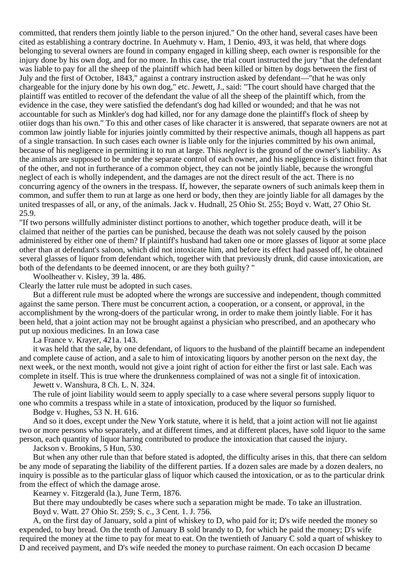committed, that renders them jointly liable to the person injured." On the other hand, several cases have been cited as establishing a contrary doctrine. In Auehmuty v. Ham, 1 Denio, 493, it was held, that where dogs belonging to several owners are found in company engaged in killing sheep, each owner is responsible for the injury done by his own dog, and for no more. In this case, the trial court instructed the jury "that the defendant was liable to pay for all the sheep of the plaintiff which had been killed or bitten by dogs between the first of July and the first of October, 1843," against a contrary instruction asked by defendant—"that he was only chargeable for the injury done by his own dog," etc. Jewett, J., said: "The court should have charged that the plaintiff was entitled to recover of the defendant the value of all the sheep of the plaintiff which, from the evidence in the case, they were satisfied the defendant's dog had killed or wounded; and that he was not accountable for such as Minkler's dog had killed, nor for any damage done the plaintiff's flock of sheep by otiier dogs than his own." To this and other cases of like character it is answered, that separate owners are not at common law jointly liable for injuries jointly committed by their respective animals, though all happens as part of a single transaction. In such cases each owner is liable only for the injuries committed by his own animal, because of his negligence in permitting it to run at large. This *neglect* is the ground of the owner's liability. As the animals are supposed to be under the separate control of each owner, and his negligence is distinct from that of the other, and not in furtherance of a common object, they can not be jointly liable, because the wrongful neglect of each is wholly independent, and the damages are not the direct result of the act. There is no concurring agency of the owners in the trespass. If, however, the separate owners of such animals keep them in common, and suffer them to run at large as one herd or body, then they are jointly liable for all damages by the united trespasses of all, or any, of the animals. Jack v. Hudnall, 25 Ohio St. 255; Boyd v. Watt, 27 Ohio St. 25.9.

"If two persons willfully administer distinct portions to another, which together produce death, will it be claimed that neither of the parties can be punished, because the death was not solely caused by the poison administered by either one of them? If plaintiff's husband had taken one or more glasses of liquor at some place other than at defendant's saloon, which did not intoxicate him, and before its effect had passed off, he obtained several glasses of liquor from defendant which, together with that previously drunk, did cause intoxication, are both of the defendants to be deemed innocent, or are they both guilty? "

Woolheather v. Kisley, 39 la. 486.

Clearly the latter rule must be adopted in such cases.

But a different rule must be adopted where the wrongs are successive and independent, though committed against the same person. There must be concurrent action, a cooperation, or a consent, or approval, in the accomplishment by the wrong-doers of the particular wrong, in order to make them jointly liable. For it has been held, that a joint action may not be brought against a physician who prescribed, and an apothecary who put up noxious medicines. In an Iowa case

La France v. Krayer, 421a. 143.

it was held that the sale, by one defendant, of liquors to the husband of the plaintiff became an independent and complete cause of action, and a sale to him of intoxicating liquors by another person on the next day, the next week, or the next month, would not give a joint right of action for either the first or last sale. Each was complete in itself. This is true where the drunkenness complained of was not a single fit of intoxication.

Jewett v. Wanshura, 8 Ch. L. N. 324.

The rule of joint liability would seem to apply specially to a case where several persons supply liquor to one who commits a trespass while in a state of intoxication, produced by the liquor so furnished.

Bodge v. Hughes, 53 N. H. 616.

And so it does, except under the New York statute, where it is held, that a joint action will not lie against two or more persons who separately, and at different times, and at different places, have sold liquor to the same person, each quantity of liquor haring contributed to produce the intoxication that caused the injury.

Jackson v. Brookins, 5 Hun, 530.

But when any other rule than that before stated is adopted, the difficulty arises in this, that there can seldom be any mode of separating the liability of the different parties. If a dozen sales are made by a dozen dealers, no inquiry is possible as to the particular glass of liquor which caused the intoxication, or as to the particular drink from the effect of which the damage arose.

Kearney v. Fitzgerald (la.), June Term, 1876.

But there may undoubtedly be cases where such a separation might be made. To take an illustration. Boyd v. Watt. 27 Ohio St. 259; S. c., 3 Cent. 1. J. 756.

A, on the first day of January, sold a pint of whiskey to D, who paid for it; D's wife needed the money so expended, to buy bread. On the tenth of January B sold brandy to D, for which he paid the money; D's wife required the money at the time to pay for meat to eat. On the twentieth of January C sold a quart of whiskey to D and received payment, and D's wife needed the money to purchase raiment. On each occasion D became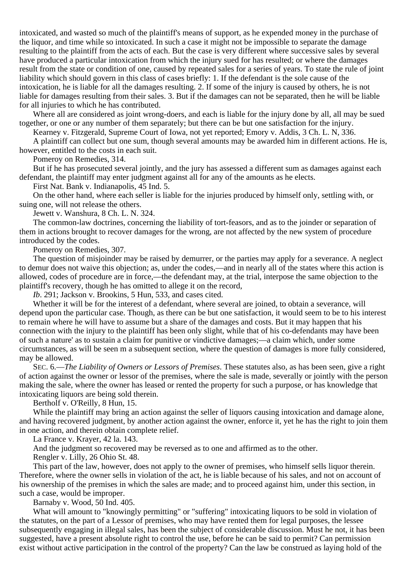intoxicated, and wasted so much of the plaintiff's means of support, as he expended money in the purchase of the liquor, and time while so intoxicated. In such a case it might not be impossible to separate the damage resulting to the plaintiff from the acts of each. But the case is very different where successive sales by several have produced a particular intoxication from which the injury sued for has resulted; or where the damages result from the state or condition of one, caused by repeated sales for a series of years. To state the rule of joint liability which should govern in this class of cases briefly: 1. If the defendant is the sole cause of the intoxication, he is liable for all the damages resulting. 2. If some of the injury is caused by others, he is not liable for damages resulting from their sales. 3. But if the damages can not be separated, then he will be liable for all injuries to which he has contributed.

Where all are considered as joint wrong-doers, and each is liable for the injury done by all, all may be sued together, or one or any number of them separately; but there can be but one satisfaction for the injury.

Kearney v. Fitzgerald, Supreme Court of Iowa, not yet reported; Emory v. Addis, 3 Ch. L. N, 336.

A plaintiff can collect but one sum, though several amounts may be awarded him in different actions. He is, however, entitled to the costs in each suit.

Pomeroy on Remedies, 314.

But if he has prosecuted several jointly, and the jury has assessed a different sum as damages against each defendant, the plaintiff may enter judgment against all for any of the amounts as he elects.

First Nat. Bank v. Indianapolis, 45 Ind. 5.

On the other hand, where each seller is liable for the injuries produced by himself only, settling with, or suing one, will not release the others.

Jewett v. Wanshura, 8 Ch. L. N. 324.

The common-law doctrines, concerning the liability of tort-feasors, and as to the joinder or separation of them in actions brought to recover damages for the wrong, are not affected by the new system of procedure introduced by the codes.

Pomeroy on Remedies, 307.

The question of misjoinder may be raised by demurrer, or the parties may apply for a severance. A neglect to demur does not waive this objection; as, under the codes,—and in nearly all of the states where this action is allowed, codes of procedure are in force,—the defendant may, at the trial, interpose the same objection to the plaintiff's recovery, though he has omitted to allege it on the record,

*Ib*. 291; Jackson v. Brookins, 5 Hun, 533, and cases cited.

Whether it will be for the interest of a defendant, where several are joined, to obtain a severance, will depend upon the particular case. Though, as there can be but one satisfaction, it would seem to be to his interest to remain where he will have to assume but a share of the damages and costs. But it may happen that his connection with the injury to the plaintiff has been only slight, while that of his co-defendants may have been of such a nature' as to sustain a claim for punitive or vindictive damages;—a claim which, under some circumstances, as will be seen m a subsequent section, where the question of damages is more fully considered, may be allowed.

SEC. 6.—*The Liability of Owners or Lessors of Premises*. These statutes also, as has been seen, give a right of action against the owner or lessor of the premises, where the sale is made, severally or jointly with the person making the sale, where the owner has leased or rented the property for such a purpose, or has knowledge that intoxicating liquors are being sold therein.

Bertholf v. O'Reilly, 8 Hun, 15.

While the plaintiff may bring an action against the seller of liquors causing intoxication and damage alone, and having recovered judgment, by another action against the owner, enforce it, yet he has the right to join them in one action, and therein obtain complete relief.

La France v. Krayer, 42 la. 143.

And the judgment so recovered may be reversed as to one and affirmed as to the other.

Rengler v. Lilly, 26 Ohio St. 48.

This part of the law, however, does not apply to the owner of premises, who himself sells liquor therein. Therefore, where the owner sells in violation of the act, he is liable because of his sales, and not on account of his ownership of the premises in which the sales are made; and to proceed against him, under this section, in such a case, would be improper.

Barnaby v. Wood, 50 Ind. 405.

What will amount to "knowingly permitting" or "suffering" intoxicating liquors to be sold in violation of the statutes, on the part of a Lessor of premises, who may have rented them for legal purposes, the lessee subsequently engaging in illegal sales, has been the subject of considerable discussion. Must he not, it has been suggested, have a present absolute right to control the use, before he can be said to permit? Can permission exist without active participation in the control of the property? Can the law be construed as laying hold of the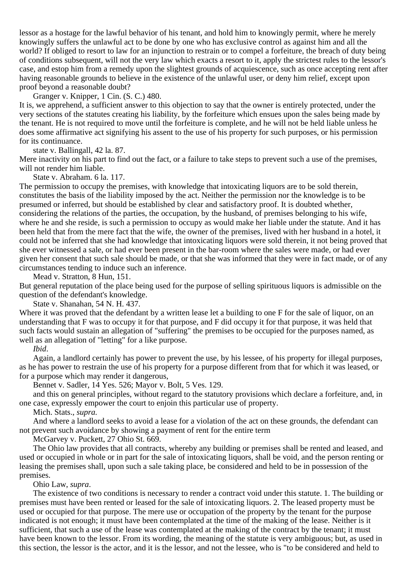lessor as a hostage for the lawful behavior of his tenant, and hold him to knowingly permit, where he merely knowingly suffers the unlawful act to be done by one who has exclusive control as against him and all the world? If obliged to resort to law for an injunction to restrain or to compel a forfeiture, the breach of duty being of conditions subsequent, will not the very law which exacts a resort to it, apply the strictest rules to the lessor's case, and estop him from a remedy upon the slightest grounds of acquiescence, such as once accepting rent after having reasonable grounds to believe in the existence of the unlawful user, or deny him relief, except upon proof beyond a reasonable doubt?

Granger v. Knipper, 1 Cin. (S. C.) 480.

It is, we apprehend, a sufficient answer to this objection to say that the owner is entirely protected, under the very sections of the statutes creating his liability, by the forfeiture which ensues upon the sales being made by the tenant. He is not required to move until the forfeiture is complete, and he will not be held liable unless he does some affirmative act signifying his assent to the use of his property for such purposes, or his permission for its continuance.

state v. Ballingall, 42 la. 87.

Mere inactivity on his part to find out the fact, or a failure to take steps to prevent such a use of the premises, will not render him liable.

State v. Abraham. 6 la. 117.

The permission to occupy the premises, with knowledge that intoxicating liquors are to be sold therein, constitutes the basis of the liability imposed by the act. Neither the permission nor the knowledge is to be presumed or inferred, but should be established by clear and satisfactory proof. It is doubted whether, considering the relations of the parties, the occupation, by the husband, of premises belonging to his wife, where he and she reside, is such a permission to occupy as would make her liable under the statute. And it has been held that from the mere fact that the wife, the owner of the premises, lived with her husband in a hotel, it could not be inferred that she had knowledge that intoxicating liquors were sold therein, it not being proved that she ever witnessed a sale, or had ever been present in the bar-room where the sales were made, or had ever given her consent that such sale should be made, or that she was informed that they were in fact made, or of any circumstances tending to induce such an inference.

Mead v. Stratton, 8 Hun, 151.

But general reputation of the place being used for the purpose of selling spirituous liquors is admissible on the question of the defendant's knowledge.

State v. Shanahan, 54 N. H. 437.

Where it was proved that the defendant by a written lease let a building to one F for the sale of liquor, on an understanding that F was to occupy it for that purpose, and F did occupy it for that purpose, it was held that such facts would sustain an allegation of "suffering" the premises to be occupied for the purposes named, as well as an allegation of "letting" for a like purpose.

### *Ibid*.

Again, a landlord certainly has power to prevent the use, by his lessee, of his property for illegal purposes, as he has power to restrain the use of his property for a purpose different from that for which it was leased, or for a purpose which may render it dangerous,

Bennet v. Sadler, 14 Yes. 526; Mayor v. Bolt, 5 Ves. 129.

and this on general principles, without regard to the statutory provisions which declare a forfeiture, and, in one case, expressly empower the court to enjoin this particular use of property.

Mich. Stats., *supra.*

And where a landlord seeks to avoid a lease for a violation of the act on these grounds, the defendant can not prevent such avoidance by showing a payment of rent for the entire term

McGarvey v. Puckett, 27 Ohio St. 669.

The Ohio law provides that all contracts, whereby any building or premises shall be rented and leased, and used or occupied in whole or in part for the sale of intoxicating liquors, shall be void, and the person renting or leasing the premises shall, upon such a sale taking place, be considered and held to be in possession of the premises.

### Ohio Law, *supra*.

The existence of two conditions is necessary to render a contract void under this statute. 1. The building or premises must have been rented or leased for the sale of intoxicating liquors. 2. The leased property must be used or occupied for that purpose. The mere use or occupation of the property by the tenant for the purpose indicated is not enough; it must have been contemplated at the time of the making of the lease. Neither is it sufficient, that such a use of the lease was contemplated at the making of the contract by the tenant; it must have been known to the lessor. From its wording, the meaning of the statute is very ambiguous; but, as used in this section, the lessor is the actor, and it is the lessor, and not the lessee, who is "to be considered and held to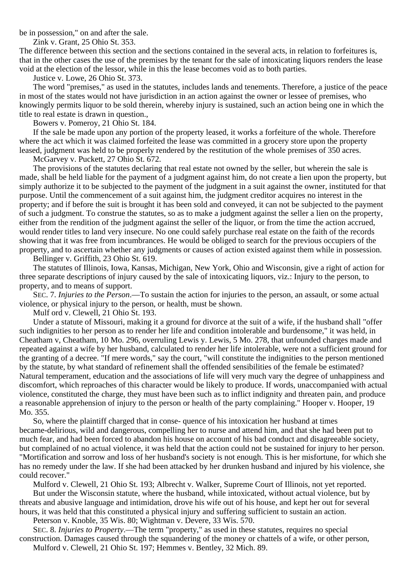be in possession," on and after the sale.

Zink v. Grant, 25 Ohio St. 353.

The difference between this section and the sections contained in the several acts, in relation to forfeitures is, that in the other cases the use of the premises by the tenant for the sale of intoxicating liquors renders the lease void at the election of the lessor, while in this the lease becomes void as to both parties.

Justice v. Lowe, 26 Ohio St. 373.

The word "premises," as used in the statutes, includes lands and tenements. Therefore, a justice of the peace in most of the states would not have jurisdiction in an action against the owner or lessee of premises, who knowingly permits liquor to be sold therein, whereby injury is sustained, such an action being one in which the title to real estate is drawn in question.,

Bowers v. Pomeroy, 21 Ohio St. 184.

If the sale be made upon any portion of the property leased, it works a forfeiture of the whole. Therefore where the act which it was claimed forfeited the lease was committed in a grocery store upon the property leased, judgment was held to be properly rendered by the restitution of the whole premises of 350 acres.

McGarvey v. Puckett, 27 Ohio St. 672.

The provisions of the statutes declaring that real estate not owned by the seller, but wherein the sale is made, shall be held liable for the payment of a judgment against him, do not create a lien upon the property, but simply authorize it to be subjected to the payment of the judgment in a suit against the owner, instituted for that purpose. Until the commencement of a suit against him, the judgment creditor acquires no interest in the property; and if before the suit is brought it has been sold and conveyed, it can not be subjected to the payment of such a judgment. To construe the statutes, so as to make a judgment against the seller a lien on the property, either from the rendition of the judgment against the seller of the liquor, or from the time the action accrued, would render titles to land very insecure. No one could safely purchase real estate on the faith of the records showing that it was free from incumbrances. He would be obliged to search for the previous occupiers of the property, and to ascertain whether any judgments or causes of action existed against them while in possession.

Bellinger v. Griffith, 23 Ohio St. 619.

The statutes of Illinois, Iowa, Kansas, Michigan, New York, Ohio and Wisconsin, give a right of action for three separate descriptions of injury caused by the sale of intoxicating liquors, viz.: Injury to the person, to property, and to means of support.

SEC. 7. *Injuries to the Person*.—To sustain the action for injuries to the person, an assault, or some actual violence, or physical injury to the person, or health, must be shown.

Mulf ord v. Clewell, 21 Ohio St. 193.

Under a statute of Missouri, making it a ground for divorce at the suit of a wife, if the husband shall "offer such indignities to her person as to render her life and condition intolerable and burdensome," it was held, in Cheatham v, Cheatham, 10 Mo. 296, overruling Lewis y. Lewis, 5 Mo. 278, that unfounded charges made and repeated against a wife by her husband, calculated to render her life intolerable, were not a sufficient ground for the granting of a decree. "If mere words," say the court, "will constitute the indignities to the person mentioned by the statute, by what standard of refinement shall the offended sensibilities of the female be estimated? Natural temperament, education and the associations of life will very much vary the degree of unhappiness and discomfort, which reproaches of this character would be likely to produce. If words, unaccompanied with actual violence, constituted the charge, they must have been such as to inflict indignity and threaten pain, and produce a reasonable apprehension of injury to the person or health of the party complaining." Hooper v. Hooper, 19 Mo. 355.

So, where the plaintiff charged that in conse- quence of his intoxication her husband at times became-delirious, wild and dangerous, compelling her to nurse and attend him, and that she had been put to much fear, and had been forced to abandon his house on account of his bad conduct and disagreeable society, but complained of no actual violence, it was held that the action could not be sustained for injury to her person. "Mortification and sorrow and loss of her husband's society is not enough. This is her misfortune, for which she has no remedy under the law. If she had been attacked by her drunken husband and injured by his violence, she could recover."

Mulford v. Clewell, 21 Ohio St. 193; Albrecht v. Walker, Supreme Court of Illinois, not yet reported. But under the Wisconsin statute, where the husband, while intoxicated, without actual violence, but by

threats and abusive language and intimidation, drove his wife out of his house, and kept her out for several hours, it was held that this constituted a physical injury and suffering sufficient to sustain an action.

Peterson v. Knoble, 35 Wis. 80; Wightman v. Devere, 33 Wis. 570.

SEC. 8. *Injuries to Property*.—The term "property," as used in these statutes, requires no special construction. Damages caused through the squandering of the money or chattels of a wife, or other person, Mulford v. Clewell, 21 Ohio St. 197; Hemmes v. Bentley, 32 Mich. 89.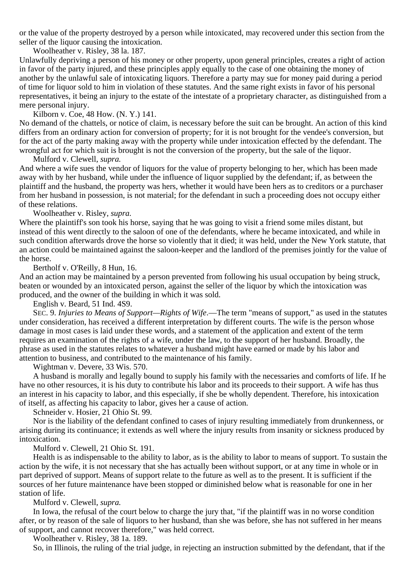or the value of the property destroyed by a person while intoxicated, may recovered under this section from the seller of the liquor causing the intoxication.

Woolheather v. Risley, 38 la. 187.

Unlawfully depriving a person of his money or other property, upon general principles, creates a right of action in favor of the party injured, and these principles apply equally to the case of one obtaining the money of another by the unlawful sale of intoxicating liquors. Therefore a party may sue for money paid during a period of time for liquor sold to him in violation of these statutes. And the same right exists in favor of his personal representatives, it being an injury to the estate of the intestate of a proprietary character, as distinguished from a mere personal injury.

Kilborn v. Coe, 48 How. (N. Y.) 141.

No demand of the chattels, or notice of claim, is necessary before the suit can be brought. An action of this kind differs from an ordinary action for conversion of property; for it is not brought for the vendee's conversion, but for the act of the party making away with the property while under intoxication effected by the defendant. The wrongful act for which suit is brought is not the conversion of the property, but the sale of the liquor.

Mulford v. Clewell, *supra.*

And where a wife sues the vendor of liquors for the value of property belonging to her, which has been made away with by her husband, while under the influence of liquor supplied by the defendant; if, as between the plaintiff and the husband, the property was hers, whether it would have been hers as to creditors or a purchaser from her husband in possession, is not material; for the defendant in such a proceeding does not occupy either of these relations.

Woolheather v. Risley, *supra.*

Where the plaintiff's son took his horse, saying that he was going to visit a friend some miles distant, but instead of this went directly to the saloon of one of the defendants, where he became intoxicated, and while in such condition afterwards drove the horse so violently that it died; it was held, under the New York statute, that an action could be maintained against the saloon-keeper and the landlord of the premises jointly for the value of the horse.

Bertholf v. O'Reilly, 8 Hun, 16.

And an action may be maintained by a person prevented from following his usual occupation by being struck, beaten or wounded by an intoxicated person, against the seller of the liquor by which the intoxication was produced, and the owner of the building in which it was sold.

English v. Beard, 51 Ind. 4S9.

SEC. 9. *Injuries to Means of Support—Rights of Wife*.—The term "means of support," as used in the statutes under consideration, has received a different interpretation by different courts. The wife is the person whose damage in most cases is laid under these words, and a statement of the application and extent of the term requires an examination of the rights of a wife, under the law, to the support of her husband. Broadly, the phrase as used in the statutes relates to whatever a husband might have earned or made by his labor and attention to business, and contributed to the maintenance of his family.

Wightman v. Devere, 33 Wis. 570.

A husband is morally and legally bound to supply his family with the necessaries and comforts of life. If he have no other resources, it is his duty to contribute his labor and its proceeds to their support. A wife has thus an interest in his capacity to labor, and this especially, if she be wholly dependent. Therefore, his intoxication of itself, as affecting his capacity to labor, gives her a cause of action.

Schneider v. Hosier, 21 Ohio St. 99.

Nor is the liability of the defendant confined to cases of injury resulting immediately from drunkenness, or arising during its continuance; it extends as well where the injury results from insanity or sickness produced by intoxication.

Mulford v. Clewell, 21 Ohio St. 191.

Health is as indispensable to the ability to labor, as is the ability to labor to means of support. To sustain the action by the wife, it is not necessary that she has actually been without support, or at any time in whole or in part deprived of support. Means of support relate to the future as well as to the present. It is sufficient if the sources of her future maintenance have been stopped or diminished below what is reasonable for one in her station of life.

Mulford v. Clewell, *supra.*

In Iowa, the refusal of the court below to charge the jury that, "if the plaintiff was in no worse condition after, or by reason of the sale of liquors to her husband, than she was before, she has not suffered in her means of support, and cannot recover therefore," was held correct.

Woolheather v. Risley, 38 1a. 189.

So, in Illinois, the ruling of the trial judge, in rejecting an instruction submitted by the defendant, that if the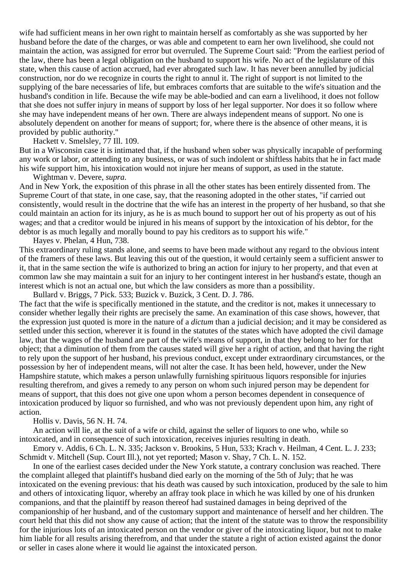wife had sufficient means in her own right to maintain herself as comfortably as she was supported by her husband before the date of the charges, or was able and competent to earn her own livelihood, she could not maintain the action, was assigned for error but overruled. The Supreme Court said: "Prom the earliest period of the law, there has been a legal obligation on the husband to support his wife. No act of the legislature of this state, when this cause of action accrued, had ever abrogated such law. It has never been annulled by judicial construction, nor do we recognize in courts the right to annul it. The right of support is not limited to the supplying of the bare necessaries of life, but embraces comforts that are suitable to the wife's situation and the husband's condition in life. Because the wife may be able-bodied and can earn a livelihood, it does not follow that she does not suffer injury in means of support by loss of her legal supporter. Nor does it so follow where she may have independent means of her own. There are always independent means of support. No one is absolutely dependent on another for means of support; for, where there is the absence of other means, it is provided by public authority."

### Hackett v. Smelsley, 77 Ill. 109.

But in a Wisconsin case it is intimated that, if the husband when sober was physically incapable of performing any work or labor, or attending to any business, or was of such indolent or shiftless habits that he in fact made his wife support him, his intoxication would not injure her means of support, as used in the statute.

#### Wightman v. Devere, *supra*.

And in New York, the exposition of this phrase in all the other states has been entirely dissented from. The Supreme Court of that state, in one case, say, that the reasoning adopted in the other states, "if carried out consistently, would result in the doctrine that the wife has an interest in the property of her husband, so that she could maintain an action for its injury, as he is as much bound to support her out of his property as out of his wages; and that a creditor would be injured in his means of support by the intoxication of his debtor, for the debtor is as much legally and morally bound to pay his creditors as to support his wife."

Hayes v. Phelan, 4 Hun, 738.

This extraordinary ruling stands alone, and seems to have been made without any regard to the obvious intent of the framers of these laws. But leaving this out of the question, it would certainly seem a sufficient answer to it, that in the same section the wife is authorized to bring an action for injury to her property, and that even at common law she may maintain a suit for an injury to her contingent interest in her husband's estate, though an interest which is not an actual one, but which the law considers as more than a possibility.

Bullard v. Briggs, 7 Pick. 533; Buzick v. Buzick, 3 Cent. D. J. 786. The fact that the wife is specifically mentioned in the statute, and the creditor is not, makes it unnecessary to

consider whether legally their rights are precisely the same. An examination of this case shows, however, that the expression just quoted is more in the nature of a *dictum* than a judicial decision; and it may be considered as settled under this section, wherever it is found in the statutes of the states which have adopted the civil damage law, that the wages of the husband are part of the wife's means of support, in that they belong to her for that object; that a diminution of them from the causes stated will give her a right of action, and that having the right to rely upon the support of her husband, his previous conduct, except under extraordinary circumstances, or the possession by her of independent means, will not alter the case. It has been held, however, under the New Hampshire statute, which makes a person unlawfully furnishing spirituous liquors responsible for injuries resulting therefrom, and gives a remedy to any person on whom such injured person may be dependent for means of support, that this does not give one upon whom a person becomes dependent in consequence of intoxication produced by liquor so furnished, and who was not previously dependent upon him, any right of action.

#### Hollis v. Davis, 56 N. H. 74.

An action will lie, at the suit of a wife or child, against the seller of liquors to one who, while so intoxicated, and in consequence of such intoxication, receives injuries resulting in death.

Emory v. Addis, 6 Ch. L. N. 335; Jackson v. Brookins, 5 Hun, 533; Krach v. Heilman, 4 Cent. L. J. 233; Schmidt v. Mitchell (Sup. Court Ill.), not yet reported; Mason v. Shay, 7 Ch. L. N. 152.

In one of the earliest cases decided under the New York statute, a contrary conclusion was reached. There the complaint alleged that plaintiff's husband died early on the morning of the 5th of July; that he was intoxicated on the evening previous: that his death was caused by such intoxication, produced by the sale to him and others of intoxicating liquor, whereby an affray took place in which he was killed by one of his drunken companions, and that the plaintiff by reason thereof had sustained damages in being deprived of the companionship of her husband, and of the customary support and maintenance of herself and her children. The court held that this did not show any cause of action; that the intent of the statute was to throw the responsibility for the injurious lots of an intoxicated person on the vendor or giver of the intoxicating liquor, but not to make him liable for all results arising therefrom, and that under the statute a right of action existed against the donor or seller in cases alone where it would lie against the intoxicated person.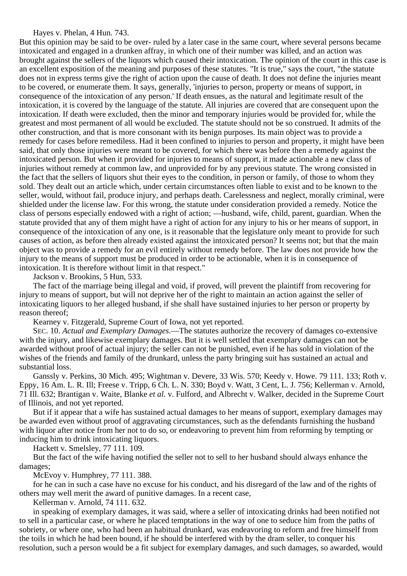Hayes v. Phelan, 4 Hun. 743.

But this opinion may be said to be over- ruled by a later case in the same court, where several persons became intoxicated and engaged in a drunken affray, in which one of their number was killed, and an action was brought against the sellers of the liquors which caused their intoxication. The opinion of the court in this case is an excellent exposition of the meaning and purposes of these statutes. "It is true," says the court, "the statute does not in express terms give the right of action upon the cause of death. It does not define the injuries meant to be covered, or enumerate them. It says, generally, 'injuries to person, property or means of support, in consequence of the intoxication of any person.' If death ensues, as the natural and legitimate result of the intoxication, it is covered by the language of the statute. All injuries are covered that are consequent upon the intoxication. If death were excluded, then the minor and temporary injuries would be provided for, while the greatest and most permanent of all would be excluded. The statute should not be so construed. It admits of the other construction, and that is more consonant with its benign purposes. Its main object was to provide a remedy for cases before remediless. Had it been confined to injuries to person and property, it might have been said, that only those injuries were meant to be covered, for which there was before then a remedy against the intoxicated person. But when it provided for injuries to means of support, it made actionable a new class of injuries without remedy at common law, and unprovided for by any previous statute. The wrong consisted in the fact that the sellers of liquors shut their eyes to the condition, in person or family, of those to whom they sold. They dealt out an article which, under certain circumstances often liable to exist and to be known to the seller, would, without fail, produce injury, and perhaps death. Carelessness and neglect, morally criminal, were shielded under the license law. For this wrong, the statute under consideration provided a remedy. Notice the class of persons especially endowed with a right of action; —husband, wife, child, parent, guardian. When the statute provided that any of them might have a right of action for any injury to his or her means of support, in consequence of the intoxication of any one, is it reasonable that the legislature only meant to provide for such causes of action, as before then already existed against the intoxicated person? It seems not; but that the main object was to provide a remedy for an evil entirely without remedy before. The law does not provide how the injury to the means of support must be produced in order to be actionable, when it is in consequence of intoxication. It is therefore without limit in that respect."

Jackson v. Brookins, 5 Hun, 533.

The fact of the marriage being illegal and void, if proved, will prevent the plaintiff from recovering for injury to means of support, but will not deprive her of the right to maintain an action against the seller of intoxicating liquors to her alleged husband, if she shall have sustained injuries to her person or property by reason thereof;

Kearney v. Fitzgerald, Supreme Court of Iowa, not yet reported.

SEC. 10. *Actual and Exemplary Damages*.—The statutes authorize the recovery of damages co-extensive with the injury, and likewise exemplary damages. But it is well settled that exemplary damages can not be awarded without proof of actual injury; the seller can not be punished, even if he has sold in violation of the wishes of the friends and family of the drunkard, unless the party bringing suit has sustained an actual and substantial loss.

Ganssly v. Perkins, 30 Mich. 495; Wightman v. Devere, 33 Wis. 570; Keedy v. Howe. 79 111. 133; Roth v. Eppy, 16 Am. L. R. Ill; Freese v. Tripp, 6 Ch. L. N. 330; Boyd v. Watt, 3 Cent, L. J. 756; Kellerman v. Arnold, 71 Ill. 632; Brantigan v. Waite, Blanke *et al.* v. Fulford, and Albrecht v. Walker, decided in the Supreme Court of Illinois, and not yet reported.

But if it appear that a wife has sustained actual damages to her means of support, exemplary damages may be awarded even without proof of aggravating circumstances, such as the defendants furnishing the husband with liquor after notice from her not to do so, or endeavoring to prevent him from reforming by tempting or inducing him to drink intoxicating liquors.

Hackett v. Smelsley, 77 111. 109.

But the fact of the wife having notified the seller not to sell to her husband should always enhance the damages;

McEvoy v. Humphrey, 77 111. 388.

for he can in such a case have no excuse for his conduct, and his disregard of the law and of the rights of others may well merit the award of punitive damages. In a recent case,

Kellerman v. Arnold, 74 111. 632.

in speaking of exemplary damages, it was said, where a seller of intoxicating drinks had been notified not to sell in a particular case, or where he placed temptations in the way of one to seduce him from the paths of sobriety, or where one, who had been an habitual drunkard, was endeavoring to reform and free himself from the toils in which he had been bound, if he should be interfered with by the dram seller, to conquer his resolution, such a person would be a fit subject for exemplary damages, and such damages, so awarded, would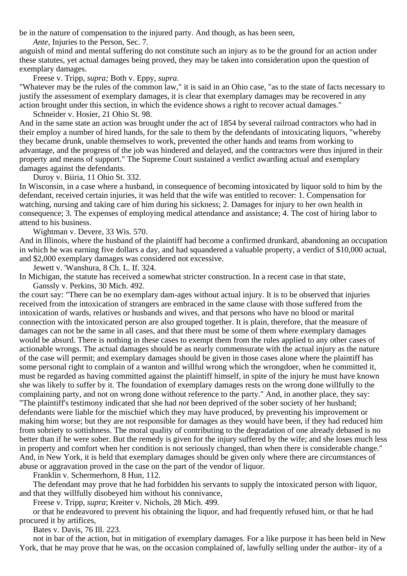be in the nature of compensation to the injured party. And though, as has been seen,

*Ante*, Injuries to the Person, Sec. 7.

anguish of mind and mental suffering do not constitute such an injury as to be the ground for an action under these statutes, yet actual damages being proved, they may be taken into consideration upon the question of exemplary damages.

Freese v. Tripp, *supra;* Both v. Eppy, *supra.*

"Whatever may be the rules of the common law," it is said in an Ohio case, "as to the state of facts necessary to justify the assessment of exemplary damages, it is clear that exemplary damages may be recovered in any action brought under this section, in which the evidence shows a right to recover actual damages."

Schneider v. Hosier, 21 Ohio St. 98.

And in the same state an action was brought under the act of 1854 by several railroad contractors who had in their employ a number of hired hands, for the sale to them by the defendants of intoxicating liquors, "whereby they became drunk, unable themselves to work, prevented the other hands and teams from working to advantage, and the progress of the job was hindered and delayed, and the contractors were thus injured in their property and means of support." The Supreme Court sustained a verdict awarding actual and exemplary damages against the defendants.

Duroy v. Biiria, 11 Ohio St. 332.

In Wisconsin, in a case where a husband, in consequence of becoming intoxicated by liquor sold to him by the defendant, received certain injuries, it was held that the wife was entitled to recover: 1. Compensation for watching, nursing and taking care of him during his sickness; 2. Damages for injury to her own health in consequence; 3. The expenses of employing medical attendance and assistance; 4. The cost of hiring labor to attend to his business.

Wightman v. Devere, 33 Wis. 570.

And in Illinois, where the husband of the plaintiff had become a confirmed drunkard, abandoning an occupation in which he was earning five dollars a day, and had squandered a valuable property, a verdict of \$10,000 actual, and \$2,000 exemplary damages was considered not excessive.

Jewett v. 'Wanshura, 8 Ch. L. If. 324.

In Michigan, the statute has received a somewhat stricter construction. In a recent case in that state,

Ganssly v. Perkins, 30 Mich. 492.

the court say: "There can be no exemplary dam-ages without actual injury. It is to be observed that injuries received from the intoxication of strangers are embraced in the same clause with those suffered from the intoxication of wards, relatives or husbands and wives, and that persons who have no blood or marital connection with the intoxicated person are also grouped together. It is plain, therefore, that the measure of damages can not be the same in all cases, and that there must be some of them where exemplary damages would be absurd. There is nothing in these cases to exempt them from the rules applied to any other cases of actionable wrongs. The actual damages should be as nearly commensurate with the actual injury as the nature of the case will permit; and exemplary damages should be given in those cases alone where the plaintiff has some personal right to complain of a wanton and willful wrong which the wrongdoer, when he committed it, must be regarded as having committed against the plaintiff himself, in spite of the injury he must have known she was likely to suffer by it. The foundation of exemplary damages rests on the wrong done willfully to the complaining party, and not on wrong done without reference to the party." And, in another place, they say: "The plaintiff's testimony indicated that she had *not* been deprived of the sober society of her husband;

defendants were liable for the mischief which they may have produced, by preventing his improvement or making him worse; but they are not responsible for damages as they would have been, if they had reduced him from sobriety to sottishness. The moral quality of contributing to the degradation of one already debased is no better than if he were sober. But the remedy is given for the injury suffered by the wife; and she loses much less in property and comfort when her condition is not seriously changed, than when there is considerable change." And, in New York, it is held that exemplary damages should be given only where there are circumstances of abuse or aggravation proved in the case on the part of the vendor of liquor.

Franklin v. Schermerhorn, 8 Hun, 112.

The defendant may prove that he had forbidden his servants to supply the intoxicated person with liquor, and that they willfully disobeyed him without his connivance,

Freese v. Tripp, *supra*; Kreiter v. Nichols, 28 Mich. 499.

or that he endeavored to prevent his obtaining the liquor, and had frequently refused him, or that he had procured it by artifices,

Bates v. Davis, 76 Ill. 223.

not in bar of the action, but in mitigation of exemplary damages. For a like purpose it has been held in New York, that he may prove that he was, on the occasion complained of, lawfully selling under the author- ity of a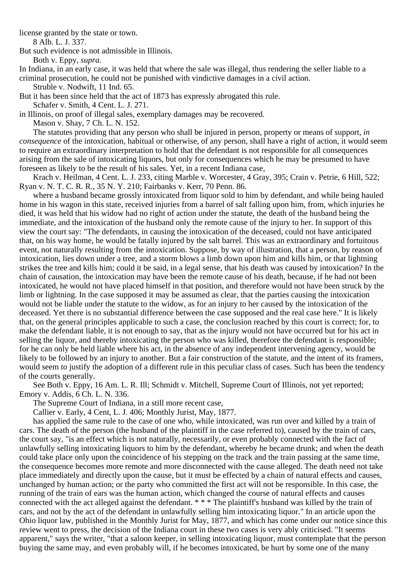license granted by the state or town.

8 Alb. L. J. 337.

But such evidence is not admissible in Illinois.

Both v. Eppy, *supra.*

In Indiana, in an early case, it was held that where the sale was illegal, thus rendering the seller liable to a criminal prosecution, he could not be punished with vindictive damages in a civil action.

Struble v. Nodwift, 11 Ind. 65.

But it has been since held that the act of 1873 has expressly abrogated this rule. Schafer v. Smith, 4 Cent. L. J. 271.

in Illinois, on proof of illegal sales, exemplary damages may be recovered.

Mason v. Shay, 7 Ch. L. N. 152.

The statutes providing that any person who shall be injured in person, property or means of support, *in consequence* of the intoxication, habitual or otherwise, of any person, shall have a right of action, it would seem to require an extraordinary interpretation to hold that the defendant is not responsible for all consequences arising from the sale of intoxicating liquors, but only for consequences which he may be presumed to have foreseen as likely to be the result of his sales. Yet, in a recent Indiana case,

Krach v. Heilman, 4 Cent. L. J. 233, citing Marble v. Worcester, 4 Gray, 395; Crain v. Petrie, 6 Hill, 522; Ryan v. N. T. C. R. R., 35 N. Y. 210; Fairbanks v. Kerr, 70 Penn. 86.

where a husband became grossly intoxicated from liquor sold to him by defendant, and while being hauled home in his wagon in this state, received injuries from a barrel of salt falling upon him, from, which injuries he died, it was held that his widow had no right of action under the statute, the death of the husband being the immediate, and the intoxication of the husband only the remote cause of the injury to her. In support of this view the court say: "The defendants, in causing the intoxication of the deceased, could not have anticipated that, on his way home, he would be fatally injured by the salt barrel. This was an extraordinary and fortuitous event, not naturally resulting from the intoxication. Suppose, by way of illustration, that a person, by reason of intoxication, lies down under a tree, and a storm blows a limb down upon him and kills him, or that lightning strikes the tree and kills him; could it be said, in a legal sense, that his death was caused by intoxication? In the chain of causation, the intoxication may have been the remote cause of his death, because, if he had not been intoxicated, he would not have placed himself in that position, and therefore would not have been struck by the limb or lightning. In the case supposed it may be assumed as clear, that the parties causing the intoxication would not be liable under the statute to the widow, as for an injury to her caused by the intoxication of the deceased. Yet there is no substantial difference between the case supposed and the real case here." It is likely that, on the general principles applicable to such a case, the conclusion reached by this court is correct; for, to make the defendant liable, it is not enough to say, that as the injury would not have occurred but for his act in selling the liquor, and thereby intoxicating the person who was killed, therefore the defendant is responsible; for he can only be held liable where his act, in the absence of any independent intervening agency, would be likely to be followed by an injury to another. But a fair construction of the statute, and the intent of its framers, would seem to justify the adoption of a different rule in this peculiar class of cases. Such has been the tendency of the courts generally.

See Both v. Eppy, 16 Am. L. R. Ill; Schmidt v. Mitchell, Supreme Court of Illinois, not yet reported; Emory v. Addis, 6 Ch. L. N. 336.

The Supreme Court of Indiana, in a still more recent case,

Callier v. Early, 4 Cent, L. J. 406; Monthly Jurist, May, 1877.

has applied the same rule to the case of one who, while intoxicated, was run over and killed by a train of cars. The death of the person (the husband of the plaintiff in the case referred to), caused by the train of cars, the court say, "is an effect which is not naturally, necessarily, or even probably connected with the fact of unlawfully selling intoxicating liquors to him by the defendant, whereby he became drunk; and when the death could take place only upon the coincidence of his stepping on the track and the train passing at the same time, the consequence becomes more remote and more disconnected with the cause alleged. The death need not take place immediately and directly upon the cause, but it must be effected by a chain of natural effects and causes, unchanged by human action; or the party who committed the first act will not be responsible. In this case, the running of the train of ears was the human action, which changed the course of natural effects and causes connected with the act alleged against the defendant. \* \* \* The plaintiff's husband was killed by the train of cars, and not by the act of the defendant in unlawfully selling him intoxicating liquor." In an article upon the Ohio liquor law, published in the Monthly Jurist for May, 1877, and which has come under our notice since this review went to press, the decision of the Indiana court in these two cases is very ably criticised. "It seems apparent," says the writer, "that a saloon keeper, in selling intoxicating liquor, must contemplate that the person buying the same may, and even probably will, if he becomes intoxicated, be hurt by some one of the many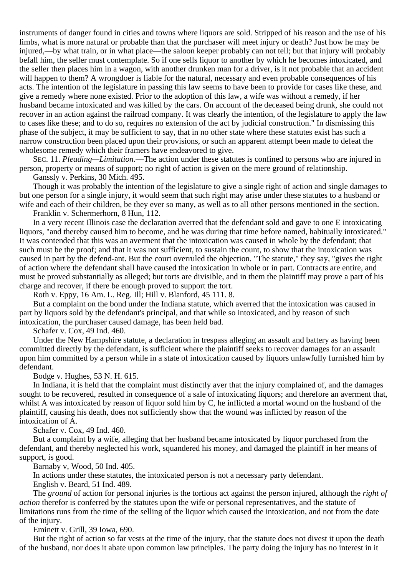instruments of danger found in cities and towns where liquors are sold. Stripped of his reason and the use of his limbs, what is more natural or probable than that the purchaser will meet injury or death? Just how he may be injured,—by what train, or in what place—the saloon keeper probably can not tell; but that injury will probably befall him, the seller must contemplate. So if one sells liquor to another by which he becomes intoxicated, and the seller then places him in a wagon, with another drunken man for a driver, is it not probable that an accident will happen to them? A wrongdoer is liable for the natural, necessary and even probable consequences of his acts. The intention of the legislature in passing this law seems to have been to provide for cases like these, and give a remedy where none existed. Prior to the adoption of this law, a wife was without a remedy, if her husband became intoxicated and was killed by the cars. On account of the deceased being drunk, she could not recover in an action against the railroad company. It was clearly the intention, of the legislature to apply the law to cases like these; and to do so, requires no extension of the act by judicial construction." In dismissing this phase of the subject, it may be sufficient to say, that in no other state where these statutes exist has such a narrow construction been placed upon their provisions, or such an apparent attempt been made to defeat the wholesome remedy which their framers have endeavored to give.

SEC. 11. *Pleading—Limitation*.—The action under these statutes is confined to persons who are injured in person, property or means of support; no right of action is given on the mere ground of relationship.

Ganssly v. Perkins, 30 Mich. 495.

Though it was probably the intention of the legislature to give a single right of action and single damages to but one person for a single injury, it would seem that such right may arise under these statutes to a husband or wife and each of their children, be they ever so many, as well as to all other persons mentioned in the section. Franklin v. Schermerhorn, 8 Hun, 112.

In a very recent Illinois case the declaration averred that the defendant sold and gave to one E intoxicating liquors, "and thereby caused him to become, and he was during that time before named, habitually intoxicated." It was contended that this was an averment that the intoxication was caused in whole by the defendant; that such must be the proof; and that it was not sufficient, to sustain the count, to show that the intoxication was caused in part by the defend-ant. But the court overruled the objection. "The statute," they say, "gives the right of action where the defendant shall have caused the intoxication in whole or in part. Contracts are entire, and must be proved substantially as alleged; but torts are divisible, and in them the plaintiff may prove a part of his charge and recover, if there be enough proved to support the tort.

Roth v. Eppy, 16 Am. L. Reg. Ill; Hill v. Blanford, 45 111. 8.

But a complaint on the bond under the Indiana statute, which averred that the intoxication was caused in part by liquors sold by the defendant's principal, and that while so intoxicated, and by reason of such intoxication, the purchaser caused damage, has been held bad.

Schafer v. Cox, 49 Ind. 460.

Under the New Hampshire statute, a declaration in trespass alleging an assault and battery as having been committed directly by the defendant, is sufficient where the plaintiff seeks to recover damages for an assault upon him committed by a person while in a state of intoxication caused by liquors unlawfully furnished him by defendant.

Bodge v. Hughes, 53 N. H. 615.

In Indiana, it is held that the complaint must distinctly aver that the injury complained of, and the damages sought to be recovered, resulted in consequence of a sale of intoxicating liquors; and therefore an averment that, whilst A was intoxicated by reason of liquor sold him by C, he inflicted a mortal wound on the husband of the plaintiff, causing his death, does not sufficiently show that the wound was inflicted by reason of the intoxication of A.

Schafer v. Cox, 49 Ind. 460.

But a complaint by a wife, alleging that her husband became intoxicated by liquor purchased from the defendant, and thereby neglected his work, squandered his money, and damaged the plaintiff in her means of support, is good.

Barnaby v, Wood, 50 Ind. 405.

In actions under these statutes, the intoxicated person is not a necessary party defendant.

English v. Beard, 51 Ind. 489.

The *ground* of action for personal injuries is the tortious act against the person injured, although the *right of action* therefor is conferred by the statutes upon the wife or personal representatives, and the statute of limitations runs from the time of the selling of the liquor which caused the intoxication, and not from the date of the injury.

Eminett v. Grill, 39 Iowa, 690.

But the right of action so far vests at the time of the injury, that the statute does not divest it upon the death of the husband, nor does it abate upon common law principles. The party doing the injury has no interest in it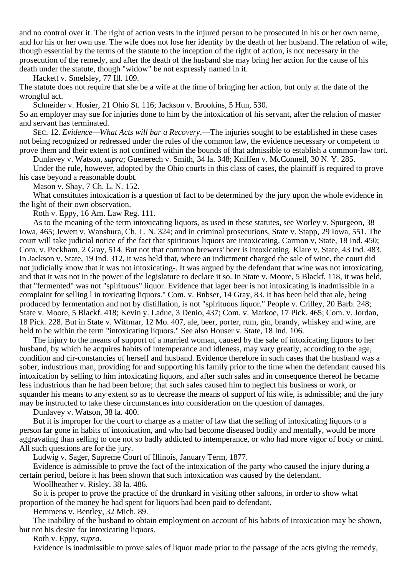and no control over it. The right of action vests in the injured person to be prosecuted in his or her own name, and for his or her own use. The wife does not lose her identity by the death of her husband. The relation of wife, though essential by the terms of the statute to the inception of the right of action, is not necessary in the prosecution of the remedy, and after the death of the husband she may bring her action for the cause of his death under the statute, though "widow" be not expressly named in it.

Hackett v. Smelsley, 77 Ill. 109.

The statute does not require that she be a wife at the time of bringing her action, but only at the date of the wrongful act.

Schneider v. Hosier, 21 Ohio St. 116; Jackson v. Brookins, 5 Hun, 530.

So an employer may sue for injuries done to him by the intoxication of his servant, after the relation of master and servant has terminated.

SEC. 12. *Evidence—What Acts will bar a Recovery*.—The injuries sought to be established in these cases not being recognized or redressed under the rules of the common law, the evidence necessary or competent to prove them and their extent is not confined within the bounds of that admissible to establish a common-law tort.

Dunlavey v. Watson, *supra*; Guenerech v. Smith, 34 la. 348; Kniffen v. McConnell, 30 N. Y. 285.

Under the rule, however, adopted by the Ohio courts in this class of cases, the plaintiff is required to prove his case beyond a reasonable doubt.

Mason v. Shay, 7 Ch. L. N. 152.

What constitutes intoxication is a question of fact to be determined by the jury upon the whole evidence in the light of their own observation.

Roth v. Eppy, 16 Am. Law Reg. 111.

As to the meaning of the term intoxicating liquors, as used in these statutes, see Worley v. Spurgeon, 38 Iowa, 465; Jewett v. Wanshura, Ch. L. N. 324; and in criminal prosecutions, State v. Stapp, 29 Iowa, 551. The court will take judicial notice of the fact that spirituous liquors are intoxicating. Carmon v, State, 18 Ind. 450; Com. v. Peckham, 2 Gray, 514. But not that common brewers' beer is intoxicating. Klare v. State, 43 Ind. 483. In Jackson v. State, 19 Ind. 312, it was held that, where an indictment charged the sale of wine, the court did not judicially know that it was not intoxicating-. It was argued by the defendant that wine was not intoxicating, and that it was not in the power of the legislature to declare it so. In State v. Moore, 5 Blackf. 118, it was held, that "fermented" was not "spirituous" liquor. Evidence that lager beer is not intoxicating is inadmissible in a complaint for selling l in toxicating liquors." Com. v. Bnbser, 14 Gray, 83. It has been held that ale, being produced by fermentation and not by distillation, is not "spirituous liquor." People v. Crilley, 20 Barb. 248; State v. Moore, 5 Blackf. 418; Kevin y. Ladue, 3 Denio, 437; Com. v. Markoe, 17 Pick. 465; Com. v. Jordan, 18 Pick. 228. But in State v. Wittmar, 12 Mo. 407, ale, beer, porter, rum, gin, brandy, whiskey and wine, are held to be within the term "intoxicating liquors." See also Houser v. State, 18 Ind. 106.

The injury to the means of support of a married woman, caused by the sale of intoxicating liquors to her husband, by which he acquires habits of intemperance and idleness, may vary greatly, according to the age, condition and cir-constancies of herself and husband. Evidence therefore in such cases that the husband was a sober, industrious man, providing for and supporting his family prior to the time when the defendant caused his intoxication by selling to him intoxicating liquors, and after such sales and in consequence thereof he became less industrious than he had been before; that such sales caused him to neglect his business or work, or squander his means to any extent so as to decrease the means of support of his wife, is admissible; and the jury may be instructed to take these circumstances into consideration on the question of damages.

Dunlavey v. Watson, 38 la. 400.

But it is improper for the court to charge as a matter of law that the selling of intoxicating liquors to a person far gone in habits of intoxication, and who had become diseased bodily and mentally, would be more aggravating than selling to one not so badly addicted to intemperance, or who had more vigor of body or mind. All such questions are for the jury.

Ludwig v. Sager, Supreme Court of Illinois, January Term, 1877.

Evidence is admissible to prove the fact of the intoxication of the party who caused the injury during a certain period, before it has been shown that such intoxication was caused by the defendant.

Woollheather v. Risley, 38 la. 486.

So it is proper to prove the practice of the drunkard in visiting other saloons, in order to show what proportion of the money he had spent for liquors had been paid to defendant.

Hemmens v. Bentley, 32 Mich. 89.

The inability of the husband to obtain employment on account of his habits of intoxication may be shown, but not his desire for intoxicating liquors.

Roth v. Eppy, *supra*.

Evidence is inadmissible to prove sales of liquor made prior to the passage of the acts giving the remedy,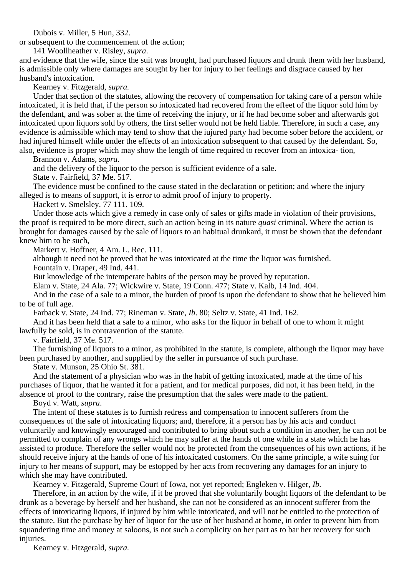Dubois v. Miller, 5 Hun, 332.

or subsequent to the commencement of the action;

141 Woollheather v. Risley, *supra*.

and evidence that the wife, since the suit was brought, had purchased liquors and drunk them with her husband, is admissible only where damages are sought by her for injury to her feelings and disgrace caused by her husband's intoxication.

Kearney v. Fitzgerald, *supra.*

Under that section of the statutes, allowing the recovery of compensation for taking care of a person while intoxicated, it is held that, if the person so intoxicated had recovered from the effeet of the liquor sold him by the defendant, and was sober at the time of receiving the injury, or if he had become sober and afterwards got intoxicated upon liquors sold by others, the first seller would not be held liable. Therefore, in such a case, any evidence is admissible which may tend to show that the iujured party had become sober before the accident, or had injured himself while under the effects of an intoxication subsequent to that caused by the defendant. So, also, evidence is proper which may show the length of time required to recover from an intoxica- tion,

Brannon v. Adams, *supra*.

and the delivery of the liquor to the person is sufficient evidence of a sale.

State v. Fairfield, 37 Me. 517.

The evidence must be confined to the cause stated in the declaration or petition; and where the injury alleged is to means of support, it is error to admit proof of injury to property.

Hackett v. Smelsley. 77 111. 109.

Under those acts which give a remedy in case only of sales or gifts made in violation of their provisions, the proof is required to be more direct, such an action being in its nature *quasi* criminal. Where the action is brought for damages caused by the sale of liquors to an habitual drunkard, it must be shown that the defendant knew him to be such,

Markert v. Hoffner, 4 Am. L. Rec. 111.

although it need not be proved that he was intoxicated at the time the liquor was furnished.

Fountain v. Draper, 49 Ind. 441.

But knowledge of the intemperate habits of the person may be proved by reputation.

Elam v. State, 24 Ala. 77; Wickwire v. State, 19 Conn. 477; State v. Kalb, 14 Ind. 404.

And in the case of a sale to a minor, the burden of proof is upon the defendant to show that he believed him to be of full age.

Farback v. State, 24 Ind. 77; Rineman v. State, *Ib*. 80; Seltz v. State, 41 Ind. 162.

And it has been held that a sale to a minor, who asks for the liquor in behalf of one to whom it might lawfully be sold, is in contravention of the statute.

v. Fairfield, 37 Me. 517.

The furnishing of liquors to a minor, as prohibited in the statute, is complete, although the liquor may have been purchased by another, and supplied by the seller in pursuance of such purchase.

State v. Munson, 25 Ohio St. 381.

And the statement of a physician who was in the habit of getting intoxicated, made at the time of his purchases of liquor, that he wanted it for a patient, and for medical purposes, did not, it has been held, in the absence of proof to the contrary, raise the presumption that the sales were made to the patient.

Boyd v. Watt, *supra*.

The intent of these statutes is to furnish redress and compensation to innocent sufferers from the consequences of the sale of intoxicating liquors; and, therefore, if a person has by his acts and conduct voluntarily and knowingly encouraged and contributed to bring about such a condition in another, he can not be permitted to complain of any wrongs which he may suffer at the hands of one while in a state which he has assisted to produce. Therefore the seller would not be protected from the consequences of his own actions, if he should receive injury at the hands of one of his intoxicated customers. On the same principle, a wife suing for injury to her means of support, may be estopped by her acts from recovering any damages for an injury to which she may have contributed.

Kearney v. Fitzgerald, Supreme Court of Iowa, not yet reported; Engleken v. Hilger, *Ib.*

Therefore, in an action by the wife, if it be proved that she voluntarily bought liquors of the defendant to be drunk as a beverage by herself and her husband, she can not be considered as an innocent sufferer from the effects of intoxicating liquors, if injured by him while intoxicated, and will not be entitled to the protection of the statute. But the purchase by her of liquor for the use of her husband at home, in order to prevent him from squandering time and money at saloons, is not such a complicity on her part as to bar her recovery for such injuries.

Kearney v. Fitzgerald, *supra.*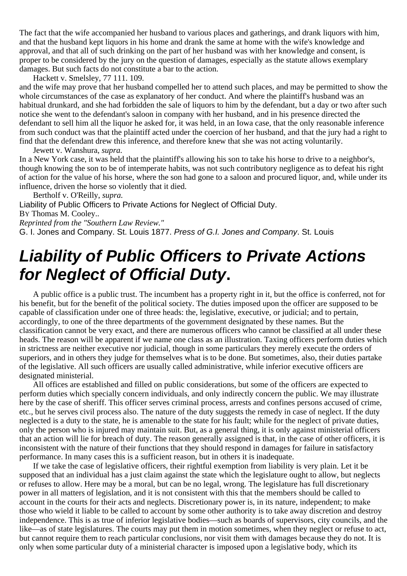The fact that the wife accompanied her husband to various places and gatherings, and drank liquors with him, and that the husband kept liquors in his home and drank the same at home with the wife's knowledge and approval, and that all of such drinking on the part of her husband was with her knowledge and consent, is proper to be considered by the jury on the question of damages, especially as the statute allows exemplary damages. But such facts do not constitute a bar to the action.

Hackett v. Smelsley, 77 111. 109.

and the wife may prove that her husband compelled her to attend such places, and may be permitted to show the whole circumstances of the case as explanatory of her conduct. And where the plaintiff's husband was an habitual drunkard, and she had forbidden the sale of liquors to him by the defendant, but a day or two after such notice she went to the defendant's saloon in company with her husband, and in his presence directed the defendant to sell him all the liquor he asked for, it was held, in an Iowa case, that the only reasonable inference from such conduct was that the plaintiff acted under the coercion of her husband, and that the jury had a right to find that the defendant drew this inference, and therefore knew that she was not acting voluntarily.

Jewett v. Wanshura, *supra.*

In a New York case, it was held that the plaintiff's allowing his son to take his horse to drive to a neighbor's, though knowing the son to be of intemperate habits, was not such contributory negligence as to defeat his right of action for the value of his horse, where the son had gone to a saloon and procured liquor, and, while under its influence, driven the horse so violently that it died.

Bertholf v. O'Reilly, *supra.*

Liability of Public Officers to Private Actions for Neglect of Official Duty. BY Thomas M. Cooley.. *Reprinted from the "Southern Law Review."* G. I. Jones and Company. St. Louis 1877. Press of G.I. Jones and Company. St. Louis

# **Liability of Public Officers to Private Actions for Neglect of Official Duty.**

A public office is a public trust. The incumbent has a property right in it, but the office is conferred, not for his benefit, but for the benefit of the political society. The duties imposed upon the officer are supposed to be capable of classification under one of three heads: the, legislative, executive, or judicial; and to pertain, accordingly, to one of the three departments of the government designated by these names. But the classification cannot be very exact, and there are numerous officers who cannot be classified at all under these heads. The reason will be apparent if we name one class as an illustration. Taxing officers perform duties which in strictness are neither executive nor judicial, though in some particulars they merely execute the orders of superiors, and in others they judge for themselves what is to be done. But sometimes, also, their duties partake of the legislative. All such officers are usually called administrative, while inferior executive officers are designated ministerial.

All offices are established and filled on public considerations, but some of the officers are expected to perform duties which specially concern individuals, and only indirectly concern the public. We may illustrate here by the case of sheriff. This officer serves criminal process, arrests and confines persons accused of crime, etc., but he serves civil process also. The nature of the duty suggests the remedy in case of neglect. If the duty neglected is a duty to the state, he is amenable to the state for his fault; while for the neglect of private duties, only the person who is injured may maintain suit. But, as a general thing, it is only against ministerial officers that an action will lie for breach of duty. The reason generally assigned is that, in the case of other officers, it is inconsistent with the nature of their functions that they should respond in damages for failure in satisfactory performance. In many cases this is a sufficient reason, but in others it is inadequate.

If we take the case of legislative officers, their rightful exemption from liability is very plain. Let it be supposed that an individual has a just claim against the state which the legislature ought to allow, but neglects or refuses to allow. Here may be a moral, but can be no legal, wrong. The legislature has full discretionary power in all matters of legislation, and it is not consistent with this that the members should be called to account in the courts for their acts and neglects. Discretionary power is, in its nature, independent; to make those who wield it liable to be called to account by some other authority is to take away discretion and destroy independence. This is as true of inferior legislative bodies—such as boards of supervisors, city councils, and the like—as of state legislatures. The courts may put them in motion sometimes, when they neglect or refuse to act, but cannot require them to reach particular conclusions, nor visit them with damages because they do not. It is only when some particular duty of a ministerial character is imposed upon a legislative body, which its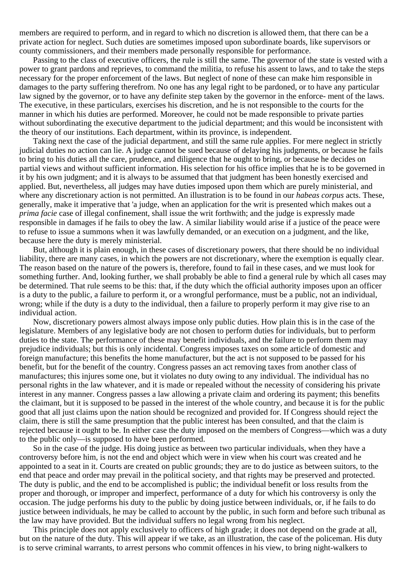members are required to perform, and in regard to which no discretion is allowed them, that there can be a private action for neglect. Such duties are sometimes imposed upon subordinate boards, like supervisors or county commissioners, and their members made personally responsible for performance.

Passing to the class of executive officers, the rule is still the same. The governor of the state is vested with a power to grant pardons and reprieves, to command the militia, to refuse his assent to laws, and to take the steps necessary for the proper enforcement of the laws. But neglect of none of these can make him responsible in damages to the party suffering therefrom. No one has any legal right to be pardoned, or to have any particular law signed by the governor, or to have any definite step taken by the governor in the enforce- ment of the laws. The executive, in these particulars, exercises his discretion, and he is not responsible to the courts for the manner in which his duties are performed. Moreover, he could not be made responsible to private parties without subordinating the executive department to the judicial department; and this would be inconsistent with the theory of our institutions. Each department, within its province, is independent.

Taking next the case of the judicial department, and still the same rule applies. For mere neglect in strictly judicial duties no action can lie. A judge cannot be sued because of delaying his judgments, or because he fails to bring to his duties all the care, prudence, and diligence that he ought to bring, or because he decides on partial views and without sufficient information. His selection for his office implies that he is to be governed in it by his own judgment; and it is always to be assumed that that judgment has been honestly exercised and applied. But, nevertheless, all judges may have duties imposed upon them which are purely ministerial, and where any discretionary action is not permitted. An illustration is to be found in our *habeas corpus* acts. These, generally, make it imperative that 'a judge, when an application for the writ is presented which makes out a *prima facie* case of illegal confinement, shall issue the writ forthwith; and the judge is expressly made responsible in damages if he fails to obey the law. A similar liability would arise if a justice of the peace were to refuse to issue a summons when it was lawfully demanded, or an execution on a judgment, and the like, because here the duty is merely ministerial.

But, although it is plain enough, in these cases of discretionary powers, that there should be no individual liability, there are many cases, in which the powers are not discretionary, where the exemption is equally clear. The reason based on the nature of the powers is, therefore, found to fail in these cases, and we must look for something further. And, looking further, we shall probably be able to find a general rule by which all cases may be determined. That rule seems to be this: that, if the duty which the official authority imposes upon an officer is a duty to the public, a failure to perform it, or a wrongful performance, must be a public, not an individual, wrong; while if the duty is a duty to the individual, then a failure to properly perform it may give rise to an individual action.

Now, discretionary powers almost always impose only public duties. How plain this is in the case of the legislature. Members of any legislative body are not chosen to perform duties for individuals, but to perform duties to the state. The performance of these may benefit individuals, and the failure to perform them may prejudice individuals; but this is only incidental. Congress imposes taxes on some article of domestic and foreign manufacture; this benefits the home manufacturer, but the act is not supposed to be passed for his benefit, but for the benefit of the country. Congress passes an act removing taxes from another class of manufactures; this injures some one, but it violates no duty owing to any individual. The individual has no personal rights in the law whatever, and it is made or repealed without the necessity of considering his private interest in any manner. Congress passes a law allowing a private claim and ordering its payment; this benefits the claimant, but it is supposed to be passed in the interest of the whole country, and because it is for the public good that all just claims upon the nation should be recognized and provided for. If Congress should reject the claim, there is still the same presumption that the public interest has been consulted, and that the claim is rejected because it ought to be. In either case the duty imposed on the members of Congress—which was a duty to the public only—is supposed to have been performed.

So in the case of the judge. His doing justice as between two particular individuals, when they have a controversy before him, is not the end and object which were in view when his court was created and he appointed to a seat in it. Courts are created on public grounds; they are to do justice as between suitors, to the end that peace and order may prevail in the political society, and that rights may be preserved and protected. The duty is public, and the end to be accomplished is public; the individual benefit or loss results from the proper and thorough, or improper and imperfect, performance of a duty for which his controversy is only the occasion. The judge performs his duty to the public by doing justice between individuals, or, if he fails to do justice between individuals, he may be called to account by the public, in such form and before such tribunal as the law may have provided. But the individual suffers no legal wrong from his neglect.

This principle does not apply exclusively to officers of high grade; it does not depend on the grade at all, but on the nature of the duty. This will appear if we take, as an illustration, the case of the policeman. His duty is to serve criminal warrants, to arrest persons who commit offences in his view, to bring night-walkers to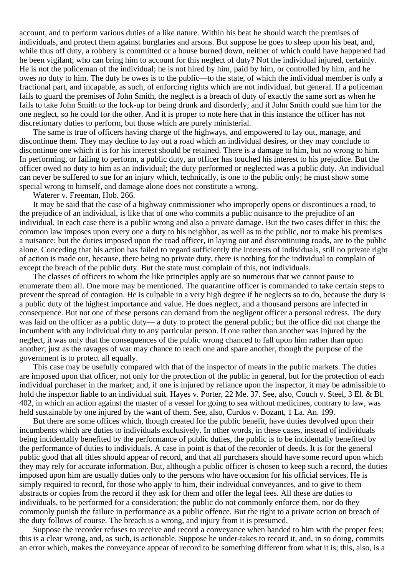account, and to perform various duties of a like nature. Within his beat he should watch the premises of individuals, and protect them against burglaries and arsons. But suppose he goes to sleep upon his beat, and, while thus off duty, a robbery is committed or a house burned down, neither of which could have happened had he been vigilant; who can bring him to account for this neglect of duty? Not the individual injured, certainly. He is not the policeman of the individual; he is not hired by him, paid by him, or controlled by him, and he owes no duty to him. The duty he owes is to the public—to the state, of which the individual member is only a fractional part, and incapable, as such, of enforcing rights which are not individual, but general. If a policeman fails to guard the premises of John Smith, the neglect is a breach of duty of exactly the same sort as when he fails to take John Smith to the lock-up for being drunk and disorderly; and if John Smith could sue him for the one neglect, so he could for the other. And it is proper to note here that in this instance the officer has not discretionary duties to perform, but those which are purely ministerial.

The same is true of officers having charge of the highways, and empowered to lay out, manage, and discontinue them. They may decline to lay out a road which an individual desires, or they may conclude to discontinue one which it is for his interest should be retained. There is a damage to him, but no wrong to him. In performing, or failing to perform, a public duty, an officer has touched his interest to his prejudice. But the officer owed no duty to him as an individual; the duty performed or neglected was a public duty. An individual can never be suffered to sue for an injury which, technically, is one to the public only; he must show some special wrong to himself, and damage alone does not constitute a wrong.

Waterer v. Freeman, Hob. 266.

It may be said that the case of a highway commissioner who improperly opens or discontinues a road, to the prejudice of an individual, is like that of one who commits a public nuisance to the prejudice of an individual. In each case there is a public wrong and also a private damage. But the two cases differ in this: the common law imposes upon every one a duty to his neighbor, as well as to the public, not to make his premises a nuisance; but the duties imposed upon the road officer, in laying out and discontinuing roads, are to the public alone. Conceding that his action has failed to regard sufficiently the interests of individuals, still no private right of action is made out, because, there being no private duty, there is nothing for the individual to complain of except the breach of the public duty. But the state must complain of this, not individuals.

The classes of officers to whom the like principles apply are so numerous that we cannot pause to enumerate them all. One more may be mentioned. The quarantine officer is commanded to take certain steps to prevent the spread of contagion. He is culpable in a very high degree if he neglects so to do, because the duty is a public duty of the highest importance and value. He does neglect, and a thousand persons are infected in consequence. But not one of these persons can demand from the negligent officer a personal redress. The duty was laid on the officer as a public duty— a duty to protect the general public; but the office did not charge the incumbent with any individual duty to any particular person. If one rather than another was injured by the neglect, it was only that the consequences of the public wrong chanced to fall upon him rather than upon another; just as the ravages of war may chance to reach one and spare another, though the purpose of the government is to protect all equally.

This case may be usefully compared with that of the inspector of meats in the public markets. The duties are imposed upon that officer, not only for the protection of the public in general, but for the protection of each individual purchaser in the market; and, if one is injured by reliance upon the inspector, it may be admissible to hold the inspector liable to an individual suit. Hayes v. Porter, 22 Me. 37. See, also, Couch v. Steel, 3 El. & Bl. 402, in which an action against the master of a vessel for going to sea without medicines, contrary to law, was held sustainable by one injured by the want of them. See, also, Curdos v. Bozant, 1 La. An. 199.

But there are some offices which, though created for the public benefit, have duties devolved upon their incumbents which are duties to individuals exclusively. In other words, in these cases, instead of individuals being incidentally benefited by the performance of public duties, the public is to be incidentally benefited by the performance of duties to individuals. A case in point is that of the recorder of deeds. It is for the general public good that all titles should appear of record, and that all purchasers should have some record upon which they may rely for accurate information. But, although a public officer is chosen to keep such a record, the duties imposed upon him are usually duties only to the persons who have occasion for his official services. He is simply required to record, for those who apply to him, their individual conveyances, and to give to them abstracts or copies from the record if they ask for them and offer the legal fees. All these are duties to individuals, to be performed for a consideration; the public do not commonly enforce them, nor do they commonly punish the failure in performance as a public offence. But the right to a private action on breach of the duty follows of course. The breach is a wrong, and injury from it is presumed.

Suppose the recorder refuses to receive and record a conveyance when handed to him with the proper fees; this is a clear wrong, and, as such, is actionable. Suppose he under-takes to record it, and, in so doing, commits an error which, makes the conveyance appear of record to be something different from what it is; this, also, is a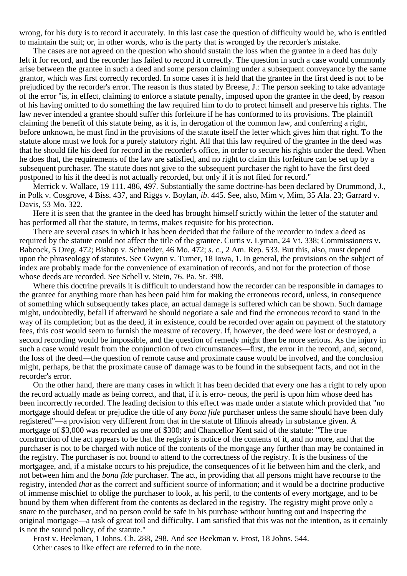wrong, for his duty is to record it accurately. In this last case the question of difficulty would be, who is entitled to maintain the suit; or, in other words, who is the party that is wronged by the recorder's mistake.

The cases are not agreed on the question who should sustain the loss when the grantee in a deed has duly left it for record, and the recorder has failed to record it correctly. The question in such a case would commonly arise between the grantee in such a deed and some person claiming under a subsequent conveyance by the same grantor, which was first correctly recorded. In some cases it is held that the grantee in the first deed is not to be prejudiced by the recorder's error. The reason is thus stated by Breese, J.: The person seeking to take advantage of the error "is, in effect, claiming to enforce a statute penalty, imposed upon the grantee in the deed, by reason of his having omitted to do something the law required him to do to protect himself and preserve his rights. The law never intended a grantee should suffer this forfeiture if he has conformed to its provisions. The plaintiff claiming the benefit of this statute being, as it is, in derogation of the common law, and conferring a right, before unknown, he must find in the provisions of the statute itself the letter which gives him that right. To the statute alone must we look for a purely statutory right. All that this law required of the grantee in the deed was that he should file his deed for record in the recorder's office, in order to secure his rights under the deed. When he does that, the requirements of the law are satisfied, and no right to claim this forfeiture can be set up by a subsequent purchaser. The statute does not give to the subsequent purchaser the right to have the first deed postponed to his if the deed is not actually recorded, but only if it is not filed for record."

Merrick v. Wallace, 19 111. 486, 497. Substantially the same doctrine-has been declared by Drummond, J., in Polk v. Cosgrove, 4 Biss. 437, and Riggs v. Boylan, *ib*. 445. See, also, Mim v, Mim, 35 Ala. 23; Garrard v. Davis, 53 Mo. 322.

Here it is seen that the grantee in the deed has brought himself strictly within the letter of the statuter and has performed all that the statute, in terms, makes requisite for his protection.

There are several cases in which it has been decided that the failure of the recorder to index a deed as required by the statute could not affect the title of the grantee. Curtis v. Lyman, 24 Vt. 338; Commissioners v. Babcock, 5 Oreg. 472; Bishop v. Schneider, 46 Mo. 472; *s. c.*, 2 Am. Rep. 533. But this, also, must depend upon the phraseology of statutes. See Gwynn v. Turner, 18 Iowa, 1. In general, the provisions on the subject of index are probably made for the convenience of examination of records, and not for the protection of those whose deeds are recorded. See Schell v. Stein, 76. Pa. St. 398.

Where this doctrine prevails it is difficult to understand how the recorder can be responsible in damages to the grantee for anything more than has been paid him for making the erroneous record, unless, in consequence of something which subsequently takes place, an actual damage is suffered which can be shown. Such damage might, undoubtedly, befall if afterward he should negotiate a sale and find the erroneous record to stand in the way of its completion; but as the deed, if in existence, could be recorded over again on payment of the statutory fees, this cost would seem to furnish the measure of recovery. If, however, the deed were lost or destroyed, a second recording would be impossible, and the question of remedy might then be more serious. As the injury in such a case would result from the conjunction of two circumstances—first, the error in the record, and, second, the loss of the deed—the question of remote cause and proximate cause would be involved, and the conclusion might, perhaps, be that the proximate cause of' damage was to be found in the subsequent facts, and not in the recorder's error.

On the other hand, there are many cases in which it has been decided that every one has a right to rely upon the record actually made as being correct, and that, if it is erro- neous, the peril is upon him whose deed has been incorrectly recorded. The leading decision to this effect was made under a statute which provided that "no mortgage should defeat or prejudice the title of any *bona fide* purchaser unless the same should have been duly registered"—a provision very different from that in the statute of Illinois already in substance given. A mortgage of \$3,000 was recorded as one of \$300; and Chancellor Kent said of the statute: "The true construction of the act appears to be that the registry is notice of the contents of it, and no more, and that the purchaser is not to be charged with notice of the contents of the mortgage any further than may be contained in the registry. The purchaser is not bound to attend to the correctness of the registry. It is the business of the mortgagee, and, if a mistake occurs to his prejudice, the consequences of it lie between him and the clerk, and not between him and the *bona fide* purchaser. The act, in providing that all persons might have recourse to the registry, intended *that* as the correct and sufficient source of information; and it would be a doctrine productive of immense mischief to oblige the purchaser to look, at his peril, to the contents of every mortgage, and to be bound by them when different from the contents as declared in the registry. The registry might prove only a snare to the purchaser, and no person could be safe in his purchase without hunting out and inspecting the original mortgage—a task of great toil and difficulty. I am satisfied that this was not the intention, as it certainly is not the sound policy, of the statute."

Frost v. Beekman, 1 Johns. Ch. 288, 298. And see Beekman v. Frost, 18 Johns. 544. Other cases to like effect are referred to in the note.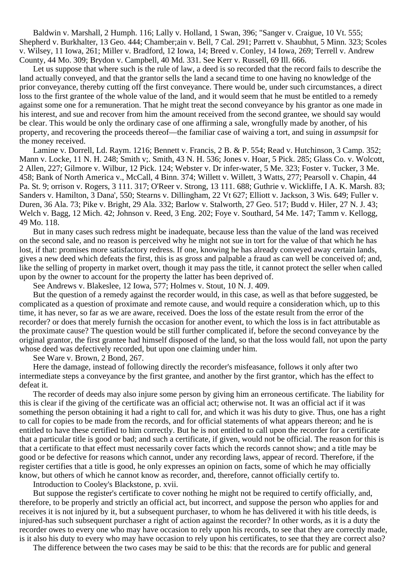Baldwin v. Marshall, 2 Humph. 116; Lally v. Holland, 1 Swan, 396; "Sanger v. Craigue, 10 Vt. 555; Shepherd v. Burkhalter, 13 Geo. 444; Chamber;ain v. Bell, 7 Cal. 291; Parrett v. Shaubhut, 5 Minn. 323; Scoles v. Wilsey, 11 Iowa, 261; Miller v. Bradford, 12 Iowa, 14; Breed v. Conley, 14 Iowa, 269; Terrell v. Andrew County, 44 Mo. 309; Brydon v. Campbell, 40 Md. 331. See Kerr v. Russell, 69 Ill. 666.

Let us suppose that where such is the rule of law, a deed is so recorded that the record fails to describe the land actually conveyed, and that the grantor sells the land a secand time to one having no knowledge of the prior conveyance, thereby cutting off the first conveyance. There would be, under such circumstances, a direct loss to the first grantee of the whole value of the land, and it would seem that he must be entitled to a remedy against some one for a remuneration. That he might treat the second conveyance by his grantor as one made in his interest, and sue and recover from him the amount received from the second grantee, we should say would be clear. This would be only the ordinary case of one affirming a sale, wrongfully made by another, of his property, and recovering the proceeds thereof—the familiar case of waiving a tort, and suing in *assumpsit* for the money received.

Lamine v. Dorrell, Ld. Raym. 1216; Bennett v. Francis, 2 B. & P. 554; Read v. Hutchinson, 3 Camp. 352; Mann v. Locke, 11 N. H. 248; Smith v;. Smith, 43 N. H. 536; Jones v. Hoar, 5 Pick. 285; Glass Co. v. Wolcott, 2 Allen, 227; Gilmore v. Wilbur, 12 Pick. 124; Webster v. Dr infer-water, 5 Me. 323; Foster v. Tucker, 3 Me. 458; Bank of North America v., McCall, 4 Binn. 374; Willett v. Willett, 3 Watts, 277; Pearsoll v. Chapin, 44 Pa. St. 9; orrison v. Rogers, 3 111. 317; O'Reer v. Strong, 13 111. 688; Guthrie v. Wickliffe, I A. K. Marsh. 83; Sanders v. Hamilton, 3 Dana', 550; Stearns v. Dillingham, 22 Vt 627; Elliott v. Jackson, 3 Wis. 649; Fuller v. Duren, 36 Ala. 73; Pike v. Bright, 29 Ala. 332; Barlow v. Stalworth, 27 Geo. 517; Budd v. Hiler, 27 N. J. 43; Welch v. Bagg, 12 Mich. 42; Johnson v. Reed, 3 Eng. 202; Foye v. Southard, 54 Me. 147; Tamm v. Kellogg, 49 Mo. 118.

But in many cases such redress might be inadequate, because less than the value of the land was received on the second sale, and no reason is perceived why he might not sue in tort for the value of that which he has lost, if that: promises more satisfactory redress. If one, knowing he has already conveyed away certain lands, gives a new deed which defeats the first, this is as gross and palpable a fraud as can well be conceived of; and, like the selling of property in market overt, though it may pass the title, it cannot protect the seller when called upon by the owner to account for the property the latter has been deprived of.

See Andrews v. Blakeslee, 12 Iowa, 577; Holmes v. Stout, 10 N. J. 409.

But the question of a remedy against the recorder would, in this case, as well as that before suggested, be complicated as a question of proximate and remote cause, and would require a consideration which, up to this time, it has never, so far as we are aware, received. Does the loss of the estate result from the error of the recorder? or does that merely furnish the occasion for another event, to which the loss is in fact attributable as the proximate cause? The question would be still further complicated if, before the second conveyance by the original grantor, the first grantee had himself disposed of the land, so that the loss would fall, not upon the party whose deed was defectively recorded, but upon one claiming under him.

See Ware v. Brown, 2 Bond, 267.

Here the damage, instead of following directly the recorder's misfeasance, follows it only after two intermediate steps a conveyance by the first grantee, and another by the first grantor, which has the effect to defeat it.

The recorder of deeds may also injure some person by giving him an erroneous certificate. The liability for this is clear if the giving of the certificate was an official act; otherwise not. It was an official act if it was something the person obtaining it had a right to call for, and which it was his duty to give. Thus, one has a right to call for copies to be made from the records, and for official statements of what appears thereon; and he is entitled to have these certified to him correctly. But he is not entitled to call upon the recorder for a certificate that a particular title is good or bad; and such a certificate, if given, would not be official. The reason for this is that a certificate to that effect must necessarily cover facts which the records cannot show; and a title may be good or be defective for reasons which cannot, under any recording laws, appear of record. Therefore, if the register certifies that a title is good, he only expresses an opinion on facts, some of which he may officially know, but others of which he cannot know as recorder, and, therefore, cannot officially certify to.

Introduction to Cooley's Blackstone, p. xvii.

But suppose the register's certificate to cover nothing he might not be required to certify officially, and, therefore, to be properly and strictly an official act, but incorrect, and suppose the person who applies for and receives it is not injured by it, but a subsequent purchaser, to whom he has delivered it with his title deeds, is injured-has such subsequent purchaser a right of action against the recorder? In other words, as it is a duty the recorder owes to every one who may have occasion to rely upon his records, to see that they are correctly made, is it also his duty to every who may have occasion to rely upon his certificates, to see that they are correct also?

The difference between the two cases may be said to be this: that the records are for public and general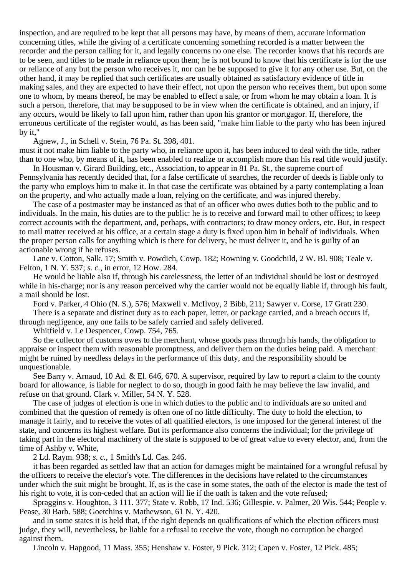inspection, and are required to be kept that all persons may have, by means of them, accurate information concerning titles, while the giving of a certificate concerning something recorded is a matter between the recorder and the person calling for it, and legally concerns no one else. The recorder knows that his records are to be seen, and titles to be made in reliance upon them; he is not bound to know that his certificate is for the use or reliance of any but the person who receives it, nor can he be supposed to give it for any other use. But, on the other hand, it may be replied that such certificates are usually obtained as satisfactory evidence of title in making sales, and they are expected to have their effect, not upon the person who receives them, but upon some one to whom, by means thereof, he may be enabled to effect a sale, or from whom he may obtain a loan. It is such a person, therefore, that may be supposed to be in view when the certificate is obtained, and an injury, if any occurs, would be likely to fall upon him, rather than upon his grantor or mortgagor. If, therefore, the erroneous certificate of the register would, as has been said, "make him liable to the party who has been injured by it,"

Agnew, J., in Schell v. Stein, 76 Pa. St. 398, 401.

must it not make him liable to the party who, in reliance upon it, has been induced to deal with the title, rather than to one who, by means of it, has been enabled to realize or accomplish more than his real title would justify.

In Housman v. Girard Building, etc., Association, to appear in 81 Pa. St., the supreme court of Pennsylvania has recently decided that, for a false certificate of searches, the recorder of deeds is liable only to the party who employs him to make it. In that case the certificate was obtained by a party contemplating a loan on the property, and who actually made a loan, relying on the certificate, and was injured thereby.

The case of a postmaster may be instanced as that of an officer who owes duties both to the public and to individuals. In the main, his duties are to the public: he is to receive and forward mail to other offices; to keep correct accounts with the department, and, perhaps, with contractors; to draw money orders, etc. But, in respect to mail matter received at his office, at a certain stage a duty is fixed upon him in behalf of individuals. When the proper person calls for anything which is there for delivery, he must deliver it, and he is guilty of an actionable wrong if he refuses.

Lane v. Cotton, Salk. 17; Smith v. Powdich, Cowp. 182; Rowning v. Goodchild, 2 W. Bl. 908; Teale v. Felton, 1 N. Y. 537; *s. c.*, in error, 12 How. 284.

He would be liable also if, through his carelessness, the letter of an individual should be lost or destroyed while in his-charge; nor is any reason perceived why the carrier would not be equally liable if, through his fault, a mail should be lost.

Ford v. Parker, 4 Ohio (N. S.), 576; Maxwell v. McIlvoy, 2 Bibb, 211; Sawyer v. Corse, 17 Gratt 230. There is a separate and distinct duty as to each paper, letter, or package carried, and a breach occurs if,

through negligence, any one fails to be safely carried and safely delivered.

Whitfield v. Le Despencer, Cowp. 754, 765.

So the collector of customs owes to the merchant, whose goods pass through his hands, the obligation to appraise or inspect them with reasonable promptness, and deliver them on the duties being paid. A merchant might be ruined by needless delays in the performance of this duty, and the responsibility should be unquestionable.

See Barry v. Arnaud, 10 Ad. & El. 646, 670. A supervisor, required by law to report a claim to the county board for allowance, is liable for neglect to do so, though in good faith he may believe the law invalid, and refuse on that ground. Clark v. Miller, 54 N. Y. 528.

The case of judges of election is one in which duties to the public and to individuals are so united and combined that the question of remedy is often one of no little difficulty. The duty to hold the election, to manage it fairly, and to receive the votes of all qualified electors, is one imposed for the general interest of the state, and concerns its highest welfare. But its performance also concerns the individual; for the privilege of taking part in the electoral machinery of the state is supposed to be of great value to every elector, and, from the time of Ashby v. White,

2 Ld. Raym. 938; *s. c.*, 1 Smith's Ld. Cas. 246.

it has been regarded as settled law that an action for damages might be maintained for a wrongful refusal by the officers to receive the elector's vote. The differences in the decisions have related to the circumstances under which the suit might be brought. If, as is the case in some states, the oath of the elector is made the test of his right to vote, it is con-ceded that an action will lie if the oath is taken and the vote refused;

Spraggins v. Houghton, 3 111. 377; State v. Robb, 17 Ind. 536; Gillespie. v. Palmer, 20 Wis. 544; People v. Pease, 30 Barb. 588; Goetchins v. Mathewson, 61 N. Y. 420.

and in some states it is held that, if the right depends on qualifications of which the election officers must judge, they will, nevertheless, be liable for a refusal to receive the vote, though no corruption be charged against them.

Lincoln v. Hapgood, 11 Mass. 355; Henshaw v. Foster, 9 Pick. 312; Capen v. Foster, 12 Pick. 485;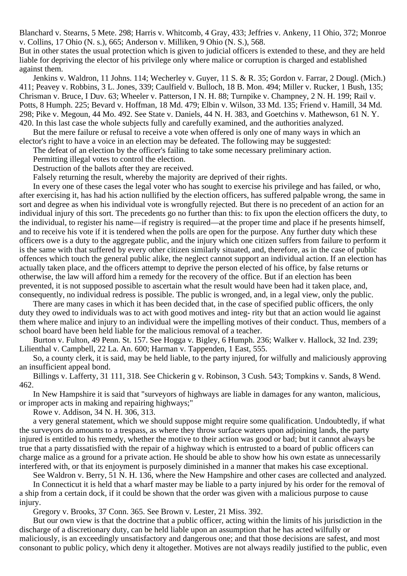Blanchard v. Stearns, 5 Mete. 298; Harris v. Whitcomb, 4 Gray, 433; Jeffries v. Ankeny, 11 Ohio, 372; Monroe v. Collins, 17 Ohio (N. s.), 665; Anderson v. Milliken, 9 Ohio (N. S.), 568.

But in other states the usual protection which is given to judicial officers is extended to these, and they are held liable for depriving the elector of his privilege only where malice or corruption is charged and established against them.

Jenkins v. Waldron, 11 Johns. 114; Wecherley v. Guyer, 11 S. & R. 35; Gordon v. Farrar, 2 Dougl. (Mich.) 411; Peavey v. Robbins, 3 L. Jones, 339; Caulfield v. Bulloch, 18 B. Mon. 494; Miller v. Rucker, 1 Bush, 135; Chrisman v. Bruce, I Duv. 63; Wheeler v. Patterson, I N. H. 88; Turnpike v. Champney, 2 N. H. 199; Rail v. Potts, 8 Humph. 225; Bevard v. Hoffman, 18 Md. 479; Elbin v. Wilson, 33 Md. 135; Friend v. Hamill, 34 Md. 298; Pike v. Megoun, 44 Mo. 492. See State v. Daniels, 44 N. H. 383, and Goetchins v. Mathewson, 61 N. Y. 420. In this last case the whole subjects fully and carefully examined, and the authorities analyzed.

But the mere failure or refusal to receive a vote when offered is only one of many ways in which an elector's right to have a voice in an election may be defeated. The following may be suggested:

The defeat of an election by the officer's failing to take some necessary preliminary action.

Permitting illegal votes to control the election.

Destruction of the ballots after they are received.

Falsely returning the result, whereby the majority are deprived of their rights.

In every one of these cases the legal voter who has sought to exercise his privilege and has failed, or who, after exercising it, has had his action nullified by the election officers, has suffered palpable wrong, the same in sort and degree as when his individual vote is wrongfully rejected. But there is no precedent of an action for an individual injury of this sort. The precedents go no further than this: to fix upon the election officers the duty, to the individual, to register his name—if registry is required—at the proper time and place if he presents himself, and to receive his vote if it is tendered when the polls are open for the purpose. Any further duty which these officers owe is a duty to the aggregate public, and the injury which one citizen suffers from failure to perform it is the same with that suffered by every other citizen similarly situated, and, therefore, as in the case of public offences which touch the general public alike, the neglect cannot support an individual action. If an election has actually taken place, and the officers attempt to deprive the person elected of his office, by false returns or otherwise, the law will afford him a remedy for the recovery of the office. But if an election has been prevented, it is not supposed possible to ascertain what the result would have been had it taken place, and, consequently, no individual redress is possible. The public is wronged, and, in a legal view, only the public.

There are many cases in which it has been decided that, in the case of specified public officers, the only duty they owed to individuals was to act with good motives and integ- rity but that an action would lie against them where malice and injury to an individual were the impelling motives of their conduct. Thus, members of a school board have been held liable for the malicious removal of a teacher.

Burton v. Fulton, 49 Penn. St. 157. See Hogga v. Bigley, 6 Humph. 236; Walker v. Hallock, 32 Ind. 239; Lilienthal v. Campbell, 22 La. An. 600; Harman v. Tappenden, 1 East, 555.

So, a county clerk, it is said, may be held liable, to the party injured, for wilfully and maliciously approving an insufficient appeal bond.

Billings v. Lafferty, 31 111, 318. See Chickerin g v. Robinson, 3 Cush. 543; Tompkins v. Sands, 8 Wend. 462.

In New Hampshire it is said that "surveyors of highways are liable in damages for any wanton, malicious, or improper acts in making and repairing highways;"

Rowe v. Addison, 34 N. H. 306, 313.

a very general statement, which we should suppose might require some qualification. Undoubtedly, if what the surveyors do amounts to a trespass, as where they throw surface waters upon adjoining lands, the party injured is entitled to his remedy, whether the motive to their action was good or bad; but it cannot always be true that a party dissatisfied with the repair of a highway which is entrusted to a board of public officers can charge malice as a ground for a private action. He should be able to show how his own estate as unnecessarily interfered with, or that its enjoyment is purposely diminished in a manner that makes his case exceptional.

See Waldron v. Berry, 51 N. H. 136, where the New Hampshire and other cases are collected and analyzed.

In Connecticut it is held that a wharf master may be liable to a party injured by his order for the removal of a ship from a certain dock, if it could be shown that the order was given with a malicious purpose to cause injury.

Gregory v. Brooks, 37 Conn. 365. See Brown v. Lester, 21 Miss. 392.

But our own view is that the doctrine that a public officer, acting within the limits of his jurisdiction in the discharge of a discretionary duty, can be held liable upon an assumption that he has acted wilfully or maliciously, is an exceedingly unsatisfactory and dangerous one; and that those decisions are safest, and most consonant to public policy, which deny it altogether. Motives are not always readily justified to the public, even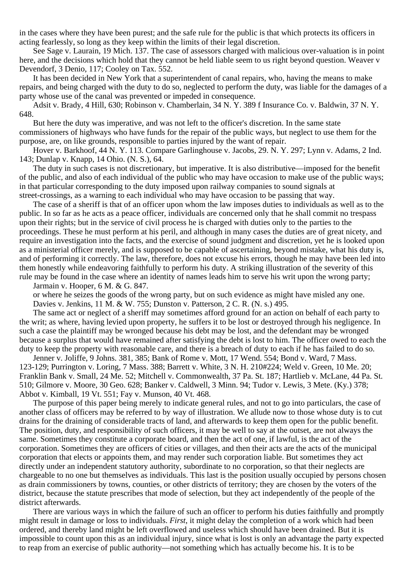in the cases where they have been purest; and the safe rule for the public is that which protects its officers in acting fearlessly, so long as they keep within the limits of their legal discretion.

See Sage v. Laurain, 19 Mich. 137. The case of assessors charged with malicious over-valuation is in point here, and the decisions which hold that they cannot be held liable seem to us right beyond question. Weaver v Devendorf, 3 Denio, 117; Cooley on Tax. 552.

It has been decided in New York that a superintendent of canal repairs, who, having the means to make repairs, and being charged with the duty to do so, neglected to perform the duty, was liable for the damages of a party whose use of the canal was prevented or impeded in consequence.

Adsit v. Brady, 4 Hill, 630; Robinson v. Chamberlain, 34 N. Y. 389 f Insurance Co. v. Baldwin, 37 N. Y. 648.

But here the duty was imperative, and was not left to the officer's discretion. In the same state commissioners of highways who have funds for the repair of the public ways, but neglect to use them for the purpose, are, on like grounds, responsible to parties injured by the want of repair.

Hover v. Barkhoof, 44 N. Y. 113. Compare Garlinghouse v. Jacobs, 29. N. Y. 297; Lynn v. Adams, 2 Ind. 143; Dunlap v. Knapp, 14 Ohio. (N. S.), 64.

The duty in such cases is not discretionary, but imperative. It is also distributive—imposed for the benefit of the public, and also of each individual of the public who may have occasion to make use of the public ways; in that particular corresponding to the duty imposed upon railway companies to sound signals at street-crossings, as a warning to each individual who may have occasion to be passing that way.

The case of a sheriff is that of an officer upon whom the law imposes duties to individuals as well as to the public. In so far as he acts as a peace officer, individuals are concerned only that he shall commit no trespass upon their rights; but in the service of civil process he is charged with duties only to the parties to the proceedings. These he must perform at his peril, and although in many cases the duties are of great nicety, and require an investigation into the facts, and the exercise of sound judgment and discretion, yet he is looked upon as a ministerial officer merely, and is supposed to be capable of ascertaining, beyond mistake, what his duty is, and of performing it correctly. The law, therefore, does not excuse his errors, though he may have been led into them honestly while endeavoring faithfully to perform his duty. A striking illustration of the severity of this rule may be found in the case where an identity of names leads him to serve his writ upon the wrong party;

Jarmain v. Hooper, 6 M. & G. 847.

or where he seizes the goods of the wrong party, but on such evidence as might have misled any one. Davies v. Jenkins, 11 M. & W. 755; Dunston v. Patterson, 2 C. R. (N. s.) 495.

The same act or neglect of a sheriff may sometimes afford ground for an action on behalf of each party to the writ; as where, having levied upon property, he suffers it to be lost or destroyed through his negligence. In such a case the plaintiff may be wronged because his debt may be lost, and the defendant may be wronged because a surplus that would have remained after satisfying the debt is lost to him. The officer owed to each the duty to keep the property with reasonable care, and there is a breach of duty to each if he has failed to do so.

Jenner v. Joliffe, 9 Johns. 381, 385; Bank of Rome v. Mott, 17 Wend. 554; Bond v. Ward, 7 Mass. 123-129; Purrington v. Loring, 7 Mass. 388; Barrett v. White, 3 N. H. 210#224; Weld v. Green, 10 Me. 20; Franklin Bank v. Small, 24 Me. 52; Mitchell v. Commonwealth, 37 Pa. St. 187; Hartlieb v. McLane, 44 Pa. St. 510; Gilmore v. Moore, 30 Geo. 628; Banker v. Caldwell, 3 Minn. 94; Tudor v. Lewis, 3 Mete. (Ky.) 378; Abbot v. Kimball, 19 Vt. 551; Fay v. Munson, 40 Vt. 468.

The purpose of this paper being merely to indicate general rules, and not to go into particulars, the case of another class of officers may be referred to by way of illustration. We allude now to those whose duty is to cut drains for the draining of considerable tracts of land, and afterwards to keep them open for the public benefit. The position, duty, and responsibility of such officers, it may be well to say at the outset, are not always the same. Sometimes they constitute a corporate board, and then the act of one, if lawful, is the act of the corporation. Sometimes they are officers of cities or villages, and then their acts are the acts of the municipal corporation that elects or appoints them, and may render such corporation liable. But sometimes they act directly under an independent statutory authority, subordinate to no corporation, so that their neglects are chargeable to no one but themselves as individuals. This last is the position usually occupied by persons chosen as drain commissioners by towns, counties, or other districts of territory; they are chosen by the voters of the district, because the statute prescribes that mode of selection, but they act independently of the people of the district afterwards.

There are various ways in which the failure of such an officer to perform his duties faithfully and promptly might result in damage or loss to individuals. *First*, it might delay the completion of a work which had been ordered, and thereby land might be left overflowed and useless which should have been drained. But it is impossible to count upon this as an individual injury, since what is lost is only an advantage the party expected to reap from an exercise of public authority—not something which has actually become his. It is to be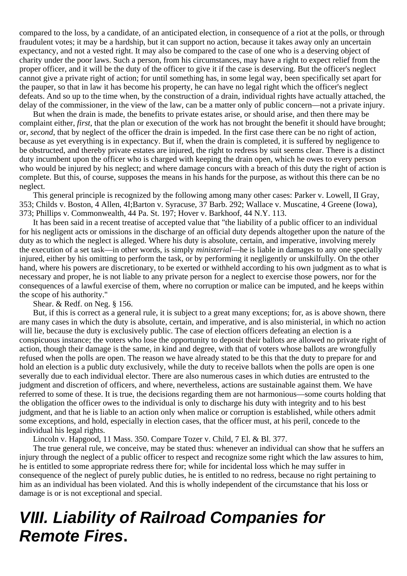compared to the loss, by a candidate, of an anticipated election, in consequence of a riot at the polls, or through fraudulent votes; it may be a hardship, but it can support no action, because it takes away only an uncertain expectancy, and not a vested right. It may also be compared to the case of one who is a deserving object of charity under the poor laws. Such a person, from his circumstances, may have a right to expect relief from the proper officer, and it will be the duty of the officer to give it if the case is deserving. But the officer's neglect cannot give a private right of action; for until something has, in some legal way, been specifically set apart for the pauper, so that in law it has become his property, he can have no legal right which the officer's neglect defeats. And so up to the time when, by the construction of a drain, individual rights have actually attached, the delay of the commissioner, in the view of the law, can be a matter only of public concern—not a private injury.

But when the drain is made, the benefits to private estates arise, or should arise, and then there may be complaint either, *first*, that the plan or execution of the work has not brought the benefit it should have brought; or, *second*, that by neglect of the officer the drain is impeded. In the first case there can be no right of action, because as yet everything is in expectancy. But if, when the drain is completed, it is suffered by negligence to be obstructed, and thereby private estates are injured, the right to redress by suit seems clear. There is a distinct duty incumbent upon the officer who is charged with keeping the drain open, which he owes to every person who would be injured by his neglect; and where damage concurs with a breach of this duty the right of action is complete. But this, of course, supposes the means in his hands for the purpose, as without this there can be no neglect.

This general principle is recognized by the following among many other cases: Parker v. Lowell, II Gray, 353; Childs v. Boston, 4 Allen, 4I;Barton v. Syracuse, 37 Barb. 292; Wallace v. Muscatine, 4 Greene (Iowa), 373; Phillips v. Commonwealth, 44 Pa. St. 197; Hover v. Barkhoof, 44 N.Y. 113.

It has been said in a recent treatise of accepted value that "the liability of a public officer to an individual for his negligent acts or omissions in the discharge of an official duty depends altogether upon the nature of the duty as to which the neglect is alleged. Where his duty is absolute, certain, and imperative, involving merely the execution of a set task—in other words, is simply *ministerial*—he is liable in damages to any one specially injured, either by his omitting to perform the task, or by performing it negligently or unskilfully. On the other hand, where his powers are discretionary, to be exerted or withheld according to his own judgment as to what is necessary and proper, he is not liable to any private person for a neglect to exercise those powers, nor for the consequences of a lawful exercise of them, where no corruption or malice can be imputed, and he keeps within the scope of his authority."

Shear. & Redf. on Neg. § 156.

But, if this is correct as a general rule, it is subject to a great many exceptions; for, as is above shown, there are many cases in which the duty is absolute, certain, and imperative, and is also ministerial, in which no action will lie, because the duty is exclusively public. The case of election officers defeating an election is a conspicuous instance; the voters who lose the opportunity to deposit their ballots are allowed no private right of action, though their damage is the same, in kind and degree, with that of voters whose ballots are wrongfully refused when the polls are open. The reason we have already stated to be this that the duty to prepare for and hold an election is a public duty exclusively, while the duty to receive ballots when the polls are open is one severally due to each individual elector. There are also numerous cases in which duties are entrusted to the judgment and discretion of officers, and where, nevertheless, actions are sustainable against them. We have referred to some of these. It is true, the decisions regarding them are not harmonious—some courts holding that the obligation the officer owes to the individual is only to discharge his duty with integrity and to his best judgment, and that he is liable to an action only when malice or corruption is established, while others admit some exceptions, and hold, especially in election cases, that the officer must, at his peril, concede to the individual his legal rights.

Lincoln v. Hapgood, 11 Mass. 350. Compare Tozer v. Child, 7 El. & Bl. 377.

The true general rule, we conceive, may be stated thus: whenever an individual can show that he suffers an injury through the neglect of a public officer to respect and recognize some right which the law assures to him, he is entitled to some appropriate redress there for; while for incidental loss which he may suffer in consequence of the neglect of purely public duties, he is entitled to no redress, because no right pertaining to him as an individual has been violated. And this is wholly independent of the circumstance that his loss or damage is or is not exceptional and special.

# **VIII. Liability of Railroad Companies for Remote Fires.**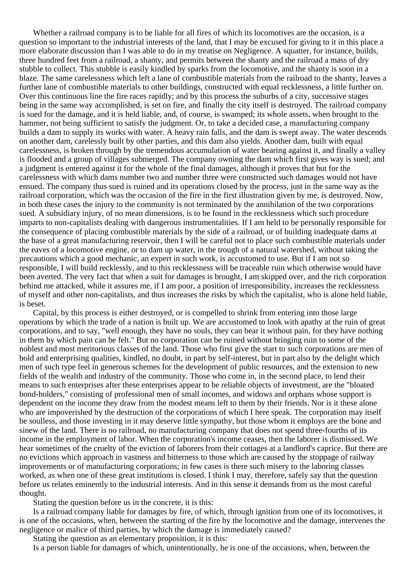Whether a railroad company is to be liable for all fires of which its locomotives are the occasion, is a question so important to the industrial interests of the land, that I may be excused for giving to it in this place a more elaborate discussion than I was able to do in my treatise on Negligence. A squatter, for instance, builds, three hundred feet from a railroad, a shanty, and permits between the shanty and the railroad a mass of dry stubble to collect. This stubble is easily kindled by sparks from the locomotive, and the shanty is soon in a blaze. The same carelessness which left a lane of combustible materials from the railroad to the shanty, leaves a further lane of combustible materials to other buildings, constructed with equal recklessness, a little further on. Over this continuous line the fire races rapidly; and by this process the suburbs of a city, successive stages being in the same way accomplished, is set on fire, and finally the city itself is destroyed. The railroad company is sued for the damage, and it is held liable, and, of course, is swamped; its whole assets, when brought to the hammer, not being sufficient to satisfy the judgment. Or, to take a decided case, a manufacturing company builds a dam to supply its works with water. A heavy rain falls, and the dam is swept away. The water descends on another dam, carelessly built by other parties, and this dam also yields. Another dam, built with equal carelessness, is broken through by the tremendous accumulation of water bearing against it, and finally a valley is flooded and a group of villages submerged. The company owning the dam which first gives way is sued; and a judgment is entered against it for the whole of the final damages, although it proves that but for the carelessness with which dams number two and number three were constructed such damages would not have ensued. The company thus sued is ruined and its operations closed by the process, just in the same way as the railroad corporation, which was the occasion of the fire in the first illustration given by me, is destroyed. Now, in both these cases the injury to the community is not terminated by the annihilation of the two corporations sued. A subsidiary injury, of no mean dimensions, is to be found in the recklessness which such procedure imparts to non-capitalists dealing with dangerous instrumentalities. If I am held to be personally responsible for the consequence of placing combustible materials by the side of a railroad, or of building inadequate dams at the base of a great manufacturing reservoir, then I will be careful not to place such combustible materials under the eaves of a locomotive engine, or to dam up water, in the trough of a natural watershed, without taking the precautions which a good mechanic, an expert in such work, is accustomed to use. But if I am not so responsible, I will build recklessly, and to this recklessness will be traceable ruin which otherwise would have been averted. The very fact that when a suit for damages is brought, I am skipped over, and the rich corporation behind me attacked, while it assures me, if I am poor, a position of irresponsibility, increases the recklessness of myself and other non-capitalists, and thus increases the risks by which the capitalist, who is alone held liable, is beset.

Capital, by this process is either destroyed, or is compelled to shrink from entering into those large operations by which the trade of a nation is built up. We are accustomed to look with apathy at the ruin of great corporations, and to say, "well enough, they have no souls, they can bear it without pain, for they have nothing in them by which pain can be felt." But no corporation can be ruined without bringing ruin to some of the noblest and most meritorious classes of the land. Those who first give the start to such corporations are men of bold and enterprising qualities, kindled, no doubt, in part by self-interest, but in part also by the delight which men of such type feel in generous schemes for the development of public resources, and the extension to new fields of the wealth and industry of the community. Those who come in, in the second place, to lend their means to such enterprises after these enterprises appear to be reliable objects of investment, are the "bloated bond-holders," consisting of professional men of small incomes, and widows and orphans whose support is dependent on the income they draw from the modest means left to them by their friends. Nor is it these alone who are impoverished by the destruction of the corporations of which I here speak. The corporation may itself be soulless, and those investing in it may deserve little sympathy, but those whom it employs are the bone and sinew of the land. There is no railroad, no manufacturing company that does not spend three-fourths of its income in the employment of labor. When the corporation's income ceases, then the laborer is dismissed. We hear sometimes of the cruelty of the eviction of laborers from their cottages at a landlord's caprice. But there are no evictions which approach in vastness and bitterness to those which are caused by the stoppage of railway improvements or of manufacturing corporations; in few cases is there such misery to the laboring classes worked, as when one of these great institutions is closed. I think I may, therefore, safely say that the question before us relates eminently to the industrial interests. And in this sense it demands from us the most careful thought.

Stating the question before us in the concrete, it is this:

Is a railroad company liable for damages by fire, of which, through ignition from one of its locomotives, it is one of the occasions, when, between the starting of the fire by the locomotive and the damage, intervenes the negligence or malice of third parties, by which the damage is immediately caused?

Stating the question as an elementary proposition, it is this:

Is a person liable for damages of which, unintentionally, he is one of the occasions, when, between the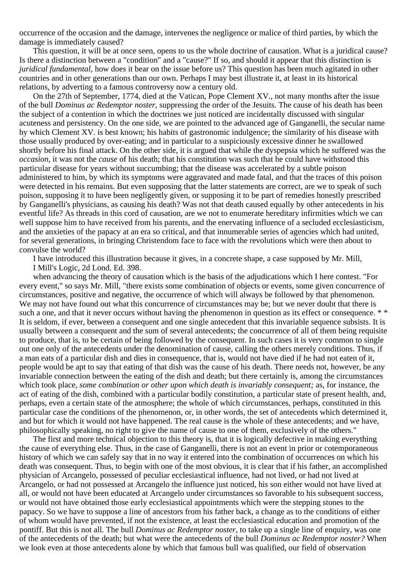occurrence of the occasion and the damage, intervenes the negligence or malice of third parties, by which the damage is immediately caused?

This question, it will be at once seen, opens to us the whole doctrine of causation. What is a juridical cause? Is there a distinction between a "condition" and a "cause?" If so, and should it appear that this distinction is *juridical fundamental*, how does it bear on the issue before us? This question has been much agitated in other countries and in other generations than our own. Perhaps I may best illustrate it, at least in its historical relations, by adverting to a famous controversy now a century old.

On the 27th of September, 1774, died at the Vatican, Pope Clement XV., not many months after the issue of the bull *Dominus ac Redemptor noster*, suppressing the order of the Jesuits. The cause of his death has been the subject of a contention in which the doctrines we just noticed are incidentally discussed with singular acuteness and persistency. On the one side, we are pointed to the advanced age of Ganganelli, the secular name by which Clement XV. is best known; his habits of gastronomic indulgence; the similarity of his disease with those usually produced by over-eating; and in particular to a suspiciously excessive dinner he swallowed shortly before his final attack. On the other side, it is argued that while the dyspepsia which he suffered was the *occasion*, it was not the *cause* of his death; that his constitution was such that he could have withstood this particular disease for years without succumbing; that the disease was accelerated by a subtle poison administered to him, by which its symptoms were aggravated and made fatal, and that the traces of this poison were detected in his remains. But even supposing that the latter statements are correct, are we to speak of such poison, supposing it to have been negligently given, or supposing it to be part of remedies honestly prescribed by Ganganelli's physicians, as causing his death? Was not that death caused equally by other antecedents in his eventful life? As threads in this cord of causation, are we not to enumerate hereditary infirmities which we can well suppose him to have received from his parents, and the enervating influence of a secluded ecclesiasticism, and the anxieties of the papacy at an era so critical, and that innumerable series of agencies which had united, for several generations, in bringing Christendom face to face with the revolutions which were then about to convulse the world?

I have introduced this illustration because it gives, in a concrete shape, a case supposed by Mr. Mill,

I Mill's Logic, 2d Lond. Ed. 398.

when advancing the theory of causation which is the basis of the adjudications which I here contest. "For every event," so says Mr. Mill, "there exists some combination of objects or events, some given concurrence of circumstances, positive and negative, the occurrence of which will always be followed by that phenomenon. We may not have found out what this concurrence of circumstances may be; but we never doubt that there is such a one, and that it never occurs without having the phenomenon in question as its effect or consequence. \* \* It is seldom, if ever, between a consequent and one single antecedent that this invariable sequence subsists. It is usually between a consequent and the sum of several antecedents; the concurrence of all of them being requisite to produce, that is, to be certain of being followed by the consequent. In such cases it is very common to single out one only of the antecedents under the denomination of cause, calling the others merely conditions. Thus, if a man eats of a particular dish and dies in consequence, that is, would not have died if he had not eaten of it, people would be apt to say that eating of that dish was the cause of his death. There needs not, however, be any invariable connection between the eating of the dish and death; but there certainly is, among the circumstances which took place, *some combination or other upon which death is invariably consequent;* as, for instance, the act of eating of the dish, combined with a particular bodily constitution, a particular state of present health, and, perhaps, even a certain state of the atmosphere; the whole of which circumstances, perhaps, constituted in this particular case the conditions of the phenomenon, or, in other words, the set of antecedents which determined it, and but for which it would not have happened. The real cause is the whole of these antecedents; and we have, philosophically speaking, no right to give the name of cause to one of them, exclusively of the others."

The first and more technical objection to this theory is, that it is logically defective in making everything the cause of everything else. Thus, in the case of Ganganelli, there is not an event in prior or cotemporaneous history of which we can safely say that in no way it entered into the combination of occurrences on which his death was consequent. Thus, to begin with one of the most obvious, it is clear that if his father, an accomplished physician of Arcangelo, possessed of peculiar ecclesiastical influence, had not lived, or had not lived at Arcangelo, or had not possessed at Arcangelo the influence just noticed, his son either would not have lived at all, or would not have been educated at Arcangelo under circumstances so favorable to his subsequent success, or would not have obtained those early ecclesiastical appointments which were the stepping stones to the papacy. So we have to suppose a line of ancestors from his father back, a change as to the conditions of either of whom would have prevented, if not the existence, at least the ecclesiastical education and promotion of the pontiff. But this is not all. The bull *Dominus ac Redemptor noster*, to take up a single line of enquiry, was one of the antecedents of the death; but what were the antecedents of the bull *Dominus ac Redemptor noster?* When we look even at those antecedents alone by which that famous bull was qualified, our field of observation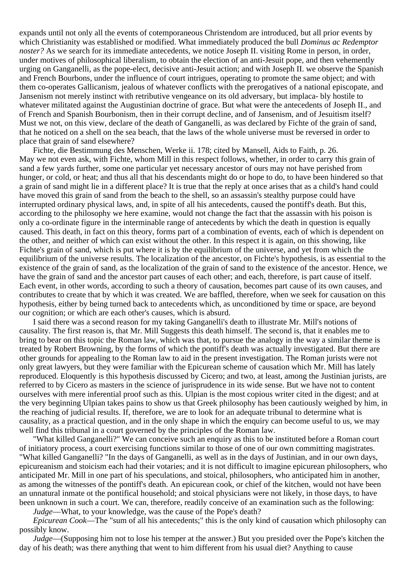expands until not only all the events of cotemporaneous Christendom are introduced, but all prior events by which Christianity was established or modified. What immediately produced the bull *Dominus ac Redemptor noster?* As we search for its immediate antecedents, we notice Joseph II. visiting Rome in person, in order, under motives of philosophical liberalism, to obtain the election of an anti-Jesuit pope, and then vehemently urging on Ganganelli, as the pope-elect, decisive anti-Jesuit action; and with Joseph II. we observe the Spanish and French Bourbons, under the influence of court intrigues, operating to promote the same object; and with them co-operates Gallicanism, jealous of whatever conflicts with the prerogatives of a national episcopate, and Jansenism not merely instinct with retributive vengeance on its old adversary, but implaca- bly hostile to whatever militated against the Augustinian doctrine of grace. But what were the antecedents of Joseph II., and of French and Spanish Bourbonism, then in their corrupt decline, and of Jansenism, and of Jesuitism itself? Must we not, on this view, declare of the death of Ganganelli, as was declared by Fichte of the grain of sand, that he noticed on a shell on the sea beach, that the laws of the whole universe must be reversed in order to place that grain of sand elsewhere?

Fichte, die Bestimmung des Menschen, Werke ii. 178; cited by Mansell, Aids to Faith, p. 26. May we not even ask, with Fichte, whom Mill in this respect follows, whether, in order to carry this grain of sand a few yards further, some one particular yet necessary ancestor of ours may not have perished from hunger, or cold, or heat; and thus all that his descendants might do or hope to do, to have been hindered so that a grain of sand might lie in a different place? It is true that the reply at once arises that as a child's hand could have moved this grain of sand from the beach to the shell, so an assassin's stealthy purpose could have interrupted ordinary physical laws, and, in spite of all his antecedents, caused the pontiff's death. But this, according to the philosophy we here examine, would not change the fact that the assassin with his poison is only a co-ordinate figure in the interminable range of antecedents by which the death in question is equally caused. This death, in fact on this theory, forms part of a combination of events, each of which is dependent on the other, and neither of which can exist without the other. In this respect it is again, on this showing, like Fichte's grain of sand, which is put where it is by the equilibrium of the universe, and yet from which the equilibrium of the universe results. The localization of the ancestor, on Fichte's hypothesis, is as essential to the existence of the grain of sand, as the localization of the grain of sand to the existence of the ancestor. Hence, we have the grain of sand and the ancestor part causes of each other; and each, therefore, is part cause of itself. Each event, in other words, according to such a theory of causation, becomes part cause of its own causes, and contributes to create that by which it was created. We are baffled, therefore, when we seek for causation on this hypothesis, either by being turned back to antecedents which, as unconditioned by time or space, are beyond our cognition; or which are each other's causes, which is absurd.

I said there was a second reason for my taking Ganganelli's death to illustrate Mr. Mill's notions of causality. The first reason is, that Mr. Mill Suggests this death himself. The second is, that it enables me to bring to bear on this topic the Roman law, which was that, to pursue the analogy in the way a similar theme is treated by Robert Browning, by the forms of which the pontiff's death was actually investigated. But there are other grounds for appealing to the Roman law to aid in the present investigation. The Roman jurists were not only great lawyers, but they were familiar with the Epicurean scheme of causation which Mr. Mill has lately reproduced. Eloquently is this hypothesis discussed by Cicero; and two, at least, among the Justinian jurists, are referred to by Cicero as masters in the science of jurisprudence in its wide sense. But we have not to content ourselves with mere inferential proof such as this. Ulpian is the most copious writer cited in the digest; and at the very beginning Ulpian takes pains to show us that Greek philosophy has been cautiously weighed by him, in the reaching of judicial results. If, therefore, we are to look for an adequate tribunal to determine what is causality, as a practical question, and in the only shape in which the enquiry can become useful to us, we may well find this tribunal in a court governed by the principles of the Roman law.

"What killed Ganganelli?" We can conceive such an enquiry as this to be instituted before a Roman court of initiatory process, a court exercising functions similar to those of one of our own committing magistrates. "What killed Ganganelli? "In the days of Ganganelli, as well as in the days of Justinian, and in our own days, epicureanism and stoicism each had their votaries; and it is not difficult to imagine epicurean philosophers, who anticipated Mr. Mill in one part of his speculations, and stoical, philosophers, who anticipated him in another, as among the witnesses of the pontiff's death. An epicurean cook, or chief of the kitchen, would not have been an unnatural inmate ot the pontifical household; and stoical physicians were not likely, in those days, to have been unknown in such a court. We can, therefore, readily conceive of an examination such as the following: *Judge*—What, to your knowledge, was the cause of the Pope's death?

*Epicurean Cook*—The "sum of all his antecedents;" this is the only kind of causation which philosophy can possibly know.

*Judge*—(Supposing him not to lose his temper at the answer.) But you presided over the Pope's kitchen the day of his death; was there anything that went to him different from his usual diet? Anything to cause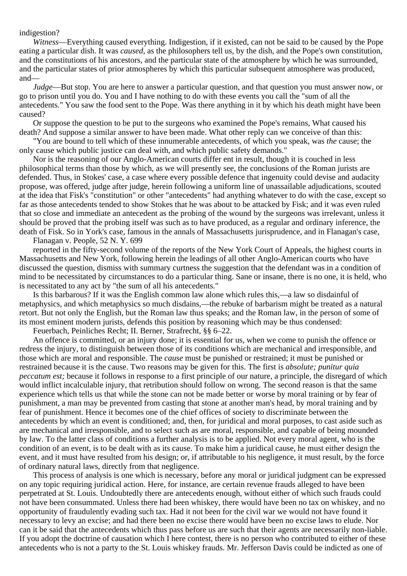#### indigestion?

*Witness*—Everything caused everything. Indigestion, if it existed, can not be said to be caused by the Pope eating a particular dish. It was *caused*, as the philosophers tell us, by the dish, and the Pope's own constitution, and the constitutions of his ancestors, and the particular state of the atmosphere by which he was surrounded, and the particular states of prior atmospheres by which this particular subsequent atmosphere was produced, and—

*Judge*—But stop. You are here to answer a particular question, and that question you must answer now, or go to prison until you do. You and I have nothing to do with these events you call the "sum of all the antecedents." You saw the food sent to the Pope. Was there anything in it by which his death might have been caused?

Or suppose the question to be put to the surgeons who examined the Pope's remains, What caused his death? And suppose a similar answer to have been made. What other reply can we conceive of than this:

"You are bound to tell which of these innumerable antecedents, of which you speak, was *the* cause; the only cause which public justice can deal with, and which public safety demands."

Nor is the reasoning of our Anglo-American courts differ ent in result, though it is couched in less philosophical terms than those by which, as we will presently see, the conclusions of the Roman jurists are defended. Thus, in Stokes' case, a case where every possible defence that ingenuity could devise and audacity propose, was offered, judge after judge, herein following a uniform line of unassailable adjudications, scouted at the idea that Fisk's "constitution" or other "antecedents" had anything whatever to do with the case, except so far as those antecedents tended to show Stokes that he was about to be attacked by Fisk; and it was even ruled that so close and immediate an antecedent as the probing of the wound by the surgeons was irrelevant, unless it should be proved that the probing itself was such as to have produced, as a regular and ordinary inference, the death of Fisk. So in York's case, famous in the annals of Massachusetts jurisprudence, and in Flanagan's case,

Flanagan v. People, 52 N. Y. 699

reported in the fifty-second volume of the reports of the New York Court of Appeals, the highest courts in Massachusetts and New York, following herein the leadings of all other Anglo-American courts who have discussed the question, dismiss with summary curtness the suggestion that the defendant was in a condition of mind to be necessitated by circumstances to do a particular thing. Sane or insane, there is no one, it is held, who is necessitated to any act by "the sum of all his antecedents."

Is this barbarous? If it was the English common law alone which rules this,—a law so disdainful of metaphysics, and which metaphysics so much disdains,—the rebuke of barbarism might be treated as a natural retort. But not only the English, but the Roman law thus speaks; and the Roman law, in the person of some of its most eminent modern jurists, defends this position by reasoning which may be thus condensed:

Feuerbach, Peinliches Recht; II. Berner, Strafrecht, §§ 6–22.

An offence is committed, or an injury done; it is essential for us, when we come to punish the offence or redress the injury, to distinguish between those of its conditions which are mechanical and irresponsible, and those which are moral and responsible. The *cause* must be punished or restrained; it must be punished or restrained because it is the cause. Two reasons may be given for this. The first is *absolute; punitur quia peccatum est;* because it follows in response to a first principle of our nature, a principle, the disregard of which would inflict incalculable injury, that retribution should follow on wrong. The second reason is that the same experience which tells us that while the stone can not be made better or worse by moral training or by fear of punishment, a man may be prevented from casting that stone at another man's head, by moral training and by fear of punishment. Hence it becomes one of the chief offices of society to discriminate between the antecedents by which an event is conditioned; and, then, for juridical and moral purposes, to cast aside such as are mechanical and irresponsible, and to select such as are moral, responsible, and capable of being mounded by law. To the latter class of conditions a further analysis is to be applied. Not every moral agent, who is the condition of an event, is to be dealt with as its cause. To make him a juridical cause, he must either design the event, and it must have resulted from his design; or, if attributable to his negligence, it must result, by the force of ordinary natural laws, directly from that negligence.

This process of analysis is one which is necessary, before any moral or juridical judgment can be expressed on any topic requiring juridical action. Here, for instance, are certain revenue frauds alleged to have been perpetrated at St. Louis. Undoubtedly there are antecedents enough, without either of which such frauds could not have been consummated. Unless there had been whiskey, there would have been no tax on whiskey, and no opportunity of fraudulently evading such tax. Had it not been for the civil war we would not have found it necessary to levy an excise; and had there been no excise there would have been no excise laws to elude. Nor can it be said that the antecedents which thus pass before us are such that their agents are necessarily non-liable. If you adopt the doctrine of causation which I here contest, there is no person who contributed to either of these antecedents who is not a party to the St. Louis whiskey frauds. Mr. Jefferson Davis could be indicted as one of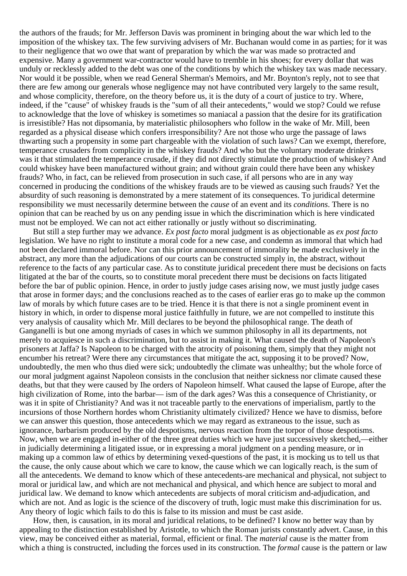the authors of the frauds; for Mr. Jefferson Davis was prominent in bringing about the war which led to the imposition of the whiskey tax. The few surviving advisers of Mr. Buchanan would come in as parties; for it was to their negligence that wo owe that want of preparation by which the war was made so protracted and expensive. Many a government war-contractor would have to tremble in his shoes; for every dollar that was unduly or recklessly added to the debt was one of the conditions by which the whiskey tax was made necessary. Nor would it be possible, when we read General Sherman's Memoirs, and Mr. Boynton's reply, not to see that there are few among our generals whose negligence may not have contributed very largely to the same result, and whose complicity, therefore, on the theory before us, it is the duty of a court of justice to try. Where, indeed, if the "cause" of whiskey frauds is the "sum of all their antecedents," would we stop? Could we refuse to acknowledge that the love of whiskey is sometimes so maniacal a passion that the desire for its gratification is irresistible? Has not dipsomania, by materialistic philosophers who follow in the wake of Mr. Mill, been regarded as a physical disease which confers irresponsibility? Are not those who urge the passage of laws thwarting such a propensity in some part chargeable with the violation of such laws? Can we exempt, therefore, temperance crusaders from complicity in the whiskey frauds? And who but the voluntary moderate drinkers was it that stimulated the temperance crusade, if they did not directly stimulate the production of whiskey? And could whiskey have been manufactured without grain; and without grain could there have been any whiskey frauds? Who, in fact, can be relieved from prosecution in such case, if all persons who are in any way concerned in producing the conditions of the whiskey frauds are to be viewed as causing such frauds? Yet the absurdity of such reasoning is demonstrated by a mere statement of its consequences. To juridical determine responsibility we must necessarily determine between the *cause* of an event and its *conditions*. There is no opinion that can be reached by us on any pending issue in which the discrimination which is here vindicated must not be employed. We can not act either rationally or justly without so discriminating.

But still a step further may we advance. *Ex post facto* moral judgment is as objectionable as *ex post facto* legislation. We have no right to institute a moral code for a new case, and condemn as immoral that which had not been declared immoral before. Nor can this prior announcement of immorality be made exclusively in the abstract, any more than the adjudications of our courts can be constructed simply in, the abstract, without reference to the facts of any particular case. As to constitute juridical precedent there must be decisions on facts litigated at the bar of the courts, so to constitute moral precedent there must be decisions on facts litigated before the bar of public opinion. Hence, in order to justly judge cases arising now, we must justly judge cases that arose in former days; and the conclusions reached as to the cases of earlier eras go to make up the common law of morals by which future cases are to be tried. Hence it is that there is not a single prominent event in history in which, in order to dispense moral justice faithfully in future, we are not compelled to institute this very analysis of causality which Mr. Mill declares to be beyond the philosophical range. The death of Ganganelli is but one among myriads of cases in which we summon philosophy in all its departments, not merely to acquiesce in such a discrimination, but to assist in making it. What caused the death of Napoleon's prisoners at Jaffa? Is Napoleon to be charged with the atrocity of poisoning them, simply that they might not encumber his retreat? Were there any circumstances that mitigate the act, supposing it to be proved? Now, undoubtedly, the men who thus died were sick; undoubtedly the climate was unhealthy; but the whole force of our moral judgment against Napoleon consists in the conclusion that neither sickness nor climate caused these deaths, but that they were caused by Ihe orders of Napoleon himself. What caused the lapse of Europe, after the high civilization of Rome, into the barbar— ism of the dark ages? Was this a consequence of Christianity, or was it in spite of Christianity? And was it not traceable partly to the enervations of imperialism, partly to the incursions of those Northern hordes whom Christianity ultimately civilized? Hence we have to dismiss, before we can answer this question, those antecedents which we may regard as extraneous to the issue, such as ignorance, barbarism produced by the old despotisms, nervous reaction from the torpor of those despotisms. Now, when we are engaged in-either of the three great duties which we have just successively sketched,—either in judicially determining a litigated issue, or in expressing a moral judgment on a pending measure, or in making up a common law of ethics by determining vexed-questions of the past, it is mocking us to tell us that the cause, the only cause about which we care to know, the cause which we can logically reach, is the sum of all the antecedents. We demand to know which of these antecedents-are mechanical and physical, not subject to moral or juridical law, and which are not mechanical and physical, and which hence are subject to moral and juridical law. We demand to know which antecedents are subjects of moral criticism and-adjudication, and which are not. And as logic is the science of the discovery of truth, logic must make this discrimination for us. Any theory of logic which fails to do this is false to its mission and must be cast aside.

How, then, is causation, in its moral and juridical relations, to be defined? I know no better way than by appealing to the distinction established by Aristotle, to which the Roman jurists constantly advert. Cause, in this view, may be conceived either as material, formal, efficient or final. The *material* cause is the matter from which a thing is constructed, including the forces used in its construction. The *formal* cause is the pattern or law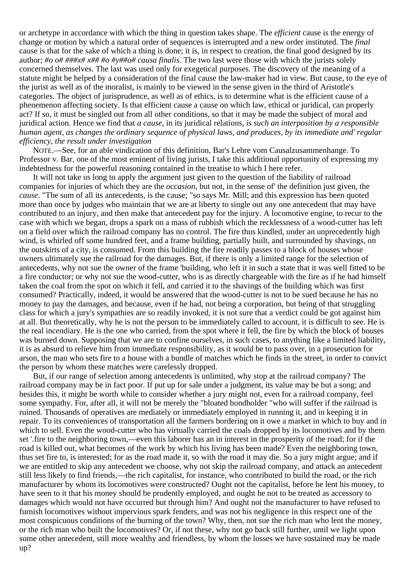or archetype in accordance with which the thing in question takes shape. The *efficient* cause is the energy of change or motion by which a natural order of sequences is interrupted and a new order instituted. The *final* cause is that for the sake of which a thing is done; it is, in respect to creation, the final good designed by its author; *#o o# ###x# x## #o #y##o# causa finalis*. The two last were those with which the jurists solely concerned themselves. The last was used only for exegetical purposes. The discovery of the meaning of a statute might be helped by a consideration of the final cause the law-maker had in view. But cause, to the eye of the jurist as well as of the moralist, is mainly to be viewed in the sense given in the third of Aristotle's categories. The object of jurisprudence, as well as of ethics, is to determine what is the efficient cause of a phenemenon affecting society. Is that efficient cause a cause on which law, ethical or juridical, can properly act? If so, it must be singled out from all other conditions, so that it may be made the subject of moral and juridical action. Hence we find that *a cause*, in its juridical relations, *is such an interposition by a responsible human agent, as changes the ordinary sequence of physical laws, and produces, by its immediate and' regular efficiency, the result under investigation*

NOTE.—See, for an able vindication of this definition, Bar's Lehre vom Causalzusammenhange. To Professor v. Bar, one of the most eminent of living jurists, I take this additional opportunity of expressing my indebtedness for the powerful reasoning contained in the treatise to which I here refer.

It will not take us long to apply the argument just given to the question of the liability of railroad companies for injuries of which they are the *occasion*, but not, in the sense of' the definition just given, the *cause*. "The sum of all its antecedents, is the cause; "so says Mr. Mill; and this expression has been quoted more than once by judges who maintain that we are at liberty to single out any one antecedent that may have contributed to an injury, and then make that antecedent pay for the injury. A locomotive engine, to recur to the case with which we began, drops a spark on a mass of rubbish which the recklessness of a wood-cutter has left on a field over which the railroad company has no control. The fire thus kindled, under an unprecedently high wind, is whirled off some hundred feet, and a frame building, partially built, and surrounded by shavings, on the outskirts of a city, is consumed. From this building the fire readily passes to a block of houses whose owners ultimately sue the railroad for the damages. But, if there is only a limited range for the selection of antecedents, why not sue the owner of the frame 'building, who left it in such a state that it was well fitted to be a fire conductor; or why not sue the wood-cutter, who is as directly chargeable with the fire as if he had himself taken the coal from the spot on which it fell, and carried it to the shavings of the building which was first consumed? Practically, indeed, it would be answered that the wood-cutter is not to be sued because he has no money to pay the damages, and because, even if he had, not being a corporation, but being of that struggling class for which a jury's sympathies are so readily invoked, it is not sure that a verdict could be got against him at all. But theoretically, why he is not the person to be immediately called to account, it is difficult to see. He is the real incendiary. He is the one who carried, from the spot where it fell, the fire by which the block of houses was burned down. Supposing that we are to confine ourselves, in such cases, to anything like a limited liability, it is as absurd to relieve him from immediate responsibility, as it would be to pass over, in a prosecution for arson, the man who sets fire to a house with a bundle of matches which he finds in the street, in order to convict the person by whom these matches were carelessly dropped.

But, if our range of selection among antecedents is unlimited, why stop at the railroad company? The railroad company may be in fact poor. If put up for sale under a judgment, its value may be but a song; and besides this, it might be worth while to consider whether a jury might not, even for a railroad company, feel some sympathy. For, after all, it will not be merely the "bloated bondholder "who will suffer if the railroad is ruined. Thousands of operatives are mediately or immediately employed in running it, and in keeping it in repair. To its conveniences of transportation all the farmers bordering on it owe a market in which to buy and in which to sell. Even the wood-cutter who has virtually carried the coals dropped by its locomotives and by them set '.fire to the neighboring town,—even this laborer has an in interest in the prosperity of the road; for if the road is killed out, what becomes of the work by which his living has been made? Even the neighboring town, thus set fire to, is interested; for as the road made it, so with the road it may die. So a jury might argue; and if we are entitled to skip any antecedent we choose, why not skip the railroad company, and attack an antecedent still less likely to find friends,—the rich capitalist, for instance, who contributed to build the road, or the rich manufacturer by whom its locomotives were constructed? Ought not the capitalist, before he lent his money, to have seen to it that his money should be prudently employed, and ought he not to be treated as accessory to damages which would not have occurred but through him? And ought not the manufacturer to have refused to furnish locomotives without impervious spark fenders, and was not his negligence in this respect one of the most conspicuous conditions of the burning of the town? Why, then, not sue the rich man who lent the money, or the rich man who built the locomotives? Or, if not these, why not go back still further, until we light upon some other antecedent, still more wealthy and friendless, by whom the losses we have sustained may be made up?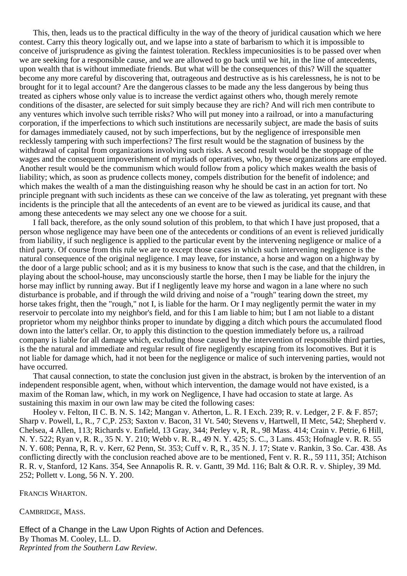This, then, leads us to the practical difficulty in the way of the theory of juridical causation which we here contest. Carry this theory logically out, and we lapse into a state of barbarism to which it is impossible to conceive of jurisprudence as giving the faintest toleration. Reckless impecuniosities is to be passed over when we are seeking for a responsible cause, and we are allowed to go back until we hit, in the line of antecedents, upon wealth that is without immediate friends. But what will be the consequences of this? Will the squatter become any more careful by discovering that, outrageous and destructive as is his carelessness, he is not to be brought for it to legal account? Are the dangerous classes to be made any the less dangerous by being thus treated as ciphers whose only value is to increase the verdict against others who, though merely remote conditions of the disaster, are selected for suit simply because they are rich? And will rich men contribute to any ventures which involve such terrible risks? Who will put money into a railroad, or into a manufacturing corporation, if the imperfections to which such institutions are necessarily subject, are made the basis of suits for damages immediately caused, not by such imperfections, but by the negligence of irresponsible men recklessly tampering with such imperfections? The first result would be the stagnation of business by the withdrawal of capital from organizations involving such risks. A second result would be the stoppage of the wages and the consequent impoverishment of myriads of operatives, who, by these organizations are employed. Another result would be the communism which would follow from a policy which makes wealth the basis of liability; which, as soon as prudence collects money, compels distribution for the benefit of indolence; and which makes the wealth of a man the distinguishing reason why he should be cast in an action for tort. No principle pregnant with such incidents as these can we conceive of the law as tolerating, yet pregnant with these incidents is the principle that all the antecedents of an event are to be viewed as juridical its cause, and that among these antecedents we may select any one we choose for a suit.

I fall back, therefore, as the only sound solution of this problem, to that which I have just proposed, that a person whose negligence may have been one of the antecedents or conditions of an event is relieved juridically from liability, if such negligence is applied to the particular event by the intervening negligence or malice of a third party. Of course from this rule we are to except those cases in which such intervening negligence is the natural consequence of the original negligence. I may leave, for instance, a horse and wagon on a highway by the door of a large public school; and as it is my business to know that such is the case, and that the children, in playing about the school-house, may unconsciously startle the horse, then I may be liable for the injury the horse may inflict by running away. But if I negligently leave my horse and wagon in a lane where no such disturbance is probable, and if through the wild driving and noise of a "rough" tearing down the street, my horse takes fright, then the "rough," not I, is liable for the harm. Or I may negligently permit the water in my reservoir to percolate into my neighbor's field, and for this I am liable to him; but I am not liable to a distant proprietor whom my neighbor thinks proper to inundate by digging a ditch which pours the accumulated flood down into the latter's cellar. Or, to apply this distinction to the question immediately before us, a railroad company is liable for all damage which, excluding those caused by the intervention of responsible third parties, is the the natural and immediate and regular result of fire negligently escaping from its locomotives. But it is not liable for damage which, had it not been for the negligence or malice of such intervening parties, would not have occurred.

That causal connection, to state the conclusion just given in the abstract, is broken by the intervention of an independent responsible agent, when, without which intervention, the damage would not have existed, is a maxim of the Roman law, which, in my work on Negligence, I have had occasion to state at large. As sustaining this maxim in our own law may be cited the following cases:

Hooley v. Felton, II C. B. N. S. 142; Mangan v. Atherton, L. R. I Exch. 239; R. v. Ledger, 2 F. & F. 857; Sharp v. Powell, L, R., 7 C,P. 253; Saxton v. Bacon, 31 Vt. 540; Stevens v, Hartwell, II Metc, 542; Shepherd v. Chelsea, 4 Allen, 113; Richards v. Enfield, 13 Gray, 344; Perley v, R, R., 98 Mass. 414; Crain v. Petrie, 6 Hill, N. Y. 522; Ryan v, R. R., 35 N. Y. 210; Webb v. R. R., 49 N. Y. 425; S. C., 3 Lans. 453; Hofnagle v. R. R. 55 N. Y. 608; Penna, R, R. v. Kerr, 62 Penn, St. 353; Cuff v. R, R., 35 N. J. 17; State v. Rankin, 3 So. Car. 438. As conflicting directly with the conclusion reached above are to be mentioned, Fent v. R. R., 59 111, 35I; Atchison R. R. v, Stanford, 12 Kans. 354, See Annapolis R. R. v. Gantt, 39 Md. 116; Balt & O.R. R. v. Shipley, 39 Md. 252; Pollett v. Long, 56 N. Y. 200.

FRANCIS WHARTON.

CAMBRIDGE, MASS.

Effect of a Change in the Law Upon Rights of Action and Defences. By Thomas M. Cooley, LL. D. *Reprinted from the Southern Law Review*.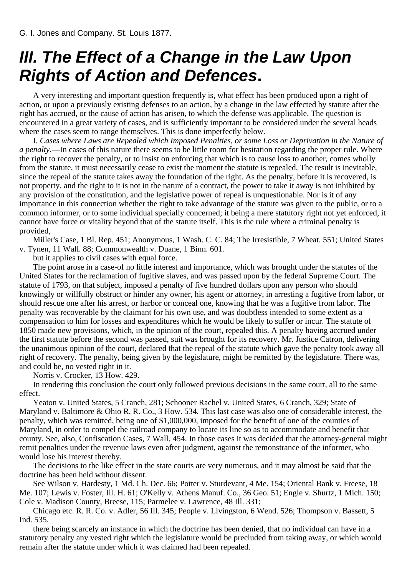# **III. The Effect of a Change in the Law Upon Rights of Action and Defences.**

A very interesting and important question frequently is, what effect has been produced upon a right of action, or upon a previously existing defenses to an action, by a change in the law effected by statute after the right has accrued, or the cause of action has arisen, to which the defense was applicable. The question is encountered in a great variety of cases, and is sufficiently important to be considered under the several heads where the cases seem to range themselves. This is done imperfectly below.

I. *Cases where Laws are Repealed which Imposed Penalties, or some Loss or Deprivation in the Nature of a penalty*.—In cases of this nature there seems to be little room for hesitation regarding the proper rule. Where the right to recover the penalty, or to insist on enforcing that which is to cause loss to another, comes wholly from the statute, it must necessarily cease to exist the moment the statute is repealed. The result is inevitable, since the repeal of the statute takes away the foundation of the right. As the penalty, before it is recovered, is not property, and the right to it is not in the nature of a contract, the power to take it away is not inhibited by any provision of the constitution, and the legislative power of repeal is unquestionable. Nor is it of any importance in this connection whether the right to take advantage of the statute was given to the public, or to a common informer, or to some individual specially concerned; it being a mere statutory right not yet enforced, it cannot have force or vitality beyond that of the statute itself. This is the rule where a criminal penalty is provided,

Miller's Case, 1 Bl. Rep. 451; Anonymous, 1 Wash. C. C. 84; The Irresistible, 7 Wheat. 551; United States v. Tynen, 11 Wall. 88; Commonwealth v. Duane, 1 Binn. 601.

but it applies to civil cases with equal force.

The point arose in a case-of no little interest and importance, which was brought under the statutes of the United States for the reclamation of fugitive slaves, and was passed upon by the federal Supreme Court. The statute of 1793, on that subject, imposed a penalty of five hundred dollars upon any person who should knowingly or willfully obstruct or hinder any owner, his agent or attorney, in arresting a fugitive from labor, or should rescue one after his arrest, or harbor or conceal one, knowing that he was a fugitive from labor. The penalty was recoverable by the claimant for his own use, and was doubtless intended to some extent as a compensation to him for losses and expenditures which he would be likely to suffer or incur. The statute of 1850 made new provisions, which, in the opinion of the court, repealed this. A penalty having accrued under the first statute before the second was passed, suit was brought for its recovery. Mr. Justice Catron, delivering the unanimous opinion of the court, declared that the repeal of the statute which gave the penalty took away all right of recovery. The penalty, being given by the legislature, might be remitted by the legislature. There was, and could be, no vested right in it.

Norris v. Crocker, 13 How. 429.

In rendering this conclusion the court only followed previous decisions in the same court, all to the same effect.

Yeaton v. United States, 5 Cranch, 281; Schooner Rachel v. United States, 6 Cranch, 329; State of Maryland v. Baltimore & Ohio R. R. Co., 3 How. 534. This last case was also one of considerable interest, the penalty, which was remitted, being one of \$1,000,000, imposed for the benefit of one of the counties of Maryland, in order to compel the railroad company to locate its line so as to accommodate and benefit that county. See, also, Confiscation Cases, 7 Wall. 454. In those cases it was decided that the attorney-general might remit penalties under the revenue laws even after judgment, against the remonstrance of the informer, who would lose his interest thereby.

The decisions to the like effect in the state courts are very numerous, and it may almost be said that the doctrine has been held without dissent.

See Wilson v. Hardesty, 1 Md. Ch. Dec. 66; Potter v. Sturdevant, 4 Me. 154; Oriental Bank v. Freese, 18 Me. 107; Lewis v. Foster, Ill. H. 61; O'Kelly v. Athens Manuf. Co., 36 Geo. 51; Engle v. Shurtz, 1 Mich. 150; Cole v. Madison County, Breese, 115; Parmelee v. Lawrence, 48 Ill. 331;

Chicago etc. R. R. Co. v. Adler, 56 Ill. 345; People v. Livingston, 6 Wend. 526; Thompson v. Bassett, 5 Ind. 535.

there being scarcely an instance in which the doctrine has been denied, that no individual can have in a statutory penalty any vested right which the legislature would be precluded from taking away, or which would remain after the statute under which it was claimed had been repealed.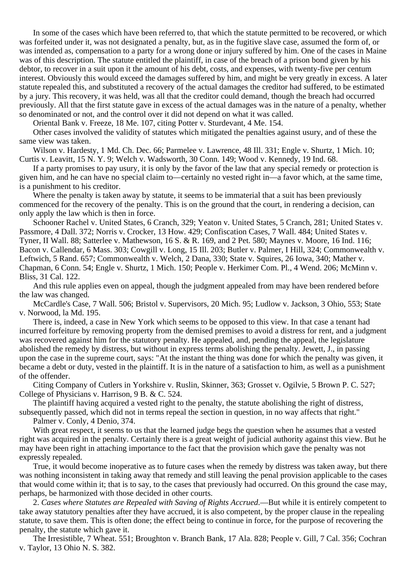In some of the cases which have been referred to, that which the statute permitted to be recovered, or which was forfeited under it, was not designated a penalty, but, as in the fugitive slave case, assumed the form of, or was intended as, compensation to a party for a wrong done or injury suffered by him. One of the cases in Maine was of this description. The statute entitled the plaintiff, in case of the breach of a prison bond given by his debtor, to recover in a suit upon it the amount of his debt, costs, and expenses, with twenty-five per centum interest. Obviously this would exceed the damages suffered by him, and might be very greatly in excess. A later statute repealed this, and substituted a recovery of the actual damages the creditor had suffered, to be estimated by a jury. This recovery, it was held, was all that the creditor could demand, though the breach had occurred previously. All that the first statute gave in excess of the actual damages was in the nature of a penalty, whether so denominated or not, and the control over it did not depend on what it was called.

Oriental Bank v. Freeze, 18 Me. 107, citing Potter v. Sturdevant, 4 Me. 154.

Other cases involved the validity of statutes which mitigated the penalties against usury, and of these the same view was taken.

Wilson v. Hardesty, 1 Md. Ch. Dec. 66; Parmelee v. Lawrence, 48 Ill. 331; Engle v. Shurtz, 1 Mich. 10; Curtis v. Leavitt, 15 N. Y. 9; Welch v. Wadsworth, 30 Conn. 149; Wood v. Kennedy, 19 Ind. 68.

If a party promises to pay usury, it is only by the favor of the law that any special remedy or protection is given him, and he can have no special claim to—certainly no vested right in—a favor which, at the same time, is a punishment to his creditor.

Where the penalty is taken away by statute, it seems to be immaterial that a suit has been previously commenced for the recovery of the penalty. This is on the ground that the court, in rendering a decision, can only apply the law which is then in force.

Schooner Rachel v. United States, 6 Cranch, 329; Yeaton v. United States, 5 Cranch, 281; United States v. Passmore, 4 Dall. 372; Norris v. Crocker, 13 How. 429; Confiscation Cases, 7 Wall. 484; United States v. Tyner, II Wall. 88; Satterlee v. Mathewson, 16 S. & R. 169, and 2 Pet. 580; Maynes v. Moore, 16 Ind. 116; Bacon v. Callendar, 6 Mass. 303; Cowgill v. Long, 15 Ill. 203; Butler v. Palmer, I Hill, 324; Commonwealth v. Leftwich, 5 Rand. 657; Commonwealth v. Welch, 2 Dana, 330; State v. Squires, 26 Iowa, 340; Mather v. Chapman, 6 Conn. 54; Engle v. Shurtz, 1 Mich. 150; People v. Herkimer Com. Pl., 4 Wend. 206; McMinn v. Bliss, 31 Cal. 122.

And this rule applies even on appeal, though the judgment appealed from may have been rendered before the law was changed.

McCardle's Case, 7 Wall. 506; Bristol v. Supervisors, 20 Mich. 95; Ludlow v. Jackson, 3 Ohio, 553; State v. Norwood, la Md. 195.

There is, indeed, a case in New York which seems to be opposed to this view. In that case a tenant had incurred forfeiture by removing property from the demised premises to avoid a distress for rent, and a judgment was recovered against him for the statutory penalty. He appealed, and, pending the appeal, the legislature abolished the remedy by distress, but without in express terms abolishing the penalty. Jewett, J., in passing upon the case in the supreme court, says: "At the instant the thing was done for which the penalty was given, it became a debt or duty, vested in the plaintiff. It is in the nature of a satisfaction to him, as well as a punishment of the offender.

Citing Company of Cutlers in Yorkshire v. Ruslin, Skinner, 363; Grosset v. Ogilvie, 5 Brown P. C. 527; College of Physicians v. Harrison, 9 B. & C. 524.

The plaintiff having acquired a vested right to the penalty, the statute abolishing the right of distress, subsequently passed, which did not in terms repeal the section in question, in no way affects that right."

Palmer v. Conly, 4 Denio, 374.

With great respect, it seems to us that the learned judge begs the question when he assumes that a vested right was acquired in the penalty. Certainly there is a great weight of judicial authority against this view. But he may have been right in attaching importance to the fact that the provision which gave the penalty was not expressly repealed.

True, it would become inoperative as to future cases when the remedy by distress was taken away, but there was nothing inconsistent in taking away that remedy and still leaving the penal provision applicable to the cases that would come within it; that is to say, to the cases that previously had occurred. On this ground the case may, perhaps, be harmonized with those decided in other courts.

2. *Cases where Statutes are Repealed with Saving of Rights Accrued*.—But while it is entirely competent to take away statutory penalties after they have accrued, it is also competent, by the proper clause in the repealing statute, to save them. This is often done; the effect being to continue in force, for the purpose of recovering the penalty, the statute which gave it.

The Irresistible, 7 Wheat. 551; Broughton v. Branch Bank, 17 Ala. 828; People v. Gill, 7 Cal. 356; Cochran v. Taylor, 13 Ohio N. S. 382.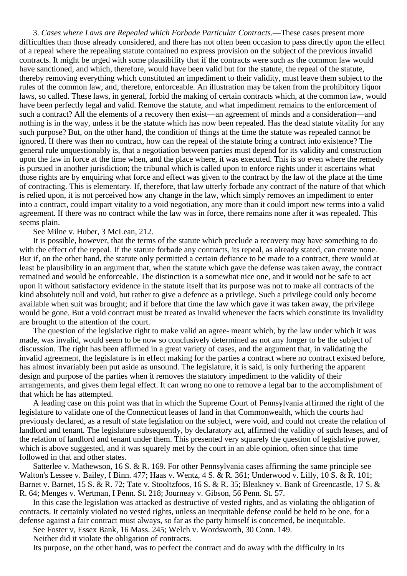3. *Cases where Laws are Repealed which Forbade Particular Contracts*.—These cases present more difficulties than those already considered, and there has not often been occasion to pass directly upon the effect of a repeal where the repealing statute contained no express provision on the subject of the previous invalid contracts. It might be urged with some plausibility that if the contracts were such as the common law would have sanctioned, and which, therefore, would have been valid but for the statute, the repeal of the statute, thereby removing everything which constituted an impediment to their validity, must leave them subject to the rules of the common law, and, therefore, enforceable. An illustration may be taken from the prohibitory liquor laws, so called. These laws, in general, forbid the making of certain contracts which, at the common law, would have been perfectly legal and valid. Remove the statute, and what impediment remains to the enforcement of such a contract? All the elements of a recovery then exist—an agreement of minds and a consideration—and nothing is in the way, unless it be the statute which has now been repealed. Has the dead statute vitality for any such purpose? But, on the other hand, the condition of things at the time the statute was repealed cannot be ignored. If there was then no contract, how can the repeal of the statute bring a contract into existence? The general rule unquestionably is, that a negotiation between parties must depend for its validity and construction upon the law in force at the time when, and the place where, it was executed. This is so even where the remedy is pursued in another jurisdiction; the tribunal which is called upon to enforce rights under it ascertains what those rights are by enquiring what force and effect was given to the contract by the law of the place at the time of contracting. This is elementary. If, therefore, that law utterly forbade any contract of the nature of that which is relied upon, it is not perceived how any change in the law, which simply removes an impediment to enter into a contract, could impart vitality to a void negotiation, any more than it could import new terms into a valid agreement. If there was no contract while the law was in force, there remains none after it was repealed. This seems plain.

See Milne v. Huber, 3 McLean, 212.

It is possible, however, that the terms of the statute which preclude a recovery may have something to do with the effect of the repeal. If the statute forbade any contracts, its repeal, as already stated, can create none. But if, on the other hand, the statute only permitted a certain defiance to be made to a contract, there would at least be plausibility in an argument that, when the statute which gave the defense was taken away, the contract remained and would be enforceable. The distinction is a somewhat nice one, and it would not be safe to act upon it without satisfactory evidence in the statute itself that its purpose was not to make all contracts of the kind absolutely null and void, but rather to give a defence as a privilege. Such a privilege could only become available when suit was brought; and if before that time the law which gave it was taken away, the privilege would be gone. But a void contract must be treated as invalid whenever the facts which constitute its invalidity are brought to the attention of the court.

The question of the legislative right to make valid an agree- meant which, by the law under which it was made, was invalid, would seem to be now so conclusively determined as not any longer to be the subject of discussion. The right has been affirmed in a great variety of cases, and the argument that, in validating the invalid agreement, the legislature is in effect making for the parties a contract where no contract existed before, has almost invariably been put aside as unsound. The legislature, it is said, is only furthering the apparent design and purpose of the parties when it removes the statutory impediment to the validity of their arrangements, and gives them legal effect. It can wrong no one to remove a legal bar to the accomplishment of that which he has attempted.

A leading case on this point was that in which the Supreme Court of Pennsylvania affirmed the right of the legislature to validate one of the Connecticut leases of land in that Commonwealth, which the courts had previously declared, as a result of state legislation on the subject, were void, and could not create the relation of landlord and tenant. The legislature subsequently, by declaratory act, affirmed the validity of such leases, and of the relation of landlord and tenant under them. This presented very squarely the question of legislative power, which is above suggested, and it was squarely met by the court in an able opinion, often since that time followed in that and other states.

Satterlee v. Mathewson, 16 S. & R. 169. For other Pennsylvania cases affirming the same principle see Walton's Lessee v. Bailey, I Binn. 477; Haas v. Wentz, 4 S. & R. 361; Underwood v. Lilly, 10 S. & R. 101; Barnet v. Barnet, 15 S. & R. 72; Tate v. Stooltzfoos, 16 S. & R. 35; Bleakney v. Bank of Greencastle, 17 S. & R. 64; Menges v. Wertman, I Penn. St. 218; Journeay v. Gibson, 56 Penn. St. 57.

In this case the legislation was attacked as destructive of vested rights, and as violating the obligation of contracts. It certainly violated no vested rights, unless an inequitable defense could be held to be one, for a defense against a fair contract must always, so far as the party himself is concerned, be inequitable.

See Foster v, Essex Bank, 16 Mass. 245; Welch v. Wordsworth, 30 Conn. 149.

Neither did it violate the obligation of contracts.

Its purpose, on the other hand, was to perfect the contract and do away with the difficulty in its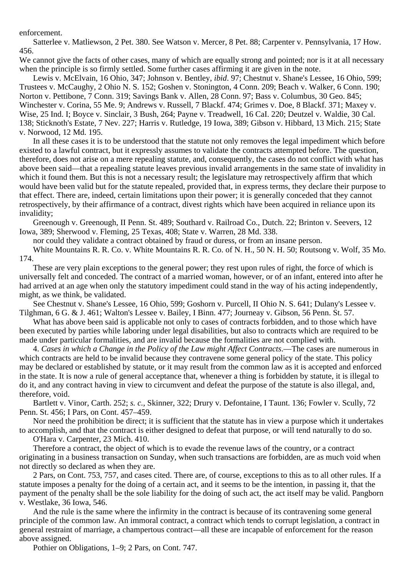enforcement.

Satterlee v. Matliewson, 2 Pet. 380. See Watson v. Mercer, 8 Pet. 88; Carpenter v. Pennsylvania, 17 How. 456.

We cannot give the facts of other cases, many of which are equally strong and pointed; nor is it at all necessary when the principle is so firmly settled. Some further cases affirming it are given in the note.

Lewis v. McElvain, 16 Ohio, 347; Johnson v. Bentley, *ibid*. 97; Chestnut v. Shane's Lessee, 16 Ohio, 599; Trustees v. McCaughy, 2 Ohio N. S. 152; Goshen v. Stonington, 4 Conn. 209; Beach v. Walker, 6 Conn. 190; Norton v. Pettibone, 7 Conn. 319; Savings Bank v. Allen, 28 Conn. 97; Bass v. Columbus, 30 Geo. 845; Winchester v. Corina, 55 Me. 9; Andrews v. Russell, 7 Blackf. 474; Grimes v. Doe, 8 Blackf. 371; Maxey v. Wise, 25 Ind. I; Boyce v. Sinclair, 3 Bush, 264; Payne v. Treadwell, 16 CaI. 220; Deutzel v. Waldie, 30 Cal. 138; Sticknoth's Estate, 7 Nev. 227; Harris v. Rutledge, 19 Iowa, 389; Gibson v. Hibbard, 13 Mich. 215; State v. Norwood, 12 Md. 195.

In all these cases it is to be understood that the statute not only removes the legal impediment which before existed to a lawful contract, but it expressly assumes to validate the contracts attempted before. The question, therefore, does not arise on a mere repealing statute, and, consequently, the cases do not conflict with what has above been said—that a repealing statute leaves previous invalid arrangements in the same state of invalidity in which it found them. But this is not a necessary result; the legislature may retrospectively affirm that which would have been valid but for the statute repealed, provided that, in express terms, they declare their purpose to that effect. There are, indeed, certain limitations upon their power; it is generally conceded that they cannot retrospectively, by their affirmance of a contract, divest rights which have been acquired in reliance upon its invalidity;

Greenough v. Greenough, II Penn. St. 489; Southard v. Railroad Co., Dutch. 22; Brinton v. Seevers, 12 Iowa, 389; Sherwood v. Fleming, 25 Texas, 408; State v. Warren, 28 Md. 338.

nor could they validate a contract obtained by fraud or duress, or from an insane person.

White Mountains R. R. Co. v. White Mountains R. R. Co. of N. H., 50 N. H. 50; Routsong v. Wolf, 35 Mo. 174.

These are very plain exceptions to the general power; they rest upon rules of right, the force of which is universally felt and conceded. The contract of a married woman, however, or of an infant, entered into after he had arrived at an age when only the statutory impediment could stand in the way of his acting independently, might, as we think, be validated.

See Chestnut v. Shane's Lessee, 16 Ohio, 599; Goshorn v. Purcell, II Ohio N. S. 641; Dulany's Lessee v. Tilghman, 6 G. & J. 461; Walton's Lessee v. Bailey, I Binn. 477; Journeay v. Gibson, 56 Penn. St. 57.

What has above been said is applicable not only to cases of contracts forbidden, and to those which have been executed by parties while laboring under legal disabilities, but also to contracts which are required to be made under particular formalities, and are invalid because the formalities are not complied with.

4. *Cases in which a Change in the Policy of the Law might Affect Contracts*.—The cases are numerous in which contracts are held to be invalid because they contravene some general policy of the state. This policy may be declared or established by statute, or it may result from the common law as it is accepted and enforced in the state. It is now a rule of general acceptance that, whenever a thing is forbidden by statute, it is illegal to do it, and any contract having in view to circumvent and defeat the purpose of the statute is also illegal, and, therefore, void.

Bartlett v. Vinor, Carth. 252; *s. c.*, Skinner, 322; Drury v. Defontaine, I Taunt. 136; Fowler v. Scully, 72 Penn. St. 456; I Pars, on Cont. 457–459.

Nor need the prohibition be direct; it is sufficient that the statute has in view a purpose which it undertakes to accomplish, and that the contract is either designed to defeat that purpose, or will tend naturally to do so.

O'Hara v. Carpenter, 23 Mich. 410.

Therefore a contract, the object of which is to evade the revenue laws of the country, or a contract originating in a business transaction on Sunday, when such transactions are forbidden, are as much void when not directly so declared as when they are.

2 Pars, on Cont. 753, 757, and cases cited. There are, of course, exceptions to this as to all other rules. If a statute imposes a penalty for the doing of a certain act, and it seems to be the intention, in passing it, that the payment of the penalty shall be the sole liability for the doing of such act, the act itself may be valid. Pangborn v. Westlake, 36 Iowa, 546.

And the rule is the same where the infirmity in the contract is because of its contravening some general principle of the common law. An immoral contract, a contract which tends to corrupt legislation, a contract in general restraint of marriage, a champertous contract—all these are incapable of enforcement for the reason above assigned.

Pothier on Obligations, 1–9; 2 Pars, on Cont. 747.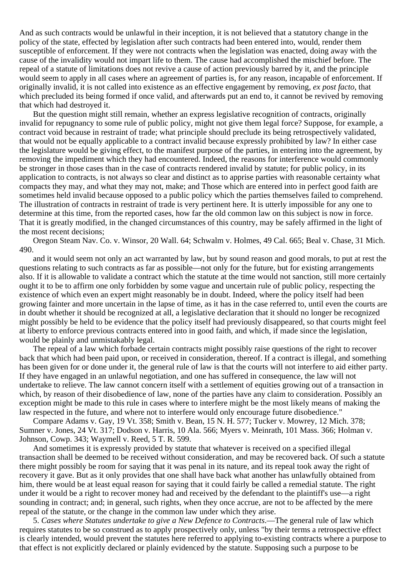And as such contracts would be unlawful in their inception, it is not believed that a statutory change in the policy of the state, effected by legislation after such contracts had been entered into, would, render them susceptible of enforcement. If they were not contracts when the legislation was enacted, doing away with the cause of the invalidity would not impart life to them. The cause had accomplished the mischief before. The repeal of a statute of limitations does not revive a cause of action previously barred by it, and the principle would seem to apply in all cases where an agreement of parties is, for any reason, incapable of enforcement. If originally invalid, it is not called into existence as an effective engagement by removing, *ex post facto*, that which precluded its being formed if once valid, and afterwards put an end to, it cannot be revived by removing that which had destroyed it.

But the question might still remain, whether an express legislative recognition of contracts, originally invalid for repugnancy to some rule of public policy, might not give them legal force? Suppose, for example, a contract void because in restraint of trade; what principle should preclude its being retrospectively validated, that would not be equally applicable to a contract invalid because expressly prohibited by law? In either case the legislature would be giving effect, to the manifest purpose of the parties, in entering into the agreement, by removing the impediment which they had encountered. Indeed, the reasons for interference would commonly be stronger in those cases than in the case of contracts rendered invalid by statute; for public policy, in its application to contracts, is not always so clear and distinct as to apprise parties with reasonable certainty what compacts they may, and what they may not, make; and Those which are entered into in perfect good faith are sometimes held invalid because opposed to a public policy which the parties themselves failed to comprehend. The illustration of contracts in restraint of trade is very pertinent here. It is utterly impossible for any one to determine at this time, from the reported cases, how far the old common law on this subject is now in force. That it is greatly modified, in the changed circumstances of this country, may be safely affirmed in the light of the most recent decisions;

Oregon Steam Nav. Co. v. Winsor, 20 Wall. 64; Schwalm v. Holmes, 49 Cal. 665; Beal v. Chase, 31 Mich. 490.

and it would seem not only an act warranted by law, but by sound reason and good morals, to put at rest the questions relating to such contracts as far as possible—not only for the future, but for existing arrangements also. If it is allowable to validate a contract which the statute at the time would not sanction, still more certainly ought it to be to affirm one only forbidden by some vague and uncertain rule of public policy, respecting the existence of which even an expert might reasonably be in doubt. Indeed, where the policy itself had been growing fainter and more uncertain in the lapse of time, as it has in the case referred to, until even the courts are in doubt whether it should be recognized at all, a legislative declaration that it should no longer be recognized might possibly be held to be evidence that the policy itself had previously disappeared, so that courts might feel at liberty to enforce previous contracts entered into in good faith, and which, if made since the legislation, would be plainly and unmistakably legal.

The repeal of a law which forbade certain contracts might possibly raise questions of the right to recover back that which had been paid upon, or received in consideration, thereof. If a contract is illegal, and something has been given for or done under it, the general rule of law is that the courts will not interfere to aid either party. If they have engaged in an unlawful negotiation, and one has suffered in consequence, the law will not undertake to relieve. The law cannot concern itself with a settlement of equities growing out of a transaction in which, by reason of their disobedience of law, none of the parties have any claim to consideration. Possibly an exception might be made to this rule in cases where to interfere might be the most likely means of making the law respected in the future, and where not to interfere would only encourage future disobedience."

Compare Adams v. Gay, 19 Vt. 358; Smith v. Bean, 15 N. H. 577; Tucker v. Mowrey, 12 Mich. 378; Sumner v. Jones, 24 Vt. 317; Dodson v. Harris, 10 Ala. 566; Myers v. Meinrath, 101 Mass. 366; Holman v. Johnson, Cowp. 343; Waymell v. Reed, 5 T. R. 599.

And sometimes it is expressly provided by statute that whatever is received on a specified illegal transaction shall be deemed to be received without consideration, and may be recovered back. Of such a statute there might possibly be room for saying that it was penal in its nature, and its repeal took away the right of recovery it gave. But as it only provides that one shall have back what another has unlawfully obtained from him, there would be at least equal reason for saying that it could fairly be called a remedial statute. The right under it would be a right to recover money had and received by the defendant to the plaintiff's use—a right sounding in contract; and; in general, such rights, when they once accrue, are not to be affected by the mere repeal of the statute, or the change in the common law under which they arise.

5. *Cases where Statutes undertake to give a New Defence to Contracts*.—The general rule of law which requires statutes to be so construed as to apply prospectively only, unless "by their terms a retrospective effect is clearly intended, would prevent the statutes here referred to applying to-existing contracts where a purpose to that effect is not explicitly declared or plainly evidenced by the statute. Supposing such a purpose to be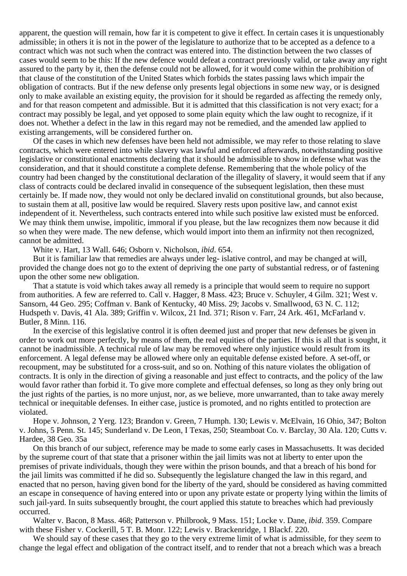apparent, the question will remain, how far it is competent to give it effect. In certain cases it is unquestionably admissible; in others it is not in the power of the legislature to authorize that to be accepted as a defence to a contract which was not such when the contract was entered into. The distinction between the two classes of cases would seem to be this: If the new defence would defeat a contract previously valid, or take away any right assured to the party by it, then the defense could not be allowed, for it would come within the prohibition of that clause of the constitution of the United States which forbids the states passing laws which impair the obligation of contracts. But if the new defense only presents legal objections in some new way, or is designed only to make available an existing equity, the provision for it should be regarded as affecting the remedy only, and for that reason competent and admissible. But it is admitted that this classification is not very exact; for a contract may possibly be legal, and yet opposed to some plain equity which the law ought to recognize, if it does not. Whether a defect in the law in this regard may not be remedied, and the amended law applied to existing arrangements, will be considered further on.

Of the cases in which new defenses have been held not admissible, we may refer to those relating to slave contracts, which were entered into while slavery was lawful and enforced afterwards, notwithstanding positive legislative or constitutional enactments declaring that it should be admissible to show in defense what was the consideration, and that it should constitute a complete defense. Remembering that the whole policy of the country had been changed by the constitutional declaration of the illegality of slavery, it would seem that if any class of contracts could be declared invalid in consequence of the subsequent legislation, then these must certainly be. If made now, they would not only be declared invalid on constitutional grounds, but also because, to sustain them at all, positive law would be required. Slavery rests upon positive law, and cannot exist independent of it. Nevertheless, such contracts entered into while such positive law existed must be enforced. We may think them unwise, impolitic, immoral if you please, but the law recognizes them now because it did so when they were made. The new defense, which would import into them an infirmity not then recognized, cannot be admitted.

White v. Hart, 13 Wall. 646; Osborn v. Nicholson, *ibid*. 654.

But it is familiar law that remedies are always under leg- islative control, and may be changed at will, provided the change does not go to the extent of depriving the one party of substantial redress, or of fastening upon the other some new obligation.

That a statute is void which takes away all remedy is a principle that would seem to require no support from authorities. A few are referred to. Call v. Hagger, 8 Mass. 423; Bruce v. Schuyler, 4 Gilm. 321; West v. Sansorn, 44 Geo. 295; Coffman v. Bank of Kentucky, 40 Miss. 29; Jacobs v. Smallwood, 63 N. C. 112; Hudspeth v. Davis, 41 Ala. 389; Griffin v. Wilcox, 21 Ind. 371; Rison v. Farr, 24 Ark. 461, McFarland v. Butler, 8 Minn. 116.

In the exercise of this legislative control it is often deemed just and proper that new defenses be given in order to work out more perfectly, by means of them, the real equities of the parties. If this is all that is sought, it cannot be inadmissible. A technical rule of law may be removed where only injustice would result from its enforcement. A legal defense may be allowed where only an equitable defense existed before. A set-off, or recoupment, may be substituted for a cross-suit, and so on. Nothing of this nature violates the obligation of contracts. It is only in the direction of giving a reasonable and just effect to contracts, and the policy of the law would favor rather than forbid it. To give more complete and effectual defenses, so long as they only bring out the just rights of the parties, is no more unjust, nor, as we believe, more unwarranted, than to take away merely technical or inequitable defenses. In either case, justice is promoted, and no rights entitled to protection are violated.

Hope v. Johnson, 2 Yerg. 123; Brandon v. Green, 7 Humph. 130; Lewis v. McElvain, 16 Ohio, 347; Bolton v. Johns, 5 Penn. St. 145; Sunderland v. De Leon, I Texas, 250; Steamboat Co. v. Barclay, 30 Ala. 120; Cutts v. Hardee, 38 Geo. 35a

On this branch of our subject, reference may be made to some early cases in Massachusetts. It was decided by the supreme court of that state that a prisoner within the jail limits was not at liberty to enter upon the premises of private individuals, though they were within the prison bounds, and that a breach of his bond for the jail limits was committed if he did so. Subsequently the legislature changed the law in this regard, and enacted that no person, having given bond for the liberty of the yard, should be considered as having committed an escape in consequence of having entered into or upon any private estate or property lying within the limits of such jail-yard. In suits subsequently brought, the court applied this statute to breaches which had previously occurred.

Walter v. Bacon, 8 Mass. 468; Patterson v. Philbrook, 9 Mass. 151; Locke v. Dane, *ibid*. 359. Compare with these Fisher v. Cockerill, 5 T. B. Monr. 122; Lewis v. Brackenridge, 1 Blackf. 220.

We should say of these cases that they go to the very extreme limit of what is admissible, for they *seem* to change the legal effect and obligation of the contract itself, and to render that not a breach which was a breach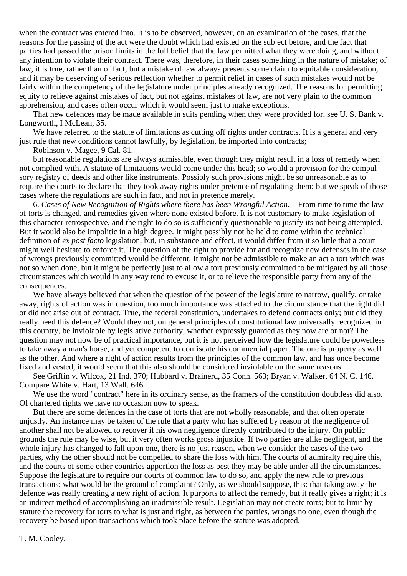when the contract was entered into. It is to be observed, however, on an examination of the cases, that the reasons for the passing of the act were the doubt which had existed on the subject before, and the fact that parties had passed the prison limits in the full belief that the law permitted what they were doing, and without any intention to violate their contract. There was, therefore, in their cases something in the nature of mistake; of law, it is true, rather than of fact; but a mistake of law always presents some claim to equitable consideration, and it may be deserving of serious reflection whether to permit relief in cases of such mistakes would not be fairly within the competency of the legislature under principles already recognized. The reasons for permitting equity to relieve against mistakes of fact, but not against mistakes of law, are not very plain to the common apprehension, and cases often occur which it would seem just to make exceptions.

That new defences may be made available in suits pending when they were provided for, see U. S. Bank v. Longworth, I McLean, 35.

We have referred to the statute of limitations as cutting off rights under contracts. It is a general and very just rule that new conditions cannot lawfully, by legislation, be imported into contracts;

Robinson v. Magee, 9 Cal. 81.

but reasonable regulations are always admissible, even though they might result in a loss of remedy when not complied with. A statute of limitations would come under this head; so would a provision for the compul sory registry of deeds and other like instruments. Possibly such provisions might be so unreasonable as to require the courts to declare that they took away rights under pretence of regulating them; but we speak of those cases where the regulations are such in fact, and not in pretence merely.

6. *Cases of New Recognition of Rights where there has been Wrongful Action*.—From time to time the law of torts is changed, and remedies given where none existed before. It is not customary to make legislation of this character retrospective, and the right to do so is sufficiently questionable to justify its not being attempted. But it would also be impolitic in a high degree. It might possibly not be held to come within the technical definition of *ex post facto* legislation, but, in substance and effect, it would differ from it so little that a court might well hesitate to enforce it. The question of the right to provide for and recognize new defenses in the case of wrongs previously committed would be different. It might not be admissible to make an act a tort which was not so when done, but it might be perfectly just to allow a tort previously committed to be mitigated by all those circumstances which would in any way tend to excuse it, or to relieve the responsible party from any of the consequences.

We have always believed that when the question of the power of the legislature to narrow, qualify, or take away, rights of action was in question, too much importance was attached to the circumstance that the right did or did not arise out of contract. True, the federal constitution, undertakes to defend contracts only; but did they really need this defence? Would they not, on general principles of constitutional law universally recognized in this country, be inviolable by legislative authority, whether expressly guarded as they now are or not? The question may not now be of practical importance, but it is not perceived how the legislature could be powerless to take away a man's horse, and yet competent to confiscate his commercial paper. The one is property as well as the other. And where a right of action results from the principles of the common law, and has once become fixed and vested, it would seem that this also should be considered inviolable on the same reasons.

See Griffin v. Wilcox, 21 Ind. 370; Hubbard v. Brainerd, 35 Conn. 563; Bryan v. Walker, 64 N. C. 146. Compare White v. Hart, 13 Wall. 646.

We use the word "contract" here in its ordinary sense, as the framers of the constitution doubtless did also. Of chartered rights we have no occasion now to speak.

But there are some defences in the case of torts that are not wholly reasonable, and that often operate unjustly. An instance may be taken of the rule that a party who has suffered by reason of the negligence of another shall not be allowed to recover if his own negligence directly contributed to the injury. On public grounds the rule may be wise, but it very often works gross injustice. If two parties are alike negligent, and the whole injury has changed to fall upon one, there is no just reason, when we consider the cases of the two parties, why the other should not be compelled to share the loss with him. The courts of admiralty require this, and the courts of some other countries apportion the loss as best they may be able under all the circumstances. Suppose the legislature to require our courts of common law to do so, and apply the new rule to previous transactions; what would be the ground of complaint? Only, as we should suppose, this: that taking away the defence was really creating a new right of action. It purports to affect the remedy, but it really gives a right; it is an indirect method of accomplishing an inadmissible result. Legislation may not create torts; but to limit by statute the recovery for torts to what is just and right, as between the parties, wrongs no one, even though the recovery be based upon transactions which took place before the statute was adopted.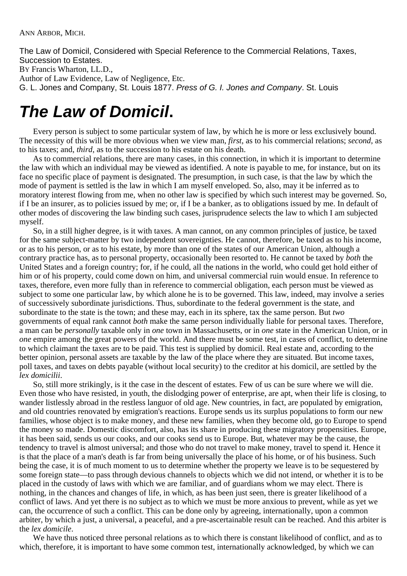The Law of Domicil, Considered with Special Reference to the Commercial Relations, Taxes, Succession to Estates.

BY Francis Wharton, LL.D.,

Author of Law Evidence, Law of Negligence, Etc.

G. L. Jones and Company, St. Louis 1877. Press of G. I. Jones and Company. St. Louis

### **The Law of Domicil.**

Every person is subject to some particular system of law, by which he is more or less exclusively bound. The necessity of this will be more obvious when we view man, *first*, as to his commercial relations; *second*, as to his taxes; and, *third*, as to the succession to his estate on his death.

As to commercial relations, there are many cases, in this connection, in which it is important to determine the law with which an individual may be viewed as identified. A note is payable to me, for instance, but on its face no specific place of payment is designated. The presumption, in such case, is that the law by which the mode of payment is settled is the law in which I am myself enveloped. So, also, may it be inferred as to moratory interest flowing from me, when no other law is specified by which such interest may be governed. So, if I be an insurer, as to policies issued by me; or, if I be a banker, as to obligations issued by me. In default of other modes of discovering the law binding such cases, jurisprudence selects the law to which I am subjected myself.

So, in a still higher degree, is it with taxes. A man cannot, on any common principles of justice, be taxed for the same subject-matter by two independent sovereignties. He cannot, therefore, be taxed as to his income, or as to his person, or as to his estate, by more than one of the states of our American Union, although a contrary practice has, as to personal property, occasionally been resorted to. He cannot be taxed by *both* the United States and a foreign country; for, if he could, all the nations in the world, who could get hold either of him or of his property, could come down on him, and universal commercial ruin would ensue. In reference to taxes, therefore, even more fully than in reference to commercial obligation, each person must be viewed as subject to some one particular law, by which alone he is to be governed. This law, indeed, may involve a series of successively subordinate jurisdictions. Thus, subordinate to the federal government is the state, and subordinate to the state is the town; and these may, each in its sphere, tax the same person. But *two* governments of equal rank cannot *both* make the same person individually liable for personal taxes. Therefore, a man can be *personally* taxable only in *one* town in Massachusetts, or in *one* state in the American Union, or in *one* empire among the great powers of the world. And there must be some test, in cases of conflict, to determine to which claimant the taxes are to be paid. This test is supplied by domicil. Real estate and, according to the better opinion, personal assets are taxable by the law of the place where they are situated. But income taxes, poll taxes, and taxes on debts payable (without local security) to the creditor at his domicil, are settled by the *lex domicilii*.

So, still more strikingly, is it the case in the descent of estates. Few of us can be sure where we will die. Even those who have resisted, in youth, the dislodging power of enterprise, are apt, when their life is closing, to wander listlessly abroad in the restless languor of old age. New countries, in fact, are populated by emigration, and old countries renovated by emigration's reactions. Europe sends us its surplus populations to form our new families, whose object is to make money, and these new families, when they become old, go to Europe to spend the money so made. Domestic discomfort, also, has its share in producing these migratory propensities. Europe, it has been said, sends us our cooks, and our cooks send us to Europe. But, whatever may be the cause, the tendency to travel is almost universal; and those who do not travel to make money, travel to spend it. Hence it is that the place of a man's death is far from being universally the place of his home, or of his business. Such being the case, it is of much moment to us to determine whether the property we leave is to be sequestered by some foreign state—to pass through devious channels to objects which we did not intend, or whether it is to be placed in the custody of laws with which we are familiar, and of guardians whom we may elect. There is nothing, in the chances and changes of life, in which, as has been just seen, there is greater likelihood of a conflict of laws. And yet there is no subject as to which we must be more anxious to prevent, while as yet we can, the occurrence of such a conflict. This can be done only by agreeing, internationally, upon a common arbiter, by which a just, a universal, a peaceful, and a pre-ascertainable result can be reached. And this arbiter is the *lex domicile*.

We have thus noticed three personal relations as to which there is constant likelihood of conflict, and as to which, therefore, it is important to have some common test, internationally acknowledged, by which we can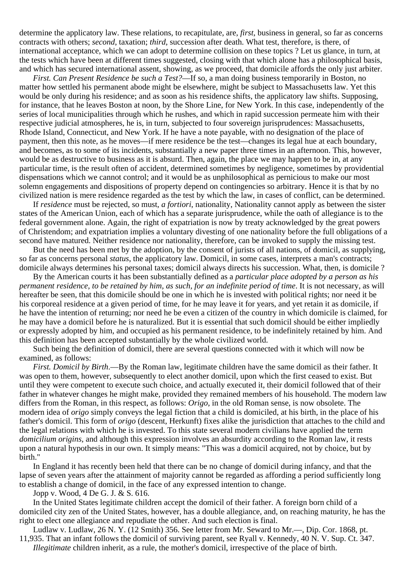determine the applicatory law. These relations, to recapitulate, are, *first*, business in general, so far as concerns contracts with others; *second*, taxation; *third*, succession after death. What test, therefore, is there, of international acceptance, which we can adopt to determine collision on these topics ? Let us glance, in turn, at the tests which have been at different times suggested, closing with that which alone has a philosophical basis, and which has secured international assent, showing, as we proceed, that domicile affords the only just arbiter.

*First. Can Present Residence be such a Test?*—If so, a man doing business temporarily in Boston, no matter how settled his permanent abode might be elsewhere, might be subject to Massachusetts law. Yet this would be only during his residence; and as soon as his residence shifts, the applicatory law shifts. Supposing, for instance, that he leaves Boston at noon, by the Shore Line, for New York. In this case, independently of the series of local municipalities through which he rushes, and which in rapid succession permeate him with their respective judicial atmospheres, he is, in turn, subjected to four sovereign jurisprudences: Massachusetts, Rhode Island, Connecticut, and New York. If he have a note payable, with no designation of the place of payment, then this note, as he moves—if mere residence be the test—changes its legal hue at each boundary, and becomes, as to some of its incidents, substantially a new paper three times in an afternoon. This, however, would be as destructive to business as it is absurd. Then, again, the place we may happen to be in, at any particular time, is the result often of accident, determined sometimes by negligence, sometimes by providential dispensations which we cannot control; and it would be as unphilosophical as pernicious to make our most solemn engagements and dispositions of property depend on contingencies so arbitrary. Hence it is that by no civilized nation is mere residence regarded as the test by which the law, in cases of conflict, can be determined.

If *residence* must be rejected, so must, *a fortiori*, nationality, Nationality cannot apply as between the sister states of the American Union, each of which has a separate jurisprudence, while the oath of allegiance is to the federal government alone. Again, the right of expatriation is now by treaty acknowledged by the great powers of Christendom; and expatriation implies a voluntary divesting of one nationality before the full obligations of a second have matured. Neither residence nor nationality, therefore, can be invoked to supply the missing test.

But the need has been met by the adoption, by the consent of jurists of all nations, of domicil, as supplying, so far as concerns personal *status*, the applicatory law. Domicil, in some cases, interprets a man's contracts; domicile always determines his personal taxes; domicil always directs his succession. What, then, is domicile ?

By the American courts it has been substantially defined as a *particular place adopted by a person as his permanent residence, to be retained by him, as such, for an indefinite period of time*. It is not necessary, as will hereafter be seen, that this domicile should be one in which he is invested with political rights; nor need it be his corporeal residence at a given period of time, for he may leave it for years, and yet retain it as domicile, if he have the intention of returning; nor need he be even a citizen of the country in which domicile is claimed, for he may have a domicil before he is naturalized. But it is essential that such domicil should be either impliedly or expressly adopted by him, and occupied as his permanent residence, to be indefinitely retained by him. And this definition has been accepted substantially by the whole civilized world.

Such being the definition of domicil, there are several questions connected with it which will now be examined, as follows:

*First. Domicil by Birth*.—By the Roman law, legitimate children have the same domicil as their father. It was open to them, however, subsequently to elect another domicil, upon which the first ceased to exist. But until they were competent to execute such choice, and actually executed it, their domicil followed that of their father in whatever changes he might make, provided they remained members of his household. The modern law differs from the Roman, in this respect, as follows: *Origo*, in the old Roman sense, is now obsolete. The modern idea of *origo* simply conveys the legal fiction that a child is domiciled, at his birth, in the place of his father's domicil. This form of *origo* (descent, Herkunft) fixes alike the jurisdiction that attaches to the child and the legal relations with which he is invested. To this state several modern civilians have applied the term *domicilium origins*, and although this expression involves an absurdity according to the Roman law, it rests upon a natural hypothesis in our own. It simply means: "This was a domicil acquired, not by choice, but by birth."

In England it has recently been held that there can be no change of domicil during infancy, and that the lapse of seven years after the attainment of majority cannot be regarded as affording a period sufficiently long to establish a change of domicil, in the face of any expressed intention to change.

Jopp v. Wood, 4 De G. J. & S. 616.

In the United States legitimate children accept the domicil of their father. A foreign born child of a domiciled city zen of the United States, however, has a double allegiance, and, on reaching maturity, he has the right to elect one allegiance and repudiate the other. And such election is final.

Ludlaw v. Ludlaw, 26 N. Y. (12 Smith) 356. See letter from Mr. Seward to Mr.—, Dip. Cor. 1868, pt. 11,935. That an infant follows the domicil of surviving parent, see Ryall v. Kennedy, 40 N. V. Sup. Ct. 347. *Illegitimate* children inherit, as a rule, the mother's domicil, irrespective of the place of birth.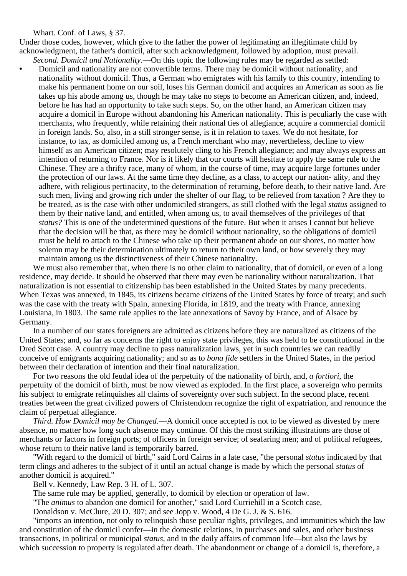Whart. Conf. of Laws, § 37.

Under those codes, however, which give to the father the power of legitimating an illegitimate child by acknowledgment, the father's domicil, after such acknowledgment, followed by adoption, must prevail. *Second. Domicil and Nationality*.—On this topic the following rules may be regarded as settled:

**•** Domicil and nationality are not convertible terms. There may be domicil without nationality, and nationality without domicil. Thus, a German who emigrates with his family to this country, intending to make his permanent home on our soil, loses his German domicil and acquires an American as soon as lie takes up his abode among us, though he may take no steps to become an American citizen, and, indeed, before he has had an opportunity to take such steps. So, on the other hand, an American citizen may acquire a domicil in Europe without abandoning his American nationality. This is peculiarly the case with merchants, who frequently, while retaining their national ties of allegiance, acquire a commercial domicil in foreign lands. So, also, in a still stronger sense, is it in relation to taxes. We do not hesitate, for instance, to tax, as domiciled among us, a French merchant who may, nevertheless, decline to view himself as an American citizen; may resolutely cling to his French allegiance; and may always express an intention of returning to France. Nor is it likely that our courts will hesitate to apply the same rule to the Chinese. They are a thrifty race, many of whom, in the course of time, may acquire large fortunes under the protection of our laws. At the same time they decline, as a class, to accept our nation- ality, and they adhere, with religious pertinacity, to the determination of returning, before death, to their native land. Are such men, living and growing rich under the shelter of our flag, to be relieved from taxation ? Are they to be treated, as is the case with other undomiciled strangers, as still clothed with the legal *status* assigned to them by their native land, and entitled, when among us, to avail themselves of the privileges of that *status?* This is one of the undetermined questions of the future. But when it arises I cannot but believe that the decision will be that, as there may be domicil without nationality, so the obligations of domicil must be held to attach to the Chinese who take up their permanent abode on our shores, no matter how solemn may be their determination ultimately to return to their own land, or how severely they may maintain among us the distinctiveness of their Chinese nationality.

We must also remember that, when there is no other claim to nationality, that of domicil, or even of a long residence, may decide. It should be observed that there may even be nationality without naturalization. That naturalization is not essential to citizenship has been established in the United States by many precedents. When Texas was annexed, in 1845, its citizens became citizens of the United States by force of treaty; and such was the case with the treaty with Spain, annexing Florida, in 1819, and the treaty with France, annexing Louisiana, in 1803. The same rule applies to the late annexations of Savoy by France, and of Alsace by Germany.

In a number of our states foreigners are admitted as citizens before they are naturalized as citizens of the United States; and, so far as concerns the right to enjoy state privileges, this was held to be constitutional in the Dred Scott case. A country may decline to pass naturalization laws, yet in such countries we can readily conceive of emigrants acquiring nationality; and so as to *bona fide* settlers in the United States, in the period between their declaration of intention and their final naturalization.

For two reasons the old feudal idea of the perpetuity of the nationality of birth, and, *a fortiori*, the perpetuity of the domicil of birth, must be now viewed as exploded. In the first place, a sovereign who permits his subject to emigrate relinquishes all claims of sovereignty over such subject. In the second place, recent treaties between the great civilized powers of Christendom recognize the right of expatriation, and renounce the claim of perpetual allegiance.

*Third. How Domicil may be Changed*.—A domicil once accepted is not to be viewed as divested by mere absence, no matter how long such absence may continue. Of this the most striking illustrations are those of merchants or factors in foreign ports; of officers in foreign service; of seafaring men; and of political refugees, whose return to their native land is temporarily barred.

"With regard to the domicil of birth," said Lord Cairns in a late case, "the personal *status* indicated by that term clings and adheres to the subject of it until an actual change is made by which the personal *status* of another domicil is acquired."

Bell v. Kennedy, Law Rep. 3 H. of L. 307.

The same rule may be applied, generally, to domicil by election or operation of law.

"The *animus* to abandon one domicil for another," said Lord Curriehill in a Scotch case,

Donaldson v. McClure, 20 D. 307; and see Jopp v. Wood, 4 De G. J. & S. 616.

"imports an intention, not only to relinquish those peculiar rights, privileges, and immunities which the law and constitution of the domicil confer—in the domestic relations, in purchases and sales, and other business transactions, in political or municipal *status*, and in the daily affairs of common life—but also the laws by which succession to property is regulated after death. The abandonment or change of a domicil is, therefore, a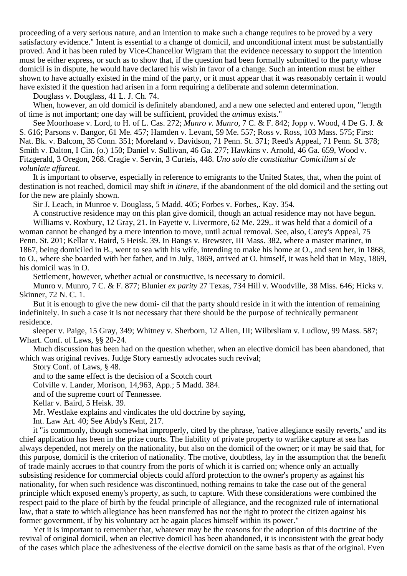proceeding of a very serious nature, and an intention to make such a change requires to be proved by a very satisfactory evidence." Intent is essential to a change of domicil, and unconditional intent must be substantially proved. And it has been ruled by Vice-Chancellor Wigram that the evidence necessary to support the intention must be either express, or such as to show that, if the question had been formally submitted to the party whose domicil is in dispute, he would have declared his wish in favor of a change. Such an intention must be either shown to have actually existed in the mind of the party, or it must appear that it was reasonably certain it would have existed if the question had arisen in a form requiring a deliberate and solemn determination.

Douglass v. Douglass, 41 L. J. Ch. 74.

When, however, an old domicil is definitely abandoned, and a new one selected and entered upon, "length of time is not important; one day will be sufficient, provided the *animus* exists."

See Moorhoase v. Lord, to H. of L. Cas. 272; *Munro v. Munro*, 7 C. & F. 842; Jopp v. Wood, 4 De G. J. & S. 616; Parsons v. Bangor, 61 Me. 457; Hamden v. Levant, 59 Me. 557; Ross v. Ross, 103 Mass. 575; First: Nat. Bk. v. Balcom, 35 Conn. 351; Moreland v. Davidson, 71 Penn. St. 371; Reed's Appeal, 71 Penn. St. 378; Smith v. Dalton, I Cin. (o.) 150; Daniel v. Sullivan, 46 Ga. 277; Hawkins v. Arnold, 46 Ga. 659, Wood v. Fitzgerald, 3 Oregon, 268. Cragie v. Servin, 3 Curteis, 448. *Uno solo die constituitur Comicilium si de volunlate affareat*.

It is important to observe, especially in reference to emigrants to the United States, that, when the point of destination is not reached, domicil may shift *in itinere*, if the abandonment of the old domicil and the setting out for the new are plainly shown.

Sir J. Leach, in Munroe v. Douglass, 5 Madd. 405; Forbes v. Forbes,. Kay. 354.

A constructive residence may on this plan give domicil, though an actual residence may not have begun. Williams v. Roxbury, 12 Gray, 21. In Fayette v. Livermore, 62 Me. 229,. it was held that a domicil of a woman cannot be changed by a mere intention to move, until actual removal. See, also, Carey's Appeal, 75 Penn. St. 201; Kellar v. Baird, 5 Heisk. 39. In Bangs v. Brewster, III Mass. 382, where a master mariner, in 1867, being domiciled in B., went to sea with his wife, intending to make his home at O., and sent her, in 1868, to O., where she boarded with her father, and in July, 1869, arrived at O. himself, it was held that in May, 1869, his domicil was in O.

Settlement, however, whether actual or constructive, is necessary to domicil.

Munro v. Munro, 7 C. & F. 877; Blunier *ex parity* 27 Texas, 734 Hill v. Woodville, 38 Miss. 646; Hicks v. Skinner, 72 N. C. 1.

But it is enough to give the new domi- cil that the party should reside in it with the intention of remaining indefinitely. In such a case it is not necessary that there should be the purpose of technically permanent residence.

sleeper v. Paige, 15 Gray, 349; Whitney v. Sherborn, 12 AlIen, III; Wilbrsliam v. Ludlow, 99 Mass. 587; Whart. Conf. of Laws, §§ 20-24.

Much discussion has been had on the question whether, when an elective domicil has been abandoned, that which was original revives. Judge Story earnestly advocates such revival;

Story Conf. of Laws, § 48.

and to the same effect is the decision of a Scotch court

Colville v. Lander, Morison, 14,963, App.; 5 Madd. 384.

and of the supreme court of Tennessee.

Kellar v. Baird, 5 Heisk. 39.

Mr. Westlake explains and vindicates the old doctrine by saying,

Int. Law Art. 40; See Abdy's Kent, 217.

it "is commonly, though somewhat improperly, cited by the phrase, 'native allegiance easily reverts,' and its chief application has been in the prize courts. The liability of private property to warlike capture at sea has always depended, not merely on the nationality, but also on the domicil of the owner; or it may be said that, for this purpose, domicil is the criterion of nationality. The motive, doubtless, lay in the assumption that the benefit of trade mainly accrues to that country from the ports of which it is carried on; whence only an actually subsisting residence for commercial objects could afford protection to the owner's property as against his nationality, for when such residence was discontinued, nothing remains to take the case out of the general principle which exposed enemy's property, as such, to capture. With these considerations were combined the respect paid to the place of birth by the feudal principle of allegiance, and the recognized rule of international law, that a state to which allegiance has been transferred has not the right to protect the citizen against his former government, if by his voluntary act he again places himself within its power."

Yet it is important to remember that, whatever may be the reasons for the adoption of this doctrine of the revival of original domicil, when an elective domicil has been abandoned, it is inconsistent with the great body of the cases which place the adhesiveness of the elective domicil on the same basis as that of the original. Even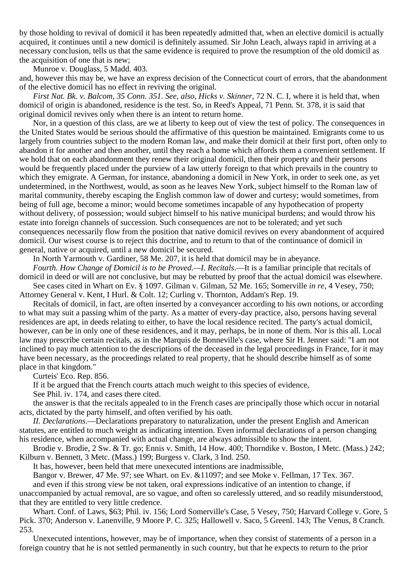by those holding to revival of domicil it has been repeatedly admitted that, when an elective domicil is actually acquired, it continues until a new domicil is definitely assumed. Sir John Leach, always rapid in arriving at a necessary conclusion, tells us that the same evidence is required to prove the resumption of the old domicil as the acquisition of one that is new;

Munroe v. Douglass, 5 Madd. 403.

and, however this may be, we have an express decision of the Connecticut court of errors, that the abandonment of the elective domicil has no effect in reviving the original.

*First Nat. Bk. v. Balcom, 35 Conn. 351. See, also, Hicks v. Skinner*, 72 N. C. I, where it is held that, when domicil of origin is abandoned, residence is the test. So, in Reed's Appeal, 71 Penn. St. 378, it is said that original domicil revives only when there is an intent to return home.

Nor, in a question of this class, are we at liberty to keep out of view the test of policy. The consequences in the United States would be serious should the affirmative of this question be maintained. Emigrants come to us largely from countries subject to the modern Roman law, and make their domicil at their first port, often only to abandon it for another and then another, until they reach a home which affords them a convenient settlement. If we hold that on each abandonment they renew their original domicil, then their property and their persons would be frequently placed under the purview of a law utterly foreign to that which prevails in the country to which they emigrate. A German, for instance, abandoning a domicil in New York, in order to seek one, as yet undetermined, in the Northwest, would, as soon as he leaves New York, subject himself to the Roman law of marital community, thereby escaping the English common law of dower and curtesy; would sometimes, from being of full age, become a minor; would become sometimes incapable of any hypothecation of property without delivery, of possession; would subject himself to his native municipal burdens; and would throw his estate into foreign channels of succession. Such consequences are not to be tolerated; and yet such consequences necessarily flow from the position that native domicil revives on every abandonment of acquired domicil. Our wisest course is to reject this doctrine, and to return to that of the continuance of domicil in general, native or acquired, until a new domicil be secured.

In North Yarmouth v. Gardiner, 58 Me. 207, it is held that domicil may be in abeyance.

*Fourth. How Change of Domicil is to be Proved.—I. Recitals*.—It is a familiar principle that recitals of domicil in deed or will are not conclusive, but may be rebutted by proof that the actual domicil was elsewhere. See cases cited in Whart on Ev. § 1097. Gilman v. Gilman, 52 Me. 165; Somerville *in re*, 4 Vesey, 750;

Attorney General v. Kent, I Hurl. & Colt. 12; Curling v. Thornton, Addam's Rep. 19.

Recitals of domicil, in fact, are often inserted by a conveyancer according to his own notions, or according to what may suit a passing whim of the party. As a matter of every-day practice, also, persons having several residences are apt, in deeds relating to either, to have the local residence recited. The party's actual domicil, however, can be in only one of these residences, and it may, perhaps, be in none of them. Nor is this all. Local law may prescribe certain recitals, as in the Marquis de Bonneville's case, where Sir H. Jenner said: "I am not inclined to pay much attention to the descriptions of the deceased in the legal proceedings in France, for it may have been necessary, as the proceedings related to real property, that he should describe himself as of some place in that kingdom."

Curteis' Eco. Rep. 856.

If it be argued that the French courts attach much weight to this species of evidence,

See Phil. iv. 174, and cases there cited.

the answer is that the recitals appealed to in the French cases are principally those which occur in notarial acts, dictated by the party himself, and often verified by his oath.

*II. Declarations*.—Declarations preparatory to naturalization, under the present English and American statutes, are entitled to much weight as indicating intention. Even informal declarations of a person changing his residence, when accompanied with actual change, are always admissible to show the intent.

Brodie v. Brodie, 2 Sw. & Tr. go; Ennis v. Smith, 14 How. 400; Thorndike v. Boston, I Metc. (Mass.) 242; Kilburn v. Bennett, 3 Metc. (Mass.) 199; Burgess v. Clark, 3 Ind. 250.

It has, however, been held that mere unexecuted intentions are inadmissible,

Bangor v. Brewer, 47 Me. 97; see Whart. on Ev. &11097; and see Moke v. Fellman, 17 Tex. 367.

and even if this strong view be not taken, oral expressions indicative of an intention to change, if

unaccompanied by actual removal, are so vague, and often so carelessly uttered, and so readily misunderstood, that they are entitled to very little credence.

Whart. Conf. of Laws, \$63; Phil. iv. 156; Lord Somerville's Case, 5 Vesey, 750; Harvard College v. Gore, 5 Pick. 370; Anderson v. Lanenville, 9 Moore P. C. 325; Hallowell v. Saco, 5 Greenl. 143; The Venus, 8 Cranch. 253.

Unexecuted intentions, however, may be of importance, when they consist of statements of a person in a foreign country that he is not settled permanently in such country, but that he expects to return to the prior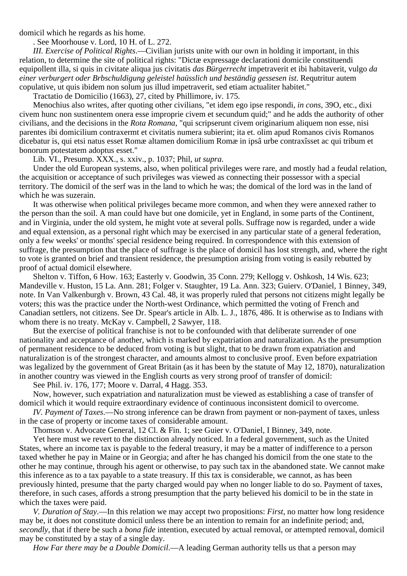domicil which he regards as his home.

. See Moorhouse v. Lord, 10 H. of L. 272.

*III. Exercise of Political Rights*.—Civilian jurists unite with our own in holding it important, in this relation, to determine the site of political rights: "Dictæ expressage declarationi domicile constituendi equipollent illa, si quis in civitate aliqua jus civitatis *das Bürgerrecht* impetraverit et ibi habitaverit, vulgo *da einer verburgert oder Brbschuldigung geleistel haüsslich und beständig gessesen ist*. Requtritur autem copulative, ut quis ibidem non solum jus illud impetraverit, sed etiam actualiter habitet."

Tractatio de Domicilio (1663), 27, cited by Phillimore, iv. 175.

Menochius also writes, after quoting other civilians, "et idem ego ipse respondi, *in cons*, 39O, etc., dixi civem hunc non sustinentem onera esse improprie civem et secundum quid;" and he adds the authority of other civilians, and the decisions in the *Rota Romana*, "qui scripserunt civem originarium aliquem non esse, nisi parentes ibi domicilium contraxermt et civitatis numera subierint; ita et. olim apud Romanos civis Romanos dicebatur is, qui etsi natus esset Romæ altamen domicilium Romæ in ipsâ urbe contraxîsset ac qui tribum et bonorum potestatem adoptus esset."

Lib. VI., Presump. XXX., s. xxiv., p. 1037; Phil, *ut supra*.

Under the old European systems, also, when political privileges were rare, and mostly had a feudal relation, the acquisition or acceptance of such privileges was viewed as connecting their possessor with a special territory. The domicil of the serf was in the land to which he was; the domical of the lord was in the land of which he was suzerain.

It was otherwise when political privileges became more common, and when they were annexed rather to the person than the soil. A man could have but one domicile, yet in England, in some parts of the Continent, and in Virginia, under the old system, he might vote at several polls. Suffrage now is regarded, under a wide and equal extension, as a personal right which may be exercised in any particular state of a general federation, only a few weeks' or months' special residence being required. In correspondence with this extension of suffrage, the presumption that the place of suffrage is the place of domicil has lost strength, and, where the right to vote is granted on brief and transient residence, the presumption arising from voting is easily rebutted by proof of actual domicil elsewhere.

Shelton v. Tiffon, 6 How. 163; Easterly v. Goodwin, 35 Conn. 279; Kellogg v. Oshkosh, 14 Wis. 623; Mandeville v. Huston, 15 La. Ann. 281; Folger v. Staughter, 19 La. Ann. 323; Guierv. O'Daniel, 1 Binney, 349, note. In Van Valkenburgh v. Brown, 43 Cal. 48, it was properly ruled that persons not citizens might legally be voters; this was the practice under the North-west Ordinance, which permitted the voting of French and Canadian settlers, not citizens. See Dr. Spear's article in Alb. L. J., 1876, 486. It is otherwise as to Indians with whom there is no treaty. McKay v. Campbell, 2 Sawyer, 118.

But the exercise of political franchise is not to be confounded with that deliberate surrender of one nationality and acceptance of another, which is marked by expatriation and naturalization. As the presumption of permanent residence to be deduced from voting is but slight, that to be drawn from expatriation and naturalization is of the strongest character, and amounts almost to conclusive proof. Even before expatriation was legalized by the government of Great Britain (as it has been by the statute of May 12, 1870), naturalization in another country was viewed in the English courts as very strong proof of transfer of domicil:

See Phil. iv. 176, 177; Moore v. Darral, 4 Hagg. 353.

Now, however, such expatriation and naturalization must be viewed as establishing a case of transfer of domicil which it would require extraordinary evidence of continuous inconsistent domicil to overcome.

*IV. Payment of Taxes*.—No strong inference can be drawn from payment or non-payment of taxes, unless in the case of property or income taxes of considerable amount.

Thomson v. Advocate General, 12 Cl. & Fin. 1; see Guier v. O'Daniel, I Binney, 349, note.

Yet here must we revert to the distinction already noticed. In a federal government, such as the United States, where an income tax is payable to the federal treasury, it may be a matter of indifference to a person taxed whether he pay in Maine or in Georgia; and after he has changed his domicil from the one state to the other he may continue, through his agent or otherwise, to pay such tax in the abandoned state. We cannot make this inference as to a tax payable to a state treasury. If this tax is considerable, we cannot, as has been previously hinted, presume that the party charged would pay when no longer liable to do so. Payment of taxes, therefore, in such cases, affords a strong presumption that the party believed his domicil to be in the state in which the taxes were paid.

*V. Duration of Stay*.—In this relation we may accept two propositions: *First*, no matter how long residence may be, it does not constitute domicil unless there be an intention to remain for an indefinite period; and, *secondly*, that if there be such a *bona fide* intention, executed by actual removal, or attempted removal, domicil may be constituted by a stay of a single day.

*How Far there may be a Double Domicil*.—A leading German authority tells us that a person may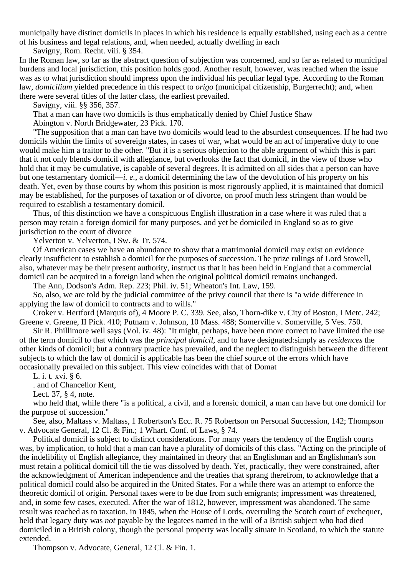municipally have distinct domicils in places in which his residence is equally established, using each as a centre of his business and legal relations, and, when needed, actually dwelling in each

Savigny, Rom. Recht. viii. § 354.

In the Roman law, so far as the abstract question of subjection was concerned, and so far as related to municipal burdens and local jurisdiction, this position holds good. Another result, however, was reached when the issue was as to what jurisdiction should impress upon the individual his peculiar legal type. According to the Roman law, *domicilium* yielded precedence in this respect to *origo* (municipal citizenship, Burgerrecht); and, when there were several titles of the latter class, the earliest prevailed.

Savigny, viii. §§ 356, 357.

That a man can have two domicils is thus emphatically denied by Chief Justice Shaw

Abington v. North Bridgewater, 23 Pick. 170.

"The supposition that a man can have two domicils would lead to the absurdest consequences. If he had two domicils within the limits of sovereign states, in cases of war, what would be an act of imperative duty to one would make him a traitor to the other. "But it is a serious objection to the able argument of which this is part that it not only blends domicil with allegiance, but overlooks the fact that domicil, in the view of those who hold that it may be cumulative, is capable of several degrees. It is admitted on all sides that a person can have but one testamentary domicil—*i. e.*, a domicil determining the law of the devolution of his property on his death. Yet, even by those courts by whom this position is most rigorously applied, it is maintained that domicil may be established, for the purposes of taxation or of divorce, on proof much less stringent than would be required to establish a testamentary domicil.

Thus, of this distinction we have a conspicuous English illustration in a case where it was ruled that a person may retain a foreign domicil for many purposes, and yet be domiciled in England so as to give jurisdiction to the court of divorce

Yelverton v. Yelverton, I Sw. & Tr. 574.

Of American cases we have an abundance to show that a matrimonial domicil may exist on evidence clearly insufficient to establish a domicil for the purposes of succession. The prize rulings of Lord Stowell, also, whatever may be their present authority, instruct us that it has been held in England that a commercial domicil can be acquired in a foreign land when the original political domicil remains unchanged.

The Ann, Dodson's Adm. Rep. 223; Phil. iv. 51; Wheaton's Int. Law, 159.

So, also, we are told by the judicial committee of the privy council that there is "a wide difference in applying the law of domicil to contracts and to wills."

Croker v. Hertford (Marquis of), 4 Moore P. C. 339. See, also, Thorn-dike v. City of Boston, I Metc. 242; Greene v. Greene, II Pick. 410; Putnam v. Johnson, 10 Mass. 488; Somerville v. Somerville, 5 Ves. 750.

Sir R. Phillimore well says (Vol. iv. 48): "It might, perhaps, have been more correct to have limited the use of the term domicil to that which was the *principal domicil*, and to have designated:simply as *residences* the other kinds of domicil; but a contrary practice has prevailed, and the neglect to distinguish between the different subjects to which the law of domicil is applicable has been the chief source of the errors which have occasionally prevailed on this subject. This view coincides with that of Domat

L. i. t. xvi. § 6.

. and of Chancellor Kent,

Lect. 37, § 4, note.

who held that, while there "is a political, a civil, and a forensic domicil, a man can have but one domicil for the purpose of succession."

See, also, Maltass v. Maltass, 1 Robertson's Ecc. R. 75 Robertson on Personal Succession, 142; Thompson v. Advocate General, 12 Cl. & Fin.; 1 Whart. Conf. of Laws, § 74.

Political domicil is subject to distinct considerations. For many years the tendency of the English courts was, by implication, to hold that a man can have a plurality of domicils of this class. "Acting on the principle of the indelibility of English allegiance, they maintained in theory that an Englishman and an Englishman's son must retain a political domicil till the tie was dissolved by death. Yet, practically, they were constrained, after the acknowledgment of American independence and the treaties that sprang therefrom, to acknowledge that a political domicil could also be acquired in the United States. For a while there was an attempt to enforce the theoretic domicil of origin. Personal taxes were to be due from such emigrants; impressment was threatened, and, in some few cases, executed. After the war of 1812, however, impressment was abandoned. The same result was reached as to taxation, in 1845, when the House of Lords, overruling the Scotch court of exchequer, held that legacy duty was *not* payable by the legatees named in the will of a British subject who had died domiciled in a British colony, though the personal property was locally situate in Scotland, to which the statute extended.

Thompson v. Advocate, General, 12 Cl. & Fin. 1.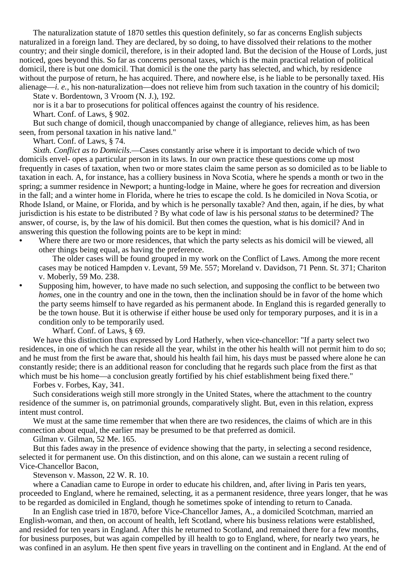The naturalization statute of 1870 settles this question definitely, so far as concerns English subjects naturalized in a foreign land. They are declared, by so doing, to have dissolved their relations to the mother country; and their single domicil, therefore, is in their adopted land. But the decision of the House of Lords, just noticed, goes beyond this. So far as concerns personal taxes, which is the main practical relation of political domicil, there is but one domicil. That domicil is the one the party has selected, and which, by residence without the purpose of return, he has acquired. There, and nowhere else, is he liable to be personally taxed. His alienage—*i. e.*, his non-naturalization—does not relieve him from such taxation in the country of his domicil;

State v. Bordentown, 3 Vroom (N. J.), 192.

nor is it a bar to prosecutions for political offences against the country of his residence. Whart. Conf. of Laws, § 902.

But such change of domicil, though unaccompanied by change of allegiance, relieves him, as has been seen, from personal taxation in his native land."

Whart. Conf. of Laws, § 74.

*Sixth. Conflict as to Domicils*.—Cases constantly arise where it is important to decide which of two domicils envel- opes a particular person in its laws. In our own practice these questions come up most frequently in cases of taxation, when two or more states claim the same person as so domiciled as to be liable to taxation in each. A, for instance, has a colliery business in Nova Scotia, where he spends a month or two in the spring; a summer residence in Newport; a hunting-lodge in Maine, where he goes for recreation and diversion in the fall; and a winter home in Florida, where he tries to escape the cold. Is he domiciled in Nova Scotia, or Rhode Island, or Maine, or Florida, and by which is he personally taxable? And then, again, if he dies, by what jurisdiction is his estate to be distributed ? By what code of law is his personal *status* to be determined? The answer, of course, is, by the law of his domicil. But then comes the question, what is his domicil? And in answering this question the following points are to be kept in mind:

Where there are two or more residences, that which the party selects as his domicil will be viewed, all other things being equal, as having the preference.

The older cases will be found grouped in my work on the Conflict of Laws. Among the more recent cases may be noticed Hampden v. Levant, 59 Me. 557; Moreland v. Davidson, 71 Penn. St. 371; Chariton v. Moberly, 59 Mo. 238.

**•** Supposing him, however, to have made no such selection, and supposing the conflict to be between two *homes*, one in the country and one in the town, then the inclination should be in favor of the home which the party seems himself to have regarded as his permanent abode. In England this is regarded generally to be the town house. But it is otherwise if either house be used only for temporary purposes, and it is in a condition only to be temporarily used.

Wharf. Conf. of Laws, § 69.

We have this distinction thus expressed by Lord Hatherly, when vice-chancellor: "If a party select two residences, in one of which he can reside all the year, whilst in the other his health will not permit him to do so; and he must from the first be aware that, should his health fail him, his days must be passed where alone he can constantly reside; there is an additional reason for concluding that he regards such place from the first as that which must be his home—a conclusion greatly fortified by his chief establishment being fixed there."

Forbes v. Forbes, Kay, 341.

Such considerations weigh still more strongly in the United States, where the attachment to the country residence of the summer is, on patrimonial grounds, comparatively slight. But, even in this relation, express intent must control.

We must at the same time remember that when there are two residences, the claims of which are in this connection about equal, the earlier may be presumed to be that preferred as domicil.

Gilman v. Gilman, 52 Me. 165.

But this fades away in the presence of evidence showing that the party, in selecting a second residence, selected it for permanent use. On this distinction, and on this alone, can we sustain a recent ruling of Vice-Chancellor Bacon,

Stevenson v. Masson, 22 W. R. 10.

where a Canadian came to Europe in order to educate his children, and, after living in Paris ten years, proceeded to England, where he remained, selecting, it as a permanent residence, three years longer, that he was to be regarded as domiciled in England, though he sometimes spoke of intending to return to Canada.

In an English case tried in 1870, before Vice-Chancellor James, A., a domiciled Scotchman, married an English-woman, and then, on account of health, left Scotland, where his business relations were established, and resided for ten years in England. After this he returned to Scotland, and remained there for a few months, for business purposes, but was again compelled by ill health to go to England, where, for nearly two years, he was confined in an asylum. He then spent five years in travelling on the continent and in England. At the end of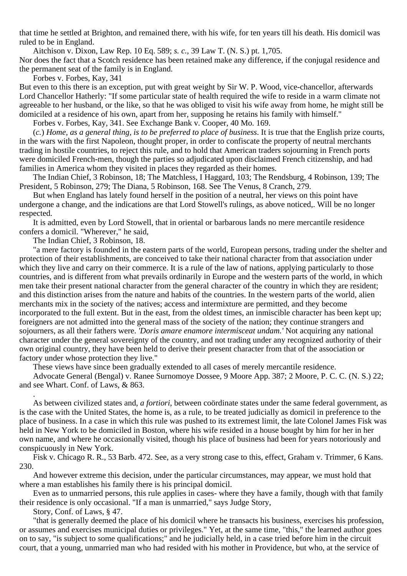that time he settled at Brighton, and remained there, with his wife, for ten years till his death. His domicil was ruled to be in England.

Aitchison v. Dixon, Law Rep. 10 Eq. 589; *s. c.*, 39 Law T. (N. S.) pt. 1,705.

Nor does the fact that a Scotch residence has been retained make any difference, if the conjugal residence and the permanent seat of the family is in England.

Forbes v. Forbes, Kay, 341

But even to this there is an exception, put with great weight by Sir W. P. Wood, vice-chancellor, afterwards Lord Chancellor Hatherly: "If some particular state of health required the wife to reside in a warm climate not agreeable to her husband, or the like, so that he was obliged to visit his wife away from home, he might still be domiciled at a residence of his own, apart from her, supposing he retains his family with himself."

Forbes v. Forbes, Kay, 341. See Exchange Bank v. Cooper, 40 Mo. 169.

(*c.*) *Home, as a general thing, is to be preferred to place of business*. It is true that the English prize courts, in the wars with the first Napoleon, thought proper, in order to confiscate the property of neutral merchants trading in hostile countries, to reject this rule, and to hold that American traders sojourning in French ports were domiciled French-men, though the parties so adjudicated upon disclaimed French citizenship, and had families in America whom they visited in places they regarded as their homes.

The Indian Chief, 3 Robinson, 18; The Matchless, I Haggard, 103; The Rendsburg, 4 Robinson, 139; The President, 5 Robinson, 279; The Diana, 5 Robinson, 168. See The Venus, 8 Cranch, 279.

But when England has lately found herself in the position of a neutral, her views on this point have undergone a change, and the indications are that Lord Stowell's rulings, as above noticed,. Will be no longer respected.

It is admitted, even by Lord Stowell, that in oriental or barbarous lands no mere mercantile residence confers a domicil. "Wherever," he said,

The Indian Chief, 3 Robinson, 18.

.

"a mere factory is founded in the eastern parts of the world, European persons, trading under the shelter and protection of their establishments, are conceived to take their national character from that association under which they live and carry on their commerce. It is a rule of the law of nations, applying particularly to those countries, and is different from what prevails ordinarily in Europe and the western parts of the world, in which men take their present national character from the general character of the country in which they are resident; and this distinction arises from the nature and habits of the countries. In the western parts of the world, alien merchants mix in the society of the natives; access and intermixture are permitted, and they become incorporated to the full extent. But in the east, from the oldest times, an inmiscible character has been kept up; foreigners are not admitted into the general mass of the society of the nation; they continue strangers and sojourners, as all their fathers were. *'Doris amare enamore intermisceat undam.'* Not acquiring any national character under the general sovereignty of the country, and not trading under any recognized authority of their own original country, they have been held to derive their present character from that of the association or factory under whose protection they live."

These views have since been gradually extended to all cases of merely mercantile residence.

Advocate General (Bengal) v. Ranee Surnomoye Dossee, 9 Moore App. 387; 2 Moore, P. C. C. (N. S.) 22; and see Whart. Conf. of Laws, & 863.

As between civilized states and, *a fortiori*, between coördinate states under the same federal government, as is the case with the United States, the home is, as a rule, to be treated judicially as domicil in preference to the place of business. In a case in which this rule was pushed to its extremest limit, the late Colonel James Fisk was held in New York to be domiciled in Boston, where his wife resided in a house bought by him for her in her own name, and where he occasionally visited, though his place of business had been for years notoriously and conspicuously in New York.

Fisk v. Chicago R. R., 53 Barb. 472. See, as a very strong case to this, effect, Graham v. Trimmer, 6 Kans. 230.

And however extreme this decision, under the particular circumstances, may appear, we must hold that where a man establishes his family there is his principal domicil.

Even as to unmarried persons, this rule applies in cases- where they have a family, though with that family their residence is only occasional. "If a man is unmarried," says Judge Story, Story, Conf. of Laws, § 47.

"that is generally deemed the place of his domicil where he transacts his business, exercises his profession, or assumes and exercises municipal duties or privileges." Yet, at the same time, "this," the learned author goes on to say, "is subject to some qualifications;" and he judicially held, in a case tried before him in the circuit court, that a young, unmarried man who had resided with his mother in Providence, but who, at the service of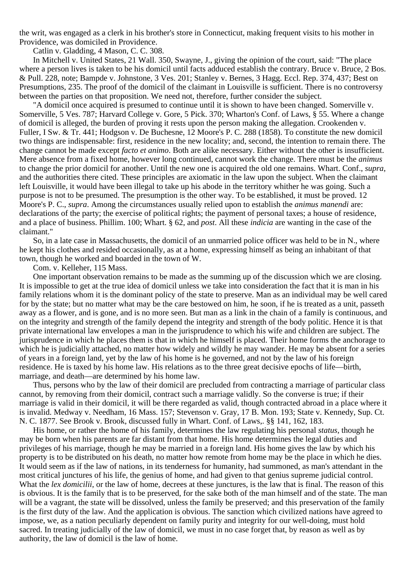the writ, was engaged as a clerk in his brother's store in Connecticut, making frequent visits to his mother in Providence, was domiciled in Providence.

Catlin v. Gladding, 4 Mason, C. C. 308.

In Mitchell v. United States, 21 Wall. 350, Swayne, J., giving the opinion of the court, said: "The place where a person lives is taken to be his domicil until facts adduced establish the contrary. Bruce v. Bruce, 2 Bos. & Pull. 228, note; Bampde v. Johnstone, 3 Ves. 201; Stanley v. Bernes, 3 Hagg. Eccl. Rep. 374, 437; Best on Presumptions, 235. The proof of the domicil of the claimant in Louisville is sufficient. There is no controversy between the parties on that proposition. We need not, therefore, further consider the subject.

"A domicil once acquired is presumed to continue until it is shown to have been changed. Somerville v. Somerville, 5 Ves. 787; Harvard College v. Gore, 5 Pick. 370; Wharton's Conf. of Laws, § 55. Where a change of domicil is alleged, the burden of proving it rests upon the person making the allegation. Crookenden v. Fuller, I Sw. & Tr. 441; Hodgson v. De Buchesne, 12 Moore's P. C. 288 (1858). To constitute the new domicil two things are indispensable: first, residence in the new locality; and, second, the intention to remain there. The change cannot be made except *facto et animo*. Both are alike necessary. Either without the other is insufficient. Mere absence from a fixed home, however long continued, cannot work the change. There must be the *animus* to change the prior domicil for another. Until the new one is acquired the old one remains. Whart. Conf., *supra*, and the authorities there cited. These principles are axiomatic in the law upon the subject. When the claimant left Louisville, it would have been illegal to take up his abode in the territory whither he was going. Such a purpose is not to be presumed. The presumption is the other way. To be established, it must be proved. 12 Moore's P. C., *supra*. Among the circumstances usually relied upon to establish the *animus manendi* are: declarations of the party; the exercise of political rights; the payment of personal taxes; a house of residence, and a place of business. Phillim. 100; Whart. § 62, and *post*. All these *indicia* are wanting in the case of the claimant."

So, in a late case in Massachusetts, the domicil of an unmarried police officer was held to be in N., where he kept his clothes and resided occasionally, as at a home, expressing himself as being an inhabitant of that town, though he worked and boarded in the town of W.

Com. v. Kelleher, 115 Mass.

One important observation remains to be made as the summing up of the discussion which we are closing. It is impossible to get at the true idea of domicil unless we take into consideration the fact that it is man in his family relations whom it is the dominant policy of the state to preserve. Man as an individual may be well cared for by the state; but no matter what may be the care bestowed on him, he soon, if he is treated as a unit, passeth away as a flower, and is gone, and is no more seen. But man as a link in the chain of a family is continuous, and on the integrity and strength of the family depend the integrity and strength of the body politic. Hence it is that private international law envelopes a man in the jurisprudence to which his wife and children are subject. The jurisprudence in which he places them is that in which he himself is placed. Their home forms the anchorage to which he is judicially attached, no matter how widely and wildly he may wander. He may be absent for a series of years in a foreign land, yet by the law of his home is he governed, and not by the law of his foreign residence. He is taxed by his home law. His relations as to the three great decisive epochs of life—birth, marriage, and death—are determined by his home law.

Thus, persons who by the law of their domicil are precluded from contracting a marriage of particular class cannot, by removing from their domicil, contract such a marriage validly. So the converse is true; if their marriage is valid in their domicil, it will be there regarded as valid, though contracted abroad in a place where it is invalid. Medway v. Needham, 16 Mass. 157; Stevenson v. Gray, 17 B. Mon. 193; State v. Kennedy, Sup. Ct. N. C. 1877. See Brook v. Brook, discussed fully in Whart. Conf. of Laws,. §§ 141, 162, 183.

His home, or rather the home of his family, determines the law regulating his personal *status*, though he may be born when his parents are far distant from that home. His home determines the legal duties and privileges of his marriage, though he may be married in a foreign land. His home gives the law by which his property is to be distributed on his death, no matter how remote from home may be the place in which he dies. It would seem as if the law of nations, in its tenderness for humanity, had summoned, as man's attendant in the most critical junctures of his life, the genius of home, and had given to that genius supreme judicial control. What the *lex domicilii*, or the law of home, decrees at these junctures, is the law that is final. The reason of this is obvious. It is the family that is to be preserved, for the sake both of the man himself and of the state. The man will be a vagrant, the state will be dissolved, unless the family be preserved; and this preservation of the family is the first duty of the law. And the application is obvious. The sanction which civilized nations have agreed to impose, we, as a nation peculiarly dependent on family purity and integrity for our well-doing, must hold sacred. In treating judicially of the law of domicil, we must in no case forget that, by reason as well as by authority, the law of domicil is the law of home.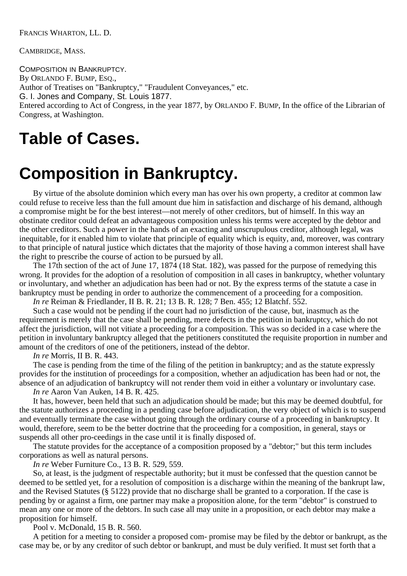FRANCIS WHARTON, LL. D.

CAMBRIDGE, MASS.

COMPOSITION IN BANKRUPTCY. By ORLANDO F. BUMP, ESQ., Author of Treatises on "Bankruptcy," "Fraudulent Conveyances," etc. G. I. Jones and Company, St. Louis 1877. Entered according to Act of Congress, in the year 1877, by ORLANDO F. BUMP, In the office of the Librarian of Congress, at Washington.

# **Table of Cases.**

# **Composition in Bankruptcy.**

By virtue of the absolute dominion which every man has over his own property, a creditor at common law could refuse to receive less than the full amount due him in satisfaction and discharge of his demand, although a compromise might be for the best interest—not merely of other creditors, but of himself. In this way an obstinate creditor could defeat an advantageous composition unless his terms were accepted by the debtor and the other creditors. Such a power in the hands of an exacting and unscrupulous creditor, although legal, was inequitable, for it enabled him to violate that principle of equality which is equity, and, moreover, was contrary to that principle of natural justice which dictates that the majority of those having a common interest shall have the right to prescribe the course of action to be pursued by all.

The 17th section of the act of June 17, 1874 (18 Stat. 182), was passed for the purpose of remedying this wrong. It provides for the adoption of a resolution of composition in all cases in bankruptcy, whether voluntary or involuntary, and whether an adjudication has been had or not. By the express terms of the statute a case in bankruptcy must be pending in order to authorize the commencement of a proceeding for a composition.

*In re* Reiman & Friedlander, II B. R. 21; 13 B. R. 128; 7 Ben. 455; 12 Blatchf. 552.

Such a case would not be pending if the court had no jurisdiction of the cause, but, inasmuch as the requirement is merely that the case shall be pending, mere defects in the petition in bankruptcy, which do not affect the jurisdiction, will not vitiate a proceeding for a composition. This was so decided in a case where the petition in involuntary bankruptcy alleged that the petitioners constituted the requisite proportion in number and amount of the creditors of one of the petitioners, instead of the debtor.

*In re* Morris, II B. R. 443.

The case is pending from the time of the filing of the petition in bankruptcy; and as the statute expressly provides for the institution of proceedings for a composition, whether an adjudication has been had or not, the absence of an adjudication of bankruptcy will not render them void in either a voluntary or involuntary case.

*In re* Aaron Van Auken, 14 B. R. 425.

It has, however, been held that such an adjudication should be made; but this may be deemed doubtful, for the statute authorizes a proceeding in a pending case before adjudication, the very object of which is to suspend and eventually terminate the case without going through the ordinary course of a proceeding in bankruptcy. It would, therefore, seem to be the better doctrine that the proceeding for a composition, in general, stays or suspends all other pro-ceedings in the case until it is finally disposed of.

The statute provides for the acceptance of a composition proposed by a "debtor;" but this term includes corporations as well as natural persons.

*In re* Weber Furniture Co., 13 B. R. 529, 559.

So, at least, is the judgment of respectable authority; but it must be confessed that the question cannot be deemed to be settled yet, for a resolution of composition is a discharge within the meaning of the bankrupt law, and the Revised Statutes (§ 5122) provide that no discharge shall be granted to a corporation. If the case is pending by or against a firm, one partner may make a proposition alone, for the term "debtor" is construed to mean any one or more of the debtors. In such case all may unite in a proposition, or each debtor may make a proposition for himself.

Pool v. McDonald, 15 B. R. 560.

A petition for a meeting to consider a proposed com- promise may be filed by the debtor or bankrupt, as the case may be, or by any creditor of such debtor or bankrupt, and must be duly verified. It must set forth that a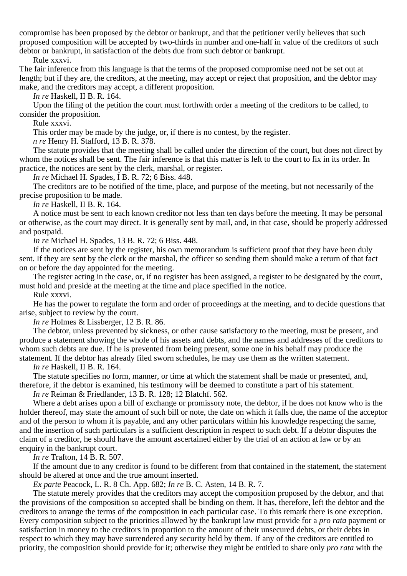compromise has been proposed by the debtor or bankrupt, and that the petitioner verily believes that such proposed composition will be accepted by two-thirds in number and one-half in value of the creditors of such debtor or bankrupt, in satisfaction of the debts due from such debtor or bankrupt.

Rule xxxvi.

The fair inference from this language is that the terms of the proposed compromise need not be set out at length; but if they are, the creditors, at the meeting, may accept or reject that proposition, and the debtor may make, and the creditors may accept, a different proposition.

*In re* Haskell, II B. R. 164.

Upon the filing of the petition the court must forthwith order a meeting of the creditors to be called, to consider the proposition.

Rule xxxvi.

This order may be made by the judge, or, if there is no contest, by the register.

*n re* Henry H. Stafford, 13 B. R. 378.

The statute provides that the meeting shall be called under the direction of the court, but does not direct by whom the notices shall be sent. The fair inference is that this matter is left to the court to fix in its order. In practice, the notices are sent by the clerk, marshal, or register.

*In re* Michael H. Spades, I B. R. 72; 6 Biss. 448.

The creditors are to be notified of the time, place, and purpose of the meeting, but not necessarily of the precise proposition to be made.

*In re* Haskell, II B. R. 164.

A notice must be sent to each known creditor not less than ten days before the meeting. It may be personal or otherwise, as the court may direct. It is generally sent by mail, and, in that case, should be properly addressed and postpaid.

*In re* Michael H. Spades, 13 B. R. 72; 6 Biss. 448.

If the notices are sent by the register, his own memorandum is sufficient proof that they have been duly sent. If they are sent by the clerk or the marshal, the officer so sending them should make a return of that fact on or before the day appointed for the meeting.

The register acting in the case, or, if no register has been assigned, a register to be designated by the court, must hold and preside at the meeting at the time and place specified in the notice.

Rule xxxvi.

He has the power to regulate the form and order of proceedings at the meeting, and to decide questions that arise, subject to review by the court.

*In re* Holmes & Lissberger, 12 B. R. 86.

The debtor, unless prevented by sickness, or other cause satisfactory to the meeting, must be present, and produce a statement showing the whole of his assets and debts, and the names and addresses of the creditors to whom such debts are due. If he is prevented from being present, some one in his behalf may produce the statement. If the debtor has already filed sworn schedules, he may use them as the written statement.

*In re* Haskell, II B. R. 164.

The statute specifies no form, manner, or time at which the statement shall be made or presented, and, therefore, if the debtor is examined, his testimony will be deemed to constitute a part of his statement.

*In re* Reiman & Friedlander, 13 B. R. 128; 12 Blatchf. 562.

Where a debt arises upon a bill of exchange or promissory note, the debtor, if he does not know who is the holder thereof, may state the amount of such bill or note, the date on which it falls due, the name of the acceptor and of the person to whom it is payable, and any other particulars within his knowledge respecting the same, and the insertion of such particulars is a sufficient description in respect to such debt. If a debtor disputes the claim of a creditor, he should have the amount ascertained either by the trial of an action at law or by an enquiry in the bankrupt court.

*In re* Trafton, 14 B. R. 507.

If the amount due to any creditor is found to be different from that contained in the statement, the statement should be altered at once and the true amount inserted.

*Ex parte* Peacock, L. R. 8 Ch. App. 682; *In re* B. C. Asten, 14 B. R. 7.

The statute merely provides that the creditors may accept the composition proposed by the debtor, and that the provisions of the composition so accepted shall be binding on them. It has, therefore, left the debtor and the creditors to arrange the terms of the composition in each particular case. To this remark there is one exception. Every composition subject to the priorities allowed by the bankrupt law must provide for a *pro rata* payment or satisfaction in money to the creditors in proportion to the amount of their unsecured debts, or their debts in respect to which they may have surrendered any security held by them. If any of the creditors are entitled to priority, the composition should provide for it; otherwise they might be entitled to share only *pro rata* with the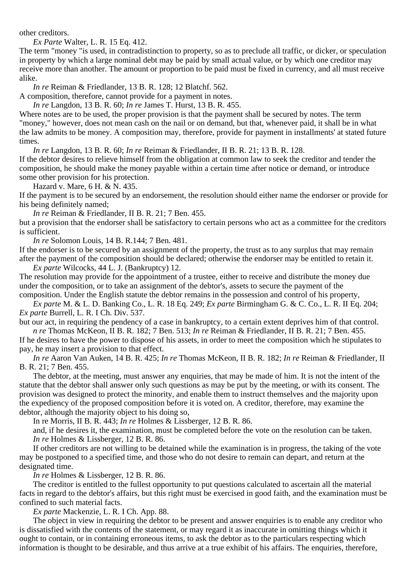other creditors.

*Ex Parte* Walter, L. R. 15 Eq. 412.

The term "money "is used, in contradistinction to property, so as to preclude all traffic, or dicker, or speculation in property by which a large nominal debt may be paid by small actual value, or by which one creditor may receive more than another. The amount or proportion to be paid must be fixed in currency, and all must receive alike.

*In re* Reiman & Friedlander, 13 B. R. 128; 12 Blatchf. 562.

A composition, therefore, cannot provide for a payment in notes.

*In re* Langdon, 13 B. R. 60; *In re* James T. Hurst, 13 B. R. 455.

Where notes are to be used, the proper provision is that the payment shall be secured by notes. The term "money," however, does not mean cash on the nail or on demand, but that, whenever paid, it shall be in what the law admits to be money. A composition may, therefore, provide for payment in installments' at stated future times.

*In re* Langdon, 13 B. R. 60; *In re* Reiman & Friedlander, II B. R. 21; 13 B. R. 128.

If the debtor desires to relieve himself from the obligation at common law to seek the creditor and tender the composition, he should make the money payable within a certain time after notice or demand, or introduce some other provision for his protection.

Hazard v. Mare, 6 H. & N. 435.

If the payment is to be secured by an endorsement, the resolution should either name the endorser or provide for his being definitely named;

*In re* Reiman & Friedlander, II B. R. 21; 7 Ben. 455.

but a provision that the endorser shall be satisfactory to certain persons who act as a committee for the creditors is sufficient.

*In re* Solomon Louis, 14 B. R.144; 7 Ben. 481.

If the endorser is to be secured by an assignment of the property, the trust as to any surplus that may remain after the payment of the composition should be declared; otherwise the endorser may be entitled to retain it. *Ex parte* Wilcocks, 44 L. J. (Bankruptcy) 12.

The resolution may provide for the appointment of a trustee, either to receive and distribute the money due under the composition, or to take an assignment of the debtor's, assets to secure the payment of the

composition. Under the English statute the debtor remains in the possession and control of his property, *Ex parte* M. & L. D. Banking Co., L. R. 18 Eq. 249; *Ex parte* Birmingham G. & C. Co., L. R. II Eq. 204;

*Ex parte* Burrell, L. R. I Ch. Div. 537.

but our act, in requiring the pendency of a case in bankruptcy, to a certain extent deprives him of that control. *n re* Thomas McKeon, II B. R. 182; 7 Ben. 513; *In re* Reiman & Friedlander, II B. R. 21; 7 Ben. 455.

If he desires to have the power to dispose of his assets, in order to meet the composition which he stipulates to pay, he may insert a provision to that effect.

*In re* Aaron Van Auken, 14 B. R. 425; *In re* Thomas McKeon, II B. R. 182; *In re* Reiman & Friedlander, II B. R. 21; 7 Ben. 455.

The debtor, at the meeting, must answer any enquiries, that may be made of him. It is not the intent of the statute that the debtor shall answer only such questions as may be put by the meeting, or with its consent. The provision was designed to protect the minority, and enable them to instruct themselves and the majority upon the expediency of the proposed composition before it is voted on. A creditor, therefore, may examine the debtor, although the majority object to his doing so,

In re Morris, II B. R. 443; *In re* Holmes & Lissberger, 12 B. R. 86.

and, if he desires it, the examination, must be completed before the vote on the resolution can be taken. *In re* Holmes & Lissberger, 12 B. R. 86.

If other creditors are not willing to be detained while the examination is in progress, the taking of the vote may be postponed to a specified time, and those who do not desire to remain can depart, and return at the designated time.

*In re* Holmes & Lissberger, 12 B. R. 86.

The creditor is entitled to the fullest opportunity to put questions calculated to ascertain all the material facts in regard to the debtor's affairs, but this right must be exercised in good faith, and the examination must be confined to such material facts.

*Ex parte* Mackenzie, L. R. I Ch. App. 88.

The object in view in requiring the debtor to be present and answer enquiries is to enable any creditor who is dissatisfied with the contents of the statement, or may regard it as inaccurate in omitting things which it ought to contain, or in containing erroneous items, to ask the debtor as to the particulars respecting which information is thought to be desirable, and thus arrive at a true exhibit of his affairs. The enquiries, therefore,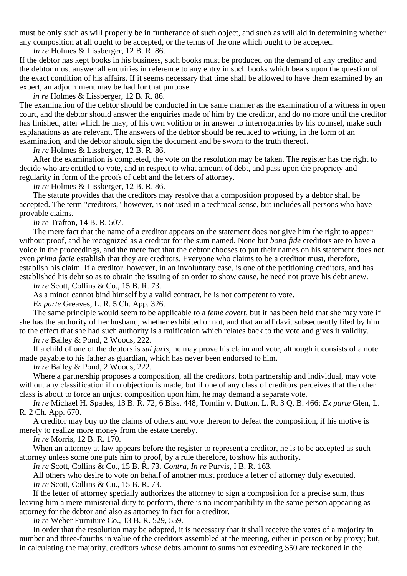must be only such as will properly be in furtherance of such object, and such as will aid in determining whether any composition at all ought to be accepted, or the terms of the one which ought to be accepted.

*In re* Holmes & Lissberger, 12 B. R. 86.

If the debtor has kept books in his business, such books must be produced on the demand of any creditor and the debtor must answer all enquiries in reference to any entry in such books which bears upon the question of the exact condition of his affairs. If it seems necessary that time shall be allowed to have them examined by an expert, an adjournment may be had for that purpose.

*in re* Holmes & Lissberger, 12 B. R. 86.

The examination of the debtor should be conducted in the same manner as the examination of a witness in open court, and the debtor should answer the enquiries made of him by the creditor, and do no more until the creditor has finished, after which he may, of his own volition or in answer to interrogatories by his counsel, make such explanations as are relevant. The answers of the debtor should be reduced to writing, in the form of an examination, and the debtor should sign the document and be sworn to the truth thereof.

*In re* Holmes & Lissberger, 12 B. R. 86.

After the examination is completed, the vote on the resolution may be taken. The register has the right to decide who are entitled to vote, and in respect to what amount of debt, and pass upon the propriety and regularity in form of the proofs of debt and the letters of attorney.

*In re* Holmes & Lissberger, 12 B. R. 86.

The statute provides that the creditors may resolve that a composition proposed by a debtor shall be accepted. The term "creditors," however, is not used in a technical sense, but includes all persons who have provable claims.

*In re* Trafton, 14 B. R. 507.

The mere fact that the name of a creditor appears on the statement does not give him the right to appear without proof, and be recognized as a creditor for the sum named. None but *bona fide* creditors are to have a voice in the proceedings, and the mere fact that the debtor chooses to put their names on his statement does not, even *prima facie* establish that they are creditors. Everyone who claims to be a creditor must, therefore, establish his claim. If a creditor, however, in an involuntary case, is one of the petitioning creditors, and has established his debt so as to obtain the issuing of an order to show cause, he need not prove his debt anew.

*In re* Scott, Collins & Co., 15 B. R. 73.

As a minor cannot bind himself by a valid contract, he is not competent to vote.

*Ex parte* Greaves, L. R. 5 Ch. App. 326.

The same principle would seem to be applicable to a *feme covert*, but it has been held that she may vote if she has the authority of her husband, whether exhibited or not, and that an affidavit subsequently filed by him to the effect that she had such authority is a ratification which relates back to the vote and gives it validity.

*In re* Bailey & Pond, 2 Woods, 222.

If a child of one of the debtors is *sui juris*, he may prove his claim and vote, although it consists of a note made payable to his father as guardian, which has never been endorsed to him.

*In re* Bailey & Pond, 2 Woods, 222.

Where a partnership proposes a composition, all the creditors, both partnership and individual, may vote without any classification if no objection is made; but if one of any class of creditors perceives that the other class is about to force an unjust composition upon him, he may demand a separate vote.

*In re* Michael H. Spades, 13 B. R. 72; 6 Biss. 448; Tomlin v. Dutton, L. R. 3 Q. B. 466; *Ex parte* Glen, L. R. 2 Ch. App. 670.

A creditor may buy up the claims of others and vote thereon to defeat the composition, if his motive is merely to realize more money from the estate thereby.

*In re* Morris, 12 B. R. 170.

When an attorney at law appears before the register to represent a creditor, he is to be accepted as such attorney unless some one puts him to proof, by a rule therefore, to:show his authority.

*In re* Scott, Collins & Co., 15 B. R. 73. *Contra, In re* Purvis, I B. R. 163.

All others who desire to vote on behalf of another must produce a letter of attorney duly executed. *In re* Scott, Collins & Co., 15 B. R. 73.

If the letter of attorney specially authorizes the attorney to sign a composition for a precise sum, thus leaving him a mere ministerial duty to perform, there is no incompatibility in the same person appearing as attorney for the debtor and also as attorney in fact for a creditor.

*In re* Weber Furniture Co., 13 B. R. 529, 559.

In order that the resolution may be adopted, it is necessary that it shall receive the votes of a majority in number and three-fourths in value of the creditors assembled at the meeting, either in person or by proxy; but, in calculating the majority, creditors whose debts amount to sums not exceeding \$50 are reckoned in the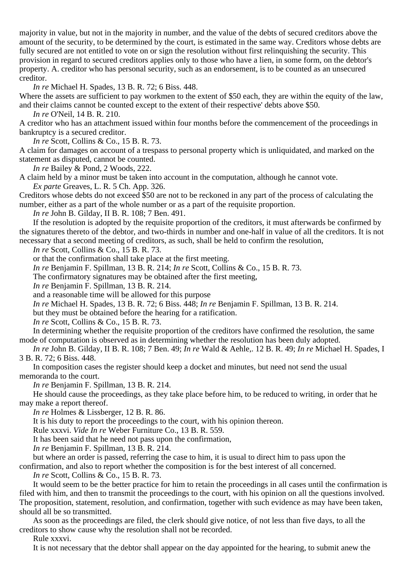majority in value, but not in the majority in number, and the value of the debts of secured creditors above the amount of the security, to be determined by the court, is estimated in the same way. Creditors whose debts are fully secured are not entitled to vote on or sign the resolution without first relinquishing the security. This provision in regard to secured creditors applies only to those who have a lien, in some form, on the debtor's property. A. creditor who has personal security, such as an endorsement, is to be counted as an unsecured creditor.

*In re* Michael H. Spades, 13 B. R. 72; 6 Biss. 448.

Where the assets are sufficient to pay workmen to the extent of \$50 each, they are within the equity of the law, and their claims cannot be counted except to the extent of their respective' debts above \$50.

*In re* O'Neil, 14 B. R. 210.

A creditor who has an attachment issued within four months before the commencement of the proceedings in bankruptcy is a secured creditor.

*In re* Scott, Collins & Co., 15 B. R. 73.

A claim for damages on account of a trespass to personal property which is unliquidated, and marked on the statement as disputed, cannot be counted.

*In re* Bailey & Pond, 2 Woods, 222.

A claim held by a minor must be taken into account in the computation, although he cannot vote. *Ex parte* Greaves, L. R. 5 Ch. App. 326.

Creditors whose debts do not exceed \$50 are not to be reckoned in any part of the process of calculating the number, either as a part of the whole number or as a part of the requisite proportion.

*In re* John B. Gilday, II B. R. 108; 7 Ben. 491.

If the resolution is adopted by the requisite proportion of the creditors, it must afterwards be confirmed by the signatures thereto of the debtor, and two-thirds in number and one-half in value of all the creditors. It is not necessary that a second meeting of creditors, as such, shall be held to confirm the resolution,

*In re* Scott, Collins & Co., 15 B. R. 73.

or that the confirmation shall take place at the first meeting.

*In re* Benjamin F. Spillman, 13 B. R. 214; *In re* Scott, Collins & Co., 15 B. R. 73.

The confirmatory signatures may be obtained after the first meeting,

*In re* Benjamin F. Spillman, 13 B. R. 214.

and a reasonable time will be allowed for this purpose

*In re* Michael H. Spades, 13 B. R. 72; 6 Biss. 448; *In re* Benjamin F. Spillman, 13 B. R. 214.

but they must be obtained before the hearing for a ratification.

*In re* Scott, Collins & Co., 15 B. R. 73.

In determining whether the requisite proportion of the creditors have confirmed the resolution, the same mode of computation is observed as in determining whether the resolution has been duly adopted.

*In re* John B. Gilday, II B. R. 108; 7 Ben. 49; *In re* Wald & Aehle,. 12 B. R. 49; *In re* Michael H. Spades, I 3 B. R. 72; 6 Biss. 448.

In composition cases the register should keep a docket and minutes, but need not send the usual memoranda to the court.

*In re* Benjamin F. Spillman, 13 B. R. 214.

He should cause the proceedings, as they take place before him, to be reduced to writing, in order that he may make a report thereof.

*In re* Holmes & Lissberger, 12 B. R. 86.

It is his duty to report the proceedings to the court, with his opinion thereon.

Rule xxxvi. *Vide In re* Weber Furniture Co., 13 B. R. 559.

It has been said that he need not pass upon the confirmation,

*In re* Benjamin F. Spillman, 13 B. R. 214.

but where an order is passed, referring the case to him, it is usual to direct him to pass upon the confirmation, and also to report whether the composition is for the best interest of all concerned.

*In re* Scott, Collins & Co., 15 B. R. 73.

It would seem to be the better practice for him to retain the proceedings in all cases until the confirmation is filed with him, and then to transmit the proceedings to the court, with his opinion on all the questions involved. The proposition, statement, resolution, and confirmation, together with such evidence as may have been taken, should all be so transmitted.

As soon as the proceedings are filed, the clerk should give notice, of not less than five days, to all the creditors to show cause why the resolution shall not be recorded.

Rule xxxvi.

It is not necessary that the debtor shall appear on the day appointed for the hearing, to submit anew the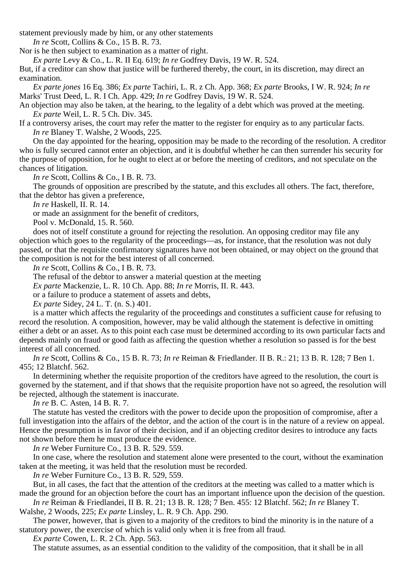statement previously made by him, or any other statements

*In re* Scott, Collins & Co., 15 B. R. 73.

Nor is he then subject to examination as a matter of right.

*Ex parte* Levy & Co., L. R. II Eq. 619; *In re* Godfrey Davis, 19 W. R. 524.

But, if a creditor can show that justice will be furthered thereby, the court, in its discretion, may direct an examination.

*Ex parte jones* 16 Eq. 386; *Ex parte* Tachiri, L. R. z Ch. App. 368; *Ex parte* Brooks, I W. R. 924; *In re* Marks' Trust Deed, L. R. I Ch. App. 429; *In re* Godfrey Davis, 19 W. R. 524.

An objection may also be taken, at the hearing, to the legality of a debt which was proved at the meeting. *Ex parte* Weil, L. R. 5 Ch. Div. 345.

If a controversy arises, the court may refer the matter to the register for enquiry as to any particular facts. *In re* Blaney T. Walshe, 2 Woods, 225.

On the day appointed for the hearing, opposition may be made to the recording of the resolution. A creditor who is fully secured cannot enter an objection, and it is doubtful whether he can then surrender his security for the purpose of opposition, for he ought to elect at or before the meeting of creditors, and not speculate on the chances of litigation.

*In re* Scott, Collins & Co., I B. R. 73.

The grounds of opposition are prescribed by the statute, and this excludes all others. The fact, therefore, that the debtor has given a preference,

*In re* Haskell, II. R. 14.

or made an assignment for the benefit of creditors,

Pool v. McDonald, 15. R. 560.

does not of itself constitute a ground for rejecting the resolution. An opposing creditor may file any objection which goes to the regularity of the proceedings—as, for instance, that the resolution was not duly passed, or that the requisite confirmatory signatures have not been obtained, or may object on the ground that the composition is not for the best interest of all concerned.

*In re* Scott, Collins & Co., I B. R. 73.

The refusal of the debtor to answer a material question at the meeting

*Ex parte* Mackenzie, L. R. 10 Ch. App. 88; *In re* Morris, II. R. 443.

or a failure to produce a statement of assets and debts,

*Ex parte* Sidey, 24 L. T. (n. S.) 401.

is a matter which affects the regularity of the proceedings and constitutes a sufficient cause for refusing to record the resolution. A composition, however, may be valid although the statement is defective in omitting either a debt or an asset. As to this point each case must be determined according to its own particular facts and depends mainly on fraud or good faith as affecting the question whether a resolution so passed is for the best interest of all concerned.

*In re* Scott, Collins & Co., 15 B. R. 73; *In re* Reiman & Friedlander. II B. R.: 21; 13 B. R. 128; 7 Ben 1. 455; 12 Blatchf. 562.

In determining whether the requisite proportion of the creditors have agreed to the resolution, the court is governed by the statement, and if that shows that the requisite proportion have not so agreed, the resolution will be rejected, although the statement is inaccurate.

*In re* B. C. Asten, 14 B. R. 7.

The statute has vested the creditors with the power to decide upon the proposition of compromise, after a full investigation into the affairs of the debtor, and the action of the court is in the nature of a review on appeal. Hence the presumption is in favor of their decision, and if an objecting creditor desires to introduce any facts not shown before them he must produce the evidence.

*In re* Weber Furniture Co., 13 B, R, 529, 559.

In one case, where the resolution and statement alone were presented to the court, without the examination taken at the meeting, it was held that the resolution must be recorded.

*In re* Weber Furniture Co., 13 B. R. 529, 559.

But, in all cases, the fact that the attention of the creditors at the meeting was called to a matter which is made the ground for an objection before the court has an important influence upon the decision of the question.

*In re* Reiman & Friedlandei, II B. R. 21; 13 B. R. 128; 7 Ben. 455: 12 Blatchf. 562; *In re* Blaney T. Walshe, 2 Woods, 225; *Ex parte* Linsley, L. R. 9 Ch. App. 290.

The power, however, that is given to a majority of the creditors to bind the minority is in the nature of a statutory power, the exercise of which is valid only when it is free from all fraud.

*Ex parte* Cowen, L. R. 2 Ch. App. 563.

The statute assumes, as an essential condition to the validity of the composition, that it shall be in all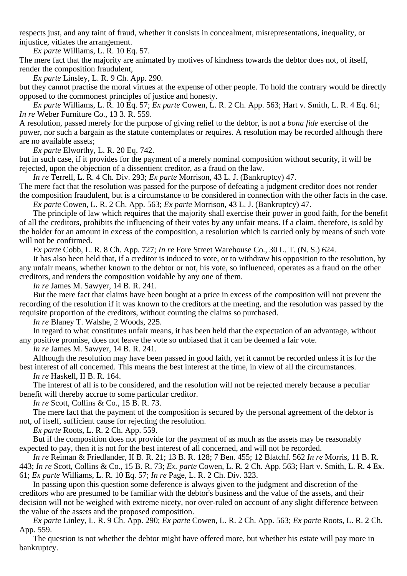respects just, and any taint of fraud, whether it consists in concealment, misrepresentations, inequality, or injustice, vitiates the arrangement.

*Ex parte* Williams, L. R. 10 Eq. 57.

The mere fact that the majority are animated by motives of kindness towards the debtor does not, of itself, render the composition fraudulent,

*Ex parte* Linsley, L. R. 9 Ch. App. 290.

but they cannot practise the moral virtues at the expense of other people. To hold the contrary would be directly opposed to the commonest principles of justice and honesty.

*Ex parte* Williams, L. R. 10 Eq. 57; *Ex parte* Cowen, L. R. 2 Ch. App. 563; Hart v. Smith, L. R. 4 Eq. 61; *In re* Weber Furniture Co., 13 3. R. 559.

A resolution, passed merely for the purpose of giving relief to the debtor, is not a *bona fide* exercise of the power, nor such a bargain as the statute contemplates or requires. A resolution may be recorded although there are no available assets;

*Ex parte* Elworthy, L. R. 20 Eq. 742.

but in such case, if it provides for the payment of a merely nominal composition without security, it will be rejected, upon the objection of a dissentient creditor, as a fraud on the law.

*In re* Terrell, L. R. 4 Ch. Div. 293; *Ex parte* Morrison, 43 L. J. (Bankruptcy) 47.

The mere fact that the resolution was passed for the purpose of defeating a judgment creditor does not render the composition fraudulent, but is a circumstance to be considered in connection with the other facts in the case. *Ex parte* Cowen, L. R. 2 Ch. App. 563; *Ex parte* Morrison, 43 L. J. (Bankruptcy) 47.

The principle of law which requires that the majority shall exercise their power in good faith, for the benefit of all the creditors, prohibits the influencing of their votes by any unfair means. If a claim, therefore, is sold by the holder for an amount in excess of the composition, a resolution which is carried only by means of such vote will not be confirmed.

*Ex parte* Cobb, L. R. 8 Ch. App. 727; *In re* Fore Street Warehouse Co., 30 L. T. (N. S.) 624.

It has also been held that, if a creditor is induced to vote, or to withdraw his opposition to the resolution, by any unfair means, whether known to the debtor or not, his vote, so influenced, operates as a fraud on the other creditors, and renders the composition voidable by any one of them.

*In re* James M. Sawyer, 14 B. R. 241.

But the mere fact that claims have been bought at a price in excess of the composition will not prevent the recording of the resolution if it was known to the creditors at the meeting, and the resolution was passed by the requisite proportion of the creditors, without counting the claims so purchased.

*In re* Blaney T. Walshe, 2 Woods, 225.

In regard to what constitutes unfair means, it has been held that the expectation of an advantage, without any positive promise, does not leave the vote so unbiased that it can be deemed a fair vote.

*In re* James M. Sawyer, 14 B. R. 241.

Although the resolution may have been passed in good faith, yet it cannot be recorded unless it is for the best interest of all concerned. This means the best interest at the time, in view of all the circumstances.

*In re* Haskell, II B. R. 164.

The interest of all is to be considered, and the resolution will not be rejected merely because a peculiar benefit will thereby accrue to some particular creditor.

*In re* Scott, Collins & Co., 15 B. R. 73.

The mere fact that the payment of the composition is secured by the personal agreement of the debtor is not, of itself, sufficient cause for rejecting the resolution.

*Ex parte* Roots, L. R. 2 Ch. App. 559.

But if the composition does not provide for the payment of as much as the assets may be reasonably expected to pay, then it is not for the best interest of all concerned, and will not be recorded.

*In re* Reiman & Friedlander, II B. R. 21; 13 B. R. 128; 7 Ben. 455; 12 Blatchf. 562 *In re* Morris, 11 B. R. 443; *In re* Scott, Collins & Co., 15 B. R. 73; *Ex. parte* Cowen, L. R. 2 Ch. App. 563; Hart v. Smith, L. R. 4 Ex. 61; *Ex parte* Williams, L. R. 10 Eq. 57; *In re* Page, L. R. 2 Ch. Div. 323.

In passing upon this question some deference is always given to the judgment and discretion of the creditors who are presumed to be familiar with the debtor's business and the value of the assets, and their decision will not be weighed with extreme nicety, nor over-ruled on account of any slight difference between the value of the assets and the proposed composition.

*Ex parte* Linley, L. R. 9 Ch. App. 290; *Ex parte* Cowen, L. R. 2 Ch. App. 563; *Ex parte* Roots, L. R. 2 Ch. App. 559.

The question is not whether the debtor might have offered more, but whether his estate will pay more in bankruptcy.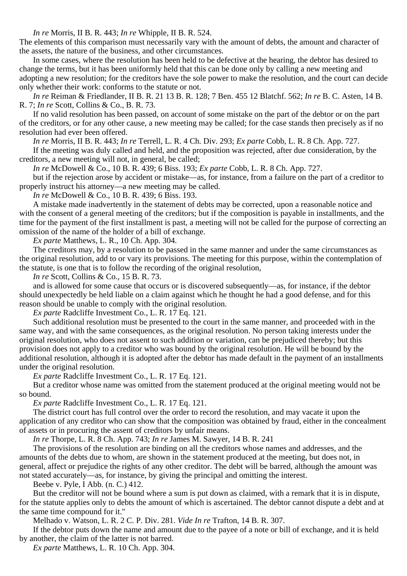*In re* Morris, II B. R. 443; *In re* Whipple, II B. R. 524.

The elements of this comparison must necessarily vary with the amount of debts, the amount and character of the assets, the nature of the business, and other circumstances.

In some cases, where the resolution has been held to be defective at the hearing, the debtor has desired to change the terms, but it has been uniformly held that this can be done only by calling a new meeting and adopting a new resolution; for the creditors have the sole power to make the resolution, and the court can decide only whether their work: conforms to the statute or not.

*In re* Reiman & Friedlander, II B. R. 21 13 B. R. 128; 7 Ben. 455 12 Blatchf. 562; *In re* B. C. Asten, 14 B. R. 7; *In re* Scott, Collins & Co., B. R. 73.

If no valid resolution has been passed, on account of some mistake on the part of the debtor or on the part of the creditors, or for any other cause, a new meeting may be called; for the case stands then precisely as if no resolution had ever been offered.

*In re* Morris, II B. R. 443; *In re* Terrell, L. R. 4 Ch. Div. 293; *Ex parte* Cobb, L. R. 8 Ch. App. 727.

If the meeting was duly called and held, and the proposition was rejected, after due consideration, by the creditors, a new meeting will not, in general, be called;

*In re* McDowell & Co., 10 B. R. 439; 6 Biss. 193; *Ex parte* Cobb, L. R. 8 Ch. App. 727.

but if the rejection arose by accident or mistake—as, for instance, from a failure on the part of a creditor to properly instruct his attorney—a new meeting may be called.

*In re* McDowell & Co., 10 B. R. 439; 6 Biss. 193.

A mistake made inadvertently in the statement of debts may be corrected, upon a reasonable notice and with the consent of a general meeting of the creditors; but if the composition is payable in installments, and the time for the payment of the first installment is past, a meeting will not be called for the purpose of correcting an omission of the name of the holder of a bill of exchange.

*Ex parte* Matthews, L. R., 10 Ch. App. 304.

The creditors may, by a resolution to be passed in the same manner and under the same circumstances as the original resolution, add to or vary its provisions. The meeting for this purpose, within the contemplation of the statute, is one that is to follow the recording of the original resolution,

*In re* Scott, Collins & Co., 15 B. R. 73.

and is allowed for some cause that occurs or is discovered subsequently—as, for instance, if the debtor should unexpectedly be held liable on a claim against which he thought he had a good defense, and for this reason should be unable to comply with the original resolution.

*Ex parte* Radcliffe Investment Co., L. R. 17 Eq. 121.

Such additional resolution must be presented to the court in the same manner, and proceeded with in the same way, and with the same consequences, as the original resolution. No person taking interests under the original resolution, who does not assent to such addition or variation, can be prejudiced thereby; but this provision does not apply to a creditor who was bound by the original resolution. He will be bound by the additional resolution, although it is adopted after the debtor has made default in the payment of an installments under the original resolution.

*Ex parte* Radcliffe Investment Co., L. R. 17 Eq. 121.

But a creditor whose name was omitted from the statement produced at the original meeting would not be so bound.

*Ex parte* Radcliffe Investment Co., L. R. 17 Eq. 121.

The district court has full control over the order to record the resolution, and may vacate it upon the application of any creditor who can show that the composition was obtained by fraud, either in the concealment of assets or in procuring the assent of creditors by unfair means.

*In re* Thorpe, L. R. 8 Ch. App. 743; *In re* James M. Sawyer, 14 B. R. 241

The provisions of the resolution are binding on all the creditors whose names and addresses, and the amounts of the debts due to whom, are shown in the statement produced at the meeting, but does not, in general, affect or prejudice the rights of any other creditor. The debt will be barred, although the amount was not stated accurately—as, for instance, by giving the principal and omitting the interest.

Beebe v. Pyle, I Abb. (n. C.) 412.

But the creditor will not be bound where a sum is put down as claimed, with a remark that it is in dispute, for the statute applies only to debts the amount of which is ascertained. The debtor cannot dispute a debt and at the same time compound for it."

Melhado v. Watson, L. R. 2 C. P. Div. 281. *Vide In re* Trafton, 14 B. R. 307.

If the debtor puts down the name and amount due to the payee of a note or bill of exchange, and it is held by another, the claim of the latter is not barred.

*Ex parte* Matthews, L. R. 10 Ch. App. 304.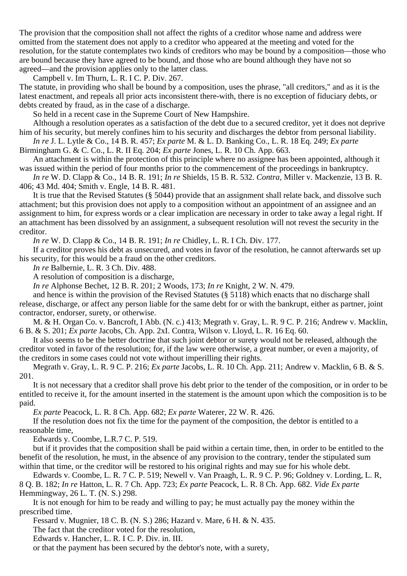The provision that the composition shall not affect the rights of a creditor whose name and address were omitted from the statement does not apply to a creditor who appeared at the meeting and voted for the resolution, for the statute contemplates two kinds of creditors who may be bound by a composition—those who are bound because they have agreed to be bound, and those who are bound although they have not so agreed—and the provision applies only to the latter class.

Campbell v. Im Thurn, L. R. I C. P. Div. 267.

The statute, in providing who shall be bound by a composition, uses the phrase, "all creditors," and as it is the latest enactment, and repeals all prior acts inconsistent there-with, there is no exception of fiduciary debts, or debts created by fraud, as in the case of a discharge.

So held in a recent case in the Supreme Court of New Hampshire.

Although a resolution operates as a satisfaction of the debt due to a secured creditor, yet it does not deprive him of his security, but merely confines him to his security and discharges the debtor from personal liability.

*In re* J. L. Lytle & Co., 14 B. R. 457; *Ex parte* M. & L. D. Banking Co., L. R. 18 Eq. 249; *Ex parte* Birmingham G. & C. Co., L. R. II Eq. 204; *Ex parte* Jones, L. R. 10 Ch. App. 663.

An attachment is within the protection of this principle where no assignee has been appointed, although it was issued within the period of four months prior to the commencement of the proceedings in bankruptcy.

*In re* W. D. Clapp & Co., 14 B. R. 191; *In re* Shields, 15 B. R. 532. *Contra*, Miller v. Mackenzie, 13 B. R. 406; 43 Md. 404; Smith v. Engle, 14 B. R. 481.

It is true that the Revised Statutes (§ 5044) provide that an assignment shall relate back, and dissolve such attachment; but this provision does not apply to a composition without an appointment of an assignee and an assignment to him, for express words or a clear implication are necessary in order to take away a legal right. If an attachment has been dissolved by an assignment, a subsequent resolution will not revest the security in the creditor.

*In re* W. D. Clapp & Co., 14 B. R. 191; *In re* Chidley, L. R. I Ch. Div. 177.

If a creditor proves his debt as unsecured, and votes in favor of the resolution, he cannot afterwards set up his security, for this would be a fraud on the other creditors.

*In re* Balbernie, L. R. 3 Ch. Div. 488.

A resolution of composition is a discharge,

*In re* Alphonse Bechet, 12 B. R. 201; 2 Woods, 173; *In re* Knight, 2 W. N. 479.

and hence is within the provision of the Revised Statutes (§ 5118) which enacts that no discharge shall release, discharge, or affect any person liable for the same debt for or with the bankrupt, either as partner, joint contractor, endorser, surety, or otherwise.

M. & H. Organ Co. v. Bancroft, I Abb. (N. c.) 413; Megrath v. Gray, L. R. 9 C. P. 216; Andrew v. Macklin, 6 B. & S. 201; *Ex parte* Jacobs, Ch. App. 2xI. Contra, Wilson v. Lloyd, L. R. 16 Eq. 60.

It also seems to be the better doctrine that such joint debtor or surety would not be released, although the creditor voted in favor of the resolution; for, if the law were otherwise, a great number, or even a majority, of the creditors in some cases could not vote without imperilling their rights.

Megrath v. Gray, L. R. 9 C. P. 216; *Ex parte* Jacobs, L. R. 10 Ch. App. 211; Andrew v. Macklin, 6 B. & S. 201.

It is not necessary that a creditor shall prove his debt prior to the tender of the composition, or in order to be entitled to receive it, for the amount inserted in the statement is the amount upon which the composition is to be paid.

*Ex parte* Peacock, L. R. 8 Ch. App. 682; *Ex parte* Waterer, 22 W. R. 426.

If the resolution does not fix the time for the payment of the composition, the debtor is entitled to a reasonable time,

Edwards y. Coombe, L.R.7 C. P. 519.

but if it provides that the composition shall be paid within a certain time, then, in order to be entitled to the benefit of the resolution, he must, in the absence of any provision to the contrary, tender the stipulated sum within that time, or the creditor will be restored to his original rights and may sue for his whole debt.

Edwards v. Coombe, L. R. 7 C. P. 519; Newell v. Van Praagh, L. R. 9 C. P. 96; Goldney v. Lording, L. R, 8 Q. B. 182; *In re* Hatton, L. R. 7 Ch. App. 723; *Ex parte* Peacock, L. R. 8 Ch. App. 682. *Vide Ex parte*

Hemmingway, 26 L. T. (N. S.) 298.

It is not enough for him to be ready and willing to pay; he must actually pay the money within the prescribed time.

Fessard v. Mugnier, 18 C. B. (N. S.) 286; Hazard v. Mare, 6 H. & N. 435.

The fact that the creditor voted for the resolution,

Edwards v. Hancher, L. R. I C. P. Div. in. III.

or that the payment has been secured by the debtor's note, with a surety,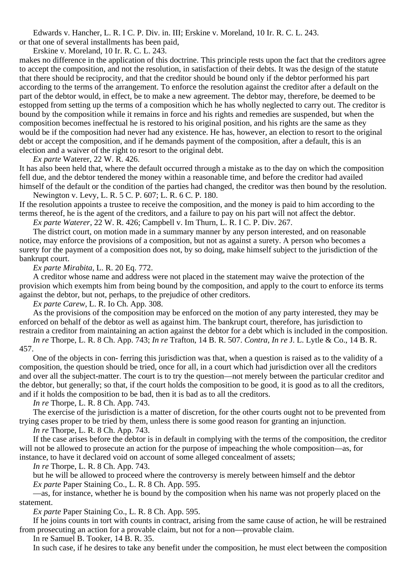Edwards v. Hancher, L. R. I C. P. Div. in. III; Erskine v. Moreland, 10 Ir. R. C. L. 243. or that one of several installments has been paid,

Erskine v. Moreland, 10 Ir. R. C. L. 243.

makes no difference in the application of this doctrine. This principle rests upon the fact that the creditors agree to accept the composition, and not the resolution, in satisfaction of their debts. It was the design of the statute that there should be reciprocity, and that the creditor should be bound only if the debtor performed his part according to the terms of the arrangement. To enforce the resolution against the creditor after a default on the part of the debtor would, in effect, be to make a new agreement. The debtor may, therefore, be deemed to be estopped from setting up the terms of a composition which he has wholly neglected to carry out. The creditor is bound by the composition while it remains in force and his rights and remedies are suspended, but when the composition becomes ineffectual he is restored to his original position, and his rights are the same as they would be if the composition had never had any existence. He has, however, an election to resort to the original debt or accept the composition, and if he demands payment of the composition, after a default, this is an election and a waiver of the right to resort to the original debt.

*Ex parte* Waterer, 22 W. R. 426.

It has also been held that, where the default occurred through a mistake as to the day on which the composition fell due, and the debtor tendered the money within a reasonable time, and before the creditor had availed himself of the default or the condition of the parties had changed, the creditor was then bound by the resolution.

Newington v. Levy, L. R. 5 C. P. 607; L. R. 6 C. P. 180. If the resolution appoints a trustee to receive the composition, and the money is paid to him according to the terms thereof, he is the agent of the creditors, and a failure to pay on his part will not affect the debtor.

*Ex parte Waterer*, 22 W. R. 426; Campbell v. Im Thurn, L. R. I C. P. Div. 267.

The district court, on motion made in a summary manner by any person interested, and on reasonable notice, may enforce the provisions of a composition, but not as against a surety. A person who becomes a surety for the payment of a composition does not, by so doing, make himself subject to the jurisdiction of the bankrupt court.

*Ex parte Mirabita*, L. R. 20 Eq. 772.

A creditor whose name and address were not placed in the statement may waive the protection of the provision which exempts him from being bound by the composition, and apply to the court to enforce its terms against the debtor, but not, perhaps, to the prejudice of other creditors.

*Ex parte Carew*, L. R. Io Ch. App. 308.

As the provisions of the composition may be enforced on the motion of any party interested, they may be enforced on behalf of the debtor as well as against him. The bankrupt court, therefore, has jurisdiction to restrain a creditor from maintaining an action against the debtor for a debt which is included in the composition.

*In re* Thorpe, L. R. 8 Ch. App. 743; *In re* Trafton, 14 B. R. 507. *Contra, In re* J. L. Lytle & Co., 14 B. R. 457.

One of the objects in con- ferring this jurisdiction was that, when a question is raised as to the validity of a composition, the question should be tried, once for all, in a court which had jurisdiction over all the creditors and over all the subject-matter. The court is to try the question—not merely between the particular creditor and the debtor, but generally; so that, if the court holds the composition to be good, it is good as to all the creditors, and if it holds the composition to be bad, then it is bad as to all the creditors.

*In re* Thorpe, L. R. 8 Ch. App. 743.

The exercise of the jurisdiction is a matter of discretion, for the other courts ought not to be prevented from trying cases proper to be tried by them, unless there is some good reason for granting an injunction.

*In re* Thorpe, L. R. 8 Ch. App. 743.

If the case arises before the debtor is in default in complying with the terms of the composition, the creditor will not be allowed to prosecute an action for the purpose of impeaching the whole composition—as, for instance, to have it declared void on account of some alleged concealment of assets;

*In re* Thorpe, L. R. 8 Ch. App. 743.

but he will be allowed to proceed where the controversy is merely between himself and the debtor *Ex parte* Paper Staining Co., L. R. 8 Ch. App. 595.

—as, for instance, whether he is bound by the composition when his name was not properly placed on the statement.

*Ex parte* Paper Staining Co., L. R. 8 Ch. App. 595.

If he joins counts in tort with counts in contract, arising from the same cause of action, he will be restrained from prosecuting an action for a provable claim, but not for a non—provable claim.

In re Samuel B. Tooker, 14 B. R. 35.

In such case, if he desires to take any benefit under the composition, he must elect between the composition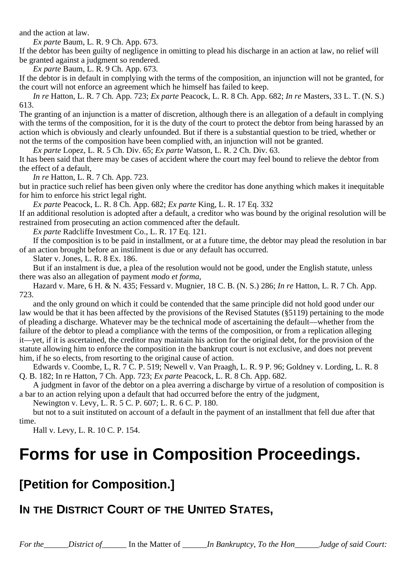and the action at law.

*Ex parte* Baum, L. R. 9 Ch. App. 673.

If the debtor has been guilty of negligence in omitting to plead his discharge in an action at law, no relief will be granted against a judgment so rendered.

*Ex parte* Baum, L. R. 9 Ch. App. 673.

If the debtor is in default in complying with the terms of the composition, an injunction will not be granted, for the court will not enforce an agreement which he himself has failed to keep.

*In re* Hatton, L. R. 7 Ch. App. 723; *Ex parte* Peacock, L. R. 8 Ch. App. 682; *In re* Masters, 33 L. T. (N. S.) 613.

The granting of an injunction is a matter of discretion, although there is an allegation of a default in complying with the terms of the composition, for it is the duty of the court to protect the debtor from being harassed by an action which is obviously and clearly unfounded. But if there is a substantial question to be tried, whether or not the terms of the composition have been complied with, an injunction will not be granted.

*Ex parte* Lopez, L. R. 5 Ch. Div. 65; *Ex parte* Watson, L. R. 2 Ch. Div. 63.

It has been said that there may be cases of accident where the court may feel bound to relieve the debtor from the effect of a default,

*In re* Hatton, L. R. 7 Ch. App. 723.

but in practice such relief has been given only where the creditor has done anything which makes it inequitable for him to enforce his strict legal right.

*Ex parte* Peacock, L. R. 8 Ch. App. 682; *Ex parte* King, L. R. 17 Eq. 332 If an additional resolution is adopted after a default, a creditor who was bound by the original resolution will be restrained from prosecuting an action commenced after the default.

*Ex parte* Radcliffe Investment Co., L. R. 17 Eq. 121.

If the composition is to be paid in installment, or at a future time, the debtor may plead the resolution in bar of an action brought before an instilment is due or any default has occurred.

Slater v. Jones, L. R. 8 Ex. 186.

But if an instalment is due, a plea of the resolution would not be good, under the English statute, unless there was also an allegation of payment *modo et forma*,

Hazard v. Mare, 6 H. & N. 435; Fessard v. Mugnier, 18 C. B. (N. S.) 286; *In re* Hatton, L. R. 7 Ch. App. 723.

and the only ground on which it could be contended that the same principle did not hold good under our law would be that it has been affected by the provisions of the Revised Statutes (§5119) pertaining to the mode of pleading a discharge. Whatever may be the technical mode of ascertaining the default—whether from the failure of the debtor to plead a compliance with the terms of the composition, or from a replication alleging it—yet, if it is ascertained, the creditor may maintain his action for the original debt, for the provision of the statute allowing him to enforce the composition in the bankrupt court is not exclusive, and does not prevent him, if he so elects, from resorting to the original cause of action.

Edwards v. Coombe, L, R. 7 C. P. 519; Newell v. Van Praagh, L. R. 9 P. 96; Goldney v. Lording, L. R. 8 Q. B. 182; In re Hatton, 7 Ch. App. 723; *Ex parte* Peacock, L. R. 8 Ch. App. 682.

A judgment in favor of the debtor on a plea averring a discharge by virtue of a resolution of composition is a bar to an action relying upon a default that had occurred before the entry of the judgment,

Newington v. Levy, L. R. 5 C. P. 607; L. R. 6 C. P. 180.

but not to a suit instituted on account of a default in the payment of an installment that fell due after that time.

Hall v. Levy, L. R. 10 C. P. 154.

# **Forms for use in Composition Proceedings.**

#### **[Petition for Composition.]**

### **IN THE DISTRICT COURT OF THE UNITED STATES,**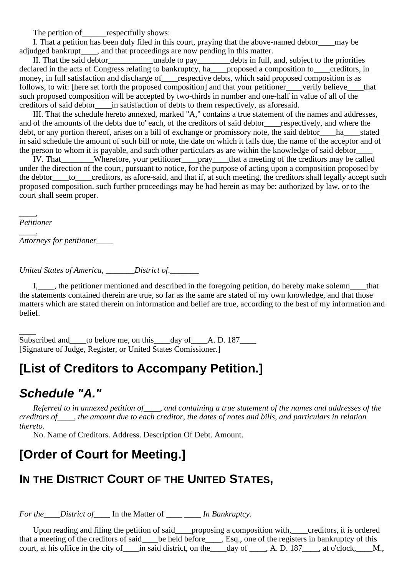The petition of respectfully shows:

I. That a petition has been duly filed in this court, praying that the above-named debtor\_\_\_\_may be adjudged bankrupt\_\_\_\_, and that proceedings are now pending in this matter.

II. That the said debtor\_\_\_\_\_\_\_\_\_\_\_unable to pay\_\_\_\_\_\_\_\_debts in full, and, subject to the priorities declared in the acts of Congress relating to bankruptcy, ha\_\_\_\_proposed a composition to\_\_\_\_creditors, in money, in full satisfaction and discharge of respective debts, which said proposed composition is as follows, to wit: [here set forth the proposed composition] and that your petitioner verily believe that such proposed composition will be accepted by two-thirds in number and one-half in value of all of the creditors of said debtor\_\_\_\_in satisfaction of debts to them respectively, as aforesaid.

III. That the schedule hereto annexed, marked "A," contains a true statement of the names and addresses, and of the amounts of the debts due to' each, of the creditors of said debtor respectively, and where the debt, or any portion thereof, arises on a bill of exchange or promissory note, the said debtor hara-stated in said schedule the amount of such bill or note, the date on which it falls due, the name of the acceptor and of the person to whom it is payable, and such other particulars as are within the knowledge of said debtor\_\_\_\_

IV. That\_\_\_\_\_\_\_\_Wherefore, your petitioner\_\_\_\_pray\_\_\_\_that a meeting of the creditors may be called under the direction of the court, pursuant to notice, for the purpose of acting upon a composition proposed by the debtor to creditors, as afore-said, and that if, at such meeting, the creditors shall legally accept such proposed composition, such further proceedings may be had herein as may be: authorized by law, or to the court shall seem proper.

\_\_\_\_, *Petitioner*

 $\overline{\phantom{a}}$ 

\_\_\_\_, *Attorneys for petitioner\_\_\_\_*

*United States of America*, \_\_\_\_\_\_\_*District of*.\_\_\_\_\_\_\_

I, the petitioner mentioned and described in the foregoing petition, do hereby make solemn that the statements contained therein are true, so far as the same are stated of my own knowledge, and that those matters which are stated therein on information and belief are true, according to the best of my information and belief.

Subscribed and to before me, on this day of A. D. 187 [Signature of Judge, Register, or United States Comissioner.]

#### **[List of Creditors to Accompany Petition.]**

#### **Schedule "A."**

*Referred to in annexed petition of\_\_\_\_, and containing a true statement of the names and addresses of the creditors of\_\_\_\_, the amount due to each creditor, the dates of notes and bills, and particulars in relation thereto*.

No. Name of Creditors. Address. Description Of Debt. Amount.

### **[Order of Court for Meeting.]**

### **IN THE DISTRICT COURT OF THE UNITED STATES,**

*For the\_\_\_\_District of\_\_\_\_* In the Matter of \_\_\_\_ \_\_\_\_ *In Bankruptcy*.

Upon reading and filing the petition of said\_\_\_\_proposing a composition with,\_\_\_\_creditors, it is ordered that a meeting of the creditors of said be held before  $\overline{a}$ , Esq., one of the registers in bankruptcy of this court, at his office in the city of \_\_\_\_in said district, on the \_\_\_\_day of \_\_\_\_, A. D. 187\_\_\_\_, at o'clock, \_\_\_M.,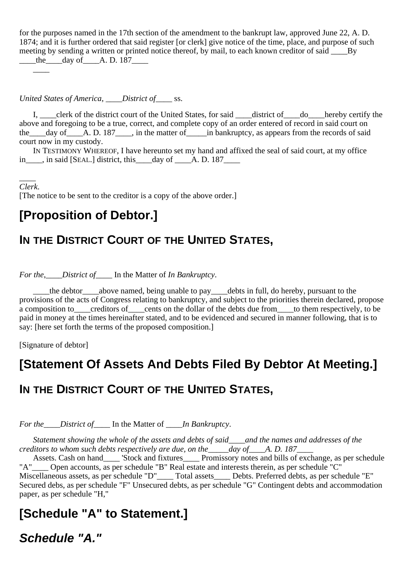for the purposes named in the 17th section of the amendment to the bankrupt law, approved June 22, A. D. 1874; and it is further ordered that said register [or clerk] give notice of the time, place, and purpose of such meeting by sending a written or printed notice thereof, by mail, to each known creditor of said By  $\frac{\text{the}}{\text{day of}}$  A. D. 187

*United States of America*, \_\_\_\_*District of\_\_\_\_* ss.

I, clerk of the district court of the United States, for said district of do hereby certify the above and foregoing to be a true, correct, and complete copy of an order entered of record in said court on the day of A. D. 187 and in the matter of in bankruptcy, as appears from the records of said court now in my custody.

IN TESTIMONY WHEREOF, I have hereunto set my hand and affixed the seal of said court, at my office in \_\_\_, in said [SEAL.] district, this \_\_\_\_day of \_\_\_\_A. D. 187\_\_\_\_

 $\overline{\phantom{a}}$ *Clerk*.

 $\overline{\phantom{a}}$ 

[The notice to be sent to the creditor is a copy of the above order.]

### **[Proposition of Debtor.]**

#### **IN THE DISTRICT COURT OF THE UNITED STATES,**

*For the,\_\_\_\_District of*\_\_\_\_ In the Matter of *In Bankruptcy*.

\_\_\_\_the debtor\_\_\_\_above named, being unable to pay\_\_\_\_debts in full, do hereby, pursuant to the provisions of the acts of Congress relating to bankruptcy, and subject to the priorities therein declared, propose a composition to creditors of cents on the dollar of the debts due from to them respectively, to be paid in money at the times hereinafter stated, and to be evidenced and secured in manner following, that is to say: [here set forth the terms of the proposed composition.]

[Signature of debtor]

#### **[Statement Of Assets And Debts Filed By Debtor At Meeting.]**

#### **IN THE DISTRICT COURT OF THE UNITED STATES,**

*For the\_\_\_\_District of*\_\_\_\_ In the Matter of \_\_\_\_*In Bankruptcy*.

*Statement showing the whole of the assets and debts of said\_\_\_\_and the names and addresses of the creditors to whom such debts respectively are due, on the\_\_\_\_\_day of\_\_\_\_A. D. 187*\_\_\_\_

Assets. Cash on hand\_\_\_\_ 'Stock and fixtures\_\_\_\_ Promissory notes and bills of exchange, as per schedule "A" Open accounts, as per schedule "B" Real estate and interests therein, as per schedule "C" Miscellaneous assets, as per schedule "D"\_\_\_\_ Total assets\_\_\_\_ Debts. Preferred debts, as per schedule "E" Secured debs, as per schedule "F" Unsecured debts, as per schedule "G" Contingent debts and accommodation paper, as per schedule "H,"

### **[Schedule "A" to Statement.]**

**Schedule "A."**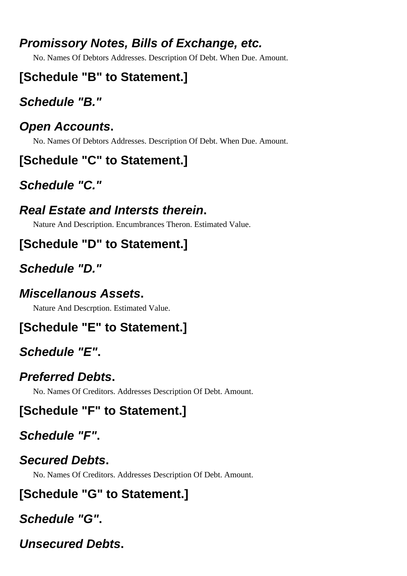### **Promissory Notes, Bills of Exchange, etc.**

No. Names Of Debtors Addresses. Description Of Debt. When Due. Amount.

# **[Schedule "B" to Statement.]**

# **Schedule "B."**

### **Open Accounts.**

No. Names Of Debtors Addresses. Description Of Debt. When Due. Amount.

# **[Schedule "C" to Statement.]**

# **Schedule "C."**

### **Real Estate and Intersts therein.**

Nature And Description. Encumbrances Theron. Estimated Value.

# **[Schedule "D" to Statement.]**

# **Schedule "D."**

### **Miscellanous Assets.**

Nature And Descrption. Estimated Value.

# **[Schedule "E" to Statement.]**

## **Schedule "E".**

### **Preferred Debts.**

No. Names Of Creditors. Addresses Description Of Debt. Amount.

# **[Schedule "F" to Statement.]**

# **Schedule "F".**

## **Secured Debts.**

No. Names Of Creditors. Addresses Description Of Debt. Amount.

# **[Schedule "G" to Statement.]**

## **Schedule "G".**

## **Unsecured Debts.**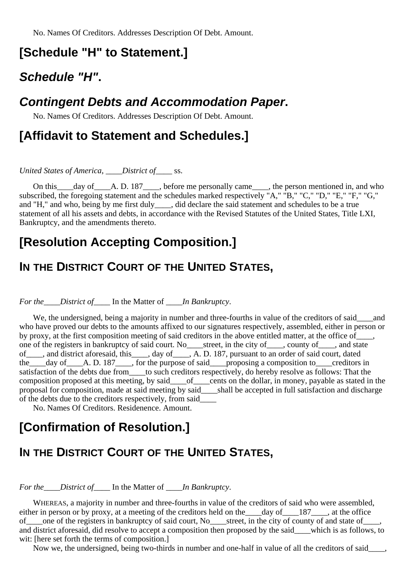No. Names Of Creditors. Addresses Description Of Debt. Amount.

#### **[Schedule "H" to Statement.]**

#### **Schedule "H".**

#### **Contingent Debts and Accommodation Paper.**

No. Names Of Creditors. Addresses Description Of Debt. Amount.

#### **[Affidavit to Statement and Schedules.]**

*United States of America*, \_\_\_\_*District of\_\_\_\_* ss.

On this \_\_\_\_day of \_\_\_\_A. D. 187\_\_\_\_, before me personally came\_\_\_\_, the person mentioned in, and who subscribed, the foregoing statement and the schedules marked respectively "A," "B," "C," "D," "E," "F," "G," and "H," and who, being by me first duly\_\_\_\_, did declare the said statement and schedules to be a true statement of all his assets and debts, in accordance with the Revised Statutes of the United States, Title LXI, Bankruptcy, and the amendments thereto.

#### **[Resolution Accepting Composition.]**

#### **IN THE DISTRICT COURT OF THE UNITED STATES,**

*For the\_\_\_\_District of*\_\_\_\_ In the Matter of \_\_\_\_*In Bankruptcy*.

We, the undersigned, being a majority in number and three-fourths in value of the creditors of said\_\_\_\_and who have proved our debts to the amounts affixed to our signatures respectively, assembled, either in person or by proxy, at the first composition meeting of said creditors in the above entitled matter, at the office of\_\_\_\_, one of the registers in bankruptcy of said court. No\_\_\_\_street, in the city of\_\_\_\_, county of\_\_\_\_, and state of the registers in summaple) or suite court.  $\sqrt{a_1a_2}$  are  $a_1$ , in the city of  $\underline{\cdots}$ , county or  $\underline{\cdots}$ , and summaple of said court, dated of  $\underline{\cdots}$ , and district aforesaid, this  $\underline{\cdots}$ , day of  $\underline{\cdots}$ , the day of A. D. 187 for the purpose of said proposing a composition to creditors in satisfaction of the debts due from\_\_\_\_to such creditors respectively, do hereby resolve as follows: That the composition proposed at this meeting, by said\_\_\_\_of\_\_\_\_cents on the dollar, in money, payable as stated in the proposal for composition, made at said meeting by said\_\_\_\_shall be accepted in full satisfaction and discharge of the debts due to the creditors respectively, from said\_\_\_\_

No. Names Of Creditors. Residenence. Amount.

#### **[Confirmation of Resolution.]**

#### **IN THE DISTRICT COURT OF THE UNITED STATES,**

*For the\_\_\_\_District of*\_\_\_\_ In the Matter of \_\_\_\_*In Bankruptcy*.

WHEREAS, a majority in number and three-fourths in value of the creditors of said who were assembled, either in person or by proxy, at a meeting of the creditors held on the \_\_\_\_day of \_\_\_\_\_187\_\_\_\_, at the office of one of the registers in bankruptcy of said court, No<sub>zu</sub> street, in the city of county of and state of and district aforesaid, did resolve to accept a composition then proposed by the said\_\_\_\_which is as follows, to wit: [here set forth the terms of composition.]

Now we, the undersigned, being two-thirds in number and one-half in value of all the creditors of said\_\_\_\_,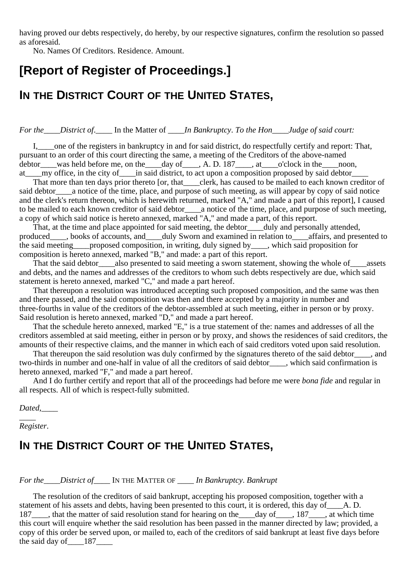having proved our debts respectively, do hereby, by our respective signatures, confirm the resolution so passed as aforesaid.

No. Names Of Creditors. Residence. Amount.

#### **[Report of Register of Proceedings.]**

### **IN THE DISTRICT COURT OF THE UNITED STATES,**

*For the\_\_\_\_District of*.\_\_\_\_ In the Matter of \_\_\_\_*In Bankruptcy*. *To the Hon\_\_\_\_Judge of said court:*

I, one of the registers in bankruptcy in and for said district, do respectfully certify and report: That, pursuant to an order of this court directing the same, a meeting of the Creditors of the above-named debtor\_\_\_was held before me, on the\_\_\_day of\_\_\_, A. D. 187\_\_\_, at\_\_\_o'clock in the\_\_\_noon, at\_\_\_\_my office, in the city of\_\_\_\_in said district, to act upon a composition proposed by said debtor\_

That more than ten days prior thereto [or, that\_\_\_\_clerk, has caused to be mailed to each known creditor of said debtor a notice of the time, place, and purpose of such meeting, as will appear by copy of said notice and the clerk's return thereon, which is herewith returned, marked "A," and made a part of this report], I caused to be mailed to each known creditor of said debtor\_\_\_\_a notice of the time, place, and purpose of such meeting, a copy of which said notice is hereto annexed, marked "A," and made a part, of this report.

That, at the time and place appointed for said meeting, the debtor\_\_\_\_duly and personally attended, produced books of accounts, and duly Sworn and examined in relation to affairs, and presented to the said meeting\_\_\_\_proposed composition, in writing, duly signed by\_\_\_\_, which said proposition for composition is hereto annexed, marked "B," and made: a part of this report.

That the said debtor\_\_\_\_also presented to said meeting a sworn statement, showing the whole of\_\_\_\_assets and debts, and the names and addresses of the creditors to whom such debts respectively are due, which said statement is hereto annexed, marked "C," and made a part hereof.

That thereupon a resolution was introduced accepting such proposed composition, and the same was then and there passed, and the said composition was then and there accepted by a majority in number and three-fourths in value of the creditors of the debtor-assembled at such meeting, either in person or by proxy. Said resolution is hereto annexed, marked "D," and made a part hereof.

That the schedule hereto annexed, marked "E," is a true statement of the: names and addresses of all the creditors assembled at said meeting, either in person or by proxy, and shows the residences of said creditors, the amounts of their respective claims, and the manner in which each of said creditors voted upon said resolution.

That thereupon the said resolution was duly confirmed by the signatures thereto of the said debtor\_\_\_\_, and two-thirds in number and one-half in value of all the creditors of said debtor which said confirmation is hereto annexed, marked "F," and made a part hereof.

And I do further certify and report that all of the proceedings had before me were *bona fide* and regular in all respects. All of which is respect-fully submitted.

*Dated*,\_\_\_\_

*Register*.

 $\overline{\phantom{a}}$ 

#### **IN THE DISTRICT COURT OF THE UNITED STATES,**

*For the\_\_\_\_District of*\_\_\_\_ IN THE MATTER OF \_\_\_\_ *In Bankruptcy*. *Bankrupt*

The resolution of the creditors of said bankrupt, accepting his proposed composition, together with a statement of his assets and debts, having been presented to this court, it is ordered, this day of A. D. 187\_\_\_, that the matter of said resolution stand for hearing on the \_\_\_day of \_\_\_, 187\_\_\_, at which time this court will enquire whether the said resolution has been passed in the manner directed by law; provided, a copy of this order be served upon, or mailed to, each of the creditors of said bankrupt at least five days before the said day of\_\_\_\_187\_\_\_\_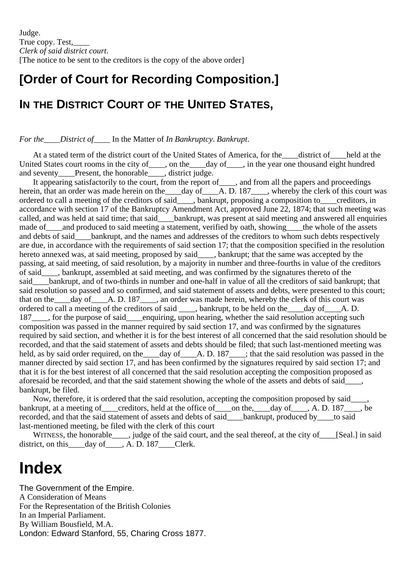# **[Order of Court for Recording Composition.]**

#### **IN THE DISTRICT COURT OF THE UNITED STATES,**

#### *For the\_\_\_\_District of*\_\_\_\_ In the Matter of *In Bankruptcy*. *Bankrupt*.

At a stated term of the district court of the United States of America, for the district of held at the United States court rooms in the city of \_\_\_, on the day of \_\_\_, in the year one thousand eight hundred and seventy\_\_\_\_Present, the honorable\_\_\_, district judge.

It appearing satisfactorily to the court, from the report of  $\blacksquare$ , and from all the papers and proceedings herein, that an order was made herein on the day of A. D. 187, whereby the clerk of this court was ordered to call a meeting of the creditors of said\_\_\_, bankrupt, proposing a composition to\_\_\_\_creditors, in accordance with section 17 of the Bankruptcy Amendment Act, approved June 22, 1874; that such meeting was called, and was held at said time; that said\_\_\_\_bankrupt, was present at said meeting and answered all enquiries made of\_\_\_and produced to said meeting a statement, verified by oath, showing\_\_\_the whole of the assets and debts of said bankrupt, and the names and addresses of the creditors to whom such debts respectively are due, in accordance with the requirements of said section 17; that the composition specified in the resolution hereto annexed was, at said meeting, proposed by said\_\_\_\_, bankrupt; that the same was accepted by the passing, at said meeting, of said resolution, by a majority in number and three-fourths in value of the creditors of said\_\_\_\_, bankrupt, assembled at said meeting, and was confirmed by the signatures thereto of the said bankrupt, and of two-thirds in number and one-half in value of all the creditors of said bankrupt; that said resolution so passed and so confirmed, and said statement of assets and debts, were presented to this court; that on the\_\_\_\_day of\_\_\_\_A. D. 187\_\_\_\_, an order was made herein, whereby the clerk of this court was ordered to call a meeting of the creditors of said \_\_\_\_, bankrupt, to be held on the\_\_\_\_day of\_\_\_\_A. D. 187\_\_\_\_, for the purpose of said\_\_\_\_enquiring, upon hearing, whether the said resolution accepting such composition was passed in the manner required by said section 17, and was confirmed by the signatures required by said section, and whether it is for the best interest of all concerned that the said resolution should be recorded, and that the said statement of assets and debts should be filed; that such last-mentioned meeting was held, as by said order required, on the \_\_\_\_day of \_\_\_\_A. D. 187\_\_\_\_; that the said resolution was passed in the manner directed by said section 17, and has been confirmed by the signatures required by said section 17; and that it is for the best interest of all concerned that the said resolution accepting the composition proposed as aforesaid be recorded, and that the said statement showing the whole of the assets and debts of said\_\_\_\_, bankrupt, be filed.

Now, therefore, it is ordered that the said resolution, accepting the composition proposed by said bankrupt, at a meeting of creditors, held at the office of on the, day of  $\overline{A}$ , A. D. 187  $\overline{A}$ , be recorded, and that the said statement of assets and debts of said bankrupt, produced by to said last-mentioned meeting, be filed with the clerk of this court

WITNESS, the honorable\_\_\_\_, judge of the said court, and the seal thereof, at the city of\_\_\_\_[Seal.] in said district, on this day of A. D. 187 Clerk.

# **Index**

The Government of the Empire. A Consideration of Means For the Representation of the British Colonies In an Imperial Parliament. By William Bousfield, M.A. London: Edward Stanford, 55, Charing Cross 1877.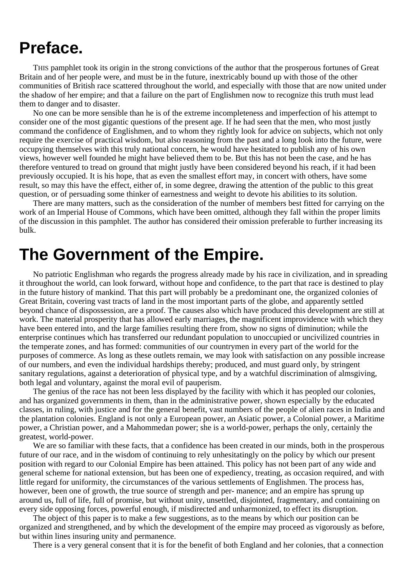# **Preface.**

THIS pamphlet took its origin in the strong convictions of the author that the prosperous fortunes of Great Britain and of her people were, and must be in the future, inextricably bound up with those of the other communities of British race scattered throughout the world, and especially with those that are now united under the shadow of her empire; and that a failure on the part of Englishmen now to recognize this truth must lead them to danger and to disaster.

No one can be more sensible than he is of the extreme incompleteness and imperfection of his attempt to consider one of the most gigantic questions of the present age. If he had seen that the men, who most justly command the confidence of Englishmen, and to whom they rightly look for advice on subjects, which not only require the exercise of practical wisdom, but also reasoning from the past and a long look into the future, were occupying themselves with this truly national concern, he would have hesitated to publish any of his own views, however well founded he might have believed them to be. But this has not been the case, and he has therefore ventured to tread on ground that might justly have been considered beyond his reach, if it had been previously occupied. It is his hope, that as even the smallest effort may, in concert with others, have some result, so may this have the effect, either of, in some degree, drawing the attention of the public to this great question, or of persuading some thinker of earnestness and weight to devote his abilities to its solution.

There are many matters, such as the consideration of the number of members best fitted for carrying on the work of an Imperial House of Commons, which have been omitted, although they fall within the proper limits of the discussion in this pamphlet. The author has considered their omission preferable to further increasing its bulk.

# **The Government of the Empire.**

No patriotic Englishman who regards the progress already made by his race in civilization, and in spreading it throughout the world, can look forward, without hope and confidence, to the part that race is destined to play in the future history of mankind. That this part will probably be a predominant one, the organized colonies of Great Britain, covering vast tracts of land in the most important parts of the globe, and apparently settled beyond chance of dispossession, are a proof. The causes also which have produced this development are still at work. The material prosperity that has allowed early marriages, the magnificent improvidence with which they have been entered into, and the large families resulting there from, show no signs of diminution; while the enterprise continues which has transferred our redundant population to unoccupied or uncivilized countries in the temperate zones, and has formed: communities of our countrymen in every part of the world for the purposes of commerce. As long as these outlets remain, we may look with satisfaction on any possible increase of our numbers, and even the individual hardships thereby; produced, and must guard only, by stringent sanitary regulations, against a deterioration of physical type, and by a watchful discrimination of almsgiving, both legal and voluntary, against the moral evil of pauperism.

The genius of the race has not been less displayed by the facility with which it has peopled our colonies, and has organized governments in them, than in the administrative power, shown especially by the educated classes, in ruling, with justice and for the general benefit, vast numbers of the people of alien races in India and the plantation colonies. England is not only a European power, an Asiatic power, a Colonial power, a Maritime power, a Christian power, and a Mahommedan power; she is a world-power, perhaps the only, certainly the greatest, world-power.

We are so familiar with these facts, that a confidence has been created in our minds, both in the prosperous future of our race, and in the wisdom of continuing to rely unhesitatingly on the policy by which our present position with regard to our Colonial Empire has been attained. This policy has not been part of any wide and general scheme for national extension, but has been one of expediency, treating, as occasion required, and with little regard for uniformity, the circumstances of the various settlements of Englishmen. The process has, however, been one of growth, the true source of strength and per- manence; and an empire has sprung up around us, full of life, full of promise, but without unity, unsettled, disjointed, fragmentary, and containing on every side opposing forces, powerful enough, if misdirected and unharmonized, to effect its disruption.

The object of this paper is to make a few suggestions, as to the means by which our position can be organized and strengthened, and by which the development of the empire may proceed as vigorously as before, but within lines insuring unity and permanence.

There is a very general consent that it is for the benefit of both England and her colonies, that a connection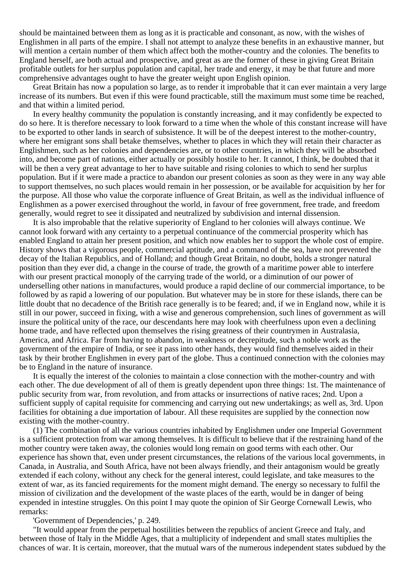should be maintained between them as long as it is practicable and consonant, as now, with the wishes of Englishmen in all parts of the empire. I shall not attempt to analyze these benefits in an exhaustive manner, but will mention a certain number of them which affect both the mother-country and the colonies. The benefits to England herself, are both actual and prospective, and great as are the former of these in giving Great Britain profitable outlets for her surplus population and capital, her trade and energy, it may be that future and more comprehensive advantages ought to have the greater weight upon English opinion.

Great Britain has now a population so large, as to render it improbable that it can ever maintain a very large increase of its numbers. But even if this were found practicable, still the maximum must some time be reached, and that within a limited period.

In every healthy community the population is constantly increasing, and it may confidently be expected to do so here. It is therefore necessary to look forward to a time when the whole of this constant increase will have to be exported to other lands in search of subsistence. It will be of the deepest interest to the mother-country, where her emigrant sons shall betake themselves, whether to places in which they will retain their character as Englishmen, such as her colonies and dependencies are, or to other countries, in which they will be absorbed into, and become part of nations, either actually or possibly hostile to her. It cannot, I think, be doubted that it will be then a very great advantage to her to have suitable and rising colonies to which to send her surplus population. But if it were made a practice to abandon our present colonies as soon as they were in any way able to support themselves, no such places would remain in her possession, or be available for acquisition by her for the purpose. All those who value the corporate influence of Great Britain, as well as the individual influence of Englishmen as a power exercised throughout the world, in favour of free government, free trade, and freedom generally, would regret to see it dissipated and neutralized by subdivision and internal dissension.

It is also improbable that the relative superiority of England to her colonies will always continue. We cannot look forward with any certainty to a perpetual continuance of the commercial prosperity which has enabled England to attain her present position, and which now enables her to support the whole cost of empire. History shows that a vigorous people, commercial aptitude, and a command of the sea, have not prevented the decay of the Italian Republics, and of Holland; and though Great Britain, no doubt, holds a stronger natural position than they ever did, a change in the course of trade, the growth of a maritime power able to interfere with our present practical monoply of the carrying trade of the world, or a diminution of our power of underselling other nations in manufactures, would produce a rapid decline of our commercial importance, to be followed by as rapid a lowering of our population. But whatever may be in store for these islands, there can be little doubt that no decadence of the British race generally is to be feared; and, if we in England now, while it is still in our power, succeed in fixing, with a wise and generous comprehension, such lines of government as will insure the political unity of the race, our descendants here may look with cheerfulness upon even a declining home trade, and have reflected upon themselves the rising greatness of their countrymen in Australasia, America, and Africa. Far from having to abandon, in weakness or decrepitude, such a noble work as the government of the empire of India, or see it pass into other hands, they would find themselves aided in their task by their brother Englishmen in every part of the globe. Thus a continued connection with the colonies may be to England in the nature of insurance.

It is equally the interest of the colonies to maintain a close connection with the mother-country and with each other. The due development of all of them is greatly dependent upon three things: 1st. The maintenance of public security from war, from revolution, and from attacks or insurrections of native races; 2nd. Upon a sufficient supply of capital requisite for commencing and carrying out new undertakings; as well as, 3rd. Upon facilities for obtaining a due importation of labour. All these requisites are supplied by the connection now existing with the mother-country.

(1) The combination of all the various countries inhabited by Englishmen under one Imperial Government is a sufficient protection from war among themselves. It is difficult to believe that if the restraining hand of the mother country were taken away, the colonies would long remain on good terms with each other. Our experience has shown that, even under present circumstances, the relations of the various local governments, in Canada, in Australia, and South Africa, have not been always friendly, and their antagonism would be greatly extended if each colony, without any check for the general interest, could legislate, and take measures to the extent of war, as its fancied requirements for the moment might demand. The energy so necessary to fulfil the mission of civilization and the development of the waste places of the earth, would be in danger of being expended in intestine struggles. On this point I may quote the opinion of Sir George Cornewall Lewis, who remarks:

'Government of Dependencies,' p. 249.

"It would appear from the perpetual hostilities between the republics of ancient Greece and Italy, and between those of Italy in the Middle Ages, that a multiplicity of independent and small states multiplies the chances of war. It is certain, moreover, that the mutual wars of the numerous independent states subdued by the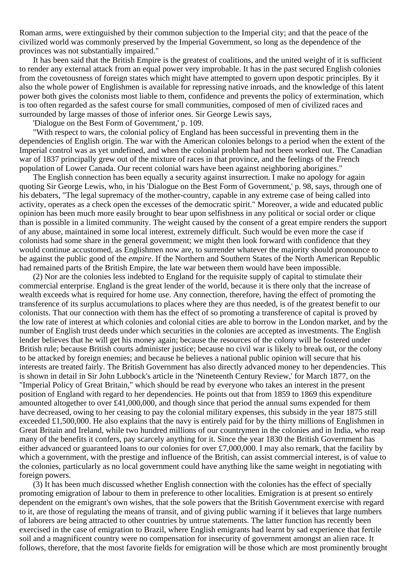Roman arms, were extinguished by their common subjection to the Imperial city; and that the peace of the civilized world was commonly preserved by the Imperial Government, so long as the dependence of the provinces was not substantially impaired."

It has been said that the British Empire is the greatest of coalitions, and the united weight of it is sufficient to render any external attack from an equal power very improbable. It has in the past secured English colonies from the covetousness of foreign states which might have attempted to govern upon despotic principles. By it also the whole power of Englishmen is available for repressing native inroads, and the knowledge of this latent power both gives the colonists most liable to them, confidence and prevents the policy of extermination, which is too often regarded as the safest course for small communities, composed of men of civilized races and surrounded by large masses of those of inferior ones. Sir George Lewis says,

'Dialogue on the Best Form of Government,' p. 109.

"With respect to wars, the colonial policy of England has been successful in preventing them in the dependencies of English origin. The war with the American colonies belongs to a period when the extent of the Imperial control was as yet undefined, and when the colonial problem had not been worked out. The Canadian war of 1837 principally grew out of the mixture of races in that province, and the feelings of the French population of Lower Canada. Our recent colonial wars have been against neighboring aborigines."

The English connection has been equally a security against insurrection. I make no apology for again quoting Sir George Lewis, who, in his 'Dialogue on the Best Form of Government,' p. 98, says, through one of his debaters, "The legal supremacy of the mother-country, capable in any extreme case of being called into activity, operates as a check open the excesses of the democratic spirit." Moreover, a wide and educated public opinion has been much more easily brought to bear upon selfishness in any political or social order or clique than is possible in a limited community. The weight caused by the consent of a great empire renders the support of any abuse, maintained in some local interest, extremely difficult. Such would be even more the case if colonists had some share in the general government; we might then look forward with confidence that they would continue accustomed, as Englishmen now are, to surrender whatever the majority should pronounce to be against the public good of the *empire*. If the Northern and Southern States of the North American Republic had remained parts of the British Empire, the late war between them would have been impossible.

(2) Nor are the colonies less indebted to England for the requisite supply of capital to stimulate their commercial enterprise. England is the great lender of the world, because it is there only that the increase of wealth exceeds what is required for home use. Any connection, therefore, having the effect of promoting the transference of its surplus accumulations to places where they are thus needed, is of the greatest benefit to our colonists. That our connection with them has the effect of so promoting a transference of capital is proved by the low rate of interest at which colonies and colonial cities are able to borrow in the London market, and by the number of English trust deeds under which securities in the colonies are accepted as investments. The English lender believes that he will get his money again; because the resources of the colony will be fostered under British rule; because British courts administer justice; because no civil war is likely to break out, or the colony to be attacked by foreign enemies; and because he believes a national public opinion will secure that his interests are treated fairly. The British Government has also directly advanced money to her dependencies. This is shown in detail in Sir John Lubbock's article in the 'Nineteenth Century Review,' for March 1877, on the "Imperial Policy of Great Britain," which should be read by everyone who takes an interest in the present position of England with regard to her dependencies. He points out that from 1859 to 1869 this expenditure amounted altogether to over £41,000,000, and though since that period the annual sums expended for them have decreased, owing to her ceasing to pay the colonial military expenses, this subsidy in the year 1875 still exceeded £1,500,000. He also explains that the navy is entirely paid for by the thirty millions of Englishmen in Great Britain and Ireland, while two hundred millions of our countrymen in the colonies and in India, who reap many of the benefits it confers, pay scarcely anything for it. Since the year 1830 the British Government has either advanced or guaranteed loans to our colonies for over £7,000,000. I may also remark, that the facility by which a government, with the prestige and influence of the British, can assist commercial interest, is of value to the colonies, particularly as no local government could have anything like the same weight in negotiating with foreign powers.

(3) It has been much discussed whether English connection with the colonies has the effect of specially promoting emigration of labour to them in preference to other localities. Emigration is at present so entirely dependent on the emigrant's own wishes, that the sole powers that the British Government exercise with regard to it, are those of regulating the means of transit, and of giving public warning if it believes that large numbers of laborers are being attracted to other countries by untrue statements. The latter function has recently been exercised in the case of emigration to Brazil, where English emigrants had learnt by sad experience that fertile soil and a magnificent country were no compensation for insecurity of government amongst an alien race. It follows, therefore, that the most favorite fields for emigration will be those which are most prominently brought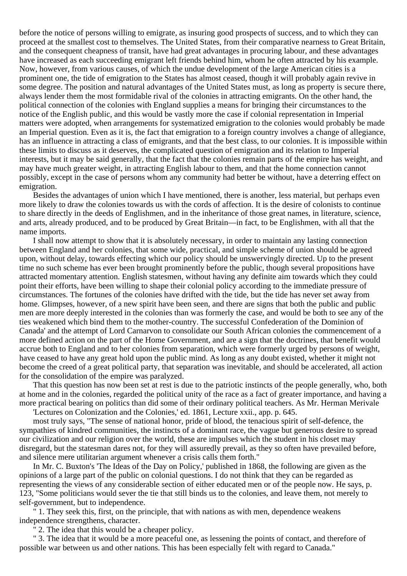before the notice of persons willing to emigrate, as insuring good prospects of success, and to which they can proceed at the smallest cost to themselves. The United States, from their comparative nearness to Great Britain, and the consequent cheapness of transit, have had great advantages in procuring labour, and these advantages have increased as each succeeding emigrant left friends behind him, whom he often attracted by his example. Now, however, from various causes, of which the undue development of the large American cities is a prominent one, the tide of emigration to the States has almost ceased, though it will probably again revive in some degree. The position and natural advantages of the United States must, as long as property is secure there, always lender them the most formidable rival of the colonies in attracting emigrants. On the other hand, the political connection of the colonies with England supplies a means for bringing their circumstances to the notice of the English public, and this would be vastly more the case if colonial representation in Imperial matters were adopted, when arrangements for systematized emigration to the colonies would probably be made an Imperial question. Even as it is, the fact that emigration to a foreign country involves a change of allegiance, has an influence in attracting a class of emigrants, and that the best class, to our colonies. It is impossible within these limits to discuss as it deserves, the complicated question of emigration and its relation to Imperial interests, but it may be said generally, that the fact that the colonies remain parts of the empire has weight, and may have much greater weight, in attracting English labour to them, and that the home connection cannot possibly, except in the case of persons whom any community had better be without, have a deterring effect on emigration.

Besides the advantages of union which I have mentioned, there is another, less material, but perhaps even more likely to draw the colonies towards us with the cords of affection. It is the desire of colonists to continue to share directly in the deeds of Englishmen, and in the inheritance of those great names, in literature, science, and arts, already produced, and to be produced by Great Britain—in fact, to be Englishmen, with all that the name imports.

I shall now attempt to show that it is absolutely necessary, in order to maintain any lasting connection between England and her colonies, that some wide, practical, and simple scheme of union should be agreed upon, without delay, towards effecting which our policy should be unswervingly directed. Up to the present time no such scheme has ever been brought prominently before the public, though several propositions have attracted momentary attention. English statesmen, without having any definite aim towards which they could point their efforts, have been willing to shape their colonial policy according to the immediate pressure of circumstances. The fortunes of the colonies have drifted with the tide, but the tide has never set away from home. Glimpses, however, of a new spirit have been seen, and there are signs that both the public and public men are more deeply interested in the colonies than was formerly the case, and would be both to see any of the ties weakened which bind them to the mother-country. The successful Confederation of the Dominion of Canada' and the attempt of Lord Carnarvon to consolidate our South African colonies the commencement of a more defined action on the part of the Home Government, and are a sign that the doctrines, that benefit would accrue both to England and to her colonies from separation, which were formerly urged by persons of weight, have ceased to have any great hold upon the public mind. As long as any doubt existed, whether it might not become the creed of a great political party, that separation was inevitable, and should be accelerated, all action for the consolidation of the empire was paralyzed.

That this question has now been set at rest is due to the patriotic instincts of the people generally, who, both at home and in the colonies, regarded the political unity of the race as a fact of greater importance, and having a more practical bearing on politics than did some of their ordinary political teachers. As Mr. Herman Merivale 'Lectures on Colonization and the Colonies,' ed. 1861, Lecture xxii., app. p. 645.

most truly says, "The sense of national honor, pride of blood, the tenacious spirit of self-defence, the sympathies of kindred communities, the instincts of a dominant race, the vague but generous desire to spread our civilization and our religion over the world, these are impulses which the student in his closet may disregard, but the statesman dares not, for they will assuredly prevail, as they so often have prevailed before, and silence mere utilitarian argument whenever a crisis calls them forth."

In Mr. C. Buxton's 'The Ideas of the Day on Policy,' published in 1868, the following are given as the opinions of a large part of the public on colonial questions. I do not think that they can be regarded as representing the views of any considerable section of either educated men or of the people now. He says, p. 123, "Some politicians would sever the tie that still binds us to the colonies, and leave them, not merely to self-government, but to independence.

1. They seek this, first, on the principle, that with nations as with men, dependence weakens independence strengthens, character.

2. The idea that this would be a cheaper policy.

" 3. The idea that it would be a more peaceful one, as lessening the points of contact, and therefore of possible war between us and other nations. This has been especially felt with regard to Canada."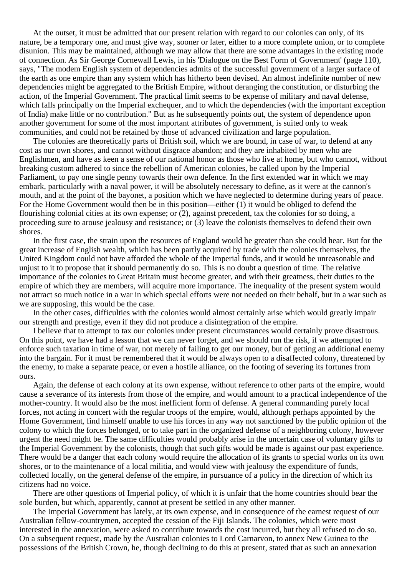At the outset, it must be admitted that our present relation with regard to our colonies can only, of its nature, be a temporary one, and must give way, sooner or later, either to a more complete union, or to complete disunion. This may be maintained, although we may allow that there are some advantages in the existing mode of connection. As Sir George Cornewall Lewis, in his 'Dialogue on the Best Form of Government' (page 110), says, "The modem English system of dependencies admits of the successful government of a larger surface of the earth as one empire than any system which has hitherto been devised. An almost indefinite number of new dependencies might be aggregated to the British Empire, without deranging the constitution, or disturbing the action, of the Imperial Government. The practical limit seems to be expense of military and naval defense, which falls principally on the Imperial exchequer, and to which the dependencies (with the important exception of India) make little or no contribution." But as he subsequently points out, the system of dependence upon another government for some of the most important attributes of government, is suited only to weak communities, and could not be retained by those of advanced civilization and large population.

The colonies are theoretically parts of British soil, which we are bound, in case of war, to defend at any cost as our own shores, and cannot without disgrace abandon; and they are inhabited by men who are Englishmen, and have as keen a sense of our national honor as those who live at home, but who cannot, without breaking custom adhered to since the rebellion of American colonies, be called upon by the Imperial Parliament, to pay one single penny towards their own defence. In the first extended war in which we may embark, particularly with a naval power, it will be absolutely necessary to define, as it were at the cannon's mouth, and at the point of the bayonet, a position which we have neglected to determine during years of peace. For the Home Government would then be in this position—either (1) it would be obliged to defend the flourishing colonial cities at its own expense; or (2), against precedent, tax the colonies for so doing, a proceeding sure to arouse jealousy and resistance; or (3) leave the colonists themselves to defend their own shores.

In the first case, the strain upon the resources of England would be greater than she could hear. But for the great increase of English wealth, which has been partly acquired by trade with the colonies themselves, the United Kingdom could not have afforded the whole of the Imperial funds, and it would be unreasonable and unjust to it to propose that it should permanently do so. This is no doubt a question of time. The relative importance of the colonies to Great Britain must become greater, and with their greatness, their duties to the empire of which they are members, will acquire more importance. The inequality of the present system would not attract so much notice in a war in which special efforts were not needed on their behalf, but in a war such as we are supposing, this would be the case.

In the other cases, difficulties with the colonies would almost certainly arise which would greatly impair our strength and prestige, even if they did not produce a disintegration of the empire.

I believe that to attempt to tax our colonies under present circumstances would certainly prove disastrous. On this point, we have had a lesson that we can never forget, and we should run the risk, if we attempted to enforce such taxation in time of war, not merely of failing to get our money, but of getting an additional enemy into the bargain. For it must be remembered that it would be always open to a disaffected colony, threatened by the enemy, to make a separate peace, or even a hostile alliance, on the footing of severing its fortunes from ours.

Again, the defense of each colony at its own expense, without reference to other parts of the empire, would cause a severance of its interests from those of the empire, and would amount to a practical independence of the mother-country. It would also be the most inefficient form of defense. A general commanding purely local forces, not acting in concert with the regular troops of the empire, would, although perhaps appointed by the Home Government, find himself unable to use his forces in any way not sanctioned by the public opinion of the colony to which the forces belonged, or to take part in the organized defense of a neighboring colony, however urgent the need might be. The same difficulties would probably arise in the uncertain case of voluntary gifts to the Imperial Government by the colonists, though that such gifts would be made is against our past experience. There would be a danger that each colony would require the allocation of its grants to special works on its own shores, or to the maintenance of a local militia, and would view with jealousy the expenditure of funds, collected locally, on the general defense of the empire, in pursuance of a policy in the direction of which its citizens had no voice.

There are other questions of Imperial policy, of which it is unfair that the home countries should bear the sole burden, but which, apparently, cannot at present be settled in any other manner.

The Imperial Government has lately, at its own expense, and in consequence of the earnest request of our Australian fellow-countrymen, accepted the cession of the Fiji Islands. The colonies, which were most interested in the annexation, were asked to contribute towards the cost incurred, but they all refused to do so. On a subsequent request, made by the Australian colonies to Lord Carnarvon, to annex New Guinea to the possessions of the British Crown, he, though declining to do this at present, stated that as such an annexation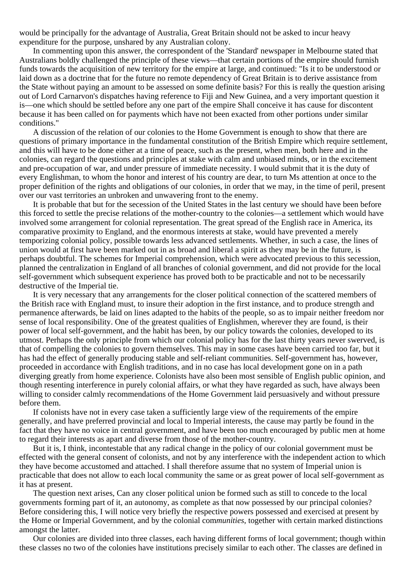would be principally for the advantage of Australia, Great Britain should not be asked to incur heavy expenditure for the purpose, unshared by any Australian colony.

In commenting upon this answer, the correspondent of the 'Standard' newspaper in Melbourne stated that Australians boldly challenged the principle of these views—that certain portions of the empire should furnish funds towards the acquisition of new territory for the empire at large, and continued: "Is it to be understood or laid down as a doctrine that for the future no remote dependency of Great Britain is to derive assistance from the State without paying an amount to be assessed on some definite basis? For this is really the question arising out of Lord Carnarvon's dispatches having reference to Fiji and New Guinea, and a very important question it is—one which should be settled before any one part of the empire Shall conceive it has cause for discontent because it has been called on for payments which have not been exacted from other portions under similar conditions."

A discussion of the relation of our colonies to the Home Government is enough to show that there are questions of primary importance in the fundamental constitution of the British Empire which require settlement, and this will have to be done either at a time of peace, such as the present, when men, both here and in the colonies, can regard the questions and principles at stake with calm and unbiased minds, or in the excitement and pre-occupation of war, and under pressure of immediate necessity. I would submit that it is the duty of every Englishman, to whom the honor and interest of his country are dear, to turn Ms attention at once to the proper definition of the rights and obligations of our colonies, in order that we may, in the time of peril, present over our vast territories an unbroken and unwavering front to the enemy.

It is probable that but for the secession of the United States in the last century we should have been before this forced to settle the precise relations of the mother-country to the colonies—a settlement which would have involved some arrangement for colonial representation. The great spread of the English race in America, its comparative proximity to England, and the enormous interests at stake, would have prevented a merely temporizing colonial policy, possible towards less advanced settlements. Whether, in such a case, the lines of union would at first have been marked out in as broad and liberal a spirit as they may be in the future, is perhaps doubtful. The schemes for Imperial comprehension, which were advocated previous to this secession, planned the centralization in England of all branches of colonial government, and did not provide for the local self-government which subsequent experience has proved both to be practicable and not to be necessarily destructive of the Imperial tie.

It is very necessary that any arrangements for the closer political connection of the scattered members of the British race with England must, to insure their adoption in the first instance, and to produce strength and permanence afterwards, be laid on lines adapted to the habits of the people, so as to impair neither freedom nor sense of local responsibility. One of the greatest qualities of Englishmen, wherever they are found, is their power of local self-government, and the habit has been, by our policy towards the colonies, developed to its utmost. Perhaps the only principle from which our colonial policy has for the last thirty years never swerved, is that of compelling the colonies to govern themselves. This may in some cases have been carried too far, but it has had the effect of generally producing stable and self-reliant communities. Self-government has, however, proceeded in accordance with English traditions, and in no case has local development gone on in a path diverging greatly from home experience. Colonists have also been most sensible of English public opinion, and though resenting interference in purely colonial affairs, or what they have regarded as such, have always been willing to consider calmly recommendations of the Home Government laid persuasively and without pressure before them.

If colonists have not in every case taken a sufficiently large view of the requirements of the empire generally, and have preferred provincial and local to Imperial interests, the cause may partly be found in the fact that they have no voice in central government, and have been too much encouraged by public men at home to regard their interests as apart and diverse from those of the mother-country.

But it is, I think, incontestable that any radical change in the policy of our colonial government must be effected with the general consent of colonists, and not by any interference with the independent action to which they have become accustomed and attached. I shall therefore assume that no system of Imperial union is practicable that does not allow to each local community the same or as great power of local self-government as it has at present.

The question next arises, Can any closer political union be formed such as still to concede to the local governments forming part of it, an autonomy, as complete as that now possessed by our principal colonies? Before considering this, I will notice very briefly the respective powers possessed and exercised at present by the Home or Imperial Government, and by the colonial com*munities*, together with certain marked distinctions amongst the latter.

Our colonies are divided into three classes, each having different forms of local government; though within these classes no two of the colonies have institutions precisely similar to each other. The classes are defined in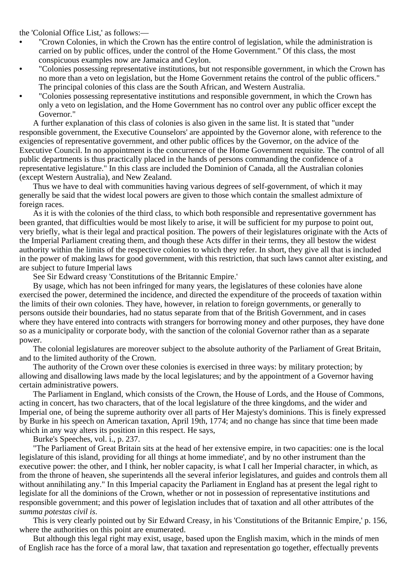the 'Colonial Office List,' as follows:—

- **•** "Crown Colonies, in which the Crown has the entire control of legislation, while the administration is carried on by public offices, under the control of the Home Government." Of this class, the most conspicuous examples now are Jamaica and Ceylon.
- **•** "Colonies possessing representative institutions, but not responsible government, in which the Crown has no more than a veto on legislation, but the Home Government retains the control of the public officers." The principal colonies of this class are the South African, and Western Australia.
- **•** "Colonies possessing representative institutions and responsible government, in which the Crown has only a veto on legislation, and the Home Government has no control over any public officer except the Governor."

A further explanation of this class of colonies is also given in the same list. It is stated that "under responsible government, the Executive Counselors' are appointed by the Governor alone, with reference to the exigencies of representative government, and other public offices by the Governor, on the advice of the Executive Council. In no appointment is the concurrence of the Home Government requisite. The control of all public departments is thus practically placed in the hands of persons commanding the confidence of a representative legislature." In this class are included the Dominion of Canada, all the Australian colonies (except Western Australia), and New Zealand.

Thus we have to deal with communities having various degrees of self-government, of which it may generally be said that the widest local powers are given to those which contain the smallest admixture of foreign races.

As it is with the colonies of the third class, to which both responsible and representative government has been granted, that difficulties would be most likely to arise, it will be sufficient for my purpose to point out, very briefly, what is their legal and practical position. The powers of their legislatures originate with the Acts of the Imperial Parliament creating them, and though these Acts differ in their terms, they all bestow the widest authority within the limits of the respective colonies to which they refer. In short, they give all that is included in the power of making laws for good government, with this restriction, that such laws cannot alter existing, and are subject to future Imperial laws

See Sir Edward creasy 'Constitutions of the Britannic Empire.'

By usage, which has not been infringed for many years, the legislatures of these colonies have alone exercised the power, determined the incidence, and directed the expenditure of the proceeds of taxation within the limits of their own colonies. They have, however, in relation to foreign governments, or generally to persons outside their boundaries, had no status separate from that of the British Government, and in cases where they have entered into contracts with strangers for borrowing money and other purposes, they have done so as a municipality or corporate body, with the sanction of the colonial Governor rather than as a separate power.

The colonial legislatures are moreover subject to the absolute authority of the Parliament of Great Britain, and to the limited authority of the Crown.

The authority of the Crown over these colonies is exercised in three ways: by military protection; by allowing and disallowing laws made by the local legislatures; and by the appointment of a Governor having certain administrative powers.

The Parliament in England, which consists of the Crown, the House of Lords, and the House of Commons, acting in concert, has two characters, that of the local legislature of the three kingdoms, and the wider and Imperial one, of being the supreme authority over all parts of Her Majesty's dominions. This is finely expressed by Burke in his speech on American taxation, April 19th, 1774; and no change has since that time been made which in any way alters its position in this respect. He says,

Burke's Speeches, vol. i., p. 237.

"The Parliament of Great Britain sits at the head of her extensive empire, in two capacities: one is the local legislature of this island, providing for all things at home immediate', and by no other instrument than the executive power: the other, and I think, her nobler capacity, is what I call her Imperial character, in which, as from the throne of heaven, she superintends all the several inferior legislatures, and guides and controls them all without annihilating any." In this Imperial capacity the Parliament in England has at present the legal right to legislate for all the dominions of the Crown, whether or not in possession of representative institutions and responsible government; and this power of legislation includes that of taxation and all other attributes of the *summa potestas civil is*.

This is very clearly pointed out by Sir Edward Creasy, in his 'Constitutions of the Britannic Empire,' p. 156, where the authorities on this point are enumerated.

But although this legal right may exist, usage, based upon the English maxim, which in the minds of men of English race has the force of a moral law, that taxation and representation go together, effectually prevents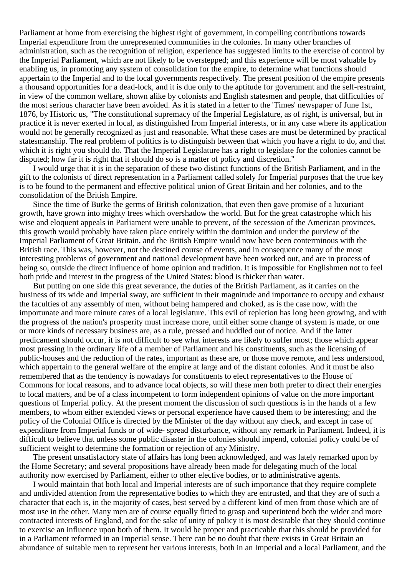Parliament at home from exercising the highest right of government, in compelling contributions towards Imperial expenditure from the unrepresented communities in the colonies. In many other branches of administration, such as the recognition of religion, experience has suggested limits to the exercise of control by the Imperial Parliament, which are not likely to be overstepped; and this experience will be most valuable by enabling us, in promoting any system of consolidation for the empire, to determine what functions should appertain to the Imperial and to the local governments respectively. The present position of the empire presents a thousand opportunities for a dead-lock, and it is due only to the aptitude for government and the self-restraint, in view of the common welfare, shown alike by colonists and English statesmen and people, that difficulties of the most serious character have been avoided. As it is stated in a letter to the 'Times' newspaper of June 1st, 1876, by Historic us, "The constitutional supremacy of the Imperial Legislature, as of right, is universal, but in practice it is never exerted in local, as distinguished from Imperial interests, or in any case where its application would not be generally recognized as just and reasonable. What these cases are must be determined by practical statesmanship. The real problem of politics is to distinguish between that which you have a right to do, and that which it is right you should do. That the Imperial Legislature has a right to legislate for the colonies cannot be disputed; how far it is right that it should do so is a matter of policy and discretion."

I would urge that it is in the separation of these two distinct functions of the British Parliament, and in the gift to the colonists of direct representation in a Parliament called solely for Imperial purposes that the true key is to be found to the permanent and effective political union of Great Britain and her colonies, and to the consolidation of the British Empire.

Since the time of Burke the germs of British colonization, that even then gave promise of a luxuriant growth, have grown into mighty trees which overshadow the world. But for the great catastrophe which his wise and eloquent appeals in Parliament were unable to prevent, of the secession of the American provinces, this growth would probably have taken place entirely within the dominion and under the purview of the Imperial Parliament of Great Britain, and the British Empire would now have been conterminous with the British race. This was, however, not the destined course of events, and in consequence many of the most interesting problems of government and national development have been worked out, and are in process of being so, outside the direct influence of home opinion and tradition. It is impossible for Englishmen not to feel both pride and interest in the progress of the United States: blood is thicker than water.

But putting on one side this great severance, the duties of the British Parliament, as it carries on the business of its wide and Imperial sway, are sufficient in their magnitude and importance to occupy and exhaust the faculties of any assembly of men, without being hampered and choked, as is the case now, with the importunate and more minute cares of a local legislature. This evil of repletion has long been growing, and with the progress of the nation's prosperity must increase more, until either some change of system is made, or one or more kinds of necessary business are, as a rule, pressed and huddled out of notice. And if the latter predicament should occur, it is not difficult to see what interests are likely to suffer most; those which appear most pressing in the ordinary life of a member of Parliament and his constituents, such as the licensing of public-houses and the reduction of the rates, important as these are, or those move remote, and less understood, which appertain to the general welfare of the empire at large and of the distant colonies. And it must be also remembered that as the tendency is nowadays for constituents to elect representatives to the House of Commons for local reasons, and to advance local objects, so will these men both prefer to direct their energies to local matters, and be of a class incompetent to form independent opinions of value on the more important questions of Imperial policy. At the present moment the discussion of such questions is in the hands of a few members, to whom either extended views or personal experience have caused them to be interesting; and the policy of the Colonial Office is directed by the Minister of the day without any check, and except in case of expenditure from Imperial funds or of wide- spread disturbance, without any remark in Parliament. Indeed, it is difficult to believe that unless some public disaster in the colonies should impend, colonial policy could be of sufficient weight to determine the formation or rejection of any Ministry.

The present unsatisfactory state of affairs has long been acknowledged, and was lately remarked upon by the Home Secretary; and several propositions have already been made for delegating much of the local authority now exercised by Parliament, either to other elective bodies, or to administrative agents.

I would maintain that both local and Imperial interests are of such importance that they require complete and undivided attention from the representative bodies to which they are entrusted, and that they are of such a character that each is, in the majority of cases, best served by a different kind of men from those which are of most use in the other. Many men are of course equally fitted to grasp and superintend both the wider and more contracted interests of England, and for the sake of unity of policy it is most desirable that they should continue to exercise an influence upon both of them. It would be proper and practicable that this should be provided for in a Parliament reformed in an Imperial sense. There can be no doubt that there exists in Great Britain an abundance of suitable men to represent her various interests, both in an Imperial and a local Parliament, and the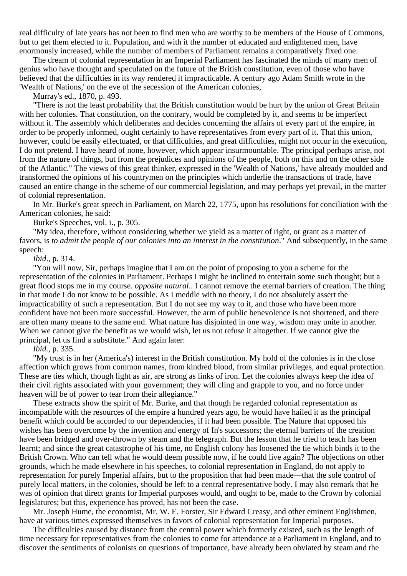real difficulty of late years has not been to find men who are worthy to be members of the House of Commons, but to get them elected to it. Population, and with it the number of educated and enlightened men, have enormously increased, while the number of members of Parliament remains a comparatively fixed one.

The dream of colonial representation in an Imperial Parliament has fascinated the minds of many men of genius who have thought and speculated on the future of the British constitution, even of those who have believed that the difficulties in its way rendered it impracticable. A century ago Adam Smith wrote in the 'Wealth of Nations,' on the eve of the secession of the American colonies,

Murray's ed., 1870, p. 493.

"There is not the least probability that the British constitution would be hurt by the union of Great Britain with her colonies. That constitution, on the contrary, would be completed by it, and seems to be imperfect without it. The assembly which deliberates and decides concerning the affairs of every part of the empire, in order to be properly informed, ought certainly to have representatives from every part of it. That this union, however, could be easily effectuated, or that difficulties, and great difficulties, might not occur in the execution, I do not pretend. I have heard of none, however, which appear insurmountable. The principal perhaps arise, not from the nature of things, but from the prejudices and opinions of the people, both on this and on the other side of the Atlantic." The views of this great thinker, expressed in the 'Wealth of Nations,' have already moulded and transformed the opinions of his countrymen on the principles which underlie the transactions of trade, have caused an entire change in the scheme of our commercial legislation, and may perhaps yet prevail, in the matter of colonial representation.

In Mr. Burke's great speech in Parliament, on March 22, 1775, upon his resolutions for conciliation with the American colonies, he said:

Burke's Speeches, vol. i., p. 305.

"My idea, therefore, without considering whether we yield as a matter of right, or grant as a matter of favors, is *to admit the people of our colonies into an interest in the constitution*." And subsequently, in the same speech:

*Ibid*., p. 314.

"You will now, Sir, perhaps imagine that I am on the point of proposing to you a scheme for the representation of the colonies in Parliament. Perhaps I might be inclined to entertain some such thought; but a great flood stops me in my course. *opposite natural*.. I cannot remove the eternal barriers of creation. The thing in that mode I do not know to be possible. As I meddle with no theory, I do not absolutely assert the impracticability of such a representation. But I do not see my way to it, and those who have been more confident have not been more successful. However, the arm of public benevolence is not shortened, and there are often many means to the same end. What nature has disjointed in one way, wisdom may unite in another. When we cannot give the benefit as we would wish, let us not refuse it altogether. If we cannot give the principal, let us find a substitute." And again later:

*Ibid.*, p. 335.

"My trust is in her (America's) interest in the British constitution. My hold of the colonies is in the close affection which grows from common names, from kindred blood, from similar privileges, and equal protection. These are ties which, though light as air, are strong as links of iron. Let the colonies always keep the idea of their civil rights associated with your government; they will cling and grapple to you, and no force under heaven will be of power to tear from their allegiance."

These extracts show the spirit of Mr. Burke, and that though he regarded colonial representation as incompatible with the resources of the empire a hundred years ago, he would have hailed it as the principal benefit which could be accorded to our dependencies, if it had been possible. The Nature that opposed his wishes has been overcome by the invention and energy of In's successors; the eternal barriers of the creation have been bridged and over-thrown by steam and the telegraph. But the lesson that he tried to teach has been learnt; and since the great catastrophe of his time, no English colony has loosened the tie which binds it to the British Crown. Who can tell what he would deem possible now, if he could live again? The objections on other grounds, which he made elsewhere in his speeches, to colonial representation in England, do not apply to representation for purely Imperial affairs, but to the proposition that had been made—that the sole control of purely local matters, in the colonies, should be left to a central representative body. I may also remark that he was of opinion that direct grants for Imperial purposes would, and ought to be, made to the Crown by colonial legislatures; but this, experience has proved, has not been the case.

Mr. Joseph Hume, the economist, Mr. W. E. Forster, Sir Edward Creasy, and other eminent Englishmen, have at various times expressed themselves in favors of colonial representation for Imperial purposes.

The difficulties caused by distance from the central power which formerly existed, such as the length of time necessary for representatives from the colonies to come for attendance at a Parliament in England, and to discover the sentiments of colonists on questions of importance, have already been obviated by steam and the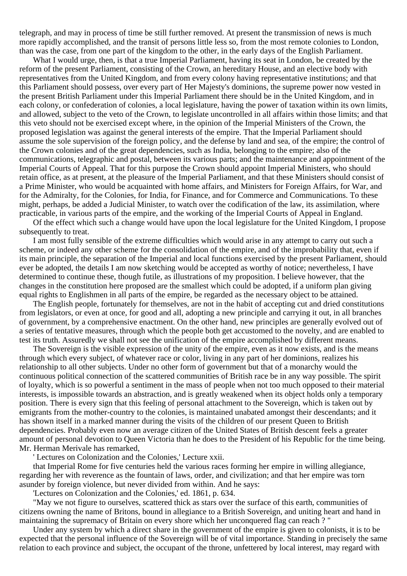telegraph, and may in process of time be still further removed. At present the transmission of news is much more rapidly accomplished, and the transit of persons little less so, from the most remote colonies to London, than was the case, from one part of the kingdom to the other, in the early days of the English Parliament.

What I would urge, then, is that a true Imperial Parliament, having its seat in London, be created by the reform of the present Parliament, consisting of the Crown, an hereditary House, and an elective body with representatives from the United Kingdom, and from every colony having representative institutions; and that this Parliament should possess, over every part of Her Majesty's dominions, the supreme power now vested in the present British Parliament under this Imperial Parliament there should be in the United Kingdom, and in each colony, or confederation of colonies, a local legislature, having the power of taxation within its own limits, and allowed, subject to the veto of the Crown, to legislate uncontrolled in all affairs within those limits; and that this veto should not be exercised except where, in the opinion of the Imperial Ministers of the Crown, the proposed legislation was against the general interests of the empire. That the Imperial Parliament should assume the sole supervision of the foreign policy, and the defense by land and sea, of the empire; the control of the Crown colonies and of the great dependencies, such as India, belonging to the empire; also of the communications, telegraphic and postal, between its various parts; and the maintenance and appointment of the Imperial Courts of Appeal. That for this purpose the Crown should appoint Imperial Ministers, who should retain office, as at present, at the pleasure of the Imperial Parliament, and that these Ministers should consist of a Prime Minister, who would be acquainted with home affairs, and Ministers for Foreign Affairs, for War, and for the Admiralty, for the Colonies, for India, for Finance, and for Commerce and Communications. To these might, perhaps, be added a Judicial Minister, to watch over the codification of the law, its assimilation, where practicable, in various parts of the empire, and the working of the Imperial Courts of Appeal in England.

Of the effect which such a change would have upon the local legislature for the United Kingdom, I propose subsequently to treat.

I am most fully sensible of the extreme difficulties which would arise in any attempt to carry out such a scheme, or indeed any other scheme for the consolidation of the empire, and of the improbability that, even if its main principle, the separation of the Imperial and local functions exercised by the present Parliament, should ever be adopted, the details I am now sketching would be accepted as worthy of notice; nevertheless, I have determined to continue these, though futile, as illustrations of my proposition. I believe however, that the changes in the constitution here proposed are the smallest which could be adopted, if a uniform plan giving equal rights to Englishmen in all parts of the empire, be regarded as the necessary object to be attained.

The English people, fortunately for themselves, are not in the habit of accepting cut and dried constitutions from legislators, or even at once, for good and all, adopting a new principle and carrying it out, in all branches of government, by a comprehensive enactment. On the other hand, new principles are generally evolved out of a series of tentative measures, through which the people both get accustomed to the novelty, and are enabled to test its truth. Assuredly we shall not see the unification of the empire accomplished by different means.

The Sovereign is the visible expression of the unity of the empire, even as it now exists, and is the means through which every subject, of whatever race or color, living in any part of her dominions, realizes his relationship to all other subjects. Under no other form of government but that of a monarchy would the continuous political connection of the scattered communities of British race be in any way possible. The spirit of loyalty, which is so powerful a sentiment in the mass of people when not too much opposed to their material interests, is impossible towards an abstraction, and is greatly weakened when its object holds only a temporary position. There is every sign that this feeling of personal attachment to the Sovereign, which is taken out by emigrants from the mother-country to the colonies, is maintained unabated amongst their descendants; and it has shown itself in a marked manner during the visits of the children of our present Queen to British dependencies. Probably even now an average citizen of the United States of British descent feels a greater amount of personal devotion to Queen Victoria than he does to the President of his Republic for the time being. Mr. Herman Merivale has remarked,

' Lectures on Colonization and the Colonies,' Lecture xxii.

that Imperial Rome for five centuries held the various races forming her empire in willing allegiance, regarding her with reverence as the fountain of laws, order, and civilization; and that her empire was torn asunder by foreign violence, but never divided from within. And he says:

'Lectures on Colonization and the Colonies,' ed. 1861, p. 634.

"May we not figure to ourselves, scattered thick as stars over the surface of this earth, communities of citizens owning the name of Britons, bound in allegiance to a British Sovereign, and uniting heart and hand in maintaining the supremacy of Britain on every shore which her unconquered flag can reach ? "

Under any system by which a direct share in the government of the empire is given to colonists, it is to be expected that the personal influence of the Sovereign will be of vital importance. Standing in precisely the same relation to each province and subject, the occupant of the throne, unfettered by local interest, may regard with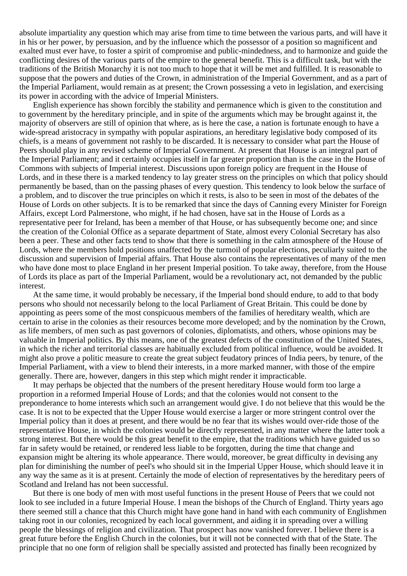absolute impartiality any question which may arise from time to time between the various parts, and will have it in his or her power, by persuasion, and by the influence which the possessor of a position so magnificent and exalted must ever have, to foster a spirit of compromise and public-mindedness, and to harmonize and guide the conflicting desires of the various parts of the empire to the general benefit. This is a difficult task, but with the traditions of the British Monarchy it is not too much to hope that it will be met and fulfilled. It is reasonable to suppose that the powers and duties of the Crown, in administration of the Imperial Government, and as a part of the Imperial Parliament, would remain as at present; the Crown possessing a veto in legislation, and exercising its power in according with the advice of Imperial Ministers.

English experience has shown forcibly the stability and permanence which is given to the constitution and to government by the hereditary principle, and in spite of the arguments which may be brought against it, the majority of observers are still of opinion that where, as is here the case, a nation is fortunate enough to have a wide-spread aristocracy in sympathy with popular aspirations, an hereditary legislative body composed of its chiefs, is a means of government not rashly to be discarded. It is necessary to consider what part the House of Peers should play in any revised scheme of Imperial Government. At present that House is an integral part of the Imperial Parliament; and it certainly occupies itself in far greater proportion than is the case in the House of Commons with subjects of Imperial interest. Discussions upon foreign policy are frequent in the House of Lords, and in these there is a marked tendency to lay greater stress on the principles on which that policy should permanently be based, than on the passing phases of every question. This tendency to look below the surface of a problem, and to discover the true principles on which it rests, is also to be seen in most of the debates of the House of Lords on other subjects. It is to be remarked that since the days of Canning every Minister for Foreign Affairs, except Lord Palmerstone, who might, if he had chosen, have sat in the House of Lords as a representative peer for Ireland, has been a member of that House, or has subsequently become one; and since the creation of the Colonial Office as a separate department of State, almost every Colonial Secretary has also been a peer. These and other facts tend to show that there is something in the calm atmosphere of the House of Lords, where the members hold positions unaffected by the turmoil of popular elections, peculiarly suited to the discussion and supervision of Imperial affairs. That House also contains the representatives of many of the men who have done most to place England in her present Imperial position. To take away, therefore, from the House of Lords its place as part of the Imperial Parliament, would be a revolutionary act, not demanded by the public interest.

At the same time, it would probably be necessary, if the Imperial bond should endure, to add to that body persons who should not necessarily belong to the local Parliament of Great Britain. This could be done by appointing as peers some of the most conspicuous members of the families of hereditary wealth, which are certain to arise in the colonies as their resources become more developed; and by the nomination by the Crown, as life members, of men such as past governors of colonies, diplomatists, and others, whose opinions may be valuable in Imperial politics. By this means, one of the greatest defects of the constitution of the United States, in which the richer and territorial classes are habitually excluded from political influence, would be avoided. It might also prove a politic measure to create the great subject feudatory princes of India peers, by tenure, of the Imperial Parliament, with a view to blend their interests, in a more marked manner, with those of the empire generally. There are, however, dangers in this step which might render it impracticable.

It may perhaps be objected that the numbers of the present hereditary House would form too large a proportion in a reformed Imperial House of Lords; and that the colonies would not consent to the preponderance to home interests which such an arrangement would give. I do not believe that this would be the case. It is not to be expected that the Upper House would exercise a larger or more stringent control over the Imperial policy than it does at present, and there would be no fear that its wishes would over-ride those of the representative House, in which the colonies would be directly represented, in any matter where the latter took a strong interest. But there would be this great benefit to the empire, that the traditions which have guided us so far in safety would be retained, or rendered less liable to be forgotten, during the time that change and expansion might be altering its whole appearance. There would, moreover, be great difficulty in devising any plan for diminishing the number of peel's who should sit in the Imperial Upper House, which should leave it in any way the same as it is at present. Certainly the mode of election of representatives by the hereditary peers of Scotland and Ireland has not been successful.

But there is one body of men with most useful functions in the present House of Peers that we could not look to see included in a future Imperial House. I mean the bishops of the Church of England. Thirty years ago there seemed still a chance that this Church might have gone hand in hand with each community of Englishmen taking root in our colonies, recognized by each local government, and aiding it in spreading over a willing people the blessings of religion and civilization. That prospect has now vanished forever. I believe there is a great future before the English Church in the colonies, but it will not be connected with that of the State. The principle that no one form of religion shall be specially assisted and protected has finally been recognized by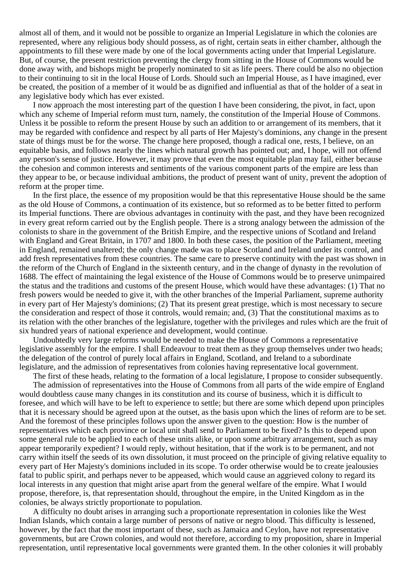almost all of them, and it would not be possible to organize an Imperial Legislature in which the colonies are represented, where any religious body should possess, as of right, certain seats in either chamber, although the appointments to fill these were made by one of the local governments acting under that Imperial Legislature. But, of course, the present restriction preventing the clergy from sitting in the House of Commons would be done away with, and bishops might be properly nominated to sit as life peers. There could be also no objection to their continuing to sit in the local House of Lords. Should such an Imperial House, as I have imagined, ever be created, the position of a member of it would be as dignified and influential as that of the holder of a seat in any legislative body which has ever existed.

I now approach the most interesting part of the question I have been considering, the pivot, in fact, upon which any scheme of Imperial reform must turn, namely, the constitution of the Imperial House of Commons. Unless it be possible to reform the present House by such an addition to or arrangement of its members, that it may be regarded with confidence and respect by all parts of Her Majesty's dominions, any change in the present state of things must be for the worse. The change here proposed, though a radical one, rests, I believe, on an equitable basis, and follows nearly the lines which natural growth has pointed out; and, I hope, will not offend any person's sense of justice. However, it may prove that even the most equitable plan may fail, either because the cohesion and common interests and sentiments of the various component parts of the empire are less than they appear to be, or because individual ambitions, the product of present want of unity, prevent the adoption of reform at the proper time.

In the first place, the essence of my proposition would be that this representative House should be the same as the old House of Commons, a continuation of its existence, but so reformed as to be better fitted to perform its Imperial functions. There are obvious advantages in continuity with the past, and they have been recognized in every great reform carried out by the English people. There is a strong analogy between the admission of the colonists to share in the government of the British Empire, and the respective unions of Scotland and Ireland with England and Great Britain, in 1707 and 1800. In both these cases, the position of the Parliament, meeting in England, remained unaltered; the only change made was to place Scotland and Ireland under its control, and add fresh representatives from these countries. The same care to preserve continuity with the past was shown in the reform of the Church of England in the sixteenth century, and in the change of dynasty in the revolution of 1688. The effect of maintaining the legal existence of the House of Commons would be to preserve unimpaired the status and the traditions and customs of the present House, which would have these advantages: (1) That no fresh powers would be needed to give it, with the other branches of the Imperial Parliament, supreme authority in every part of Her Majesty's dominions; (2) That its present great prestige, which is most necessary to secure the consideration and respect of those it controls, would remain; and, (3) That the constitutional maxims as to its relation with the other branches of the legislature, together with the privileges and rules which are the fruit of six hundred years of national experience and development, would continue.

Undoubtedly very large reforms would be needed to make the House of Commons a representative legislative assembly for the empire. I shall Endeavour to treat them as they group themselves under two heads; the delegation of the control of purely local affairs in England, Scotland, and Ireland to a subordinate legislature, and the admission of representatives from colonies having representative local government.

The first of these heads, relating to the formation of a local legislature, I propose to consider subsequently.

The admission of representatives into the House of Commons from all parts of the wide empire of England would doubtless cause many changes in its constitution and its course of business, which it is difficult to foresee, and which will have to be left to experience to settle; but there are some which depend upon principles that it is necessary should be agreed upon at the outset, as the basis upon which the lines of reform are to be set. And the foremost of these principles follows upon the answer given to the question: How is the number of representatives which each province or local unit shall send to Parliament to be fixed? Is this to depend upon some general rule to be applied to each of these units alike, or upon some arbitrary arrangement, such as may appear temporarily expedient? I would reply, without hesitation, that if the work is to be permanent, and not carry within itself the seeds of its own dissolution, it must proceed on the principle of giving relative equality to every part of Her Majesty's dominions included in its scope. To order otherwise would be to create jealousies fatal to public spirit, and perhaps never to be appeased, which would cause an aggrieved colony to regard its local interests in any question that might arise apart from the general welfare of the empire. What I would propose, therefore, is, that representation should, throughout the empire, in the United Kingdom as in the colonies, be always strictly proportionate to population.

A difficulty no doubt arises in arranging such a proportionate representation in colonies like the West Indian Islands, which contain a large number of persons of native or negro blood. This difficulty is lessened, however, by the fact that the most important of these, such as Jamaica and Ceylon, have not representative governments, but are Crown colonies, and would not therefore, according to my proposition, share in Imperial representation, until representative local governments were granted them. In the other colonies it will probably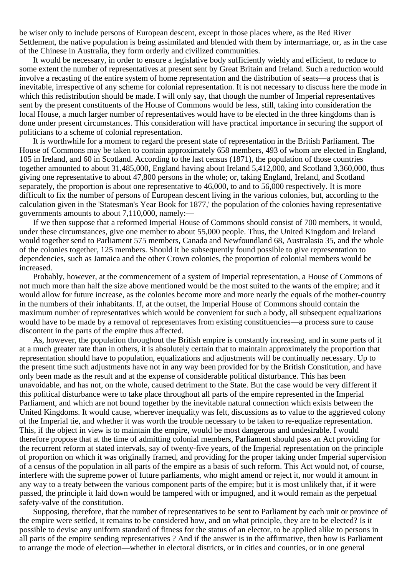be wiser only to include persons of European descent, except in those places where, as the Red River Settlement, the native population is being assimilated and blended with them by intermarriage, or, as in the case of the Chinese in Australia, they form orderly and civilized communities.

It would be necessary, in order to ensure a legislative body sufficiently wieldy and efficient, to reduce to some extent the number of representatives at present sent by Great Britain and Ireland. Such a reduction would involve a recasting of the entire system of home representation and the distribution of seats—a process that is inevitable, irrespective of any scheme for colonial representation. It is not necessary to discuss here the mode in which this redistribution should be made. I will only say, that though the number of Imperial representatives sent by the present constituents of the House of Commons would be less, still, taking into consideration the local House, a much larger number of representatives would have to be elected in the three kingdoms than is done under present circumstances. This consideration will have practical importance in securing the support of politicians to a scheme of colonial representation.

It is worthwhile for a moment to regard the present state of representation in the British Parliament. The House of Commons may be taken to contain approximately 658 members, 493 of whom are elected in England, 105 in Ireland, and 60 in Scotland. According to the last census (1871), the population of those countries together amounted to about 31,485,000, England having about Ireland 5,412,000, and Scotland 3,360,000, thus giving one representative to about 47,800 persons in the whole; or, taking England, Ireland, and Scotland separately, the proportion is about one representative to 46,000, to and to 56,000 respectively. It is more difficult to fix the number of persons of European descent living in the various colonies, but, according to the calculation given in the 'Statesman's Year Book for 1877,' the population of the colonies having representative governments amounts to about 7,110,000, namely:—

If we then suppose that a reformed Imperial House of Commons should consist of 700 members, it would, under these circumstances, give one member to about 55,000 people. Thus, the United Kingdom and Ireland would together send to Parliament 575 members, Canada and Newfoundland 68, Australasia 35, and the whole of the colonies together, 125 members. Should it be subsequently found possible to give representation to dependencies, such as Jamaica and the other Crown colonies, the proportion of colonial members would be increased.

Probably, however, at the commencement of a system of Imperial representation, a House of Commons of not much more than half the size above mentioned would be the most suited to the wants of the empire; and it would allow for future increase, as the colonies become more and more nearly the equals of the mother-country in the numbers of their inhabitants. If, at the outset, the Imperial House of Commons should contain the maximum number of representatives which would be convenient for such a body, all subsequent equalizations would have to be made by a removal of representaves from existing constituencies—a process sure to cause discontent in the parts of the empire thus affected.

As, however, the population throughout the British empire is constantly increasing, and in some parts of it at a much greater rate than in others, it is absolutely certain that to maintain approximately the proportion that representation should have to population, equalizations and adjustments will be continually necessary. Up to the present time such adjustments have not in any way been provided for by the British Constitution, and have only been made as the result and at the expense of considerable political disturbance. This has been unavoidable, and has not, on the whole, caused detriment to the State. But the case would be very different if this political disturbance were to take place throughout all parts of the empire represented in the Imperial Parliament, and which are not bound together by the inevitable natural connection which exists between the United Kingdoms. It would cause, wherever inequality was felt, discussions as to value to the aggrieved colony of the Imperial tie, and whether it was worth the trouble necessary to be taken to re-equalize representation. This, if the object in view is to maintain the empire, would be most dangerous and undesirable. I would therefore propose that at the time of admitting colonial members, Parliament should pass an Act providing for the recurrent reform at stated intervals, say of twenty-five years, of the Imperial representation on the principle of proportion on which it was originally framed, and providing for the proper taking under Imperial supervision of a census of the population in all parts of the empire as a basis of such reform. This Act would not, of course, interfere with the supreme power of future parliaments, who might amend or reject it, nor would it amount in any way to a treaty between the various component parts of the empire; but it is most unlikely that, if it were passed, the principle it laid down would be tampered with or impugned, and it would remain as the perpetual safety-valve of the constitution.

Supposing, therefore, that the number of representatives to be sent to Parliament by each unit or province of the empire were settled, it remains to be considered how, and on what principle, they are to be elected? Is it possible to devise any uniform standard of fitness for the status of an elector, to be applied alike to persons in all parts of the empire sending representatives ? And if the answer is in the affirmative, then how is Parliament to arrange the mode of election—whether in electoral districts, or in cities and counties, or in one general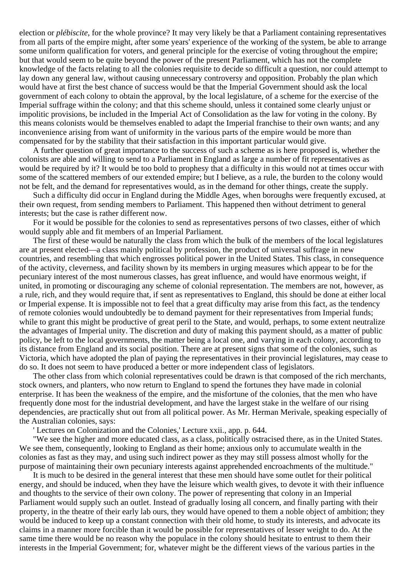election or *plébiscite*, for the whole province? It may very likely be that a Parliament containing representatives from all parts of the empire might, after some years' experience of the working of the system, be able to arrange some uniform qualification for voters, and general principle for the exercise of voting throughout the empire; but that would seem to be quite beyond the power of the present Parliament, which has not the complete knowledge of the facts relating to all the colonies requisite to decide so difficult a question, nor could attempt to lay down any general law, without causing unnecessary controversy and opposition. Probably the plan which would have at first the best chance of success would be that the Imperial Government should ask the local government of each colony to obtain the approval, by the local legislature, of a scheme for the exercise of the Imperial suffrage within the colony; and that this scheme should, unless it contained some clearly unjust or impolitic provisions, be included in the Imperial Act of Consolidation as the law for voting in the colony. By this means colonists would be themselves enabled to adapt the Imperial franchise to their own wants; and any inconvenience arising from want of uniformity in the various parts of the empire would be more than compensated for by the stability that their satisfaction in this important particular would give.

A further question of great importance to the success of such a scheme as is here proposed is, whether the colonists are able and willing to send to a Parliament in England as large a number of fit representatives as would be required by it? It would be too bold to prophesy that a difficulty in this would not at times occur with some of the scattered members of our extended empire; but I believe, as a rule, the burden to the colony would not be felt, and the demand for representatives would, as in the demand for other things, create the supply.

Such a difficulty did occur in England during the Middle Ages, when boroughs were frequently excused, at their own request, from sending members to Parliament. This happened then without detriment to general interests; but the case is rather different now.

For it would be possible for the colonies to send as representatives persons of two classes, either of which would supply able and fit members of an Imperial Parliament.

The first of these would be naturally the class from which the bulk of the members of the local legislatures are at present elected—a class mainly political by profession, the product of universal suffrage in new countries, and resembling that which engrosses political power in the United States. This class, in consequence of the activity, cleverness, and facility shown by its members in urging measures which appear to be for the pecuniary interest of the most numerous classes, has great influence, and would have enormous weight, if united, in promoting or discouraging any scheme of colonial representation. The members are not, however, as a rule, rich, and they would require that, if sent as representatives to England, this should be done at either local or Imperial expense. It is impossible not to feel that a great difficulty may arise from this fact, as the tendency of remote colonies would undoubtedly be to demand payment for their representatives from Imperial funds; while to grant this might be productive of great peril to the State, and would, perhaps, to some extent neutralize the advantages of Imperial unity. The discretion and duty of making this payment should, as a matter of public policy, be left to the local governments, the matter being a local one, and varying in each colony, according to its distance from England and its social position. There are at present signs that some of the colonies, such as Victoria, which have adopted the plan of paying the representatives in their provincial legislatures, may cease to do so. It does not seem to have produced a better or more independent class of legislators.

The other class from which colonial representatives could be drawn is that composed of the rich merchants, stock owners, and planters, who now return to England to spend the fortunes they have made in colonial enterprise. It has been the weakness of the empire, and the misfortune of the colonies, that the men who have frequently done most for the industrial development, and have the largest stake in the welfare of our rising dependencies, are practically shut out from all political power. As Mr. Herman Merivale, speaking especially of the Australian colonies, says:

' Lectures on Colonization and the Colonies,' Lecture xxii., app. p. 644.

"We see the higher and more educated class, as a class, politically ostracised there, as in the United States. We see them, consequently, looking to England as their home; anxious only to accumulate wealth in the colonies as fast as they may, and using such indirect power as they may still possess almost wholly for the purpose of maintaining their own pecuniary interests against apprehended encroachments of the multitude."

It is much to be desired in the general interest that these men should have some outlet for their political energy, and should be induced, when they have the leisure which wealth gives, to devote it with their influence and thoughts to the service of their own colony. The power of representing that colony in an Imperial Parliament would supply such an outlet. Instead of gradually losing all concern, and finally parting with their property, in the theatre of their early lab ours, they would have opened to them a noble object of ambition; they would be induced to keep up a constant connection with their old home, to study its interests, and advocate its claims in a manner more forcible than it would be possible for representatives of lesser weight to do. At the same time there would be no reason why the populace in the colony should hesitate to entrust to them their interests in the Imperial Government; for, whatever might be the different views of the various parties in the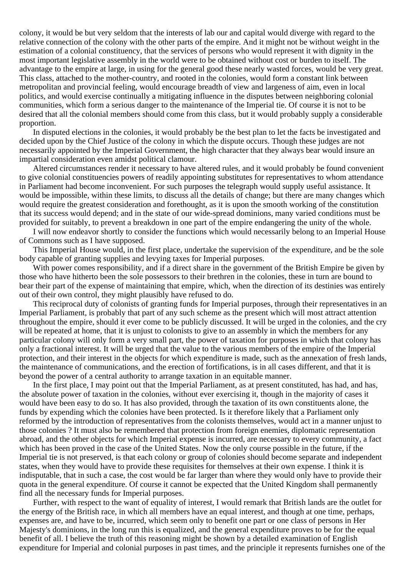colony, it would be but very seldom that the interests of lab our and capital would diverge with regard to the relative connection of the colony with the other parts of the empire. And it might not be without weight in the estimation of a colonial constituency, that the services of persons who would represent it with dignity in the most important legislative assembly in the world were to be obtained without cost or burden to itself. The advantage to the empire at large, in using for the general good these nearly wasted forces, would be very great. This class, attached to the mother-country, and rooted in the colonies, would form a constant link between metropolitan and provincial feeling, would encourage breadth of view and largeness of aim, even in local politics, and would exercise continually a mitigating influence in the disputes between neighboring colonial communities, which form a serious danger to the maintenance of the Imperial tie. Of course it is not to be desired that all the colonial members should come from this class, but it would probably supply a considerable proportion.

In disputed elections in the colonies, it would probably be the best plan to let the facts be investigated and decided upon by the Chief Justice of the colony in which the dispute occurs. Though these judges are not necessarily appointed by the Imperial Government, the high character that they always bear would insure an impartial consideration even amidst political clamour.

Altered circumstances render it necessary to have altered rules, and it would probably be found convenient to give colonial constituencies powers of readily appointing substitutes for representatives to whom attendance in Parliament had become inconvenient. For such purposes the telegraph would supply useful assistance. It would be impossible, within these limits, to discuss all the details of change; but there are many changes which would require the greatest consideration and forethought, as it is upon the smooth working of the constitution that its success would depend; and in the state of our wide-spread dominions, many varied conditions must be provided for suitably, to prevent a breakdown in one part of the empire endangering the unity of the whole.

I will now endeavor shortly to consider the functions which would necessarily belong to an Imperial House of Commons such as I have supposed.

This Imperial House would, in the first place, undertake the supervision of the expenditure, and be the sole body capable of granting supplies and levying taxes for Imperial purposes.

With power comes responsibility, and if a direct share in the government of the British Empire be given by those who have hitherto been the sole possessors to their brethren in the colonies, these in turn are bound to bear their part of the expense of maintaining that empire, which, when the direction of its destinies was entirely out of their own control, they might plausibly have refused to do.

This reciprocal duty of colonists of granting funds for Imperial purposes, through their representatives in an Imperial Parliament, is probably that part of any such scheme as the present which will most attract attention throughout the empire, should it ever come to be publicly discussed. It will be urged in the colonies, and the cry will be repeated at home, that it is unjust to colonists to give to an assembly in which the members for any particular colony will only form a very small part, the power of taxation for purposes in which that colony has only a fractional interest. It will be urged that the value to the various members of the empire of the Imperial protection, and their interest in the objects for which expenditure is made, such as the annexation of fresh lands, the maintenance of communications, and the erection of fortifications, is in all cases different, and that it is beyond the power of a central authority to arrange taxation in an equitable manner.

In the first place, I may point out that the Imperial Parliament, as at present constituted, has had, and has, the absolute power of taxation in the colonies, without ever exercising it, though in the majority of cases it would have been easy to do so. It has also provided, through the taxation of its own constituents alone, the funds by expending which the colonies have been protected. Is it therefore likely that a Parliament only reformed by the introduction of representatives from the colonists themselves, would act in a manner unjust to those colonies ? It must also be remembered that protection from foreign enemies, diplomatic representation abroad, and the other objects for which Imperial expense is incurred, are necessary to every community, a fact which has been proved in the case of the United States. Now the only course possible in the future, if the Imperial tie is not preserved, is that each colony or group of colonies should become separate and independent states, when they would have to provide these requisites for themselves at their own expense. I think it is indisputable, that in such a case, the cost would be far larger than where they would only have to provide their quota in the general expenditure. Of course it cannot be expected that the United Kingdom shall permanently find all the necessary funds for Imperial purposes.

Further, with respect to the want of equality of interest, I would remark that British lands are the outlet for the energy of the British race, in which all members have an equal interest, and though at one time, perhaps, expenses are, and have to be, incurred, which seem only to benefit one part or one class of persons in Her Majesty's dominions, in the long run this is equalized, and the general expenditure proves to be for the equal benefit of all. I believe the truth of this reasoning might be shown by a detailed examination of English expenditure for Imperial and colonial purposes in past times, and the principle it represents furnishes one of the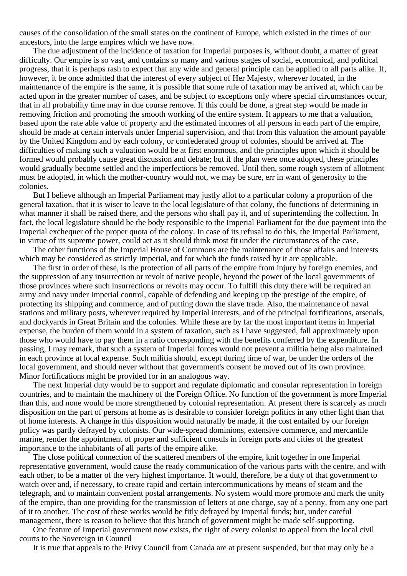causes of the consolidation of the small states on the continent of Europe, which existed in the times of our ancestors, into the large empires which we have now.

The due adjustment of the incidence of taxation for Imperial purposes is, without doubt, a matter of great difficulty. Our empire is so vast, and contains so many and various stages of social, economical, and political progress, that it is perhaps rash to expect that any wide and general principle can be applied to all parts alike. If, however, it be once admitted that the interest of every subject of Her Majesty, wherever located, in the maintenance of the empire is the same, it is possible that some rule of taxation may be arrived at, which can be acted upon in the greater number of cases, and be subject to exceptions only where special circumstances occur, that in all probability time may in due course remove. If this could be done, a great step would be made in removing friction and promoting the smooth working of the entire system. It appears to me that a valuation, based upon the rate able value of property and the estimated incomes of all persons in each part of the empire, should be made at certain intervals under Imperial supervision, and that from this valuation the amount payable by the United Kingdom and by each colony, or confederated group of colonies, should be arrived at. The difficulties of making such a valuation would be at first enormous, and the principles upon which it should be formed would probably cause great discussion and debate; but if the plan were once adopted, these principles would gradually become settled and the imperfections be removed. Until then, some rough system of allotment must be adopted, in which the mother-country would not, we may be sure, err in want of generosity to the colonies.

But I believe although an Imperial Parliament may justly allot to a particular colony a proportion of the general taxation, that it is wiser to leave to the local legislature of that colony, the functions of determining in what manner it shall be raised there, and the persons who shall pay it, and of superintending the collection. In fact, the local legislature should be the body responsible to the Imperial Parliament for the due payment into the Imperial exchequer of the proper quota of the colony. In case of its refusal to do this, the Imperial Parliament, in virtue of its supreme power, could act as it should think most fit under the circumstances of the case.

The other functions of the Imperial House of Commons are the maintenance of those affairs and interests which may be considered as strictly Imperial, and for which the funds raised by it are applicable.

The first in order of these, is the protection of all parts of the empire from injury by foreign enemies, and the suppression of any insurrection or revolt of native people, beyond the power of the local governments of those provinces where such insurrections or revolts may occur. To fulfill this duty there will be required an army and navy under Imperial control, capable of defending and keeping up the prestige of the empire, of protecting its shipping and commerce, and of putting down the slave trade. Also, the maintenance of naval stations and military posts, wherever required by Imperial interests, and of the principal fortifications, arsenals, and dockyards in Great Britain and the colonies. While these are by far the most important items in Imperial expense, the burden of them would in a system of taxation, such as I have suggested, fall approximately upon those who would have to pay them in a ratio corresponding with the benefits conferred by the expenditure. In passing, I may remark, that such a system of Imperial forces would not prevent a militia being also maintained in each province at local expense. Such militia should, except during time of war, be under the orders of the local government, and should never without that government's consent be moved out of its own province. Minor fortifications might be provided for in an analogous way.

The next Imperial duty would be to support and regulate diplomatic and consular representation in foreign countries, and to maintain the machinery of the Foreign Office. No function of the government is more Imperial than this, and none would be more strengthened by colonial representation. At present there is scarcely as much disposition on the part of persons at home as is desirable to consider foreign politics in any other light than that of home interests. A change in this disposition would naturally be made, if the cost entailed by our foreign policy was partly defrayed by colonists. Our wide-spread dominions, extensive commerce, and mercantile marine, render the appointment of proper and sufficient consuls in foreign ports and cities of the greatest importance to the inhabitants of all parts of the empire alike.

The close political connection of the scattered members of the empire, knit together in one Imperial representative government, would cause the ready communication of the various parts with the centre, and with each other, to be a matter of the very highest importance. It would, therefore, be a duty of that government to watch over and, if necessary, to create rapid and certain intercommunications by means of steam and the telegraph, and to maintain convenient postal arrangements. No system would more promote and mark the unity of the empire, than one providing for the transmission of letters at one charge, say of a penny, from any one part of it to another. The cost of these works would be fitly defrayed by Imperial funds; but, under careful management, there is reason to believe that this branch of government might be made self-supporting.

One feature of Imperial government now exists, the right of every colonist to appeal from the local civil courts to the Sovereign in Council

It is true that appeals to the Privy Council from Canada are at present suspended, but that may only be a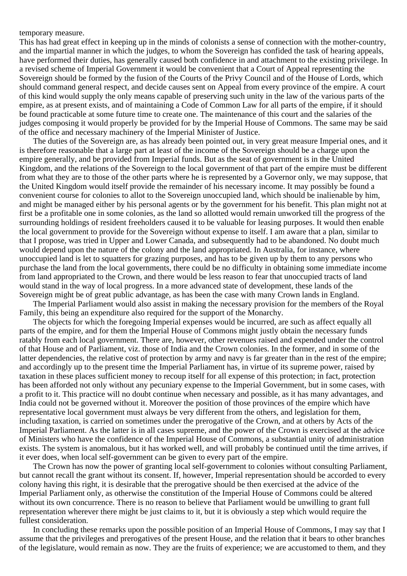#### temporary measure.

This has had great effect in keeping up in the minds of colonists a sense of connection with the mother-country, and the impartial manner in which the judges, to whom the Sovereign has confided the task of hearing appeals, have performed their duties, has generally caused both confidence in and attachment to the existing privilege. In a revised scheme of Imperial Government it would be convenient that a Court of Appeal representing the Sovereign should be formed by the fusion of the Courts of the Privy Council and of the House of Lords, which should command general respect, and decide causes sent on Appeal from every province of the empire. A court of this kind would supply the only means capable of preserving such unity in the law of the various parts of the empire, as at present exists, and of maintaining a Code of Common Law for all parts of the empire, if it should be found practicable at some future time to create one. The maintenance of this court and the salaries of the judges composing it would properly be provided for by the Imperial House of Commons. The same may be said of the office and necessary machinery of the Imperial Minister of Justice.

The duties of the Sovereign are, as has already been pointed out, in very great measure Imperial ones, and it is therefore reasonable that a large part at least of the income of the Sovereign should be a charge upon the empire generally, and be provided from Imperial funds. But as the seat of government is in the United Kingdom, and the relations of the Sovereign to the local government of that part of the empire must be different from what they are to those of the other parts where he is represented by a Governor only, we may suppose, that the United Kingdom would itself provide the remainder of his necessary income. It may possibly be found a convenient course for colonies to allot to the Sovereign unoccupied land, which should be inalienable by him, and might be managed either by his personal agents or by the government for his benefit. This plan might not at first be a profitable one in some colonies, as the land so allotted would remain unworked till the progress of the surrounding holdings of resident freeholders caused it to be valuable for leasing purposes. It would then enable the local government to provide for the Sovereign without expense to itself. I am aware that a plan, similar to that I propose, was tried in Upper and Lower Canada, and subsequently had to be abandoned. No doubt much would depend upon the nature of the colony and the land appropriated. In Australia, for instance, where unoccupied land is let to squatters for grazing purposes, and has to be given up by them to any persons who purchase the land from the local governments, there could be no difficulty in obtaining some immediate income from land appropriated to the Crown, and there would be less reason to fear that unoccupied tracts of land would stand in the way of local progress. In a more advanced state of development, these lands of the Sovereign might be of great public advantage, as has been the case with many Crown lands in England.

The Imperial Parliament would also assist in making the necessary provision for the members of the Royal Family, this being an expenditure also required for the support of the Monarchy.

The objects for which the foregoing Imperial expenses would be incurred, are such as affect equally all parts of the empire, and for them the Imperial House of Commons might justly obtain the necessary funds ratably from each local government. There are, however, other revenues raised and expended under the control of that House and of Parliament, viz. those of India and the Crown colonies. In the former, and in some of the latter dependencies, the relative cost of protection by army and navy is far greater than in the rest of the empire; and accordingly up to the present time the Imperial Parliament has, in virtue of its supreme power, raised by taxation in these places sufficient money to recoup itself for all expense of this protection; in fact, protection has been afforded not only without any pecuniary expense to the Imperial Government, but in some cases, with a profit to it. This practice will no doubt continue when necessary and possible, as it has many advantages, and India could not be governed without it. Moreover the position of those provinces of the empire which have representative local government must always be very different from the others, and legislation for them, including taxation, is carried on sometimes under the prerogative of the Crown, and at others by Acts of the Imperial Parliament. As the latter is in all cases supreme, and the power of the Crown is exercised at the advice of Ministers who have the confidence of the Imperial House of Commons, a substantial unity of administration exists. The system is anomalous, but it has worked well, and will probably be continued until the time arrives, if it ever does, when local self-government can be given to every part of the empire.

The Crown has now the power of granting local self-government to colonies without consulting Parliament, but cannot recall the grant without its consent. If, however, Imperial representation should be accorded to every colony having this right, it is desirable that the prerogative should be then exercised at the advice of the Imperial Parliament only, as otherwise the constitution of the Imperial House of Commons could be altered without its own concurrence. There is no reason to believe that Parliament would be unwilling to grant full representation wherever there might be just claims to it, but it is obviously a step which would require the fullest consideration.

In concluding these remarks upon the possible position of an Imperial House of Commons, I may say that I assume that the privileges and prerogatives of the present House, and the relation that it bears to other branches of the legislature, would remain as now. They are the fruits of experience; we are accustomed to them, and they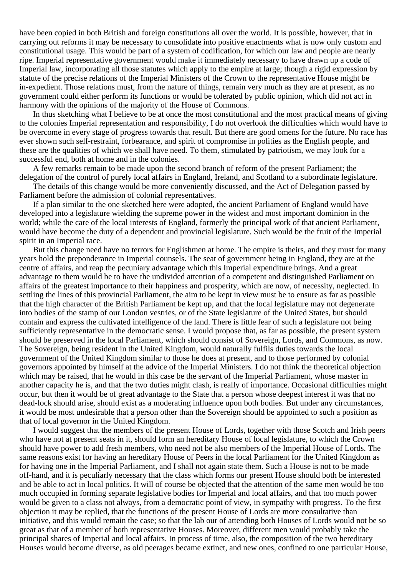have been copied in both British and foreign constitutions all over the world. It is possible, however, that in carrying out reforms it may be necessary to consolidate into positive enactments what is now only custom and constitutional usage. This would be part of a system of codification, for which our law and people are nearly ripe. Imperial representative government would make it immediately necessary to have drawn up a code of Imperial law, incorporating all those statutes which apply to the empire at large; though a rigid expression by statute of the precise relations of the Imperial Ministers of the Crown to the representative House might be in-expedient. Those relations must, from the nature of things, remain very much as they are at present, as no government could either perform its functions or would be tolerated by public opinion, which did not act in harmony with the opinions of the majority of the House of Commons.

In thus sketching what I believe to be at once the most constitutional and the most practical means of giving to the colonies Imperial representation and responsibility, I do not overlook the difficulties which would have to be overcome in every stage of progress towards that result. But there are good omens for the future. No race has ever shown such self-restraint, forbearance, and spirit of compromise in polities as the English people, and these are the qualities of which we shall have need. To them, stimulated by patriotism, we may look for a successful end, both at home and in the colonies.

A few remarks remain to be made upon the second branch of reform of the present Parliament; the delegation of the control of purely local affairs in England, Ireland, and Scotland to a subordinate legislature.

The details of this change would be more conveniently discussed, and the Act of Delegation passed by Parliament before the admission of colonial representatives.

If a plan similar to the one sketched here were adopted, the ancient Parliament of England would have developed into a legislature wielding the supreme power in the widest and most important dominion in the world; while the care of the local interests of England, formerly the principal work of that ancient Parliament, would have become the duty of a dependent and provincial legislature. Such would be the fruit of the Imperial spirit in an Imperial race.

But this change need have no terrors for Englishmen at home. The empire is theirs, and they must for many years hold the preponderance in Imperial counsels. The seat of government being in England, they are at the centre of affairs, and reap the pecuniary advantage which this Imperial expenditure brings. And a great advantage to them would be to have the undivided attention of a competent and distinguished Parliament on affairs of the greatest importance to their happiness and prosperity, which are now, of necessity, neglected. In settling the lines of this provincial Parliament, the aim to be kept in view must be to ensure as far as possible that the high character of the British Parliament be kept up, and that the local legislature may not degenerate into bodies of the stamp of our London vestries, or of the State legislature of the United States, but should contain and express the cultivated intelligence of the land. There is little fear of such a legislature not being sufficiently representative in the democratic sense. I would propose that, as far as possible, the present system should be preserved in the local Parliament, which should consist of Sovereign, Lords, and Commons, as now. The Sovereign, being resident in the United Kingdom, would naturally fulfils duties towards the local government of the United Kingdom similar to those he does at present, and to those performed by colonial governors appointed by himself at the advice of the Imperial Ministers. I do not think the theoretical objection which may be raised, that he would in this case be the servant of the Imperial Parliament, whose master in another capacity he is, and that the two duties might clash, is really of importance. Occasional difficulties might occur, but then it would be of great advantage to the State that a person whose deepest interest it was that no dead-lock should arise, should exist as a moderating influence upon both bodies. But under any circumstances, it would be most undesirable that a person other than the Sovereign should be appointed to such a position as that of local governor in the United Kingdom.

I would suggest that the members of the present House of Lords, together with those Scotch and Irish peers who have not at present seats in it, should form an hereditary House of local legislature, to which the Crown should have power to add fresh members, who need not be also members of the Imperial House of Lords. The same reasons exist for having an hereditary House of Peers in the local Parliament for the United Kingdom as for having one in the Imperial Parliament, and I shall not again state them. Such a House is not to be made off-hand, and it is peculiarly necessary that the class which forms our present House should both be interested and be able to act in local politics. It will of course be objected that the attention of the same men would be too much occupied in forming separate legislative bodies for Imperial and local affairs, and that too much power would be given to a class not always, from a democratic point of view, in sympathy with progress. To the first objection it may be replied, that the functions of the present House of Lords are more consultative than initiative, and this would remain the case; so that the lab our of attending both Houses of Lords would not be so great as that of a member of both representative Houses. Moreover, different men would probably take the principal shares of Imperial and local affairs. In process of time, also, the composition of the two hereditary Houses would become diverse, as old peerages became extinct, and new ones, confined to one particular House,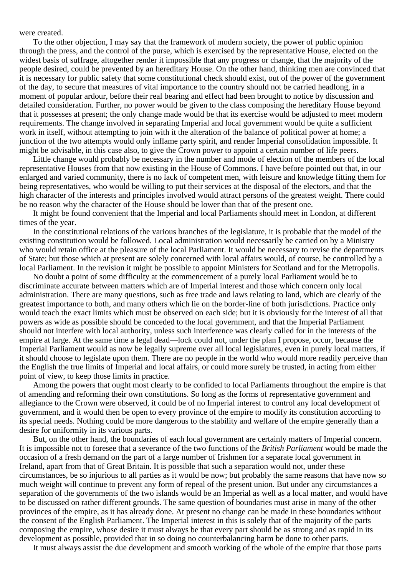were created.

To the other objection, I may say that the framework of modern society, the power of public opinion through the press, and the control of the purse, which is exercised by the representative House, elected on the widest basis of suffrage, altogether render it impossible that any progress or change, that the majority of the people desired, could be prevented by an hereditary House. On the other hand, thinking men are convinced that it is necessary for public safety that some constitutional check should exist, out of the power of the government of the day, to secure that measures of vital importance to the country should not be carried headlong, in a moment of popular ardour, before their real bearing and effect had been brought to notice by discussion and detailed consideration. Further, no power would be given to the class composing the hereditary House beyond that it possesses at present; the only change made would be that its exercise would be adjusted to meet modern requirements. The change involved in separating Imperial and local government would be quite a sufficient work in itself, without attempting to join with it the alteration of the balance of political power at home; a junction of the two attempts would only inflame party spirit, and render Imperial consolidation impossible. It might be advisable, in this case also, to give the Crown power to appoint a certain number of life peers.

Little change would probably be necessary in the number and mode of election of the members of the local representative Houses from that now existing in the House of Commons. I have before pointed out that, in our enlarged and varied community, there is no lack of competent men, with leisure and knowledge fitting them for being representatives, who would be willing to put their services at the disposal of the electors, and that the high character of the interests and principles involved would attract persons of the greatest weight. There could be no reason why the character of the House should be lower than that of the present one.

It might be found convenient that the Imperial and local Parliaments should meet in London, at different times of the year.

In the constitutional relations of the various branches of the legislature, it is probable that the model of the existing constitution would be followed. Local administration would necessarily be carried on by a Ministry who would retain office at the pleasure of the local Parliament. It would be necessary to revise the departments of State; but those which at present are solely concerned with local affairs would, of course, be controlled by a local Parliament. In the revision it might be possible to appoint Ministers for Scotland and for the Metropolis.

No doubt a point of some difficulty at the commencement of a purely local Parliament would be to discriminate accurate between matters which are of Imperial interest and those which concern only local administration. There are many questions, such as free trade and laws relating to land, which are clearly of the greatest importance to both, and many others which lie on the border-line of both jurisdictions. Practice only would teach the exact limits which must be observed on each side; but it is obviously for the interest of all that powers as wide as possible should be conceded to the local government, and that the Imperial Parliament should not interfere with local authority, unless such interference was clearly called for in the interests of the empire at large. At the same time a legal dead—lock could not, under the plan I propose, occur, because the Imperial Parliament would as now be legally supreme over all local legislatures, even in purely local matters, if it should choose to legislate upon them. There are no people in the world who would more readily perceive than the English the true limits of Imperial and local affairs, or could more surely be trusted, in acting from either point of view, to keep those limits in practice.

Among the powers that ought most clearly to be confided to local Parliaments throughout the empire is that of amending and reforming their own constitutions. So long as the forms of representative government and allegiance to the Crown were observed, it could be of no Imperial interest to control any local development of government, and it would then be open to every province of the empire to modify its constitution according to its special needs. Nothing could be more dangerous to the stability and welfare of the empire generally than a desire for uniformity in its various parts.

But, on the other hand, the boundaries of each local government are certainly matters of Imperial concern. It is impossible not to foresee that a severance of the two functions of the *British Parliament* would be made the occasion of a fresh demand on the part of a large number of Irishmen for a separate local government in Ireland, apart from that of Great Britain. It is possible that such a separation would not, under these circumstances, be so injurious to all parties as it would be now; but probably the same reasons that have now so much weight will continue to prevent any form of repeal of the present union. But under any circumstances a separation of the governments of the two islands would be an Imperial as well as a local matter, and would have to be discussed on rather different grounds. The same question of boundaries must arise in many of the other provinces of the empire, as it has already done. At present no change can be made in these boundaries without the consent of the English Parliament. The Imperial interest in this is solely that of the majority of the parts composing the empire, whose desire it must always be that every part should be as strong and as rapid in its development as possible, provided that in so doing no counterbalancing harm be done to other parts.

It must always assist the due development and smooth working of the whole of the empire that those parts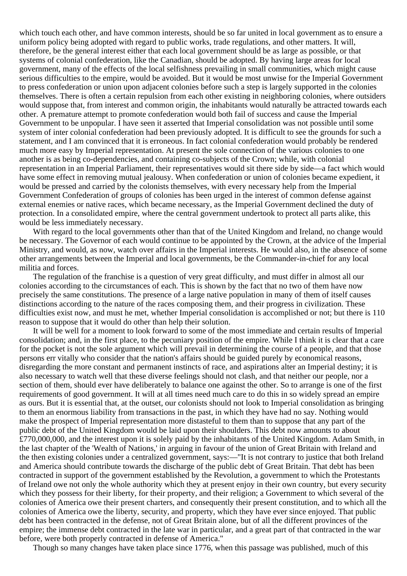which touch each other, and have common interests, should be so far united in local government as to ensure a uniform policy being adopted with regard to public works, trade regulations, and other matters. It will, therefore, be the general interest either that each local government should be as large as possible, or that systems of colonial confederation, like the Canadian, should be adopted. By having large areas for local government, many of the effects of the local selfishness prevailing in small communities, which might cause serious difficulties to the empire, would be avoided. But it would be most unwise for the Imperial Government to press confederation or union upon adjacent colonies before such a step is largely supported in the colonies themselves. There is often a certain repulsion from each other existing in neighboring colonies, where outsiders would suppose that, from interest and common origin, the inhabitants would naturally be attracted towards each other. A premature attempt to promote confederation would both fail of success and cause the Imperial Government to be unpopular. I have seen it asserted that Imperial consolidation was not possible until some system of inter colonial confederation had been previously adopted. It is difficult to see the grounds for such a statement, and I am convinced that it is erroneous. In fact colonial confederation would probably be rendered much more easy by Imperial representation. At present the sole connection of the various colonies to one another is as being co-dependencies, and containing co-subjects of the Crown; while, with colonial representation in an Imperial Parliament, their representatives would sit there side by side—a fact which would have some effect in removing mutual jealousy. When confederation or union of colonies became expedient, it would be pressed and carried by the colonists themselves, with every necessary help from the Imperial Government Confederation of groups of colonies has been urged in the interest of common defense against external enemies or native races, which became necessary, as the Imperial Government declined the duty of protection. In a consolidated empire, where the central government undertook to protect all parts alike, this would be less immediately necessary.

With regard to the local governments other than that of the United Kingdom and Ireland, no change would be necessary. The Governor of each would continue to be appointed by the Crown, at the advice of the Imperial Ministry, and would, as now, watch over affairs in the Imperial interests. He would also, in the absence of some other arrangements between the Imperial and local governments, be the Commander-in-chief for any local militia and forces.

The regulation of the franchise is a question of very great difficulty, and must differ in almost all our colonies according to the circumstances of each. This is shown by the fact that no two of them have now precisely the same constitutions. The presence of a large native population in many of them of itself causes distinctions according to the nature of the races composing them, and their progress in civilization. These difficulties exist now, and must he met, whether Imperial consolidation is accomplished or not; but there is 110 reason to suppose that it would do other than help their solution.

It will be well for a moment to look forward to some of the most immediate and certain results of Imperial consolidation; and, in the first place, to the pecuniary position of the empire. While I think it is clear that a care for the pocket is not the sole argument which will prevail in determining the course of a people, and that those persons err vitally who consider that the nation's affairs should be guided purely by economical reasons, disregarding the more constant and permanent instincts of race, and aspirations alter an Imperial destiny; it is also necessary to watch well that these diverse feelings should not clash, and that neither our people, nor a section of them, should ever have deliberately to balance one against the other. So to arrange is one of the first requirements of good government. It will at all times need much care to do this in so widely spread an empire as ours. But it is essential that, at the outset, our colonists should not look to Imperial consolidation as bringing to them an enormous liability from transactions in the past, in which they have had no say. Nothing would make the prospect of Imperial representation more distasteful to them than to suppose that any part of the public debt of the United Kingdom would be laid upon their shoulders. This debt now amounts to about £770,000,000, and the interest upon it is solely paid by the inhabitants of the United Kingdom. Adam Smith, in the last chapter of the 'Wealth of Nations,' in arguing in favour of the union of Great Britain with Ireland and the then existing colonies under a centralized government, says:—"It is not contrary to justice that both Ireland and America should contribute towards the discharge of the public debt of Great Britain. That debt has been contracted in support of the government established by the Revolution, a government to which the Protestants of Ireland owe not only the whole authority which they at present enjoy in their own country, but every security which they possess for their liberty, for their property, and their religion; a Government to which several of the colonies of America owe their present charters, and consequently their present constitution, and to which all the colonies of America owe the liberty, security, and property, which they have ever since enjoyed. That public debt has been contracted in the defense, not of Great Britain alone, but of all the different provinces of the empire; the immense debt contracted in the late war in particular, and a great part of that contracted in the war before, were both properly contracted in defense of America."

Though so many changes have taken place since 1776, when this passage was published, much of this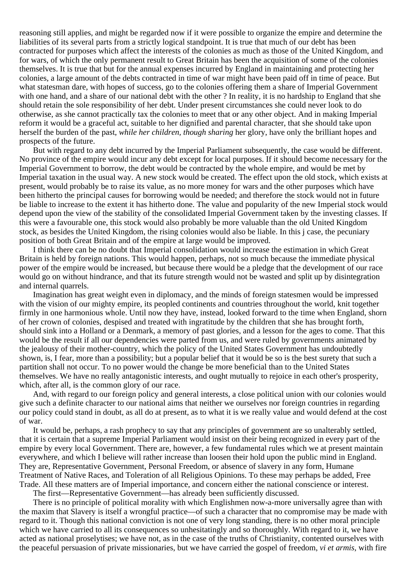reasoning still applies, and might be regarded now if it were possible to organize the empire and determine the liabilities of its several parts from a strictly logical standpoint. It is true that much of our debt has been contracted for purposes which affect the interests of the colonies as much as those of the United Kingdom, and for wars, of which the only permanent result to Great Britain has been the acquisition of some of the colonies themselves. It is true that but for the annual expenses incurred by England in maintaining and protecting her colonies, a large amount of the debts contracted in time of war might have been paid off in time of peace. But what statesman dare, with hopes of success, go to the colonies offering them a share of Imperial Government with one hand, and a share of our national debt with the other ? In reality, it is no hardship to England that she should retain the sole responsibility of her debt. Under present circumstances she could never look to do otherwise, as she cannot practically tax the colonies to meet that or any other object. And in making Imperial reform it would be a graceful act, suitable to her dignified and parental character, that she should take upon herself the burden of the past, *while her children, though sharing* her glory, have only the brilliant hopes and prospects of the future.

But with regard to any debt incurred by the Imperial Parliament subsequently, the case would be different. No province of the empire would incur any debt except for local purposes. If it should become necessary for the Imperial Government to borrow, the debt would be contracted by the whole empire, and would be met by Imperial taxation in the usual way. A new stock would be created. The effect upon the old stock, which exists at present, would probably be to raise its value, as no more money for wars and the other purposes which have been hitherto the principal causes for borrowing would be needed; and therefore the stock would not in future be liable to increase to the extent it has hitherto done. The value and popularity of the new Imperial stock would depend upon the view of the stability of the consolidated Imperial Government taken by the investing classes. If this were a favourable one, this stock would also probably be more valuable than the old United Kingdom stock, as besides the United Kingdom, the rising colonies would also be liable. In this j case, the pecuniary position of both Great Britain and of the empire at large would be improved.

I think there can be no doubt that Imperial consolidation would increase the estimation in which Great Britain is held by foreign nations. This would happen, perhaps, not so much because the immediate physical power of the empire would be increased, but because there would be a pledge that the development of our race would go on without hindrance, and that its future strength would not be wasted and split up by disintegration and internal quarrels.

Imagination has great weight even in diplomacy, and the minds of foreign statesmen would be impressed with the vision of our mighty empire, its peopled continents and countries throughout the world, knit together firmly in one harmonious whole. Until now they have, instead, looked forward to the time when England, shorn of her crown of colonies, despised and treated with ingratitude by the children that she has brought forth, should sink into a Holland or a Denmark, a memory of past glories, and a lesson for the ages to come. That this would be the result if all our dependencies were parted from us, and were ruled by governments animated by the jealousy of their mother-country, which the policy of the United States Government has undoubtedly shown, is, I fear, more than a possibility; but a popular belief that it would be so is the best surety that such a partition shall not occur. To no power would the change be more beneficial than to the United States themselves. We have no really antagonistic interests, and ought mutually to rejoice in each other's prosperity, which, after all, is the common glory of our race.

And, with regard to our foreign policy and general interests, a close political union with our colonies would give such a definite character to our national aims that neither we ourselves nor foreign countries in regarding our policy could stand in doubt, as all do at present, as to what it is we really value and would defend at the cost of war.

It would be, perhaps, a rash prophecy to say that any principles of government are so unalterably settled, that it is certain that a supreme Imperial Parliament would insist on their being recognized in every part of the empire by every local Government. There are, however, a few fundamental rules which we at present maintain everywhere, and which I believe will rather increase than loosen their hold upon the public mind in England. They are, Representative Government, Personal Freedom, or absence of slavery in any form, Humane Treatment of Native Races, and Toleration of all Religious Opinions. To these may perhaps be added, Free Trade. All these matters are of Imperial importance, and concern either the national conscience or interest.

The first—Representative Government—has already been sufficiently discussed.

There is no principle of political morality with which Englishmen now-a-more universally agree than with the maxim that Slavery is itself a wrongful practice—of such a character that no compromise may be made with regard to it. Though this national conviction is not one of very long standing, there is no other moral principle which we have carried to all its consequences so unhesitatingly and so thoroughly. With regard to it, we have acted as national proselytises; we have not, as in the case of the truths of Christianity, contented ourselves with the peaceful persuasion of private missionaries, but we have carried the gospel of freedom, *vi et armis*, with fire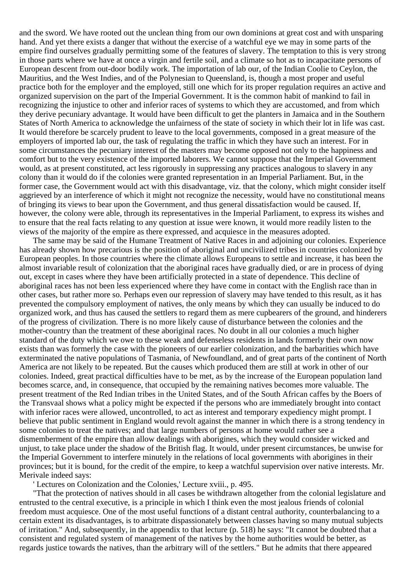and the sword. We have rooted out the unclean thing from our own dominions at great cost and with unsparing hand. And yet there exists a danger that without the exercise of a watchful eye we may in some parts of the empire find ourselves gradually permitting some of the features of slavery. The temptation to this is very strong in those parts where we have at once a virgin and fertile soil, and a climate so hot as to incapacitate persons of European descent from out-door bodily work. The importation of lab our, of the Indian Coolie to Ceylon, the Mauritius, and the West Indies, and of the Polynesian to Queensland, is, though a most proper and useful practice both for the employer and the employed, still one which for its proper regulation requires an active and organized supervision on the part of the Imperial Government. It is the common habit of mankind to fail in recognizing the injustice to other and inferior races of systems to which they are accustomed, and from which they derive pecuniary advantage. It would have been difficult to get the planters in Jamaica and in the Southern States of North America to acknowledge the unfairness of the state of society in which their lot in life was cast. It would therefore be scarcely prudent to leave to the local governments, composed in a great measure of the employers of imported lab our, the task of regulating the traffic in which they have such an interest. For in some circumstances the pecuniary interest of the masters may become opposed not only to the happiness and comfort but to the very existence of the imported laborers. We cannot suppose that the Imperial Government would, as at present constituted, act less rigorously in suppressing any practices analogous to slavery in any colony than it would do if the colonies were granted representation in an Imperial Parliament. But, in the former case, the Government would act with this disadvantage, viz. that the colony, which might consider itself aggrieved by an interference of which it might not recognize the necessity, would have no constitutional means of bringing its views to bear upon the Government, and thus general dissatisfaction would be caused. If, however, the colony were able, through its representatives in the Imperial Parliament, to express its wishes and to ensure that the real facts relating to any question at issue were known, it would more readily listen to the views of the majority of the empire as there expressed, and acquiesce in the measures adopted.

The same may be said of the Humane Treatment of Native Races in and adjoining our colonies. Experience has already shown how precarious is the position of aboriginal and uncivilized tribes in countries colonized by European peoples. In those countries where the climate allows Europeans to settle and increase, it has been the almost invariable result of colonization that the aboriginal races have gradually died, or are in process of dying out, except in cases where they have been artificially protected in a state of dependence. This decline of aboriginal races has not been less experienced where they have come in contact with the English race than in other cases, but rather more so. Perhaps even our repression of slavery may have tended to this result, as it has prevented the compulsory employment of natives, the only means by which they can usually be induced to do organized work, and thus has caused the settlers to regard them as mere cupbearers of the ground, and hinderers of the progress of civilization. There is no more likely cause of disturbance between the colonies and the mother-country than the treatment of these aboriginal races. No doubt in all our colonies a much higher standard of the duty which we owe to these weak and defenseless residents in lands formerly their own now exists than was formerly the case with the pioneers of our earlier colonization, and the barbarities which have exterminated the native populations of Tasmania, of Newfoundland, and of great parts of the continent of North America are not likely to be repeated. But the causes which produced them are still at work in other of our colonies. Indeed, great practical difficulties have to be met, as by the increase of the European population land becomes scarce, and, in consequence, that occupied by the remaining natives becomes more valuable. The present treatment of the Red Indian tribes in the United States, and of the South African caffes by the Boers of the Transvaal shows what a policy might be expected if the persons who are immediately brought into contact with inferior races were allowed, uncontrolled, to act as interest and temporary expediency might prompt. I believe that public sentiment in England would revolt against the manner in which there is a strong tendency in some colonies to treat the natives; and that large numbers of persons at home would rather see a dismemberment of the empire than allow dealings with aborigines, which they would consider wicked and unjust, to take place under the shadow of the British flag. It would, under present circumstances, be unwise for the Imperial Government to interfere minutely in the relations of local governments with aborigines in their provinces; but it is bound, for the credit of the empire, to keep a watchful supervision over native interests. Mr. Merivale indeed says:

' Lectures on Colonization and the Colonies,' Lecture xviii., p. 495.

"That the protection of natives should in all cases be withdrawn altogether from the colonial legislature and entrusted to the central executive, is a principle in which I think even the most jealous friends of colonial freedom must acquiesce. One of the most useful functions of a distant central authority, counterbalancing to a certain extent its disadvantages, is to arbitrate dispassionately between classes having so many mutual subjects of irritation." And, subsequently, in the appendix to that lecture (p. 518) he says: "It cannot be doubted that a consistent and regulated system of management of the natives by the home authorities would be better, as regards justice towards the natives, than the arbitrary will of the settlers." But he admits that there appeared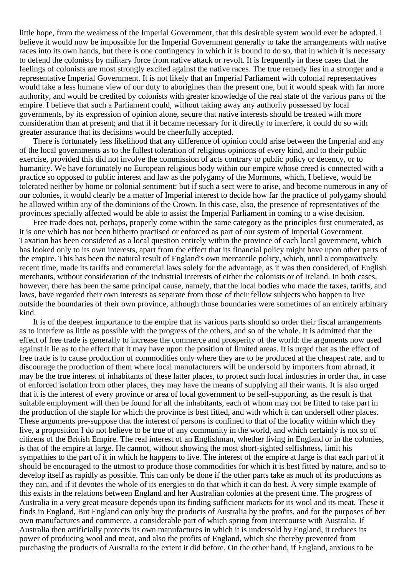little hope, from the weakness of the Imperial Government, that this desirable system would ever be adopted. I believe it would now be impossible for the Imperial Government generally to take the arrangements with native races into its own hands, but there is one contingency in which it is bound to do so, that in which it is necessary to defend the colonists by military force from native attack or revolt. It is frequently in these cases that the feelings of colonists are most strongly excited against the native races. The true remedy lies in a stronger and a representative Imperial Government. It is not likely that an Imperial Parliament with colonial representatives would take a less humane view of our duty to aborigines than the present one, but it would speak with far more authority, and would be credited by colonists with greater knowledge of the real state of the various parts of the empire. I believe that such a Parliament could, without taking away any authority possessed by local governments, by its expression of opinion alone, secure that native interests should be treated with more consideration than at present; and that if it became necessary for it directly to interfere, it could do so with greater assurance that its decisions would be cheerfully accepted.

There is fortunately less likelihood that any difference of opinion could arise between the Imperial and any of the local governments as to the fullest toleration of religious opinions of every kind, and to their public exercise, provided this did not involve the commission of acts contrary to public policy or decency, or to humanity. We have fortunately no European religious body within our empire whose creed is connected with a practice so opposed to public interest and law as the polygamy of the Mormons, which, I believe, would be tolerated neither by home or colonial sentiment; but if such a sect were to arise, and become numerous in any of our colonies, it would clearly be a matter of Imperial interest to decide how far the practice of polygamy should be allowed within any of the dominions of the Crown. In this case, also, the presence of representatives of the provinces specially affected would be able to assist the Imperial Parliament in coming to a wise decision.

Free trade does not, perhaps, properly come within the same category as the principles first enumerated, as it is one which has not been hitherto practised or enforced as part of our system of Imperial Government. Taxation has been considered as a local question entirely within the province of each local government, which has looked only to its own interests, apart from the effect that its financial policy might have upon other parts of the empire. This has been the natural result of England's own mercantile policy, which, until a comparatively recent time, made its tariffs and commercial laws solely for the advantage, as it was then considered, of English merchants, without consideration of the industrial interests of either the colonists or of Ireland. In both cases, however, there has been the same principal cause, namely, that the local bodies who made the taxes, tariffs, and laws, have regarded their own interests as separate from those of their fellow subjects who happen to live outside the boundaries of their own province, although those boundaries were sometimes of an entirely arbitrary kind.

It is of the deepest importance to the empire that its various parts should so order their fiscal arrangements as to interfere as little as possible with the progress of the others, and so of the whole. It is admitted that the effect of free trade is generally to increase the commerce and prosperity of the world: the arguments now used against it lie as to the effect that it may have upon the position of limited areas. It is urged that as the effect of free trade is to cause production of commodities only where they are to be produced at the cheapest rate, and to discourage the production of them where local manufacturers will be undersold by importers from abroad, it may be the true interest of inhabitants of these latter places, to protect such local industries in order that, in case of enforced isolation from other places, they may have the means of supplying all their wants. It is also urged that it is the interest of every province or area of local government to be self-supporting, as the result is that suitable employment will then be found for all the inhabitants, each of whom may not be fitted to take part in the production of the staple for which the province is best fitted, and with which it can undersell other places. These arguments pre-suppose that the interest of persons is confined to that of the locality within which they live, a proposition I do not believe to be true of any community in the world, and which certainly is not so of citizens of the British Empire. The real interest of an Englishman, whether living in England or in the colonies, is that of the empire at large. He cannot, without showing the most short-sighted selfishness, limit his sympathies to the part of it in which he happens to live. The interest of the empire at large is that each part of it should be encouraged to the utmost to produce those commodities for which it is best fitted by nature, and so to develop itself as rapidly as possible. This can only be done if the other parts take as much of its productions as they can, and if it devotes the whole of its energies to do that which it can do best. A very simple example of this exists in the relations between England and her Australian colonies at the present time. The progress of Australia in a very great measure depends upon its finding sufficient markets for its wool and its meat. These it finds in England, But England can only buy the products of Australia by the profits, and for the purposes of her own manufactures and commerce, a considerable part of which spring from intercourse with Australia. If Australia then artificially protects its own manufactures in which it is undersold by England, it reduces its power of producing wool and meat, and also the profits of England, which she thereby prevented from purchasing the products of Australia to the extent it did before. On the other hand, if England, anxious to be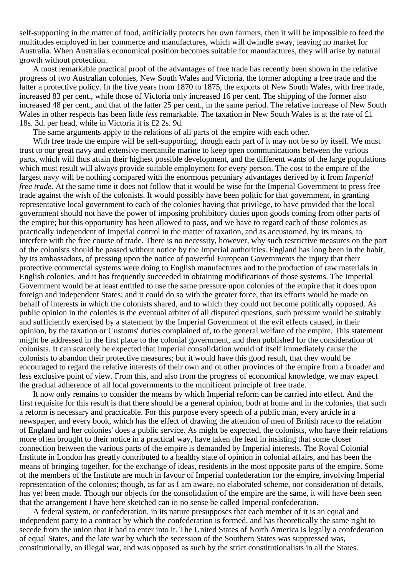self-supporting in the matter of food, artificially protects her own farmers, then it will be impossible to feed the multitudes employed in her commerce and manufactures, which will dwindle away, leaving no market for Australia. When Australia's economical position becomes suitable for manufactures, they will arise by natural growth without protection.

A most remarkable practical proof of the advantages of free trade has recently been shown in the relative progress of two Australian colonies, New South Wales and Victoria, the former adopting a free trade and the latter a protective policy. In the five years from 1870 to 1875, the exports of New South Wales, with free trade, increased 83 per cent., while those of Victoria only increased 16 per cent. The shipping of the former also increased 48 per cent., and that of the latter 25 per cent., in the same period. The relative increase of New South Wales in other respects has been little *less* remarkable. The taxation in New South Wales is at the rate of £1 18s. 3d. per head, while in Victoria it is £2 2s. 9d.

The same arguments apply to the relations of all parts of the empire with each other.

With free trade the empire will be self-supporting, though each part of it may not be so by itself. We must trust to our great navy and extensive mercantile marine to keep open communications between the various parts, which will thus attain their highest possible development, and the different wants of the large populations which must result will always provide suitable employment for every person. The cost to the empire of the largest navy will be nothing compared with the enormous pecuniary advantages derived by it from *Imperial free trade*. At the same time it does not follow that it would be wise for the Imperial Government to press free trade against the wish of the colonists. It would possibly have been politic for that government, in granting representative local government to each of the colonies having that privilege, to have provided that the local government should not have the power of imposing prohibitory duties upon goods coming from other parts of the empire; but this opportunity has been allowed to pass, and we have to regard each of those colonies as practically independent of Imperial control in the matter of taxation, and as accustomed, by its means, to interfere with the free course of trade. There is no necessity, however, why such restrictive measures on the part of the colonists should be passed without notice by the Imperial authorities. England has long been in the habit, by its ambassadors, of pressing upon the notice of powerful European Governments the injury that their protective commercial systems were doing to English manufactures and to the production of raw materials in English colonies, and it has frequently succeeded in obtaining modifications of those systems. The Imperial Government would be at least entitled to use the same pressure upon colonies of the empire that it does upon foreign and independent States; and it could do so with the greater force, that its efforts would be made on behalf of interests in which the colonists shared, and to which they could not become politically opposed. As public opinion in the colonies is the eventual arbiter of all disputed questions, such pressure would be suitably and sufficiently exercised by a statement by the Imperial Government of the evil effects caused, in their opinion, by the taxation or Customs' duties complained of, to the general welfare of the empire. This statement might be addressed in the first place to the colonial government, and then published for the consideration of colonists. It can scarcely be expected that Imperial consolidation would of itself immediately cause the colonists to abandon their protective measures; but it would have this good result, that they would be encouraged to regard the relative interests of their own and ot other provinces of the empire from a broader and less exclusive point of view. From this, and also from the progress of economical knowledge, we may expect the gradual adherence of all local governments to the munificent principle of free trade.

It now only remains to consider the means by which Imperial reform can be carried into effect. And the first requisite for this result is that there should be a general opinion, both at home and in the colonies, that such a reform is necessary and practicable. For this purpose every speech of a public man, every article in a newspaper, and every book, which has the effect of drawing the attention of men of British race to the relation of England and her colonies' does a public service. As might be expected, the colonists, who have their relations more often brought to their notice in a practical way, have taken the lead in insisting that some closer connection between the various parts of the empire is demanded by Imperial interests. The Royal Colonial Institute in London has greatly contributed to a healthy state of opinion in colonial affairs, and has been the means of bringing together, for the exchange of ideas, residents in the most opposite parts of the empire. Some of the members of the Institute are much in favour of Imperial confederation for the empire, involving Imperial representation of the colonies; though, as far as I am aware, no elaborated scheme, nor consideration of details, has yet been made. Though our objects for the consolidation of the empire are the same, it will have been seen that the arrangement I have here sketched can in no sense be called Imperial confederation.

A federal system, or confederation, in its nature presupposes that each member of it is an equal and independent party to a contract by which the confederation is formed, and has theoretically the same right to secede from the union that it had to enter into it. The United States of North America is legally a confederation of equal States, and the late war by which the secession of the Southern States was suppressed was, constitutionally, an illegal war, and was opposed as such by the strict constitutionalists in all the States.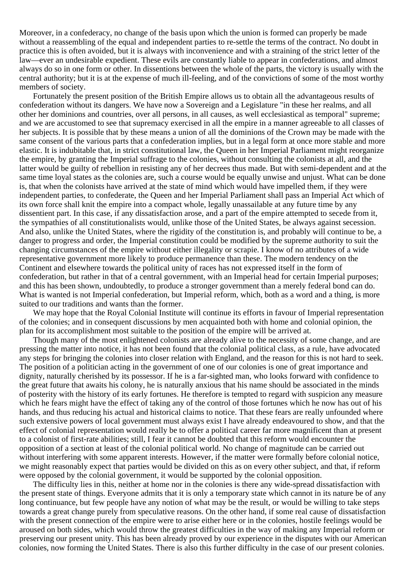Moreover, in a confederacy, no change of the basis upon which the union is formed can properly be made without a reassembling of the equal and independent parties to re-settle the terms of the contract. No doubt in practice this is often avoided, but it is always with inconvenience and with a straining of the strict letter of the law—ever an undesirable expedient. These evils are constantly liable to appear in confederations, and almost always do so in one form or other. In dissentions between the whole of the parts, the victory is usually with the central authority; but it is at the expense of much ill-feeling, and of the convictions of some of the most worthy members of society.

Fortunately the present position of the British Empire allows us to obtain all the advantageous results of confederation without its dangers. We have now a Sovereign and a Legislature "in these her realms, and all other her dominions and countries, over all persons, in all causes, as well ecclesiastical as temporal" supreme; and we are accustomed to see that supremacy exercised in all the empire in a manner agreeable to all classes of her subjects. It is possible that by these means a union of all the dominions of the Crown may be made with the same consent of the various parts that a confederation implies, but in a legal form at once more stable and more elastic. It is indubitable that, in strict constitutional law, the Queen in her Imperial Parliament might reorganize the empire, by granting the Imperial suffrage to the colonies, without consulting the colonists at all, and the latter would be guilty of rebellion in resisting any of her decrees thus made. But with semi-dependent and at the same time loyal states as the colonies are, such a course would be equally unwise and unjust. What can be done is, that when the colonists have arrived at the state of mind which would have impelled them, if they were independent parties, to confederate, the Queen and her Imperial Parliament shall pass an Imperial Act which of its own force shall knit the empire into a compact whole, legally unassailable at any future time by any dissentient part. In this case, if any dissatisfaction arose, and a part of the empire attempted to secede from it, the sympathies of all constitutionalists would, unlike those of the United States, be always against secession. And also, unlike the United States, where the rigidity of the constitution is, and probably will continue to be, a danger to progress and order, the Imperial constitution could be modified by the supreme authority to suit the changing circumstances of the empire without either illegality or scrapie. I know of no attributes of a wide representative government more likely to produce permanence than these. The modern tendency on the Continent and elsewhere towards the political unity of races has not expressed itself in the form of confederation, but rather in that of a central government, with an Imperial head for certain Imperial purposes; and this has been shown, undoubtedly, to produce a stronger government than a merely federal bond can do. What is wanted is not Imperial confederation, but Imperial reform, which, both as a word and a thing, is more suited to our traditions and wants than the former.

We may hope that the Royal Colonial Institute will continue its efforts in favour of Imperial representation of the colonies; and in consequent discussions by men acquainted both with home and colonial opinion, the plan for its accomplishment most suitable to the position of the empire will be arrived at.

Though many of the most enlightened colonists are already alive to the necessity of some change, and are pressing the matter into notice, it has not been found that the colonial political class, as a rule, have advocated any steps for bringing the colonies into closer relation with England, and the reason for this is not hard to seek. The position of a politician acting in the government of one of our colonies is one of great importance and dignity, naturally cherished by its possessor. If he is a far-sighted man, who looks forward with confidence to the great future that awaits his colony, he is naturally anxious that his name should be associated in the minds of posterity with the history of its early fortunes. He therefore is tempted to regard with suspicion any measure which he fears might have the effect of taking any of the control of those fortunes which he now has out of his hands, and thus reducing his actual and historical claims to notice. That these fears are really unfounded where such extensive powers of local government must always exist I have already endeavoured to show, and that the effect of colonial representation would really be to offer a political career far more magnificent than at present to a colonist of first-rate abilities; still, I fear it cannot be doubted that this reform would encounter the opposition of a section at least of the colonial political world. No change of magnitude can be carried out without interfering with some apparent interests. However, if the matter were formally before colonial notice, we might reasonably expect that parties would be divided on this as on every other subject, and that, if reform were opposed by the colonial government, it would be supported by the colonial opposition.

The difficulty lies in this, neither at home nor in the colonies is there any wide-spread dissatisfaction with the present state of things. Everyone admits that it is only a temporary state which cannot in its nature be of any long continuance, but few people have any notion of what may be the result, or would be willing to take steps towards a great change purely from speculative reasons. On the other hand, if some real cause of dissatisfaction with the present connection of the empire were to arise either here or in the colonies, hostile feelings would be aroused on both sides, which would throw the greatest difficulties in the way of making any Imperial reform or preserving our present unity. This has been already proved by our experience in the disputes with our American colonies, now forming the United States. There is also this further difficulty in the case of our present colonies.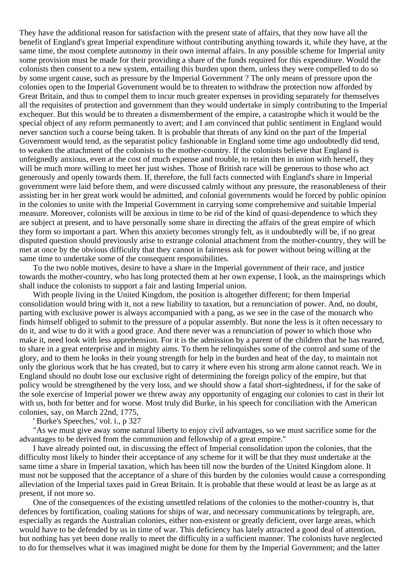They have the additional reason for satisfaction with the present state of affairs, that they now have all the benefit of England's great Imperial expenditure without contributing anything towards it, while they have, at the same time, the most complete autonomy in their own internal affairs. In any possible scheme for Imperial unity some provision must be made for their providing a share of the funds required for this expenditure. Would the colonists then consent to a new system, entailing this burden upon them, unless they were compelled to do so by some urgent cause, such as pressure by the Imperial Government ? The only means of pressure upon the colonies open to the Imperial Government would be to threaten to withdraw the protection now afforded by Great Britain, and thus to compel them to incur much greater expenses in providing separately for themselves all the requisites of protection and government than they would undertake in simply contributing to the Imperial exchequer. But this would be to threaten a dismemberment of the empire, a catastrophe which it would be the special object of any reform permanently to avert; and I am convinced that public sentiment in England would never sanction such a course being taken. It is probable that threats of any kind on the part of the Imperial Government would tend, as the separatist policy fashionable in England some time ago undoubtedly did tend, to weaken the attachment of the colonists to the mother-country. If the colonists believe that England is unfeignedly anxious, even at the cost of much expense and trouble, to retain then in union with herself, they will be much more willing to meet her just wishes. Those of British race will be generous to those who act generously and openly towards them. If, therefore, the full facts connected with England's share in Imperial government were laid before them, and were discussed calmly without any pressure, the reasonableness of their assisting her in her great work would be admitted, and colonial governments would be forced by public opinion in the colonies to unite with the Imperial Government in carrying some comprehensive and suitable Imperial measure. Moreover, colonists will be anxious in time to be rid of the kind of quasi-dependence to which they are subject at present, and to have personally some share in directing the affairs of the great empire of which they form so important a part. When this anxiety becomes strongly felt, as it undoubtedly will be, if no great disputed question should previously arise to estrange colonial attachment from the mother-country, they will be met at once by the obvious difficulty that they cannot in fairness ask for power without being willing at the same time to undertake some of the consequent responsibilities.

To the two noble motives, desire to have a share in the Imperial government of their race, and justice towards the mother-country, who has long protected them at her own expense, I look, as the mainsprings which shall induce the colonists to support a fair and lasting Imperial union.

With people living in the United Kingdom, the position is altogether different; for them Imperial consolidation would bring with it, not a new liability to taxation, but a renunciation of power. And, no doubt, parting with exclusive power is always accompanied with a pang, as we see in the case of the monarch who finds himself obliged to submit to the pressure of a popular assembly. But none the less is it often necessary to do it, and wise to do it with a good grace. And there never was a renunciation of power to which those who make it, need look with less apprehension. For it is the admission by a parent of the children that he has reared, to share in a great enterprise and in mighty aims. To them he relinquishes some of the control and some of the glory, and to them he looks in their young strength for help in the burden and heat of the day, to maintain not only the glorious work that he has created, but to carry it where even his strong arm alone cannot reach. We in England should no doubt lose our exclusive right of determining the foreign policy of the empire, but that policy would be strengthened by the very loss, and we should show a fatal short-sightedness, if for the sake of the sole exercise of Imperial power we threw away any opportunity of engaging our colonies to cast in their lot with us, both for better and for worse. Most truly did Burke, in his speech for conciliation with the American colonies, say, on March 22nd, 1775,

' Burke's Speeches,' vol. i., p 327

"As we must give away some natural liberty to enjoy civil advantages, so we must sacrifice some for the advantages to be derived from the communion and fellowship of a great empire."

I have already pointed out, in discussing the effect of Imperial consolidation upon the colonies, that the difficulty most likely to hinder their acceptance of any scheme for it will be that they must undertake at the same time a share in Imperial taxation, which has been till now the burden of the United Kingdom alone. It must not be supposed that the acceptance of a share of this burden by the colonies would cause a corresponding alleviation of the Imperial taxes paid in Great Britain. It is probable that these would at least be as large as at present, if not more so.

One of the consequences of the existing unsettled relations of the colonies to the mother-country is, that defences by fortification, coaling stations for ships of war, and necessary communications by telegraph, are, especially as regards the Australian colonies, either non-existent or greatly deficient, over large areas, which would have to be defended by us in time of war. This deficiency has lately attracted a good deal of attention, but nothing has yet been done really to meet the difficulty in a sufficient manner. The colonists have neglected to do for themselves what it was imagined might be done for them by the Imperial Government; and the latter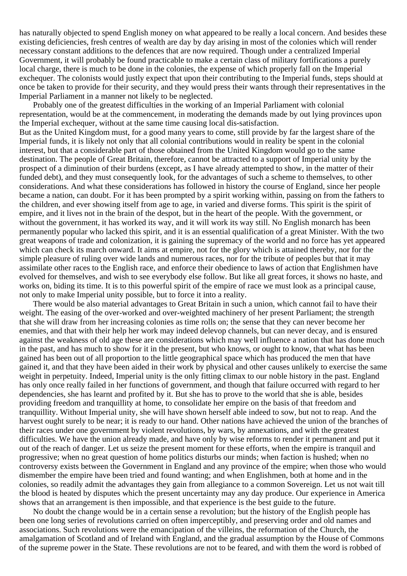has naturally objected to spend English money on what appeared to be really a local concern. And besides these existing deficiencies, fresh centres of wealth are day by day arising in most of the colonies which will render necessary constant additions to the defences that are now required. Though under a centralized Imperial Government, it will probably be found practicable to make a certain class of military fortifications a purely local charge, there is much to be done in the colonies, the expense of which properly fall on the Imperial exchequer. The colonists would justly expect that upon their contributing to the Imperial funds, steps should at once be taken to provide for their security, and they would press their wants through their representatives in the Imperial Parliament in a manner not likely to be neglected.

Probably one of the greatest difficulties in the working of an Imperial Parliament with colonial representation, would be at the commencement, in moderating the demands made by out lying provinces upon the Imperial exchequer, without at the same time causing local dis-satisfaction. But as the United Kingdom must, for a good many years to come, still provide by far the largest share of the Imperial funds, it is likely not only that all colonial contributions would in reality be spent in the colonial interest, but that a considerable part of those obtained from the United Kingdom would go to the same destination. The people of Great Britain, therefore, cannot be attracted to a support of Imperial unity by the prospect of a diminution of their burdens (except, as I have already attempted to show, in the matter of their funded debt), and they must consequently look, for the advantages of such a scheme to themselves, to other considerations. And what these considerations has followed in history the course of England, since her people became a nation, can doubt. For it has been prompted by a spirit working within, passing on from the fathers to the children, and ever showing itself from age to age, in varied and diverse forms. This spirit is the spirit of empire, and it lives not in the brain of the despot, but in the heart of the people. With the government, or without the government, it has worked its way, and it will work its way still. No English monarch has been permanently popular who lacked this spirit, and it is an essential qualification of a great Minister. With the two great weapons of trade and colonization, it is gaining the supremacy of the world and no force has yet appeared which can check its march onward. It aims at empire, not for the glory which is attained thereby, nor for the simple pleasure of ruling over wide lands and numerous races, nor for the tribute of peoples but that it may assimilate other races to the English race, and enforce their obedience to laws of action that Englishmen have evolved for themselves, and wish to see everybody else follow. But like all great forces, it shows no haste, and works on, biding its time. It is to this powerful spirit of the empire of race we must look as a principal cause, not only to make Imperial unity possible, but to force it into a reality.

There would be also material advantages to Great Britain in such a union, which cannot fail to have their weight. The easing of the over-worked and over-weighted machinery of her present Parliament; the strength that she will draw from her increasing colonies as time rolls on; the sense that they can never become her enemies, and that with their help her work may indeed delevop channels, but can never decay, and is ensured against the weakness of old age these are considerations which may well influence a nation that has done much in the past, and has much to show for it in the present, but who knows, or ought to know, that what has been gained has been out of all proportion to the little geographical space which has produced the men that have gained it, and that they have been aided in their work by physical and other causes unlikely to exercise the same weight in perpetuity. Indeed, Imperial unity is the only fitting climax to our noble history in the past. England has only once really failed in her functions of government, and though that failure occurred with regard to her dependencies, she has learnt and profited by it. But she has to prove to the world that she is able, besides providing freedom and tranquillity at home, to consolidate her empire on the basis of that freedom and tranquillity. Without Imperial unity, she will have shown herself able indeed to sow, but not to reap. And the harvest ought surely to be near; it is ready to our hand. Other nations have achieved the union of the branches of their races under one government by violent revolutions, by wars, by annexations, and with the greatest difficulties. We have the union already made, and have only by wise reforms to render it permanent and put it out of the reach of danger. Let us seize the present moment for these efforts, when the empire is tranquil and progressive; when no great question of home politics disturbs our minds; when faction is hushed; when no controversy exists between the Government in England and any province of the empire; when those who would dismember the empire have been tried and found wanting; and when Englishmen, both at home and in the colonies, so readily admit the advantages they gain from allegiance to a common Sovereign. Let us not wait till the blood is heated by disputes which the present uncertainty may any day produce. Our experience in America shows that an arrangement is then impossible, and that experience is the best guide to the future.

No doubt the change would be in a certain sense a revolution; but the history of the English people has been one long series of revolutions carried on often imperceptibly, and preserving order and old names and associations. Such revolutions were the emancipation of the villeins, the reformation of the Church, the amalgamation of Scotland and of Ireland with England, and the gradual assumption by the House of Commons of the supreme power in the State. These revolutions are not to be feared, and with them the word is robbed of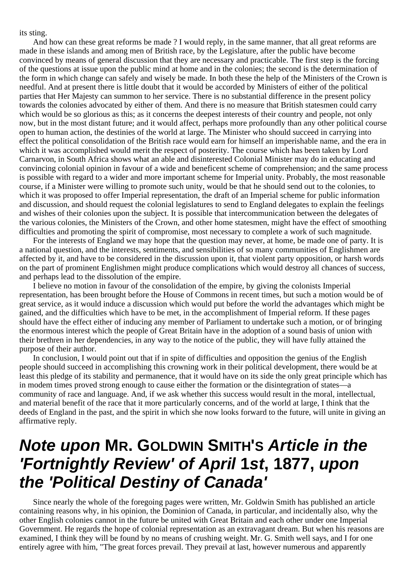its sting.

And how can these great reforms be made ? I would reply, in the same manner, that all great reforms are made in these islands and among men of British race, by the Legislature, after the public have become convinced by means of general discussion that they are necessary and practicable. The first step is the forcing of the questions at issue upon the public mind at home and in the colonies; the second is the determination of the form in which change can safely and wisely be made. In both these the help of the Ministers of the Crown is needful. And at present there is little doubt that it would be accorded by Ministers of either of the political parties that Her Majesty can summon to her service. There is no substantial difference in the present policy towards the colonies advocated by either of them. And there is no measure that British statesmen could carry which would be so glorious as this; as it concerns the deepest interests of their country and people, not only now, but in the most distant future; and it would affect, perhaps more profoundly than any other political course open to human action, the destinies of the world at large. The Minister who should succeed in carrying into effect the political consolidation of the British race would earn for himself an imperishable name, and the era in which it was accomplished would merit the respect of posterity. The course which has been taken by Lord Carnarvon, in South Africa shows what an able and disinterested Colonial Minister may do in educating and convincing colonial opinion in favour of a wide and beneficent scheme of comprehension; and the same process is possible with regard to a wider and more important scheme for Imperial unity. Probably, the most reasonable course, if a Minister were willing to promote such unity, would be that he should send out to the colonies, to which it was proposed to offer Imperial representation, the draft of an Imperial scheme for public information and discussion, and should request the colonial legislatures to send to England delegates to explain the feelings and wishes of their colonies upon the subject. It is possible that intercommunication between the delegates of the various colonies, the Ministers of the Crown, and other home statesmen, might have the effect of smoothing difficulties and promoting the spirit of compromise, most necessary to complete a work of such magnitude.

For the interests of England we may hope that the question may never, at home, be made one of party. It is a national question, and the interests, sentiments, and sensibilities of so many communities of Englishmen are affected by it, and have to be considered in the discussion upon it, that violent party opposition, or harsh words on the part of prominent Englishmen might produce complications which would destroy all chances of success, and perhaps lead to the dissolution of the empire.

I believe no motion in favour of the consolidation of the empire, by giving the colonists Imperial representation, has been brought before the House of Commons in recent times, but such a motion would be of great service, as it would induce a discussion which would put before the world the advantages which might be gained, and the difficulties which have to be met, in the accomplishment of Imperial reform. If these pages should have the effect either of inducing any member of Parliament to undertake such a motion, or of bringing the enormous interest which the people of Great Britain have in the adoption of a sound basis of union with their brethren in her dependencies, in any way to the notice of the public, they will have fully attained the purpose of their author.

In conclusion, I would point out that if in spite of difficulties and opposition the genius of the English people should succeed in accomplishing this crowning work in their political development, there would be at least this pledge of its stability and permanence, that it would have on its side the only great principle which has in modem times proved strong enough to cause either the formation or the disintegration of states—a community of race and language. And, if we ask whether this success would result in the moral, intellectual, and material benefit of the race that it more particularly concerns, and of the world at large, I think that the deeds of England in the past, and the spirit in which she now looks forward to the future, will unite in giving an affirmative reply.

# **Note upon MR. GOLDWIN SMITH'S Article in the 'Fortnightly Review' of April 1st, 1877, upon the 'Political Destiny of Canada'**

Since nearly the whole of the foregoing pages were written, Mr. Goldwin Smith has published an article containing reasons why, in his opinion, the Dominion of Canada, in particular, and incidentally also, why the other English colonies cannot in the future be united with Great Britain and each other under one Imperial Government. He regards the hope of colonial representation as an extravagant dream. But when his reasons are examined, I think they will be found by no means of crushing weight. Mr. G. Smith well says, and I for one entirely agree with him, "The great forces prevail. They prevail at last, however numerous and apparently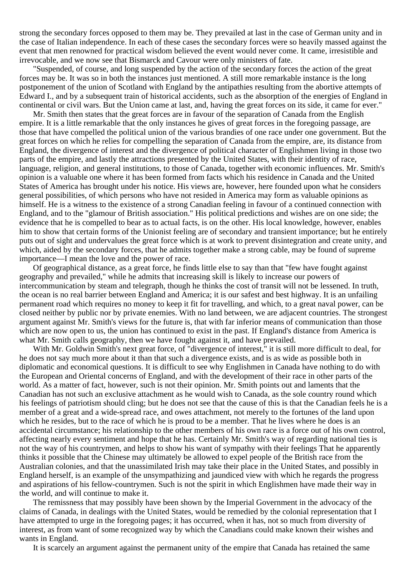strong the secondary forces opposed to them may be. They prevailed at last in the case of German unity and in the case of Italian independence. In each of these cases the secondary forces were so heavily massed against the event that men renowned for practical wisdom believed the event would never come. It came, irresistible and irrevocable, and we now see that Bismarck and Cavour were only ministers of fate.

"Suspended, of course, and long suspended by the action of the secondary forces the action of the great forces may be. It was so in both the instances just mentioned. A still more remarkable instance is the long postponement of the union of Scotland with England by the antipathies resulting from the abortive attempts of Edward I., and by a subsequent train of historical accidents, such as the absorption of the energies of England in continental or civil wars. But the Union came at last, and, having the great forces on its side, it came for ever."

Mr. Smith then states that the great forces are in favour of the separation of Canada from the English empire. It is a little remarkable that the only instances he gives of great forces in the foregoing passage, are those that have compelled the political union of the various brandies of one race under one government. But the great forces on which he relies for compelling the separation of Canada from the empire, are, its distance from England, the divergence of interest and the divergence of political character of Englishmen living in those two parts of the empire, and lastly the attractions presented by the United States, with their identity of race, language, religion, and general institutions, to those of Canada, together with economic influences. Mr. Smith's opinion is a valuable one where it has been formed from facts which his residence in Canada and the United States of America has brought under his notice. His views are, however, here founded upon what he considers general possibilities, of which persons who have not resided in America may form as valuable opinions as himself. He is a witness to the existence of a strong Canadian feeling in favour of a continued connection with England, and to the "glamour of British association." His political predictions and wishes are on one side; the evidence that he is compelled to bear as to actual facts, is on the other. His local knowledge, however, enables him to show that certain forms of the Unionist feeling are of secondary and transient importance; but he entirely puts out of sight and undervalues the great force which is at work to prevent disintegration and create unity, and which, aided by the secondary forces, that he admits together make a strong cable, may be found of supreme importance—I mean the love and the power of race.

Of geographical distance, as a great force, he finds little else to say than that "few have fought against geography and prevailed," while he admits that increasing skill is likely to increase our powers of intercommunication by steam and telegraph, though he thinks the cost of transit will not be lessened. In truth, the ocean is no real barrier between England and America; it is our safest and best highway. It is an unfailing permanent road which requires no money to keep it fit for travelling, and which, to a great naval power, can be closed neither by public nor by private enemies. With no land between, we are adjacent countries. The strongest argument against Mr. Smith's views for the future is, that with far inferior means of communication than those which are now open to us, the union has continued to exist in the past. If England's distance from America is what Mr. Smith calls geography, then we have fought against it, and have prevailed.

With Mr. Goldwin Smith's next great force, of "divergence of interest," it is still more difficult to deal, for he does not say much more about it than that such a divergence exists, and is as wide as possible both in diplomatic and economical questions. It is difficult to see why Englishmen in Canada have nothing to do with the European and Oriental concerns of England, and with the development of their race in other parts of the world. As a matter of fact, however, such is not their opinion. Mr. Smith points out and laments that the Canadian has not such an exclusive attachment as he would wish to Canada, as the sole country round which his feelings of patriotism should cling; but he does not see that the cause of this is that the Canadian feels he is a member of a great and a wide-spread race, and owes attachment, not merely to the fortunes of the land upon which he resides, but to the race of which he is proud to be a member. That he lives where he does is an accidental circumstance; his relationship to the other members of his own race is a force out of his own control, affecting nearly every sentiment and hope that he has. Certainly Mr. Smith's way of regarding national ties is not the way of his countrymen, and helps to show his want of sympathy with their feelings That he apparently thinks it possible that the Chinese may ultimately be allowed to expel people of the British race from the Australian colonies, and that the unassimilated Irish may take their place in the United States, and possibly in England herself, is an example of the unsympathizing and jaundiced view with which he regards the progress and aspirations of his fellow-countrymen. Such is not the spirit in which Englishmen have made their way in the world, and will continue to make it.

The remissness that may possibly have been shown by the Imperial Government in the advocacy of the claims of Canada, in dealings with the United States, would be remedied by the colonial representation that I have attempted to urge in the foregoing pages; it has occurred, when it has, not so much from diversity of interest, as from want of some recognized way by which the Canadians could make known their wishes and wants in England.

It is scarcely an argument against the permanent unity of the empire that Canada has retained the same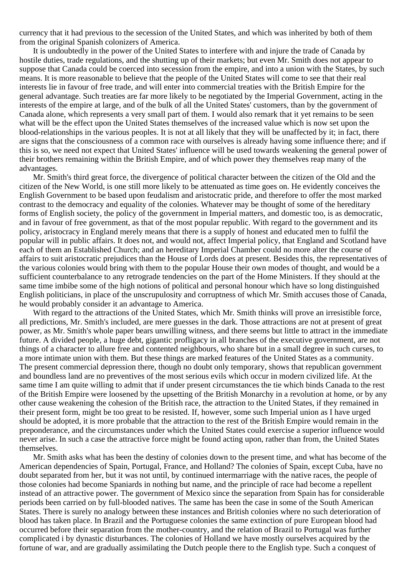currency that it had previous to the secession of the United States, and which was inherited by both of them from the original Spanish colonizers of America.

It is undoubtedly in the power of the United States to interfere with and injure the trade of Canada by hostile duties, trade regulations, and the shutting up of their markets; but even Mr. Smith does not appear to suppose that Canada could be coerced into secession from the empire, and into a union with the States, by such means. It is more reasonable to believe that the people of the United States will come to see that their real interests lie in favour of free trade, and will enter into commercial treaties with the British Empire for the general advantage. Such treaties are far more likely to be negotiated by the Imperial Government, acting in the interests of the empire at large, and of the bulk of all the United States' customers, than by the government of Canada alone, which represents a very small part of them. I would also remark that it yet remains to be seen what will be the effect upon the United States themselves of the increased value which is now set upon the blood-relationships in the various peoples. It is not at all likely that they will be unaffected by it; in fact, there are signs that the consciousness of a common race with ourselves is already having some influence there; and if this is so, we need not expect that United States' influence will be used towards weakening the general power of their brothers remaining within the British Empire, and of which power they themselves reap many of the advantages.

Mr. Smith's third great force, the divergence of political character between the citizen of the Old and the citizen of the New World, is one still more likely to be attenuated as time goes on. He evidently conceives the English Government to be based upon feudalism and aristocratic pride, and therefore to offer the most marked contrast to the democracy and equality of the colonies. Whatever may be thought of some of the hereditary forms of English society, the policy of the government in Imperial matters, and domestic too, is as democratic, and in favour of free government, as that of the most popular republic. With regard to the government and its policy, aristocracy in England merely means that there is a supply of honest and educated men to fulfil the popular will in public affairs. It does not, and would not, affect Imperial policy, that England and Scotland have each of them an Established Church; and an hereditary Imperial Chamber could no more alter the course of affairs to suit aristocratic prejudices than the House of Lords does at present. Besides this, the representatives of the various colonies would bring with them to the popular House their own modes of thought, and would be a sufficient counterbalance to any retrograde tendencies on the part of the Home Ministers. If they should at the same time imbibe some of the high notions of political and personal honour which have so long distinguished English politicians, in place of the unscrupulosity and corruptness of which Mr. Smith accuses those of Canada, he would probably consider it an advantage to America.

With regard to the attractions of the United States, which Mr. Smith thinks will prove an irresistible force, all predictions, Mr. Smith's included, are mere guesses in the dark. Those attractions are not at present of great power, as Mr. Smith's whole paper bears unwilling witness, and there seems but little to attract in the immediate future. A divided people, a huge debt, gigantic profligacy in all branches of the executive government, are not things of a character to allure free and contented neighbours, who share but in a small degree in such curses, to a more intimate union with them. But these things are marked features of the United States as a community. The present commercial depression there, though no doubt only temporary, shows that republican government and boundless land are no preventives of the most serious evils which occur in modern civilized life. At the same time I am quite willing to admit that if under present circumstances the tie which binds Canada to the rest of the British Empire were loosened by the upsetting of the British Monarchy in a revolution at home, or by any other cause weakening the cohesion of the British race, the attraction to the United States, if they remained in their present form, might be too great to be resisted. If, however, some such Imperial union as I have urged should be adopted, it is more probable that the attraction to the rest of the British Empire would remain in the preponderance, and the circumstances under which the United States could exercise a superior influence would never arise. In such a case the attractive force might be found acting upon, rather than from, the United States themselves.

Mr. Smith asks what has been the destiny of colonies down to the present time, and what has become of the American dependencies of Spain, Portugal, France, and Holland? The colonies of Spain, except Cuba, have no doubt separated from her, but it was not until, by continued intermarriage with the native races, the people of those colonies had become Spaniards in nothing but name, and the principle of race had become a repellent instead of an attractive power. The government of Mexico since the separation from Spain has for considerable periods been carried on by full-blooded natives. The same has been the case in some of the South American States. There is surely no analogy between these instances and British colonies where no such deterioration of blood has taken place. In Brazil and the Portuguese colonies the same extinction of pure European blood had occurred before their separation from the mother-country, and the relation of Brazil to Portugal was further complicated i by dynastic disturbances. The colonies of Holland we have mostly ourselves acquired by the fortune of war, and are gradually assimilating the Dutch people there to the English type. Such a conquest of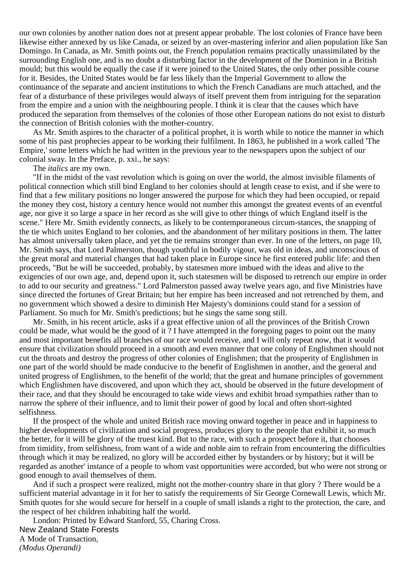our own colonies by another nation does not at present appear probable. The lost colonies of France have been likewise either annexed by us like Canada, or seized by an over-mastering inferior and alien population like San Domingo. In Canada, as Mr. Smith points out, the French population remains practically unassimilated by the surrounding English one, and is no doubt a disturbing factor in the development of the Dominion in a British mould; but this would be equally the case if it were joined to the United States, the only other possible course for it. Besides, the United States would be far less likely than the Imperial Government to allow the continuance of the separate and ancient institutions to which the French Canadians are much attached, and the fear of a disturbance of these privileges would always of itself prevent them from intriguing for the separation from the empire and a union with the neighbouring people. I think it is clear that the causes which have produced the separation from themselves of the colonies of those other European nations do not exist to disturb the connection of British colonies with the mother-country.

As Mr. Smith aspires to the character of a political prophet, it is worth while to notice the manner in which some of his past prophecies appear to be working their fulfilment. In 1863, he published in a work called 'The Empire,' some letters which he had written in the previous year to the newspapers upon the subject of our colonial sway. In the Preface, p. xxi., he says:

The *italics* are my own.

"If in the midst of the vast revolution which is going on over the world, the almost invisible filaments of political connection which still bind England to her colonies should at length cease to exist, and if she were to find that a few military positions no longer answered the purpose for which they had been occupied, or repaid the money they cost, history a century hence would not number this amongst the greatest events of an eventful age, nor give it so large a space in her record as she will give to other things of which England itself is the scene." Here Mr. Smith evidently connects, as likely to be contemporaneous circum-stances, the snapping of the tie which unites England to her colonies, and the abandonment of her military positions in them. The latter has almost universally taken place, and yet the tie remains stronger than ever. In one of the letters, on page 10, Mr. Smith says, that Lord Palmerston, though youthful in bodily vigour, was old in ideas, and unconscious of the great moral and material changes that had taken place in Europe since he first entered public life: and then proceeds, "But he will be succeeded, probably, by statesmen more imbued with the ideas and alive to the exigencies of our own age, and, depend upon it, such statesmen will be disposed to retrench our empire in order to add to our security and greatness." Lord Palmerston passed away twelve years ago, and five Ministries have since directed the fortunes of Great Britain; but her empire has been increased and not retrenched by them, and no government which showed a desire to diminish Her Majesty's dominions could stand for a session of Parliament. So much for Mr. Smith's predictions; but he sings the same song still.

Mr. Smith, in his recent article, asks if a great effective union of all the provinces of the British Crown could be made, what would be the good of it ? I have attempted in the foregoing pages to point out the many and most important benefits all branches of our race would receive, and I will only repeat now, that it would ensure that civilization should proceed in a smooth and even manner that one colony of Englishmen should not cut the throats and destroy the progress of other colonies of Englishmen; that the prosperity of Englishmen in one part of the world should be made conducive to the benefit of Englishmen in another, and the general and united progress of Englishmen, to the benefit of the world; that the great and humane principles of government which Englishmen have discovered, and upon which they act, should be observed in the future development of their race, and that they should be encouraged to take wide views and exhibit broad sympathies rather than to narrow the sphere of their influence, and to limit their power of good by local and often short-sighted selfishness.

If the prospect of the whole and united British race moving onward together in peace and in happiness to higher developments of civilization and social progress, produces glory to the people that exhibit it, so much the better, for it will be glory of the truest kind. But to the race, with such a prospect before it, that chooses from timidity, from selfishness, from want of a wide and noble aim to refrain from encountering the difficulties through which it may be realized, no glory will be accorded either by bystanders or by history; but it will be regarded as another' instance of a people to whom vast opportunities were accorded, but who were not strong or good enough to avail themselves of them.

And if such a prospect were realized, might not the mother-country share in that glory ? There would be a sufficient material advantage in it for her to satisfy the requirements of Sir George Cornewall Lewis, which Mr. Smith quotes for she would secure for herself in a couple of small islands a right to the protection, the care, and the respect of her children inhabiting half the world.

London: Printed by Edward Stanford, 55, Charing Cross. New Zealand State Forests A Mode of Transaction, *(Modus Operandi)*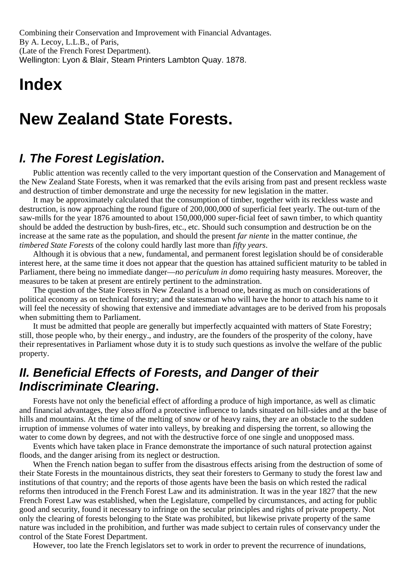Combining their Conservation and Improvement with Financial Advantages. By A. Lecoy, L.L.B., of Paris, (Late of the French Forest Department). Wellington: Lyon & Blair, Steam Printers Lambton Quay. 1878.

### **Index**

## **New Zealand State Forests.**

#### **I. The Forest Legislation.**

Public attention was recently called to the very important question of the Conservation and Management of the New Zealand State Forests, when it was remarked that the evils arising from past and present reckless waste and destruction of timber demonstrate and urge the necessity for new legislation in the matter.

It may be approximately calculated that the consumption of timber, together with its reckless waste and destruction, is now approaching the round figure of 200,000,000 of superficial feet yearly. The out-turn of the saw-mills for the year 1876 amounted to about 150,000,000 super-ficial feet of sawn timber, to which quantity should be added the destruction by bush-fires, etc., etc. Should such consumption and destruction be on the increase at the same rate as the population, and should the present *far niente* in the matter continue, *the timbered State Forests* of the colony could hardly last more than *fifty years*.

Although it is obvious that a new, fundamental, and permanent forest legislation should be of considerable interest here, at the same time it does not appear that the question has attained sufficient maturity to be tabled in Parliament, there being no immediate danger—*no periculum in domo* requiring hasty measures. Moreover, the measures to be taken at present are entirely pertinent to the adminstration.

The question of the State Forests in New Zealand is a broad one, bearing as much on considerations of political economy as on technical forestry; and the statesman who will have the honor to attach his name to it will feel the necessity of showing that extensive and immediate advantages are to be derived from his proposals when submitting them to Parliament.

It must be admitted that people are generally but imperfectly acquainted with matters of State Forestry; still, those people who, by their energy., and industry, are the founders of the prosperity of the colony, have their representatives in Parliament whose duty it is to study such questions as involve the welfare of the public property.

#### **II. Beneficial Effects of Forests, and Danger of their Indiscriminate Clearing.**

Forests have not only the beneficial effect of affording a produce of high importance, as well as climatic and financial advantages, they also afford a protective influence to lands situated on hill-sides and at the base of hills and mountains. At the time of the melting of snow or of heavy rains, they are an obstacle to the sudden irruption of immense volumes of water into valleys, by breaking and dispersing the torrent, so allowing the water to come down by degrees, and not with the destructive force of one single and unopposed mass.

Events which have taken place in France demonstrate the importance of such natural protection against floods, and the danger arising from its neglect or destruction.

When the French nation began to suffer from the disastrous effects arising from the destruction of some of their State Forests in the mountainous districts, they seat their foresters to Germany to study the forest law and institutions of that country; and the reports of those agents have been the basis on which rested the radical reforms then introduced in the French Forest Law and its administration. It was in the year 1827 that the new French Forest Law was established, when the Legislature, compelled by circumstances, and acting for public good and security, found it necessary to infringe on the secular principles and rights of private property. Not only the clearing of forests belonging to the State was prohibited, but likewise private property of the same nature was included in the prohibition, and further was made subject to certain rules of conservancy under the control of the State Forest Department.

However, too late the French legislators set to work in order to prevent the recurrence of inundations,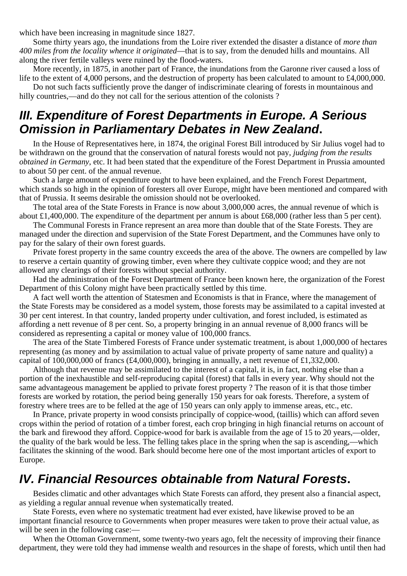which have been increasing in magnitude since 1827.

Some thirty years ago, the inundations from the Loire river extended the disaster a distance of *more than 400 miles from the locality whence it originated*—that is to say, from the denuded hills and mountains. All along the river fertile valleys were ruined by the flood-waters.

More recently, in 1875, in another part of France, the inundations from the Garonne river caused a loss of life to the extent of 4,000 persons, and the destruction of property has been calculated to amount to £4,000,000.

Do not such facts sufficiently prove the danger of indiscriminate clearing of forests in mountainous and hilly countries,—and do they not call for the serious attention of the colonists ?

#### **III. Expenditure of Forest Departments in Europe. A Serious Omission in Parliamentary Debates in New Zealand.**

In the House of Representatives here, in 1874, the original Forest Bill introduced by Sir Julius vogel had to be withdrawn on the ground that the conservation of natural forests would not pay, *judging from the results obtained in Germany*, etc. It had been stated that the expenditure of the Forest Department in Prussia amounted to about 50 per cent. of the annual revenue.

Such a large amount of expenditure ought to have been explained, and the French Forest Department, which stands so high in the opinion of foresters all over Europe, might have been mentioned and compared with that of Prussia. It seems desirable the omission should not be overlooked.

The total area of the State Forests in France is now about 3,000,000 acres, the annual revenue of which is about £1,400,000. The expenditure of the department per annum is about £68,000 (rather less than 5 per cent).

The Communal Forests in France represent an area more than double that of the State Forests. They are managed under the direction and supervision of the State Forest Department, and the Communes have only to pay for the salary of their own forest guards.

Private forest property in the same country exceeds the area of the above. The owners are compelled by law to reserve a certain quantity of growing timber, even where they cultivate coppice wood; and they are not allowed any clearings of their forests without special authority.

Had the administration of the Forest Department of France been known here, the organization of the Forest Department of this Colony might have been practically settled by this time.

A fact well worth the attention of Statesmen and Economists is that in France, where the management of the State Forests may be considered as a model system, those forests may be assimilated to a capital invested at 30 per cent interest. In that country, landed property under cultivation, and forest included, is estimated as affording a nett revenue of 8 per cent. So, a property bringing in an annual revenue of 8,000 francs will be considered as representing a capital or money value of 100,000 francs.

The area of the State Timbered Forests of France under systematic treatment, is about 1,000,000 of hectares representing (as money and by assimilation to actual value of private property of same nature and quality) a capital of  $100,000,000$  of francs (£4,000,000), bringing in annually, a nett revenue of £1,332,000.

Although that revenue may be assimilated to the interest of a capital, it is, in fact, nothing else than a portion of the inexhaustible and self-reproducing capital (forest) that falls in every year. Why should not the same advantageous management be applied to private forest property ? The reason of it is that those timber forests are worked by rotation, the period being generally 150 years for oak forests. Therefore, a system of forestry where trees are to be felled at the age of 150 years can only apply to immense areas, etc., etc.

In Prance, private property in wood consists principally of coppice-wood, (taillis) which can afford seven crops within the period of rotation of a timber forest, each crop bringing in high financial returns on account of the bark and firewood they afford. Coppice-wood for bark is available from the age of 15 to 20 years,—older, the quality of the bark would be less. The felling takes place in the spring when the sap is ascending,—which facilitates the skinning of the wood. Bark should become here one of the most important articles of export to Europe.

### **IV. Financial Resources obtainable from Natural Forests.**

Besides climatic and other advantages which State Forests can afford, they present also a financial aspect, as yielding a regular annual revenue when systematically treated.

State Forests, even where no systematic treatment had ever existed, have likewise proved to be an important financial resource to Governments when proper measures were taken to prove their actual value, as will be seen in the following case:—

When the Ottoman Government, some twenty-two years ago, felt the necessity of improving their finance department, they were told they had immense wealth and resources in the shape of forests, which until then had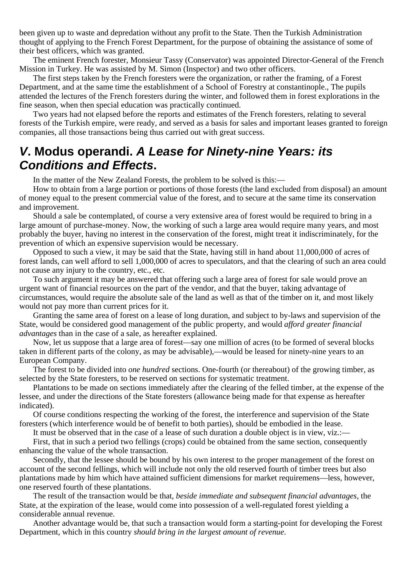been given up to waste and depredation without any profit to the State. Then the Turkish Administration thought of applying to the French Forest Department, for the purpose of obtaining the assistance of some of their best officers, which was granted.

The eminent French forester, Monsieur Tassy (Conservator) was appointed Director-General of the French Mission in Turkey. He was assisted by M. Simon (Inspector) and two other officers.

The first steps taken by the French foresters were the organization, or rather the framing, of a Forest Department, and at the same time the establishment of a School of Forestry at constantinople., The pupils attended the lectures of the French foresters during the winter, and followed them in forest explorations in the fine season, when then special education was practically continued.

Two years had not elapsed before the reports and estimates of the French foresters, relating to several forests of the Turkish empire, were ready, and served as a basis for sales and important leases granted to foreign companies, all those transactions being thus carried out with great success.

#### **V. Modus operandi. A Lease for Ninety-nine Years: its Conditions and Effects.**

In the matter of the New Zealand Forests, the problem to be solved is this:—

How to obtain from a large portion or portions of those forests (the land excluded from disposal) an amount of money equal to the present commercial value of the forest, and to secure at the same time its conservation and improvement.

Should a sale be contemplated, of course a very extensive area of forest would be required to bring in a large amount of purchase-money. Now, the working of such a large area would require many years, and most probably the buyer, having no interest in the conservation of the forest, might treat it indiscriminately, for the prevention of which an expensive supervision would be necessary.

Opposed to such a view, it may be said that the State, having still in hand about 11,000,000 of acres of forest lands, can well afford to sell 1,000,000 of acres to speculators, and that the clearing of such an area could not cause any injury to the country, etc., etc.

To such argument it may be answered that offering such a large area of forest for sale would prove an urgent want of financial resources on the part of the vendor, and that the buyer, taking advantage of circumstances, would require the absolute sale of the land as well as that of the timber on it, and most likely would not pay more than current prices for it.

Granting the same area of forest on a lease of long duration, and subject to by-laws and supervision of the State, would be considered good management of the public property, and would *afford greater financial advantages* than in the case of a sale, as hereafter explained.

Now, let us suppose that a large area of forest—say one million of acres (to be formed of several blocks taken in different parts of the colony, as may be advisable),—would be leased for ninety-nine years to an European Company.

The forest to be divided into *one hundred* sections. One-fourth (or thereabout) of the growing timber, as selected by the State foresters, to be reserved on sections for systematic treatment.

Plantations to be made on sections immediately after the clearing of the felled timber, at the expense of the lessee, and under the directions of the State foresters (allowance being made for that expense as hereafter indicated).

Of course conditions respecting the working of the forest, the interference and supervision of the State foresters (which interference would be of benefit to both parties), should be embodied in the lease.

It must be observed that in the case of a lease of such duration a double object is in view, viz.:—

First, that in such a period two fellings (crops) could be obtained from the same section, consequently enhancing the value of the whole transaction.

Secondly, that the lessee should be bound by his own interest to the proper management of the forest on account of the second fellings, which will include not only the old reserved fourth of timber trees but also plantations made by him which have attained sufficient dimensions for market requiremens—less, however, one reserved fourth of these plantations.

The result of the transaction would be that, *beside immediate and subsequent financial advantages*, the State, at the expiration of the lease, would come into possession of a well-regulated forest yielding a considerable annual revenue.

Another advantage would be, that such a transaction would form a starting-point for developing the Forest Department, which in this country *should bring in the largest amount of revenue*.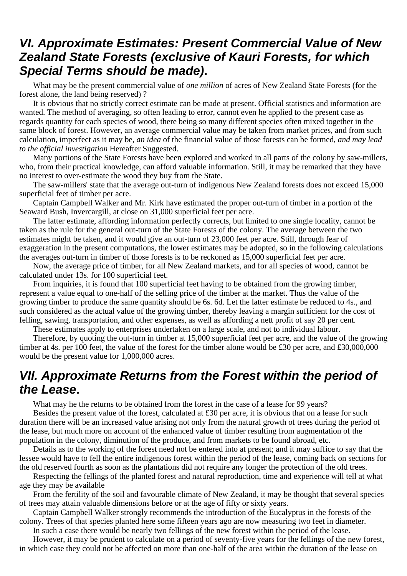#### **VI. Approximate Estimates: Present Commercial Value of New Zealand State Forests (exclusive of Kauri Forests, for which Special Terms should be made).**

What may be the present commercial value of *one million* of acres of New Zealand State Forests (for the forest alone, the land being reserved) ?

It is obvious that no strictly correct estimate can be made at present. Official statistics and information are wanted. The method of averaging, so often leading to error, cannot even he applied to the present case as regards quantity for each species of wood, there being so many different species often mixed together in the same block of forest. However, an average commercial value may be taken from market prices, and from such calculation, imperfect as it may be, *an idea* of the financial value of those forests can be formed, *and may lead to the official investigation* Hereafter Suggested.

Many portions of the State Forests have been explored and worked in all parts of the colony by saw-millers, who, from their practical knowledge, can afford valuable information. Still, it may be remarked that they have no interest to over-estimate the wood they buy from the State.

The saw-millers' state that the average out-turn of indigenous New Zealand forests does not exceed 15,000 superficial feet of timber per acre.

Captain Campbell Walker and Mr. Kirk have estimated the proper out-turn of timber in a portion of the Seaward Bush, Invercargill, at close on 31,000 superficial feet per acre.

The latter estimate, affording information perfectly corrects, but limited to one single locality, cannot be taken as the rule for the general out-turn of the State Forests of the colony. The average between the two estimates might be taken, and it would give an out-turn of 23,000 feet per acre. Still, through fear of exaggeration in the present computations, the lower estimates may be adopted, so in the following calculations the averages out-turn in timber of those forests is to be reckoned as 15,000 superficial feet per acre.

Now, the average price of timber, for all New Zealand markets, and for all species of wood, cannot be calculated under 13s. for 100 superficial feet.

From inquiries, it is found that 100 superficial feet having to be obtained from the growing timber, represent a value equal to one-half of the selling price of the timber at the market. Thus the value of the growing timber to produce the same quantity should be 6s. 6d. Let the latter estimate be reduced to 4s., and such considered as the actual value of the growing timber, thereby leaving a margin sufficient for the cost of felling, sawing, transportation, and other expenses, as well as affording a nett profit of say 20 per cent.

These estimates apply to enterprises undertaken on a large scale, and not to individual labour.

Therefore, by quoting the out-turn in timber at 15,000 superficial feet per acre, and the value of the growing timber at 4s. per 100 feet, the value of the forest for the timber alone would be £30 per acre, and £30,000,000 would be the present value for 1,000,000 acres.

#### **VII. Approximate Returns from the Forest within the period of the Lease.**

What may he the returns to be obtained from the forest in the case of a lease for 99 years?

Besides the present value of the forest, calculated at £30 per acre, it is obvious that on a lease for such duration there will be an increased value arising not only from the natural growth of trees during the period of the lease, but much more on account of the enhanced value of timber resulting from augmentation of the population in the colony, diminution of the produce, and from markets to be found abroad, etc.

Details as to the working of the forest need not be entered into at present; and it may suffice to say that the lessee would have to fell the entire indigenous forest within the period of the lease, coming back on sections for the old reserved fourth as soon as the plantations did not require any longer the protection of the old trees.

Respecting the fellings of the planted forest and natural reproduction, time and experience will tell at what age they may be available

From the fertility of the soil and favourable climate of New Zealand, it may be thought that several species of trees may attain valuable dimensions before or at the age of fifty or sixty years.

Captain Campbell Walker strongly recommends the introduction of the Eucalyptus in the forests of the colony. Trees of that species planted here some fifteen years ago are now measuring two feet in diameter.

In such a case there would be nearly two fellings of the new forest within the period of the lease.

However, it may be prudent to calculate on a period of seventy-five years for the fellings of the new forest, in which case they could not be affected on more than one-half of the area within the duration of the lease on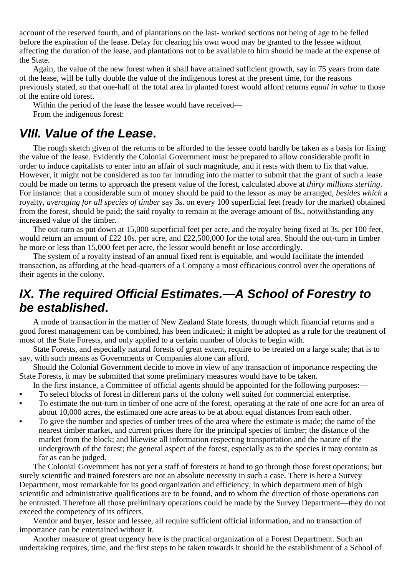account of the reserved fourth, and of plantations on the last- worked sections not being of age to be felled before the expiration of the lease. Delay for clearing his own wood may be granted to the lessee without affecting the duration of the lease, and plantations not to be available to him should be made at the expense of the State.

Again, the value of the new forest when it shall have attained sufficient growth, say in 75 years from date of the lease, will be fully double the value of the indigenous forest at the present time, for the reasons previously stated, so that one-half of the total area in planted forest would afford returns *equal in value* to those of the entire old forest.

Within the period of the lease the lessee would have received— From the indigenous forest:

#### **VIII. Value of the Lease.**

The rough sketch given of the returns to be afforded to the lessee could hardly be taken as a basis for fixing the value of the lease. Evidently the Colonial Government must be prepared to allow considerable profit in order to induce capitalists to enter into an affair of such magnitude, and it rests with them to fix that value. However, it might not be considered as too far intruding into the matter to submit that the grant of such a lease could be made on terms to approach the present value of the forest, calculated above at *thirty millions sterling*. For instance: that a considerable sum of money should be paid to the lessor as may be arranged, *besides which* a royalty, *averaging for all species of timber* say 3s. on every 100 superficial feet (ready for the market) obtained from the forest, should be paid; the said royalty to remain at the average amount of 8s., notwithstanding any increased value of the timber.

The out-turn as put down at 15,000 superficial feet per acre, and the royalty being fixed at 3s. per 100 feet, would return an amount of £22 10s. per acre, and £22,500,000 for the total area. Should the out-turn in timber be more or less than 15,000 feet per acre, the lessor would benefit or lose accordingly.

The system of a royalty instead of an annual fixed rent is equitable, and would facilitate the intended transaction, as affording at the head-quarters of a Company a most efficacious control over the operations of their agents in the colony.

#### **IX. The required Official Estimates.—A School of Forestry to be established.**

A mode of transaction in the matter of New Zealand State forests, through which financial returns and a good forest management can be combined, has been indicated; it might be adopted as a rule for the treatment of most of the State Forests, and only applied to a certain number of blocks to begin with.

State Forests, and especially natural forests of great extent, require to be treated on a large scale; that is to say, with such means as Governments or Companies alone can afford.

Should the Colonial Government decide to move in view of any transaction of importance respecting the State Forests, it may be submitted that some preliminary measures would have to be taken.

- In the first instance, a Committee of official agents should be appointed for the following purposes:—
- **•** To select blocks of forest in different parts of the colony well suited for commercial enterprise.
- **•** To estimate the out-turn in timber of one acre of the forest, operating at the rate of one acre for an area of about 10,000 acres, the estimated one acre areas to be at about equal distances from each other.
- **•** To give the number and species of timber trees of the area where the estimate is made; the name of the nearest timber market, and current prices there for the principal species of timber; the distance of the market from the block; and likewise all information respecting transportation and the nature of the undergrowth of the forest; the general aspect of the forest, especially as to the species it may contain as far as can be judged.

The Colonial Government has not yet a staff of foresters at hand to go through those forest operations; but surely scientific and trained foresters are not an absolute necessity in such a case. There is here a Survey Department, most remarkable for its good organization and efficiency, in which department men of high scientific and administrative qualifications are to be found, and to whom the direction of those operations can be entrusted. Therefore all those preliminary operations could be made by the Survey Department—they do not exceed the competency of its officers.

Vendor and buyer, lessor and lessee, all require sufficient official information, and no transaction of importance can be entertained without it.

Another measure of great urgency here is the practical organization of a Forest Department. Such an undertaking requires, time, and the first steps to be taken towards it should be the establishment of a School of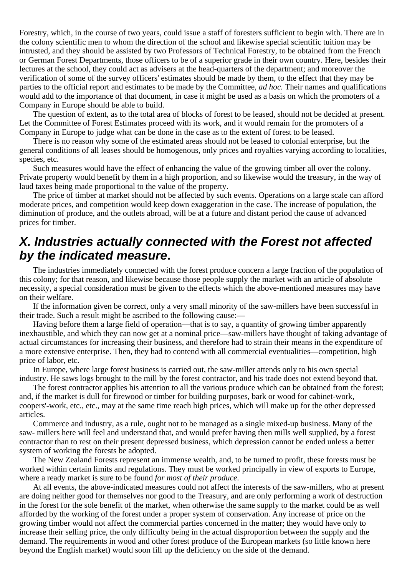Forestry, which, in the course of two years, could issue a staff of foresters sufficient to begin with. There are in the colony scientific men to whom the direction of the school and likewise special scientific tuition may be intrusted, and they should be assisted by two Professors of Technical Forestry, to be obtained from the French or German Forest Departments, those officers to be of a superior grade in their own country. Here, besides their lectures at the school, they could act as advisers at the head-quarters of the department; and moreover the verification of some of the survey officers' estimates should be made by them, to the effect that they may be parties to the official report and estimates to be made by the Committee, *ad hoc.* Their names and qualifications would add to the importance of that document, in case it might be used as a basis on which the promoters of a Company in Europe should be able to build.

The question of extent, as to the total area of blocks of forest to be leased, should not be decided at present. Let the Committee of Forest Estimates proceed with its work, and it would remain for the promoters of a Company in Europe to judge what can be done in the case as to the extent of forest to be leased.

There is no reason why some of the estimated areas should not be leased to colonial enterprise, but the general conditions of all leases should be homogenous, only prices and royalties varying according to localities, species, etc.

Such measures would have the effect of enhancing the value of the growing timber all over the colony. Private property would benefit by them in a high proportion, and so likewise would the treasury, in the way of laud taxes being made proportional to the value of the property.

The price of timber at market should not be affected by such events. Operations on a large scale can afford moderate prices, and competition would keep down exaggeration in the case. The increase of population, the diminution of produce, and the outlets abroad, will be at a future and distant period the cause of advanced prices for timber.

#### **X. Industries actually connected with the Forest not affected by the indicated measure.**

The industries immediately connected with the forest produce concern a large fraction of the population of this colony; for that reason, and likewise because those people supply the market with an article of absolute necessity, a special consideration must be given to the effects which the above-mentioned measures may have on their welfare.

If the information given be correct, only a very small minority of the saw-millers have been successful in their trade. Such a result might be ascribed to the following cause:—

Having before them a large field of operation—that is to say, a quantity of growing timber apparently inexhaustible, and which they can now get at a nominal price—saw-millers have thought of taking advantage of actual circumstances for increasing their business, and therefore had to strain their means in the expenditure of a more extensive enterprise. Then, they had to contend with all commercial eventualities—competition, high price of labor, etc.

In Europe, where large forest business is carried out, the saw-miller attends only to his own special industry. He saws logs brought to the mill by the forest contractor, and his trade does not extend beyond that.

The forest contractor applies his attention to all the various produce which can be obtained from the forest; and, if the market is dull for firewood or timber for building purposes, bark or wood for cabinet-work, coopers'-work, etc., etc., may at the same time reach high prices, which will make up for the other depressed articles.

Commerce and industry, as a rule, ought not to be managed as a single mixed-up business. Many of the saw- millers here will feel and understand that, and would prefer having then mills well supplied, by a forest contractor than to rest on their present depressed business, which depression cannot be ended unless a better system of working the forests be adopted.

The New Zealand Forests represent an immense wealth, and, to be turned to profit, these forests must be worked within certain limits and regulations. They must be worked principally in view of exports to Europe, where a ready market is sure to be found *for most of their produce*.

At all events, the above-indicated measures could not affect the interests of the saw-millers, who at present are doing neither good for themselves nor good to the Treasury, and are only performing a work of destruction in the forest for the sole benefit of the market, when otherwise the same supply to the market could be as well afforded by the working of the forest under a proper system of conservation. Any increase of price on the growing timber would not affect the commercial parties concerned in the matter; they would have only to increase their selling price, the only difficulty being in the actual disproportion between the supply and the demand. The requirements in wood and other forest produce of the European markets (so little known here beyond the English market) would soon fill up the deficiency on the side of the demand.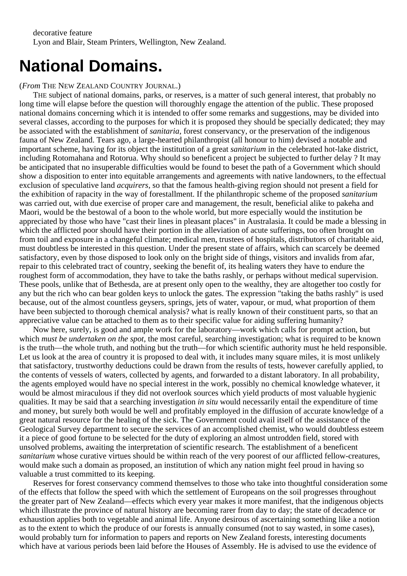# **National Domains.**

#### (*From* THE NEW ZEALAND COUNTRY JOURNAL.)

THE subject of national domains, parks, or reserves, is a matter of such general interest, that probably no long time will elapse before the question will thoroughly engage the attention of the public. These proposed national domains concerning which it is intended to offer some remarks and suggestions, may be divided into several classes, according to the purposes for which it is proposed they should be specially dedicated; they may be associated with the establishment of *sanitaria*, forest conservancy, or the preservation of the indigenous fauna of New Zealand. Tears ago, a large-hearted philanthropist (all honour to him) devised a notable and important scheme, having for its object the institution of a great *sanitarium* in the celebrated hot-lake district, including Rotomahana and Rotorua. Why should so beneficent a project be subjected to further delay ? It may be anticipated that no insuperable difficulties would be found to beset the path of a Government which should show a disposition to enter into equitable arrangements and agreements with native landowners, to the effectual exclusion of speculative land *acquirers*, so that the famous health-giving region should not present a field for the exhibition of rapacity in the way of forestallment. If the philanthropic scheme of the proposed *sanitarium* was carried out, with due exercise of proper care and management, the result, beneficial alike to pakeha and Maori, would be the bestowal of a boon to the whole world, but more especially would the institution be appreciated by those who have "cast their lines in pleasant places" in Australasia. It could be made a blessing in which the afflicted poor should have their portion in the alleviation of acute sufferings, too often brought on from toil and exposure in a changeful climate; medical men, trustees of hospitals, distributors of charitable aid, must doubtless be interested in this question. Under the present state of affairs, which can scarcely be deemed satisfactory, even by those disposed to look only on the bright side of things, visitors and invalids from afar, repair to this celebrated tract of country, seeking the benefit of, its healing waters they have to endure the roughest form of accommodation, they have to take the baths rashly, or perhaps without medical supervision. These pools, unlike that of Bethesda, are at present only open to the wealthy, they are altogether too costly for any but the rich who can bear golden keys to unlock the gates. The expression "taking the baths rashly" is used because, out of the almost countless geysers, springs, jets of water, vapour, or mud, what proportion of them have been subjected to thorough chemical analysis? what is really known of their constituent parts, so that an appreciative value can be attached to them as to their specific value for aiding suffering humanity?

Now here, surely, is good and ample work for the laboratory—work which calls for prompt action, but which *must be undertaken on the spot*, the most careful, searching investigation; what is required to be known is the truth—the whole truth, and nothing but the truth—for which scientific authority must he held responsible. Let us look at the area of country it is proposed to deal with, it includes many square miles, it is most unlikely that satisfactory, trustworthy deductions could be drawn from the results of tests, however carefully applied, to the contents of vessels of waters, collected by agents, and forwarded to a distant laboratory. In all probability, the agents employed would have no special interest in the work, possibly no chemical knowledge whatever, it would be almost miraculous if they did not overlook sources which yield products of most valuable hygienic qualities. It may be said that a searching investigation *in situ* would necessarily entail the expenditure of time and money, but surely both would be well and profitably employed in the diffusion of accurate knowledge of a great natural resource for the healing of the sick. The Government could avail itself of the assistance of the Geological Survey department to secure the services of an accomplished chemist, who would doubtless esteem it a piece of good fortune to be selected for the duty of exploring an almost untrodden field, stored with unsolved problems, awaiting the interpretation of scientific research. The establishment of a beneficent *sanitarium* whose curative virtues should be within reach of the very poorest of our afflicted fellow-creatures, would make such a domain as proposed, an institution of which any nation might feel proud in having so valuable a trust committed to its keeping.

Reserves for forest conservancy commend themselves to those who take into thoughtful consideration some of the effects that follow the speed with which the settlement of Europeans on the soil progresses throughout the greater part of New Zealand—effects which every year makes it more manifest, that the indigenous objects which illustrate the province of natural history are becoming rarer from day to day; the state of decadence or exhaustion applies both to vegetable and animal life. Anyone desirous of ascertaining something like a notion as to the extent to which the produce of our forests is annually consumed (not to say wasted, in some cases), would probably turn for information to papers and reports on New Zealand forests, interesting documents which have at various periods been laid before the Houses of Assembly. He is advised to use the evidence of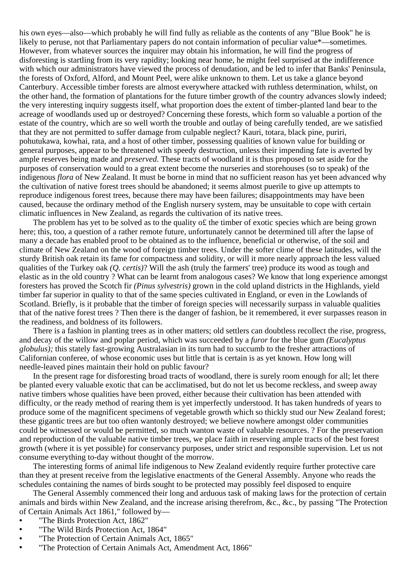his own eyes—also—which probably he will find fully as reliable as the contents of any "Blue Book" he is likely to peruse, not that Parliamentary papers do not contain information of peculiar value\*—sometimes. However, from whatever sources the inquirer may obtain his information, he will find the progress of disforesting is startling from its very rapidity; looking near home, he might feel surprised at the indifference with which our administrators have viewed the process of denudation, and be led to infer that Banks' Peninsula, the forests of Oxford, Alford, and Mount Peel, were alike unknown to them. Let us take a glance beyond Canterbury. Accessible timber forests are almost everywhere attacked with ruthless determination, whilst, on the other hand, the formation of plantations for the future timber growth of the country advances slowly indeed; the very interesting inquiry suggests itself, what proportion does the extent of timber-planted land bear to the acreage of woodlands used up or destroyed? Concerning these forests, which form so valuable a portion of the estate of the country, which are so well worth the trouble and outlay of being carefully tended, are we satisfied that they are not permitted to suffer damage from culpable neglect? Kauri, totara, black pine, puriri, pohutukawa, kowhai, rata, and a host of other timber, possessing qualities of known value for building or general purposes, appear to be threatened with speedy destruction, unless their impending fate is averted by ample reserves being made and *preserved*. These tracts of woodland it is thus proposed to set aside for the purposes of conservation would to a great extent become the nurseries and storehouses (so to speak) of the indigenous *flora* of New Zealand. It must be borne in mind that no sufficient reason has yet been advanced why the cultivation of native forest trees should be abandoned; it seems almost puerile to give up attempts to reproduce indigenous forest trees, because there may have been failures; disappointments may have been caused, because the ordinary method of the English nursery system, may be unsuitable to cope with certain climatic influences in New Zealand, as regards the cultivation of its native trees.

The problem has yet to be solved as to the quality o£ the timber of exotic species which are being grown here; this, too, a question of a rather remote future, unfortunately cannot be determined till after the lapse of many a decade has enabled proof to be obtained as to the influence, beneficial or otherwise, of the soil and climate of New Zealand on the wood of foreign timber trees. Under the softer clime of these latitudes, will the sturdy British oak retain its fame for compactness and solidity, or will it more nearly approach the less valued qualities of the Turkey oak *(Q. certis)*? Will the ash (truly the farmers' tree) produce its wood as tough and elastic as in the old country ? What can be learnt from analogous cases? We know that long experience amongst foresters has proved the Scotch fir *(Pinus sylvestris)* grown in the cold upland districts in the Highlands, yield timber far superior in quality to that of the same species cultivated in England, or even in the Lowlands of Scotland. Briefly, is it probable that the timber of foreign species will necessarily surpass in valuable qualities that of the native forest trees ? Then there is the danger of fashion, be it remembered, it ever surpasses reason in the readiness, and boldness of its followers.

There is a fashion in planting trees as in other matters; old settlers can doubtless recollect the rise, progress, and decay of the willow and poplar period, which was succeeded by a *furor* for the blue gum *(Eucalyptus globulus);* this stately fast-growing Australasian in its turn had to succumb to the fresher attractions of Californian conferee, of whose economic uses but little that is certain is as yet known. How long will needle-leaved pines maintain their hold on public favour?

In the present rage for disforesting broad tracts of woodland, there is surely room enough for all; let there be planted every valuable exotic that can be acclimatised, but do not let us become reckless, and sweep away native timbers whose qualities have been proved, either because their cultivation has been attended with difficulty, or the ready method of rearing them is yet imperfectly understood. It has taken hundreds of years to produce some of the magnificent specimens of vegetable growth which so thickly stud our New Zealand forest; these gigantic trees are but too often wantonly destroyed; we believe nowhere amongst older communities could be witnessed or would be permitted, so much wanton waste of valuable resources. ? For the preservation and reproduction of the valuable native timber trees, we place faith in reserving ample tracts of the best forest growth (where it is yet possible) for conservancy purposes, under strict and responsible supervision. Let us not consume everything to-day without thought of the morrow.

The interesting forms of animal life indigenous to New Zealand evidently require further protective care than they at present receive from the legislative enactments of the General Assembly. Anyone who reads the schedules containing the names of birds sought to be protected may possibly feel disposed to enquire

The General Assembly commenced their long and arduous task of making laws for the protection of certain animals and birds within New Zealand, and the increase arising therefrom, &c., &c., by passing "The Protection of Certain Animals Act 1861," followed by—

- **•** "The Birds Protection Act, 1862"
- **•** "The Wild Birds Protection Act, 1864"
- **•** "The Protection of Certain Animals Act, 1865"
- **•** "The Protection of Certain Animals Act, Amendment Act, 1866"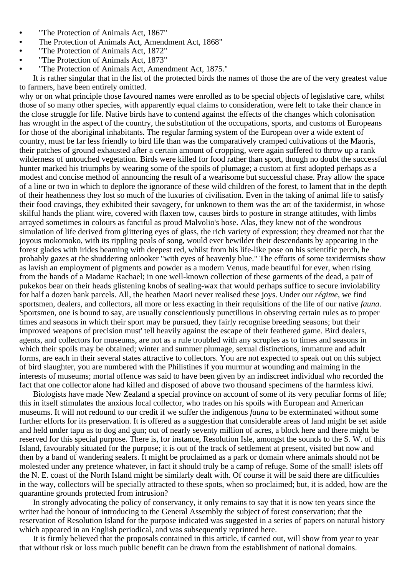- The Protection of Animals Act, 1867"<br>• The Protection of Animals Act, Amend
- **•** The Protection of Animals Act, Amendment Act, 1868"
- **•** "The Protection of Animals Act, 1872"
- **•** "The Protection of Animals Act, 1873"
- **•** "The Protection of Animals Act, Amendment Act, 1875."

It is rather singular that in the list of the protected birds the names of those the are of the very greatest value to farmers, have been entirely omitted.

why or on what principle those favoured names were enrolled as to be special objects of legislative care, whilst those of so many other species, with apparently equal claims to consideration, were left to take their chance in the close struggle for life. Native birds have to contend against the effects of the changes which colonisation has wrought in the aspect of the country, the substitution of the occupations, sports, and customs of Europeans for those of the aboriginal inhabitants. The regular farming system of the European over a wide extent of country, must be far less friendly to bird life than was the comparatively cramped cultivations of the Maoris, their patches of ground exhausted after a certain amount of cropping, were again suffered to throw up a rank wilderness of untouched vegetation. Birds were killed for food rather than sport, though no doubt the successful hunter marked his triumphs by wearing some of the spoils of plumage; a custom at first adopted perhaps as a modest and concise method of announcing the result of a wearisome but successful chase. Pray allow the space of a line or two in which to deplore the ignorance of these wild children of the forest, to lament that in the depth of their heathenness they lost so much of the luxuries of civilisation. Even in the taking of animal life to satisfy their food cravings, they exhibited their savagery, for unknown to them was the art of the taxidermist, in whose skilful hands the pliant wire, covered with flaxen tow, causes birds to posture in strange attitudes, with limbs arrayed sometimes in colours as fanciful as proud Malvolio's hose. Alas, they knew not of the wondrous simulation of life derived from glittering eyes of glass, the rich variety of expression; they dreamed not that the joyous mokomoko, with its rippling peals of song, would ever bewilder their descendants by appearing in the forest glades with irides beaming with deepest red, whilst from his life-like pose on his scientific perch, he probably gazes at the shuddering onlooker "with eyes of heavenly blue." The efforts of some taxidermists show as lavish an employment of pigments and powder as a modern Venus, made beautiful for ever, when rising from the hands of a Madame Rachael; in one well-known collection of these garments of the dead, a pair of pukekos bear on their heads glistening knobs of sealing-wax that would perhaps suffice to secure inviolability for half a dozen bank parcels. All, the heathen Maori never realised these joys. Under our *régime*, we find sportsmen, dealers, and collectors, all more or less exacting in their requisitions of the life of our native *fauna*. Sportsmen, one is bound to say, are usually conscientiously punctilious in observing certain rules as to proper times and seasons in which their sport may be pursued, they fairly recognise breeding seasons; but their improved weapons of precision must' tell heavily against the escape of their feathered game. Bird dealers, agents, and collectors for museums, are not as a rule troubled with any scruples as to times and seasons in which their spoils may be obtained; winter and summer plumage, sexual distinctions, immature and adult forms, are each in their several states attractive to collectors. You are not expected to speak out on this subject of bird slaughter, you are numbered with the Philistines if you murmur at wounding and maiming in the interests of museums; mortal offence was said to have been given by an indiscreet individual who recorded the fact that one collector alone had killed and disposed of above two thousand specimens of the harmless kiwi.

Biologists have made New Zealand a special province on account of some of its very peculiar forms of life; this in itself stimulates the anxious local collector, who trades on his spoils with European and American museums. It will not redound to our credit if we suffer the indigenous *fauna* to be exterminated without some further efforts for its preservation. It is offered as a suggestion that considerable areas of land might be set aside and held under tapu as to dog and gun; out of nearly seventy million of acres, a block here and there might be reserved for this special purpose. There is, for instance, Resolution Isle, amongst the sounds to the S. W. of this Island, favourably situated for the purpose; it is out of the track of settlement at present, visited but now and then by a band of wandering sealers. It might be proclaimed as a park or domain where animals should not be molested under any pretence whatever, in fact it should truly be a camp of refuge. Some of the small! islets off the N. E. coast of the North Island might be similarly dealt with. Of course it will be said there are difficulties in the way, collectors will be specially attracted to these spots, when so proclaimed; but, it is added, how are the quarantine grounds protected from intrusion?

In strongly advocating the policy of conservancy, it only remains to say that it is now ten years since the writer had the honour of introducing to the General Assembly the subject of forest conservation; that the reservation of Resolution Island for the purpose indicated was suggested in a series of papers on natural history which appeared in an English periodical, and was subsequently reprinted here.

It is firmly believed that the proposals contained in this article, if carried out, will show from year to year that without risk or loss much public benefit can be drawn from the establishment of national domains.